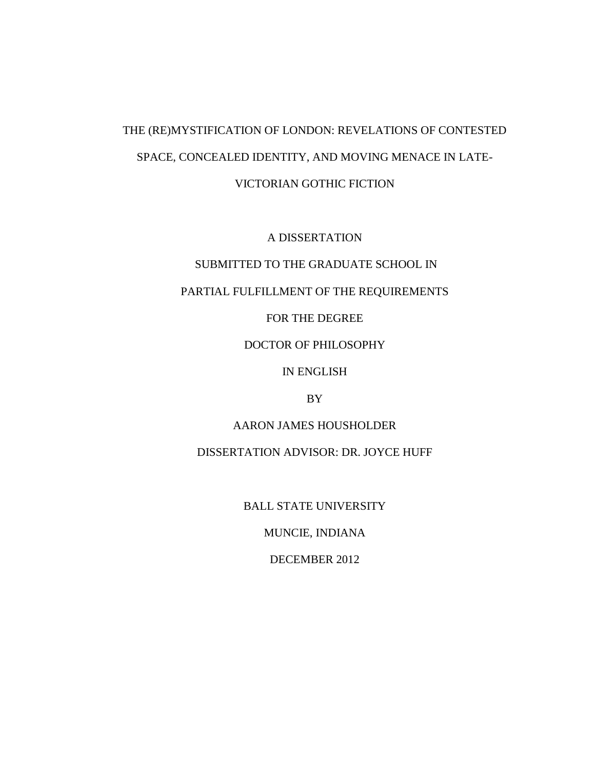# THE (RE)MYSTIFICATION OF LONDON: REVELATIONS OF CONTESTED SPACE, CONCEALED IDENTITY, AND MOVING MENACE IN LATE-VICTORIAN GOTHIC FICTION

A DISSERTATION

## SUBMITTED TO THE GRADUATE SCHOOL IN

## PARTIAL FULFILLMENT OF THE REQUIREMENTS

## FOR THE DEGREE

## DOCTOR OF PHILOSOPHY

## IN ENGLISH

#### BY

## AARON JAMES HOUSHOLDER

## DISSERTATION ADVISOR: DR. JOYCE HUFF

#### BALL STATE UNIVERSITY

## MUNCIE, INDIANA

#### DECEMBER 2012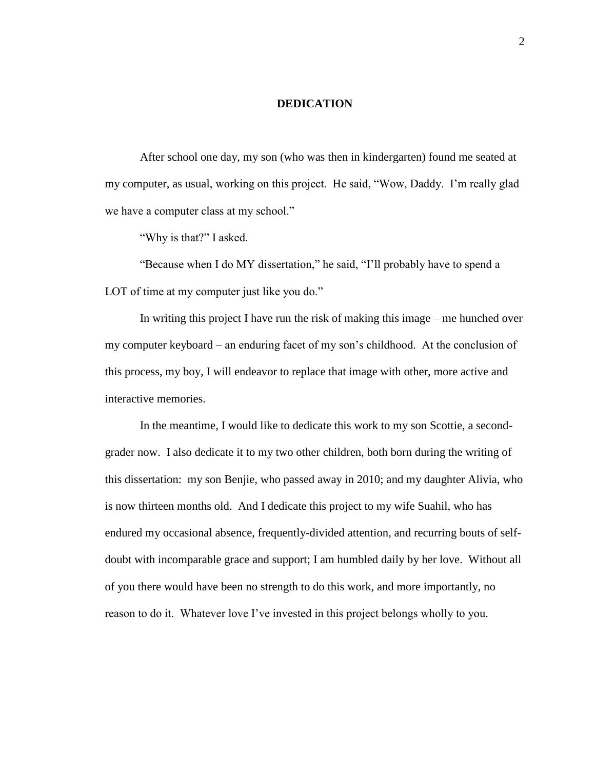#### **DEDICATION**

After school one day, my son (who was then in kindergarten) found me seated at my computer, as usual, working on this project. He said, "Wow, Daddy. I'm really glad we have a computer class at my school."

"Why is that?" I asked.

"Because when I do MY dissertation," he said, "I'll probably have to spend a LOT of time at my computer just like you do."

In writing this project I have run the risk of making this image – me hunched over my computer keyboard – an enduring facet of my son's childhood. At the conclusion of this process, my boy, I will endeavor to replace that image with other, more active and interactive memories.

In the meantime, I would like to dedicate this work to my son Scottie, a secondgrader now. I also dedicate it to my two other children, both born during the writing of this dissertation: my son Benjie, who passed away in 2010; and my daughter Alivia, who is now thirteen months old. And I dedicate this project to my wife Suahil, who has endured my occasional absence, frequently-divided attention, and recurring bouts of selfdoubt with incomparable grace and support; I am humbled daily by her love. Without all of you there would have been no strength to do this work, and more importantly, no reason to do it. Whatever love I've invested in this project belongs wholly to you.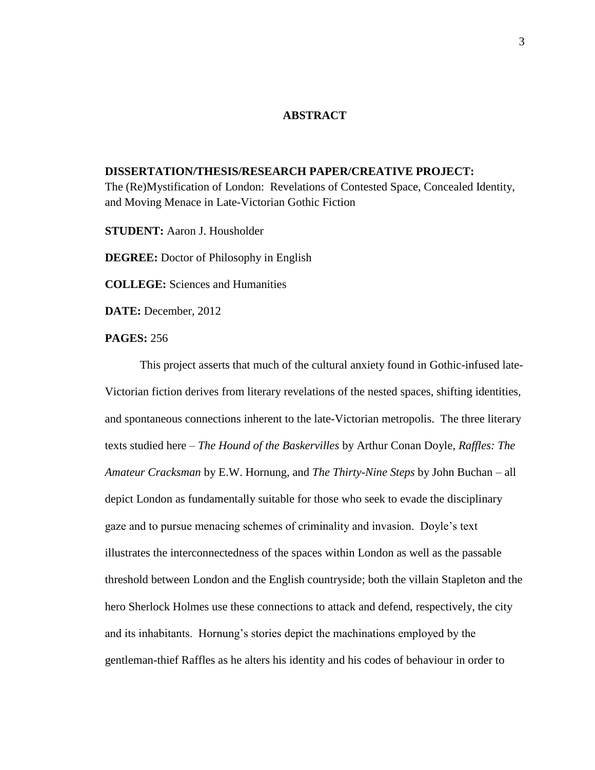#### **ABSTRACT**

#### **DISSERTATION/THESIS/RESEARCH PAPER/CREATIVE PROJECT:**

The (Re)Mystification of London: Revelations of Contested Space, Concealed Identity, and Moving Menace in Late-Victorian Gothic Fiction

**STUDENT:** Aaron J. Housholder

**DEGREE:** Doctor of Philosophy in English

**COLLEGE:** Sciences and Humanities

**DATE:** December, 2012

### **PAGES:** 256

This project asserts that much of the cultural anxiety found in Gothic-infused late-Victorian fiction derives from literary revelations of the nested spaces, shifting identities, and spontaneous connections inherent to the late-Victorian metropolis. The three literary texts studied here – *The Hound of the Baskervilles* by Arthur Conan Doyle, *Raffles: The Amateur Cracksman* by E.W. Hornung, and *The Thirty-Nine Steps* by John Buchan – all depict London as fundamentally suitable for those who seek to evade the disciplinary gaze and to pursue menacing schemes of criminality and invasion. Doyle's text illustrates the interconnectedness of the spaces within London as well as the passable threshold between London and the English countryside; both the villain Stapleton and the hero Sherlock Holmes use these connections to attack and defend, respectively, the city and its inhabitants. Hornung's stories depict the machinations employed by the gentleman-thief Raffles as he alters his identity and his codes of behaviour in order to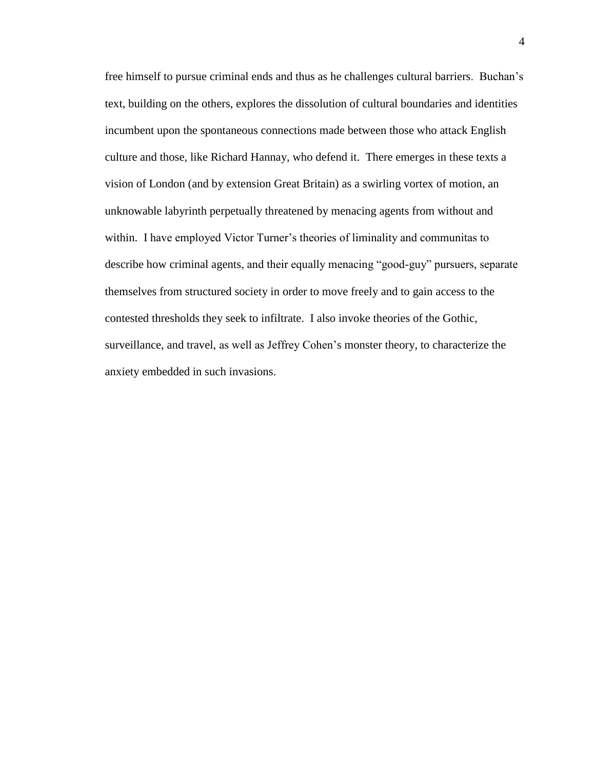free himself to pursue criminal ends and thus as he challenges cultural barriers. Buchan's text, building on the others, explores the dissolution of cultural boundaries and identities incumbent upon the spontaneous connections made between those who attack English culture and those, like Richard Hannay, who defend it. There emerges in these texts a vision of London (and by extension Great Britain) as a swirling vortex of motion, an unknowable labyrinth perpetually threatened by menacing agents from without and within. I have employed Victor Turner's theories of liminality and communitas to describe how criminal agents, and their equally menacing "good-guy" pursuers, separate themselves from structured society in order to move freely and to gain access to the contested thresholds they seek to infiltrate. I also invoke theories of the Gothic, surveillance, and travel, as well as Jeffrey Cohen's monster theory, to characterize the anxiety embedded in such invasions.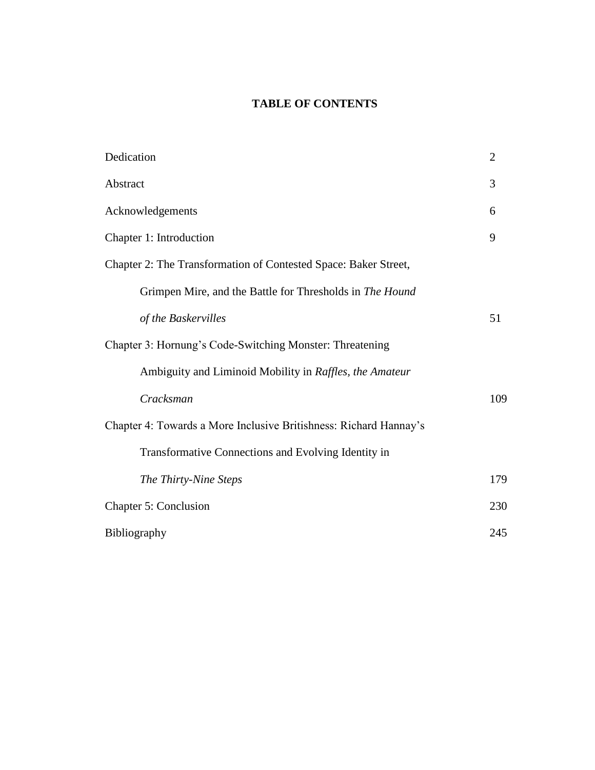## **TABLE OF CONTENTS**

| Dedication                                                        | $\overline{2}$ |
|-------------------------------------------------------------------|----------------|
| Abstract                                                          | 3              |
| Acknowledgements                                                  | 6              |
| Chapter 1: Introduction                                           | 9              |
| Chapter 2: The Transformation of Contested Space: Baker Street,   |                |
| Grimpen Mire, and the Battle for Thresholds in The Hound          |                |
| of the Baskervilles                                               | 51             |
| Chapter 3: Hornung's Code-Switching Monster: Threatening          |                |
| Ambiguity and Liminoid Mobility in Raffles, the Amateur           |                |
| Cracksman                                                         | 109            |
| Chapter 4: Towards a More Inclusive Britishness: Richard Hannay's |                |
| Transformative Connections and Evolving Identity in               |                |
| The Thirty-Nine Steps                                             | 179            |
| Chapter 5: Conclusion                                             | 230            |
| Bibliography                                                      | 245            |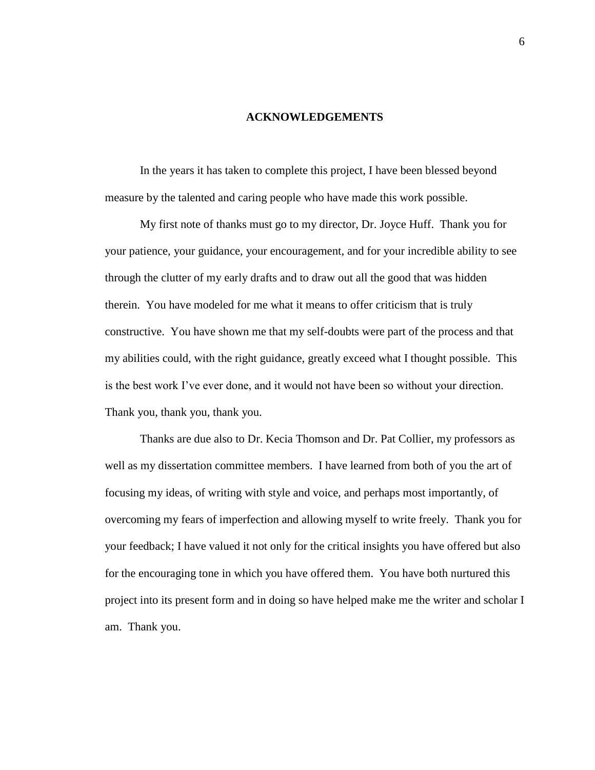#### **ACKNOWLEDGEMENTS**

In the years it has taken to complete this project, I have been blessed beyond measure by the talented and caring people who have made this work possible.

My first note of thanks must go to my director, Dr. Joyce Huff. Thank you for your patience, your guidance, your encouragement, and for your incredible ability to see through the clutter of my early drafts and to draw out all the good that was hidden therein. You have modeled for me what it means to offer criticism that is truly constructive. You have shown me that my self-doubts were part of the process and that my abilities could, with the right guidance, greatly exceed what I thought possible. This is the best work I've ever done, and it would not have been so without your direction. Thank you, thank you, thank you.

Thanks are due also to Dr. Kecia Thomson and Dr. Pat Collier, my professors as well as my dissertation committee members. I have learned from both of you the art of focusing my ideas, of writing with style and voice, and perhaps most importantly, of overcoming my fears of imperfection and allowing myself to write freely. Thank you for your feedback; I have valued it not only for the critical insights you have offered but also for the encouraging tone in which you have offered them. You have both nurtured this project into its present form and in doing so have helped make me the writer and scholar I am. Thank you.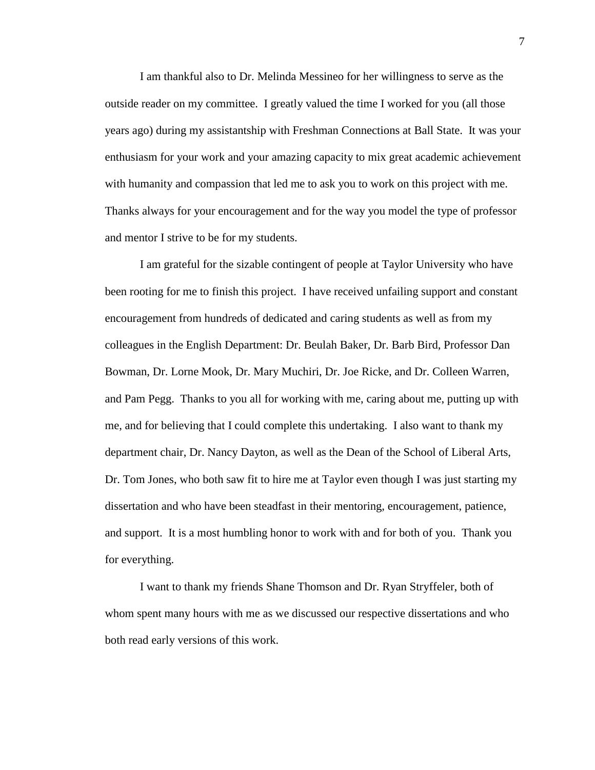I am thankful also to Dr. Melinda Messineo for her willingness to serve as the outside reader on my committee. I greatly valued the time I worked for you (all those years ago) during my assistantship with Freshman Connections at Ball State. It was your enthusiasm for your work and your amazing capacity to mix great academic achievement with humanity and compassion that led me to ask you to work on this project with me. Thanks always for your encouragement and for the way you model the type of professor and mentor I strive to be for my students.

I am grateful for the sizable contingent of people at Taylor University who have been rooting for me to finish this project. I have received unfailing support and constant encouragement from hundreds of dedicated and caring students as well as from my colleagues in the English Department: Dr. Beulah Baker, Dr. Barb Bird, Professor Dan Bowman, Dr. Lorne Mook, Dr. Mary Muchiri, Dr. Joe Ricke, and Dr. Colleen Warren, and Pam Pegg. Thanks to you all for working with me, caring about me, putting up with me, and for believing that I could complete this undertaking. I also want to thank my department chair, Dr. Nancy Dayton, as well as the Dean of the School of Liberal Arts, Dr. Tom Jones, who both saw fit to hire me at Taylor even though I was just starting my dissertation and who have been steadfast in their mentoring, encouragement, patience, and support. It is a most humbling honor to work with and for both of you. Thank you for everything.

I want to thank my friends Shane Thomson and Dr. Ryan Stryffeler, both of whom spent many hours with me as we discussed our respective dissertations and who both read early versions of this work.

7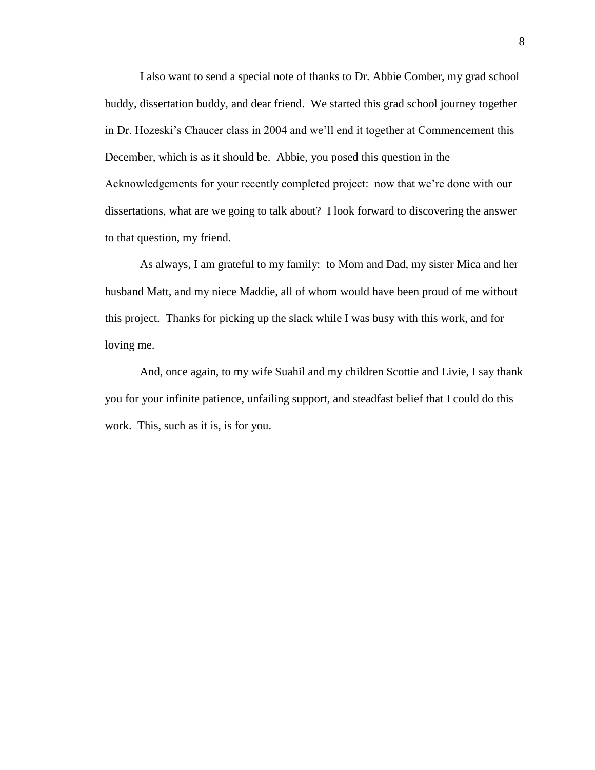I also want to send a special note of thanks to Dr. Abbie Comber, my grad school buddy, dissertation buddy, and dear friend. We started this grad school journey together in Dr. Hozeski's Chaucer class in 2004 and we'll end it together at Commencement this December, which is as it should be. Abbie, you posed this question in the Acknowledgements for your recently completed project: now that we're done with our dissertations, what are we going to talk about? I look forward to discovering the answer to that question, my friend.

As always, I am grateful to my family: to Mom and Dad, my sister Mica and her husband Matt, and my niece Maddie, all of whom would have been proud of me without this project. Thanks for picking up the slack while I was busy with this work, and for loving me.

And, once again, to my wife Suahil and my children Scottie and Livie, I say thank you for your infinite patience, unfailing support, and steadfast belief that I could do this work. This, such as it is, is for you.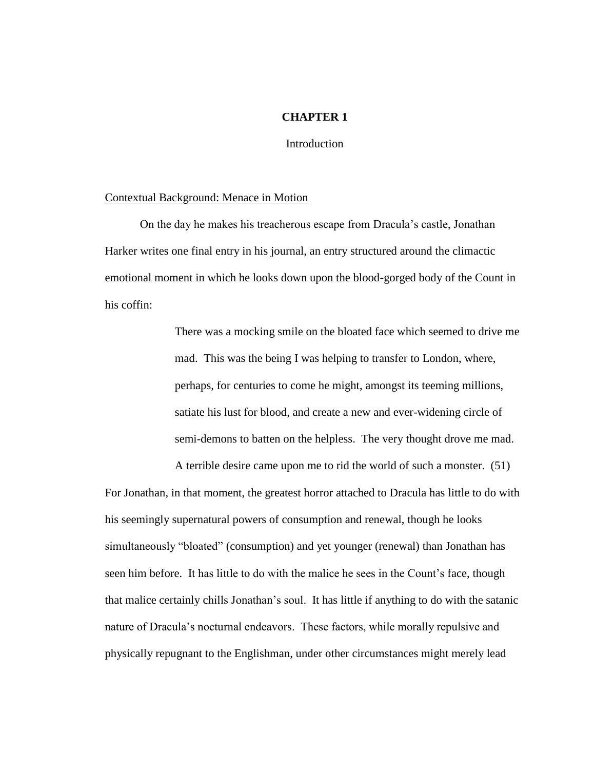#### **CHAPTER 1**

Introduction

#### Contextual Background: Menace in Motion

On the day he makes his treacherous escape from Dracula's castle, Jonathan Harker writes one final entry in his journal, an entry structured around the climactic emotional moment in which he looks down upon the blood-gorged body of the Count in his coffin:

> There was a mocking smile on the bloated face which seemed to drive me mad. This was the being I was helping to transfer to London, where, perhaps, for centuries to come he might, amongst its teeming millions, satiate his lust for blood, and create a new and ever-widening circle of semi-demons to batten on the helpless. The very thought drove me mad.

A terrible desire came upon me to rid the world of such a monster. (51)

For Jonathan, in that moment, the greatest horror attached to Dracula has little to do with his seemingly supernatural powers of consumption and renewal, though he looks simultaneously "bloated" (consumption) and yet younger (renewal) than Jonathan has seen him before. It has little to do with the malice he sees in the Count's face, though that malice certainly chills Jonathan's soul. It has little if anything to do with the satanic nature of Dracula's nocturnal endeavors. These factors, while morally repulsive and physically repugnant to the Englishman, under other circumstances might merely lead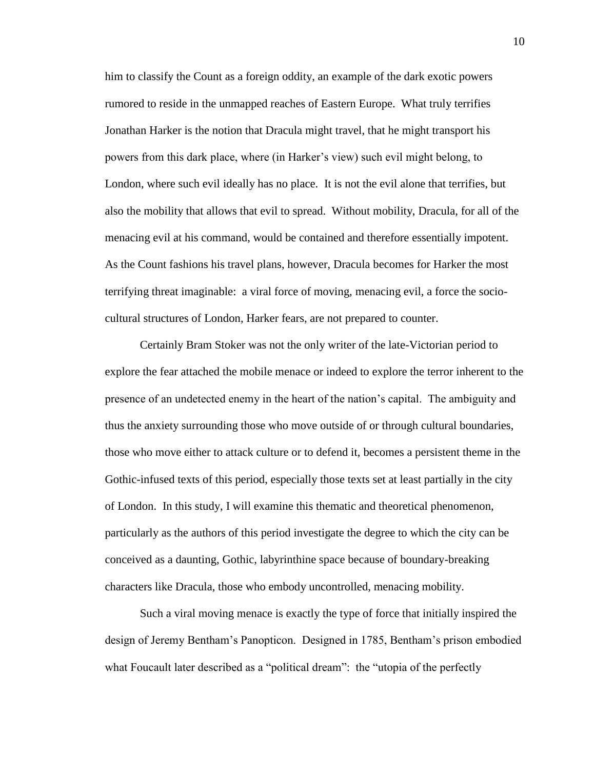him to classify the Count as a foreign oddity, an example of the dark exotic powers rumored to reside in the unmapped reaches of Eastern Europe. What truly terrifies Jonathan Harker is the notion that Dracula might travel, that he might transport his powers from this dark place, where (in Harker's view) such evil might belong, to London, where such evil ideally has no place. It is not the evil alone that terrifies, but also the mobility that allows that evil to spread. Without mobility, Dracula, for all of the menacing evil at his command, would be contained and therefore essentially impotent. As the Count fashions his travel plans, however, Dracula becomes for Harker the most terrifying threat imaginable: a viral force of moving, menacing evil, a force the sociocultural structures of London, Harker fears, are not prepared to counter.

Certainly Bram Stoker was not the only writer of the late-Victorian period to explore the fear attached the mobile menace or indeed to explore the terror inherent to the presence of an undetected enemy in the heart of the nation's capital. The ambiguity and thus the anxiety surrounding those who move outside of or through cultural boundaries, those who move either to attack culture or to defend it, becomes a persistent theme in the Gothic-infused texts of this period, especially those texts set at least partially in the city of London. In this study, I will examine this thematic and theoretical phenomenon, particularly as the authors of this period investigate the degree to which the city can be conceived as a daunting, Gothic, labyrinthine space because of boundary-breaking characters like Dracula, those who embody uncontrolled, menacing mobility.

Such a viral moving menace is exactly the type of force that initially inspired the design of Jeremy Bentham's Panopticon. Designed in 1785, Bentham's prison embodied what Foucault later described as a "political dream": the "utopia of the perfectly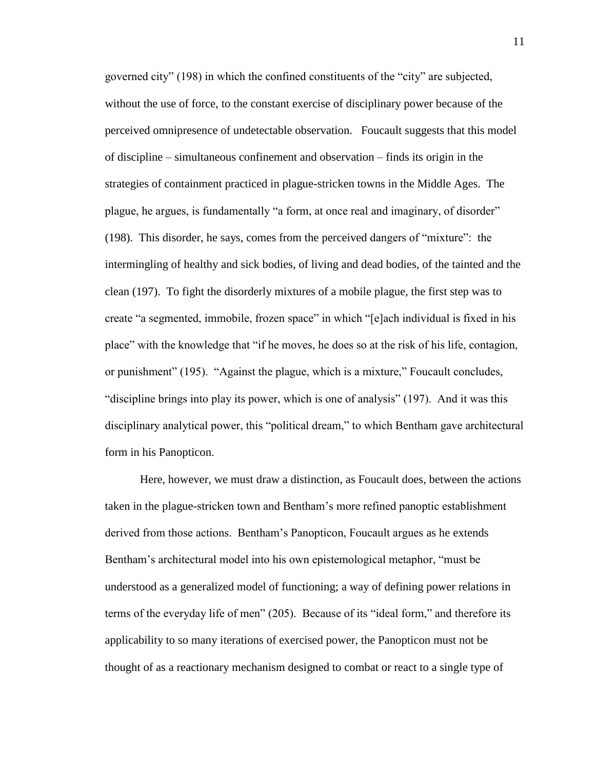governed city" (198) in which the confined constituents of the "city" are subjected, without the use of force, to the constant exercise of disciplinary power because of the perceived omnipresence of undetectable observation. Foucault suggests that this model of discipline – simultaneous confinement and observation – finds its origin in the strategies of containment practiced in plague-stricken towns in the Middle Ages. The plague, he argues, is fundamentally "a form, at once real and imaginary, of disorder" (198). This disorder, he says, comes from the perceived dangers of "mixture": the intermingling of healthy and sick bodies, of living and dead bodies, of the tainted and the clean (197). To fight the disorderly mixtures of a mobile plague, the first step was to create "a segmented, immobile, frozen space" in which "[e]ach individual is fixed in his place" with the knowledge that "if he moves, he does so at the risk of his life, contagion, or punishment" (195). "Against the plague, which is a mixture," Foucault concludes, "discipline brings into play its power, which is one of analysis" (197). And it was this disciplinary analytical power, this "political dream," to which Bentham gave architectural form in his Panopticon.

Here, however, we must draw a distinction, as Foucault does, between the actions taken in the plague-stricken town and Bentham's more refined panoptic establishment derived from those actions. Bentham's Panopticon, Foucault argues as he extends Bentham's architectural model into his own epistemological metaphor, "must be understood as a generalized model of functioning; a way of defining power relations in terms of the everyday life of men" (205). Because of its "ideal form," and therefore its applicability to so many iterations of exercised power, the Panopticon must not be thought of as a reactionary mechanism designed to combat or react to a single type of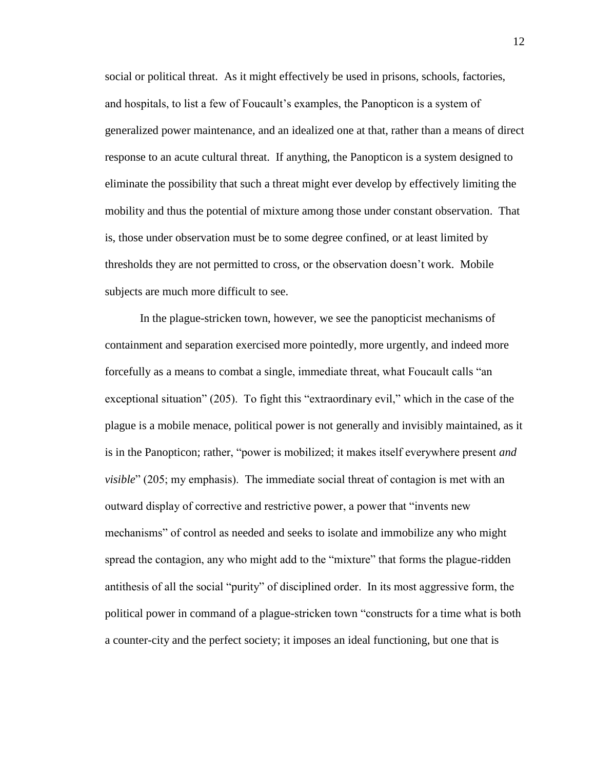social or political threat. As it might effectively be used in prisons, schools, factories, and hospitals, to list a few of Foucault's examples, the Panopticon is a system of generalized power maintenance, and an idealized one at that, rather than a means of direct response to an acute cultural threat. If anything, the Panopticon is a system designed to eliminate the possibility that such a threat might ever develop by effectively limiting the mobility and thus the potential of mixture among those under constant observation. That is, those under observation must be to some degree confined, or at least limited by thresholds they are not permitted to cross, or the observation doesn't work. Mobile subjects are much more difficult to see.

In the plague-stricken town, however, we see the panopticist mechanisms of containment and separation exercised more pointedly, more urgently, and indeed more forcefully as a means to combat a single, immediate threat, what Foucault calls "an exceptional situation" (205). To fight this "extraordinary evil," which in the case of the plague is a mobile menace, political power is not generally and invisibly maintained, as it is in the Panopticon; rather, "power is mobilized; it makes itself everywhere present *and visible*" (205; my emphasis). The immediate social threat of contagion is met with an outward display of corrective and restrictive power, a power that "invents new mechanisms" of control as needed and seeks to isolate and immobilize any who might spread the contagion, any who might add to the "mixture" that forms the plague-ridden antithesis of all the social "purity" of disciplined order. In its most aggressive form, the political power in command of a plague-stricken town "constructs for a time what is both a counter-city and the perfect society; it imposes an ideal functioning, but one that is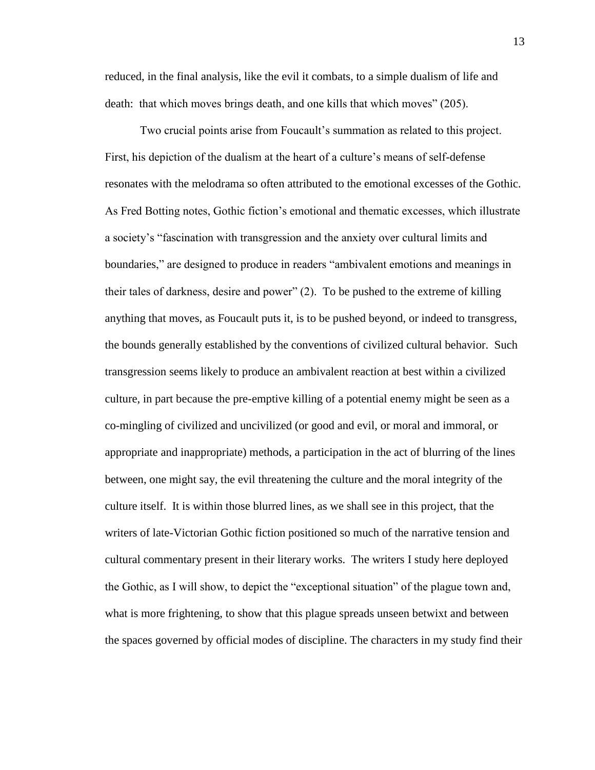reduced, in the final analysis, like the evil it combats, to a simple dualism of life and death: that which moves brings death, and one kills that which moves" (205).

Two crucial points arise from Foucault's summation as related to this project. First, his depiction of the dualism at the heart of a culture's means of self-defense resonates with the melodrama so often attributed to the emotional excesses of the Gothic. As Fred Botting notes, Gothic fiction's emotional and thematic excesses, which illustrate a society's "fascination with transgression and the anxiety over cultural limits and boundaries," are designed to produce in readers "ambivalent emotions and meanings in their tales of darkness, desire and power" (2). To be pushed to the extreme of killing anything that moves, as Foucault puts it, is to be pushed beyond, or indeed to transgress, the bounds generally established by the conventions of civilized cultural behavior. Such transgression seems likely to produce an ambivalent reaction at best within a civilized culture, in part because the pre-emptive killing of a potential enemy might be seen as a co-mingling of civilized and uncivilized (or good and evil, or moral and immoral, or appropriate and inappropriate) methods, a participation in the act of blurring of the lines between, one might say, the evil threatening the culture and the moral integrity of the culture itself. It is within those blurred lines, as we shall see in this project, that the writers of late-Victorian Gothic fiction positioned so much of the narrative tension and cultural commentary present in their literary works. The writers I study here deployed the Gothic, as I will show, to depict the "exceptional situation" of the plague town and, what is more frightening, to show that this plague spreads unseen betwixt and between the spaces governed by official modes of discipline. The characters in my study find their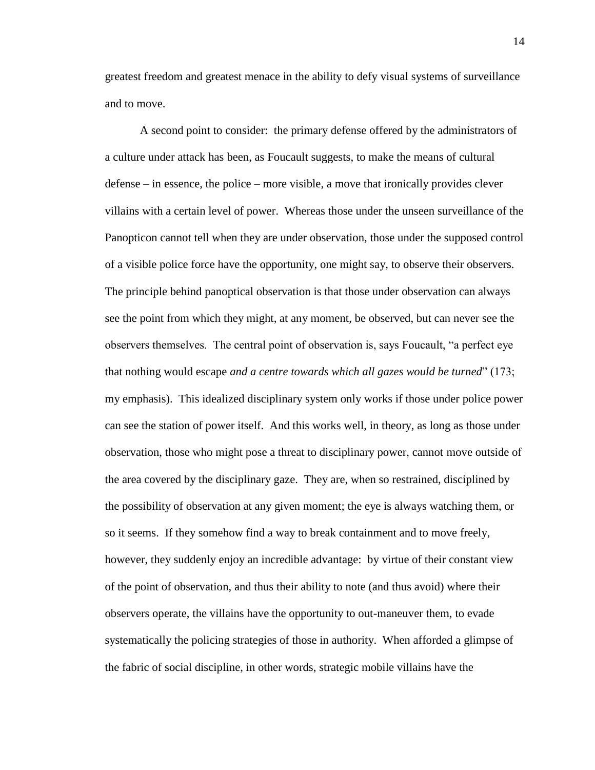greatest freedom and greatest menace in the ability to defy visual systems of surveillance and to move.

A second point to consider: the primary defense offered by the administrators of a culture under attack has been, as Foucault suggests, to make the means of cultural defense – in essence, the police – more visible, a move that ironically provides clever villains with a certain level of power. Whereas those under the unseen surveillance of the Panopticon cannot tell when they are under observation, those under the supposed control of a visible police force have the opportunity, one might say, to observe their observers. The principle behind panoptical observation is that those under observation can always see the point from which they might, at any moment, be observed, but can never see the observers themselves. The central point of observation is, says Foucault, "a perfect eye that nothing would escape *and a centre towards which all gazes would be turned*" (173; my emphasis). This idealized disciplinary system only works if those under police power can see the station of power itself. And this works well, in theory, as long as those under observation, those who might pose a threat to disciplinary power, cannot move outside of the area covered by the disciplinary gaze. They are, when so restrained, disciplined by the possibility of observation at any given moment; the eye is always watching them, or so it seems. If they somehow find a way to break containment and to move freely, however, they suddenly enjoy an incredible advantage: by virtue of their constant view of the point of observation, and thus their ability to note (and thus avoid) where their observers operate, the villains have the opportunity to out-maneuver them, to evade systematically the policing strategies of those in authority. When afforded a glimpse of the fabric of social discipline, in other words, strategic mobile villains have the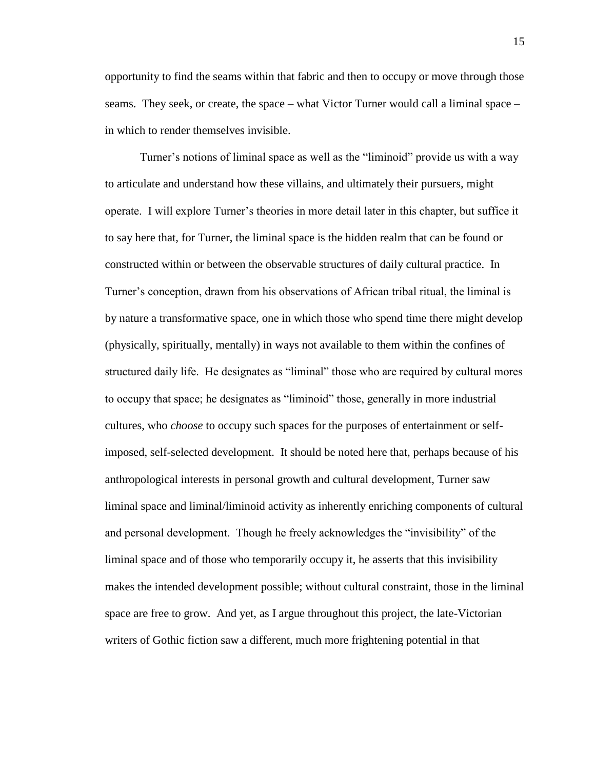opportunity to find the seams within that fabric and then to occupy or move through those seams. They seek, or create, the space – what Victor Turner would call a liminal space – in which to render themselves invisible.

Turner's notions of liminal space as well as the "liminoid" provide us with a way to articulate and understand how these villains, and ultimately their pursuers, might operate. I will explore Turner's theories in more detail later in this chapter, but suffice it to say here that, for Turner, the liminal space is the hidden realm that can be found or constructed within or between the observable structures of daily cultural practice. In Turner's conception, drawn from his observations of African tribal ritual, the liminal is by nature a transformative space, one in which those who spend time there might develop (physically, spiritually, mentally) in ways not available to them within the confines of structured daily life. He designates as "liminal" those who are required by cultural mores to occupy that space; he designates as "liminoid" those, generally in more industrial cultures, who *choose* to occupy such spaces for the purposes of entertainment or selfimposed, self-selected development. It should be noted here that, perhaps because of his anthropological interests in personal growth and cultural development, Turner saw liminal space and liminal/liminoid activity as inherently enriching components of cultural and personal development. Though he freely acknowledges the "invisibility" of the liminal space and of those who temporarily occupy it, he asserts that this invisibility makes the intended development possible; without cultural constraint, those in the liminal space are free to grow. And yet, as I argue throughout this project, the late-Victorian writers of Gothic fiction saw a different, much more frightening potential in that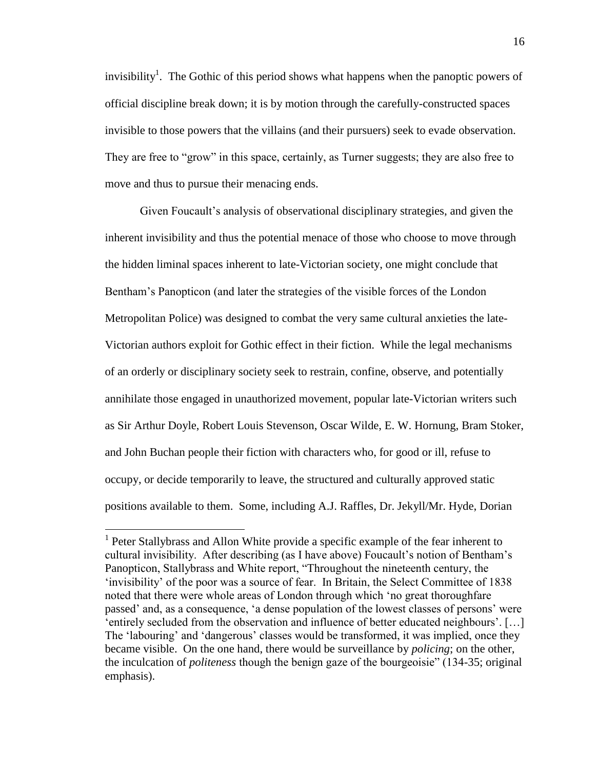invisibility<sup>1</sup>. The Gothic of this period shows what happens when the panoptic powers of official discipline break down; it is by motion through the carefully-constructed spaces invisible to those powers that the villains (and their pursuers) seek to evade observation. They are free to "grow" in this space, certainly, as Turner suggests; they are also free to move and thus to pursue their menacing ends.

Given Foucault's analysis of observational disciplinary strategies, and given the inherent invisibility and thus the potential menace of those who choose to move through the hidden liminal spaces inherent to late-Victorian society, one might conclude that Bentham's Panopticon (and later the strategies of the visible forces of the London Metropolitan Police) was designed to combat the very same cultural anxieties the late-Victorian authors exploit for Gothic effect in their fiction. While the legal mechanisms of an orderly or disciplinary society seek to restrain, confine, observe, and potentially annihilate those engaged in unauthorized movement, popular late-Victorian writers such as Sir Arthur Doyle, Robert Louis Stevenson, Oscar Wilde, E. W. Hornung, Bram Stoker, and John Buchan people their fiction with characters who, for good or ill, refuse to occupy, or decide temporarily to leave, the structured and culturally approved static positions available to them. Some, including A.J. Raffles, Dr. Jekyll/Mr. Hyde, Dorian

 $\overline{a}$ 

<sup>&</sup>lt;sup>1</sup> Peter Stallybrass and Allon White provide a specific example of the fear inherent to cultural invisibility. After describing (as I have above) Foucault's notion of Bentham's Panopticon, Stallybrass and White report, "Throughout the nineteenth century, the 'invisibility' of the poor was a source of fear. In Britain, the Select Committee of 1838 noted that there were whole areas of London through which 'no great thoroughfare passed' and, as a consequence, 'a dense population of the lowest classes of persons' were 'entirely secluded from the observation and influence of better educated neighbours'. […] The 'labouring' and 'dangerous' classes would be transformed, it was implied, once they became visible. On the one hand, there would be surveillance by *policing*; on the other, the inculcation of *politeness* though the benign gaze of the bourgeoisie" (134-35; original emphasis).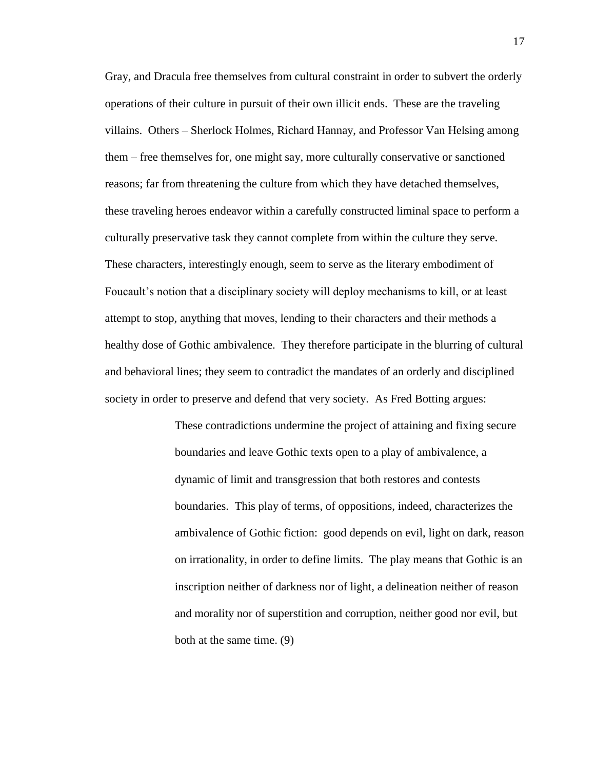Gray, and Dracula free themselves from cultural constraint in order to subvert the orderly operations of their culture in pursuit of their own illicit ends. These are the traveling villains. Others – Sherlock Holmes, Richard Hannay, and Professor Van Helsing among them – free themselves for, one might say, more culturally conservative or sanctioned reasons; far from threatening the culture from which they have detached themselves, these traveling heroes endeavor within a carefully constructed liminal space to perform a culturally preservative task they cannot complete from within the culture they serve. These characters, interestingly enough, seem to serve as the literary embodiment of Foucault's notion that a disciplinary society will deploy mechanisms to kill, or at least attempt to stop, anything that moves, lending to their characters and their methods a healthy dose of Gothic ambivalence. They therefore participate in the blurring of cultural and behavioral lines; they seem to contradict the mandates of an orderly and disciplined society in order to preserve and defend that very society. As Fred Botting argues:

> These contradictions undermine the project of attaining and fixing secure boundaries and leave Gothic texts open to a play of ambivalence, a dynamic of limit and transgression that both restores and contests boundaries. This play of terms, of oppositions, indeed, characterizes the ambivalence of Gothic fiction: good depends on evil, light on dark, reason on irrationality, in order to define limits. The play means that Gothic is an inscription neither of darkness nor of light, a delineation neither of reason and morality nor of superstition and corruption, neither good nor evil, but both at the same time. (9)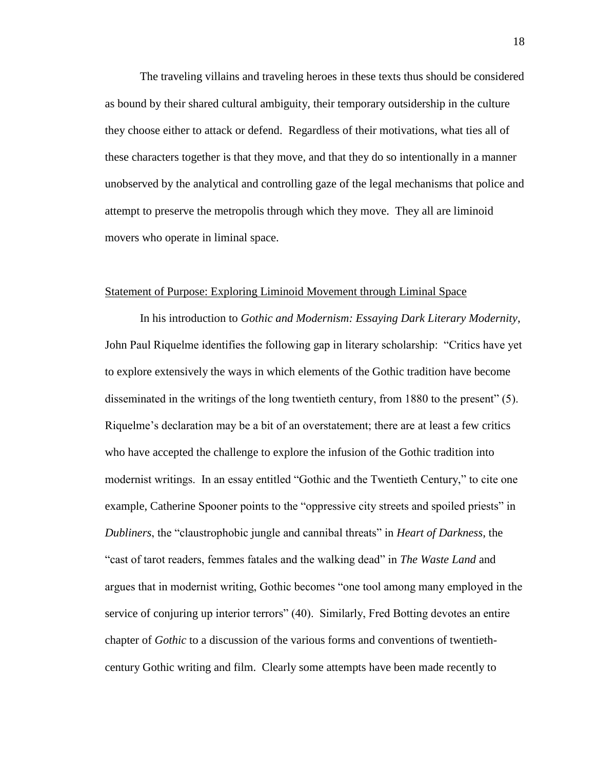The traveling villains and traveling heroes in these texts thus should be considered as bound by their shared cultural ambiguity, their temporary outsidership in the culture they choose either to attack or defend. Regardless of their motivations, what ties all of these characters together is that they move, and that they do so intentionally in a manner unobserved by the analytical and controlling gaze of the legal mechanisms that police and attempt to preserve the metropolis through which they move. They all are liminoid movers who operate in liminal space.

#### Statement of Purpose: Exploring Liminoid Movement through Liminal Space

In his introduction to *Gothic and Modernism: Essaying Dark Literary Modernity*, John Paul Riquelme identifies the following gap in literary scholarship: "Critics have yet to explore extensively the ways in which elements of the Gothic tradition have become disseminated in the writings of the long twentieth century, from 1880 to the present" (5). Riquelme's declaration may be a bit of an overstatement; there are at least a few critics who have accepted the challenge to explore the infusion of the Gothic tradition into modernist writings. In an essay entitled "Gothic and the Twentieth Century," to cite one example, Catherine Spooner points to the "oppressive city streets and spoiled priests" in *Dubliners*, the "claustrophobic jungle and cannibal threats" in *Heart of Darkness*, the "cast of tarot readers, femmes fatales and the walking dead" in *The Waste Land* and argues that in modernist writing, Gothic becomes "one tool among many employed in the service of conjuring up interior terrors" (40). Similarly, Fred Botting devotes an entire chapter of *Gothic* to a discussion of the various forms and conventions of twentiethcentury Gothic writing and film. Clearly some attempts have been made recently to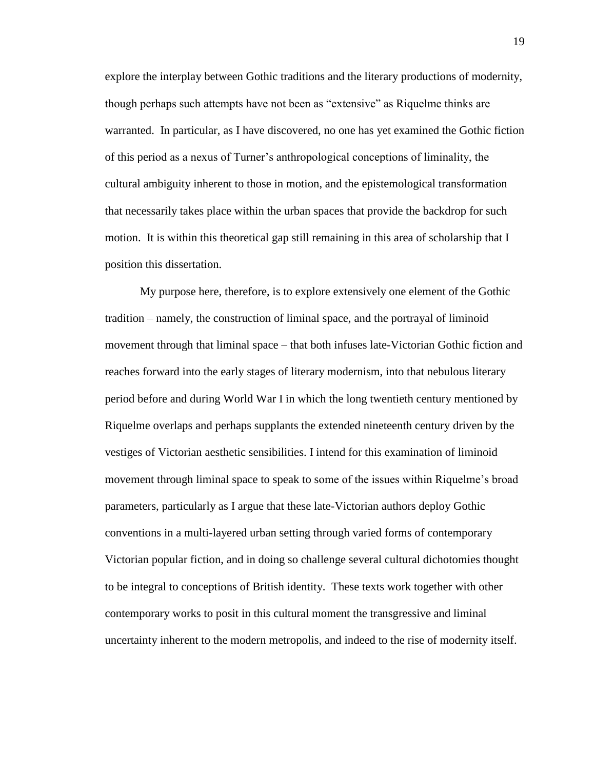explore the interplay between Gothic traditions and the literary productions of modernity, though perhaps such attempts have not been as "extensive" as Riquelme thinks are warranted. In particular, as I have discovered, no one has yet examined the Gothic fiction of this period as a nexus of Turner's anthropological conceptions of liminality, the cultural ambiguity inherent to those in motion, and the epistemological transformation that necessarily takes place within the urban spaces that provide the backdrop for such motion. It is within this theoretical gap still remaining in this area of scholarship that I position this dissertation.

My purpose here, therefore, is to explore extensively one element of the Gothic tradition – namely, the construction of liminal space, and the portrayal of liminoid movement through that liminal space – that both infuses late-Victorian Gothic fiction and reaches forward into the early stages of literary modernism, into that nebulous literary period before and during World War I in which the long twentieth century mentioned by Riquelme overlaps and perhaps supplants the extended nineteenth century driven by the vestiges of Victorian aesthetic sensibilities. I intend for this examination of liminoid movement through liminal space to speak to some of the issues within Riquelme's broad parameters, particularly as I argue that these late-Victorian authors deploy Gothic conventions in a multi-layered urban setting through varied forms of contemporary Victorian popular fiction, and in doing so challenge several cultural dichotomies thought to be integral to conceptions of British identity. These texts work together with other contemporary works to posit in this cultural moment the transgressive and liminal uncertainty inherent to the modern metropolis, and indeed to the rise of modernity itself.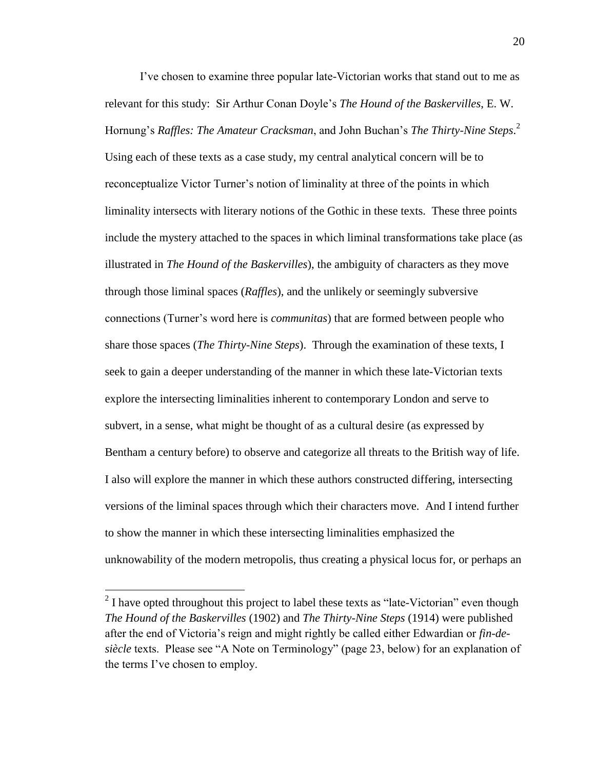I've chosen to examine three popular late-Victorian works that stand out to me as relevant for this study: Sir Arthur Conan Doyle's *The Hound of the Baskervilles*, E. W. Hornung's *Raffles: The Amateur Cracksman*, and John Buchan's *The Thirty-Nine Steps*. 2 Using each of these texts as a case study, my central analytical concern will be to reconceptualize Victor Turner's notion of liminality at three of the points in which liminality intersects with literary notions of the Gothic in these texts. These three points include the mystery attached to the spaces in which liminal transformations take place (as illustrated in *The Hound of the Baskervilles*), the ambiguity of characters as they move through those liminal spaces (*Raffles*), and the unlikely or seemingly subversive connections (Turner's word here is *communitas*) that are formed between people who share those spaces (*The Thirty-Nine Steps*). Through the examination of these texts, I seek to gain a deeper understanding of the manner in which these late-Victorian texts explore the intersecting liminalities inherent to contemporary London and serve to subvert, in a sense, what might be thought of as a cultural desire (as expressed by Bentham a century before) to observe and categorize all threats to the British way of life. I also will explore the manner in which these authors constructed differing, intersecting versions of the liminal spaces through which their characters move. And I intend further to show the manner in which these intersecting liminalities emphasized the unknowability of the modern metropolis, thus creating a physical locus for, or perhaps an

 $\overline{a}$ 

 $2<sup>2</sup>$  I have opted throughout this project to label these texts as "late-Victorian" even though *The Hound of the Baskervilles* (1902) and *The Thirty-Nine Steps* (1914) were published after the end of Victoria's reign and might rightly be called either Edwardian or *fin-desiècle* texts. Please see "A Note on Terminology" (page 23, below) for an explanation of the terms I've chosen to employ.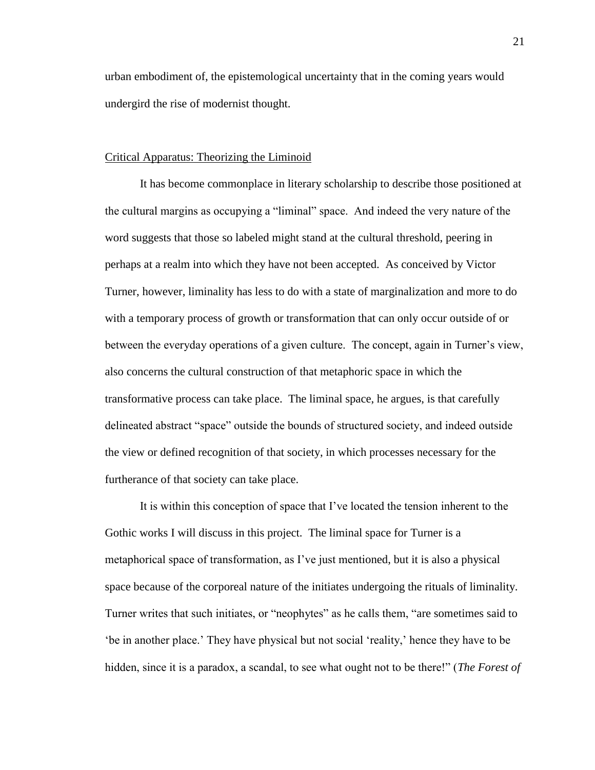urban embodiment of, the epistemological uncertainty that in the coming years would undergird the rise of modernist thought.

#### Critical Apparatus: Theorizing the Liminoid

It has become commonplace in literary scholarship to describe those positioned at the cultural margins as occupying a "liminal" space. And indeed the very nature of the word suggests that those so labeled might stand at the cultural threshold, peering in perhaps at a realm into which they have not been accepted. As conceived by Victor Turner, however, liminality has less to do with a state of marginalization and more to do with a temporary process of growth or transformation that can only occur outside of or between the everyday operations of a given culture. The concept, again in Turner's view, also concerns the cultural construction of that metaphoric space in which the transformative process can take place. The liminal space, he argues, is that carefully delineated abstract "space" outside the bounds of structured society, and indeed outside the view or defined recognition of that society, in which processes necessary for the furtherance of that society can take place.

It is within this conception of space that I've located the tension inherent to the Gothic works I will discuss in this project. The liminal space for Turner is a metaphorical space of transformation, as I've just mentioned, but it is also a physical space because of the corporeal nature of the initiates undergoing the rituals of liminality. Turner writes that such initiates, or "neophytes" as he calls them, "are sometimes said to 'be in another place.' They have physical but not social 'reality,' hence they have to be hidden, since it is a paradox, a scandal, to see what ought not to be there!" (*The Forest of*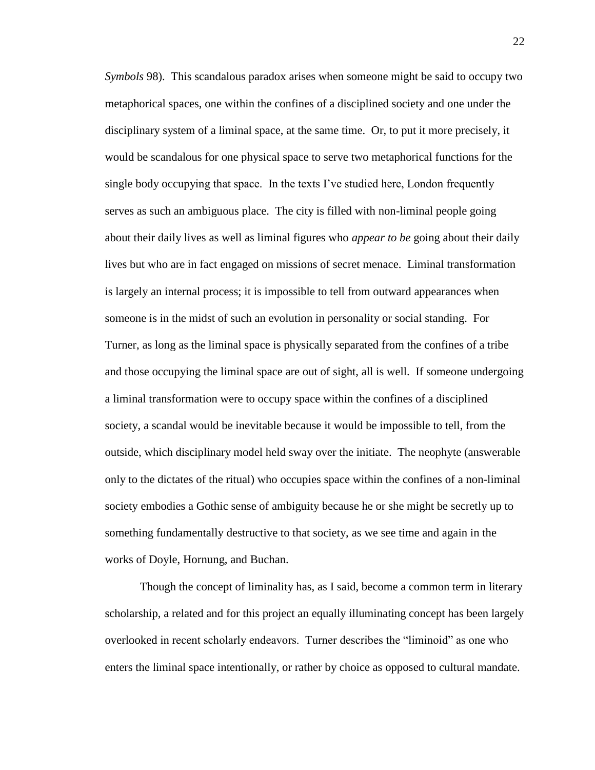*Symbols* 98). This scandalous paradox arises when someone might be said to occupy two metaphorical spaces, one within the confines of a disciplined society and one under the disciplinary system of a liminal space, at the same time. Or, to put it more precisely, it would be scandalous for one physical space to serve two metaphorical functions for the single body occupying that space. In the texts I've studied here, London frequently serves as such an ambiguous place. The city is filled with non-liminal people going about their daily lives as well as liminal figures who *appear to be* going about their daily lives but who are in fact engaged on missions of secret menace. Liminal transformation is largely an internal process; it is impossible to tell from outward appearances when someone is in the midst of such an evolution in personality or social standing. For Turner, as long as the liminal space is physically separated from the confines of a tribe and those occupying the liminal space are out of sight, all is well. If someone undergoing a liminal transformation were to occupy space within the confines of a disciplined society, a scandal would be inevitable because it would be impossible to tell, from the outside, which disciplinary model held sway over the initiate. The neophyte (answerable only to the dictates of the ritual) who occupies space within the confines of a non-liminal society embodies a Gothic sense of ambiguity because he or she might be secretly up to something fundamentally destructive to that society, as we see time and again in the works of Doyle, Hornung, and Buchan.

Though the concept of liminality has, as I said, become a common term in literary scholarship, a related and for this project an equally illuminating concept has been largely overlooked in recent scholarly endeavors. Turner describes the "liminoid" as one who enters the liminal space intentionally, or rather by choice as opposed to cultural mandate.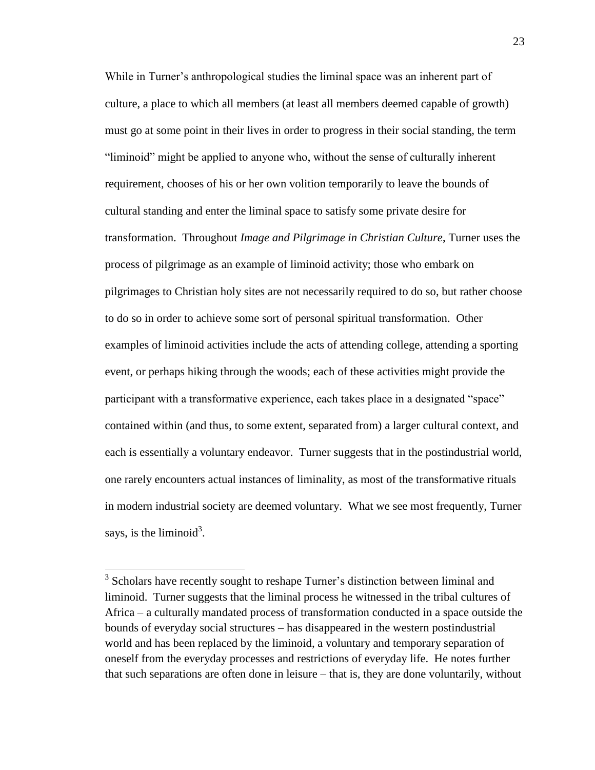While in Turner's anthropological studies the liminal space was an inherent part of culture, a place to which all members (at least all members deemed capable of growth) must go at some point in their lives in order to progress in their social standing, the term "liminoid" might be applied to anyone who, without the sense of culturally inherent requirement, chooses of his or her own volition temporarily to leave the bounds of cultural standing and enter the liminal space to satisfy some private desire for transformation. Throughout *Image and Pilgrimage in Christian Culture*, Turner uses the process of pilgrimage as an example of liminoid activity; those who embark on pilgrimages to Christian holy sites are not necessarily required to do so, but rather choose to do so in order to achieve some sort of personal spiritual transformation. Other examples of liminoid activities include the acts of attending college, attending a sporting event, or perhaps hiking through the woods; each of these activities might provide the participant with a transformative experience, each takes place in a designated "space" contained within (and thus, to some extent, separated from) a larger cultural context, and each is essentially a voluntary endeavor. Turner suggests that in the postindustrial world, one rarely encounters actual instances of liminality, as most of the transformative rituals in modern industrial society are deemed voluntary. What we see most frequently, Turner says, is the liminoid<sup>3</sup>.

 $\overline{a}$ 

<sup>&</sup>lt;sup>3</sup> Scholars have recently sought to reshape Turner's distinction between liminal and liminoid. Turner suggests that the liminal process he witnessed in the tribal cultures of Africa – a culturally mandated process of transformation conducted in a space outside the bounds of everyday social structures – has disappeared in the western postindustrial world and has been replaced by the liminoid, a voluntary and temporary separation of oneself from the everyday processes and restrictions of everyday life. He notes further that such separations are often done in leisure – that is, they are done voluntarily, without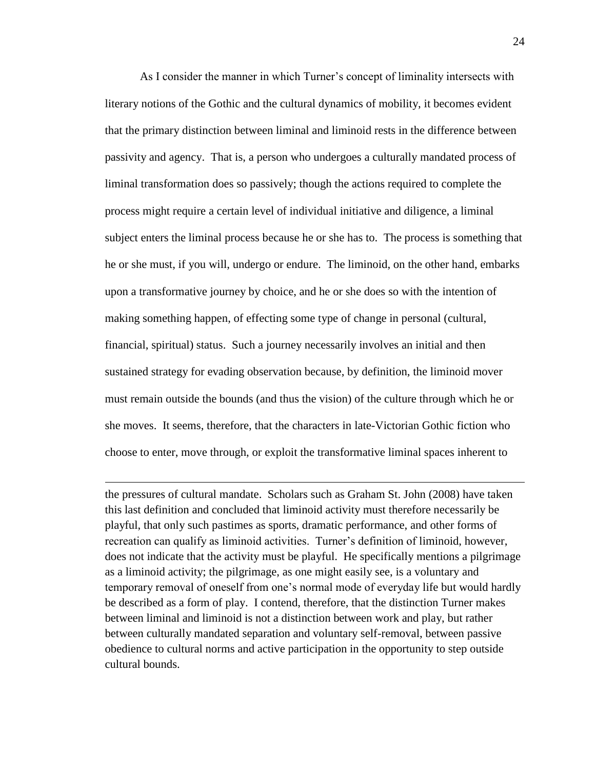As I consider the manner in which Turner's concept of liminality intersects with literary notions of the Gothic and the cultural dynamics of mobility, it becomes evident that the primary distinction between liminal and liminoid rests in the difference between passivity and agency. That is, a person who undergoes a culturally mandated process of liminal transformation does so passively; though the actions required to complete the process might require a certain level of individual initiative and diligence, a liminal subject enters the liminal process because he or she has to. The process is something that he or she must, if you will, undergo or endure. The liminoid, on the other hand, embarks upon a transformative journey by choice, and he or she does so with the intention of making something happen, of effecting some type of change in personal (cultural, financial, spiritual) status. Such a journey necessarily involves an initial and then sustained strategy for evading observation because, by definition, the liminoid mover must remain outside the bounds (and thus the vision) of the culture through which he or she moves. It seems, therefore, that the characters in late-Victorian Gothic fiction who choose to enter, move through, or exploit the transformative liminal spaces inherent to

the pressures of cultural mandate. Scholars such as Graham St. John (2008) have taken this last definition and concluded that liminoid activity must therefore necessarily be playful, that only such pastimes as sports, dramatic performance, and other forms of recreation can qualify as liminoid activities. Turner's definition of liminoid, however, does not indicate that the activity must be playful. He specifically mentions a pilgrimage as a liminoid activity; the pilgrimage, as one might easily see, is a voluntary and temporary removal of oneself from one's normal mode of everyday life but would hardly be described as a form of play. I contend, therefore, that the distinction Turner makes between liminal and liminoid is not a distinction between work and play, but rather between culturally mandated separation and voluntary self-removal, between passive obedience to cultural norms and active participation in the opportunity to step outside cultural bounds.

 $\overline{a}$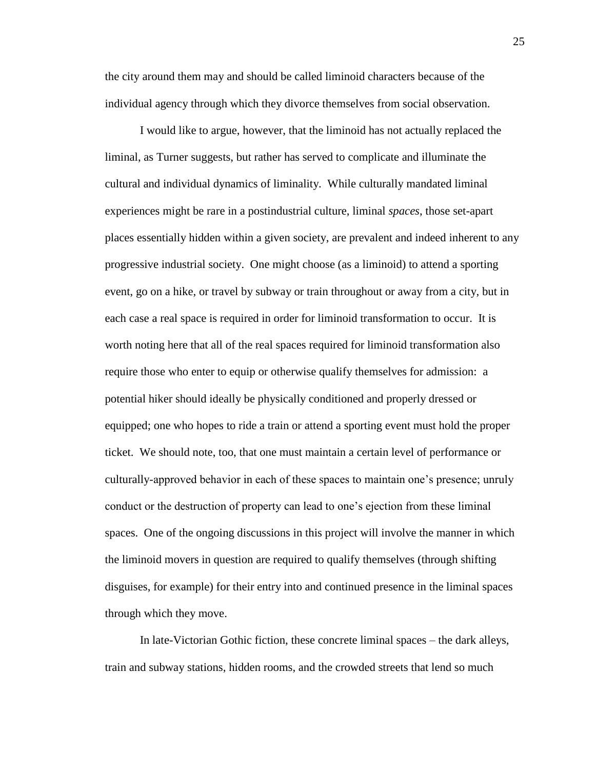the city around them may and should be called liminoid characters because of the individual agency through which they divorce themselves from social observation.

I would like to argue, however, that the liminoid has not actually replaced the liminal, as Turner suggests, but rather has served to complicate and illuminate the cultural and individual dynamics of liminality. While culturally mandated liminal experiences might be rare in a postindustrial culture, liminal *spaces*, those set-apart places essentially hidden within a given society, are prevalent and indeed inherent to any progressive industrial society. One might choose (as a liminoid) to attend a sporting event, go on a hike, or travel by subway or train throughout or away from a city, but in each case a real space is required in order for liminoid transformation to occur. It is worth noting here that all of the real spaces required for liminoid transformation also require those who enter to equip or otherwise qualify themselves for admission: a potential hiker should ideally be physically conditioned and properly dressed or equipped; one who hopes to ride a train or attend a sporting event must hold the proper ticket. We should note, too, that one must maintain a certain level of performance or culturally-approved behavior in each of these spaces to maintain one's presence; unruly conduct or the destruction of property can lead to one's ejection from these liminal spaces. One of the ongoing discussions in this project will involve the manner in which the liminoid movers in question are required to qualify themselves (through shifting disguises, for example) for their entry into and continued presence in the liminal spaces through which they move.

In late-Victorian Gothic fiction, these concrete liminal spaces – the dark alleys, train and subway stations, hidden rooms, and the crowded streets that lend so much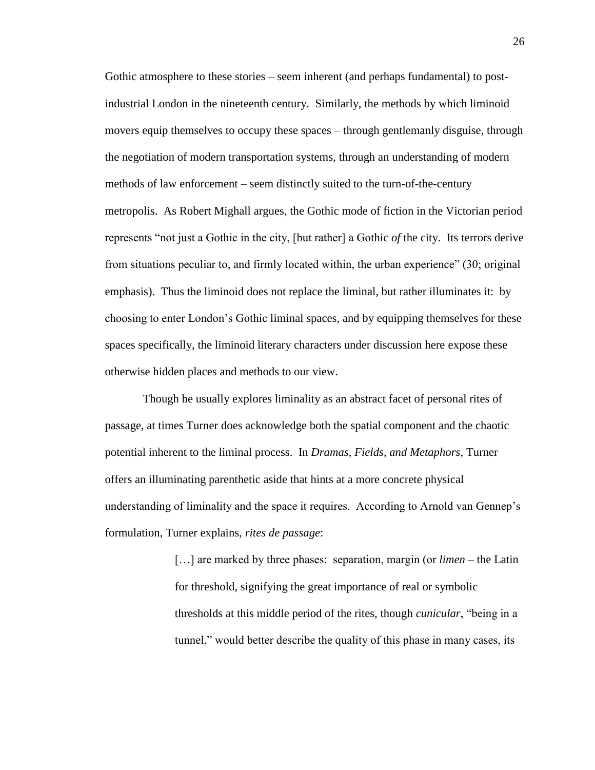Gothic atmosphere to these stories – seem inherent (and perhaps fundamental) to postindustrial London in the nineteenth century. Similarly, the methods by which liminoid movers equip themselves to occupy these spaces – through gentlemanly disguise, through the negotiation of modern transportation systems, through an understanding of modern methods of law enforcement – seem distinctly suited to the turn-of-the-century metropolis. As Robert Mighall argues, the Gothic mode of fiction in the Victorian period represents "not just a Gothic in the city, [but rather] a Gothic *of* the city. Its terrors derive from situations peculiar to, and firmly located within, the urban experience" (30; original emphasis). Thus the liminoid does not replace the liminal, but rather illuminates it: by choosing to enter London's Gothic liminal spaces, and by equipping themselves for these spaces specifically, the liminoid literary characters under discussion here expose these otherwise hidden places and methods to our view.

Though he usually explores liminality as an abstract facet of personal rites of passage, at times Turner does acknowledge both the spatial component and the chaotic potential inherent to the liminal process. In *Dramas, Fields, and Metaphors*, Turner offers an illuminating parenthetic aside that hints at a more concrete physical understanding of liminality and the space it requires. According to Arnold van Gennep's formulation, Turner explains, *rites de passage*:

> […] are marked by three phases: separation, margin (or *limen* – the Latin for threshold, signifying the great importance of real or symbolic thresholds at this middle period of the rites, though *cunicular*, "being in a tunnel," would better describe the quality of this phase in many cases, its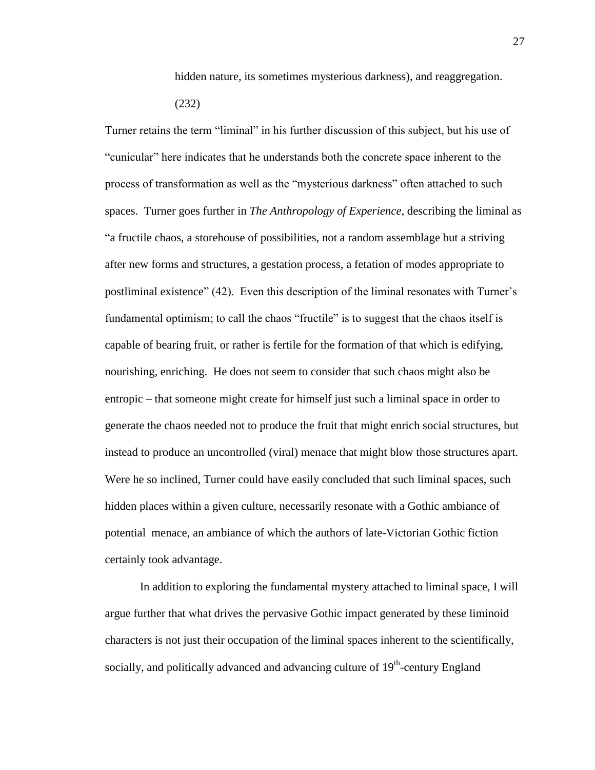hidden nature, its sometimes mysterious darkness), and reaggregation. (232)

Turner retains the term "liminal" in his further discussion of this subject, but his use of "cunicular" here indicates that he understands both the concrete space inherent to the process of transformation as well as the "mysterious darkness" often attached to such spaces. Turner goes further in *The Anthropology of Experience*, describing the liminal as "a fructile chaos, a storehouse of possibilities, not a random assemblage but a striving after new forms and structures, a gestation process, a fetation of modes appropriate to postliminal existence" (42). Even this description of the liminal resonates with Turner's fundamental optimism; to call the chaos "fructile" is to suggest that the chaos itself is capable of bearing fruit, or rather is fertile for the formation of that which is edifying, nourishing, enriching. He does not seem to consider that such chaos might also be entropic – that someone might create for himself just such a liminal space in order to generate the chaos needed not to produce the fruit that might enrich social structures, but instead to produce an uncontrolled (viral) menace that might blow those structures apart. Were he so inclined, Turner could have easily concluded that such liminal spaces, such hidden places within a given culture, necessarily resonate with a Gothic ambiance of potential menace, an ambiance of which the authors of late-Victorian Gothic fiction certainly took advantage.

In addition to exploring the fundamental mystery attached to liminal space, I will argue further that what drives the pervasive Gothic impact generated by these liminoid characters is not just their occupation of the liminal spaces inherent to the scientifically, socially, and politically advanced and advancing culture of 19<sup>th</sup>-century England

27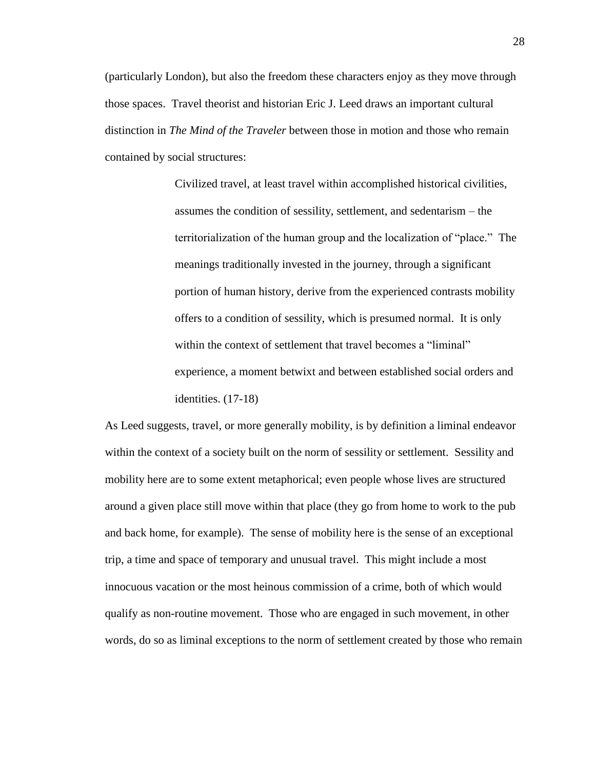(particularly London), but also the freedom these characters enjoy as they move through those spaces. Travel theorist and historian Eric J. Leed draws an important cultural distinction in *The Mind of the Traveler* between those in motion and those who remain contained by social structures:

> Civilized travel, at least travel within accomplished historical civilities, assumes the condition of sessility, settlement, and sedentarism – the territorialization of the human group and the localization of "place." The meanings traditionally invested in the journey, through a significant portion of human history, derive from the experienced contrasts mobility offers to a condition of sessility, which is presumed normal. It is only within the context of settlement that travel becomes a "liminal" experience, a moment betwixt and between established social orders and identities. (17-18)

As Leed suggests, travel, or more generally mobility, is by definition a liminal endeavor within the context of a society built on the norm of sessility or settlement. Sessility and mobility here are to some extent metaphorical; even people whose lives are structured around a given place still move within that place (they go from home to work to the pub and back home, for example). The sense of mobility here is the sense of an exceptional trip, a time and space of temporary and unusual travel. This might include a most innocuous vacation or the most heinous commission of a crime, both of which would qualify as non-routine movement. Those who are engaged in such movement, in other words, do so as liminal exceptions to the norm of settlement created by those who remain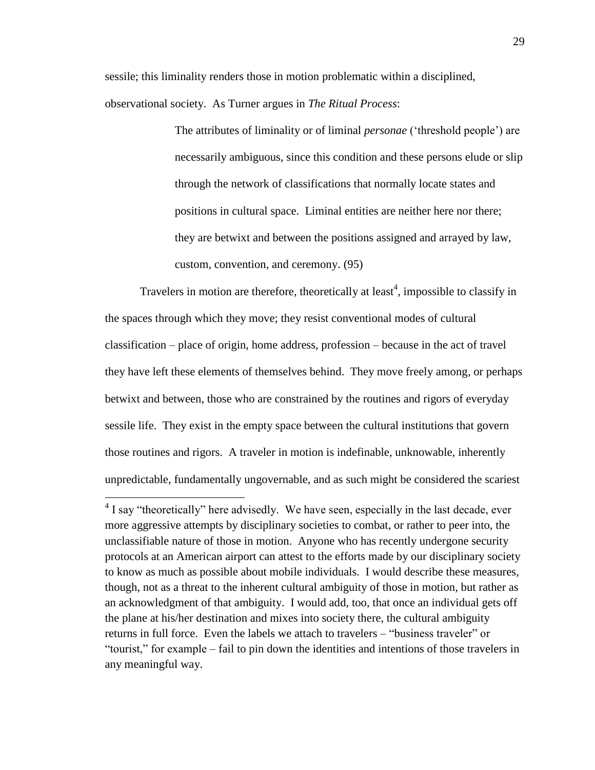sessile; this liminality renders those in motion problematic within a disciplined, observational society. As Turner argues in *The Ritual Process*:

> The attributes of liminality or of liminal *personae* ('threshold people') are necessarily ambiguous, since this condition and these persons elude or slip through the network of classifications that normally locate states and positions in cultural space. Liminal entities are neither here nor there; they are betwixt and between the positions assigned and arrayed by law, custom, convention, and ceremony. (95)

Travelers in motion are therefore, theoretically at least<sup>4</sup>, impossible to classify in the spaces through which they move; they resist conventional modes of cultural classification – place of origin, home address, profession – because in the act of travel they have left these elements of themselves behind. They move freely among, or perhaps betwixt and between, those who are constrained by the routines and rigors of everyday sessile life. They exist in the empty space between the cultural institutions that govern those routines and rigors. A traveler in motion is indefinable, unknowable, inherently unpredictable, fundamentally ungovernable, and as such might be considered the scariest

 $\overline{a}$ 

 $4$  I say "theoretically" here advisedly. We have seen, especially in the last decade, ever more aggressive attempts by disciplinary societies to combat, or rather to peer into, the unclassifiable nature of those in motion. Anyone who has recently undergone security protocols at an American airport can attest to the efforts made by our disciplinary society to know as much as possible about mobile individuals. I would describe these measures, though, not as a threat to the inherent cultural ambiguity of those in motion, but rather as an acknowledgment of that ambiguity. I would add, too, that once an individual gets off the plane at his/her destination and mixes into society there, the cultural ambiguity returns in full force. Even the labels we attach to travelers – "business traveler" or "tourist," for example – fail to pin down the identities and intentions of those travelers in any meaningful way.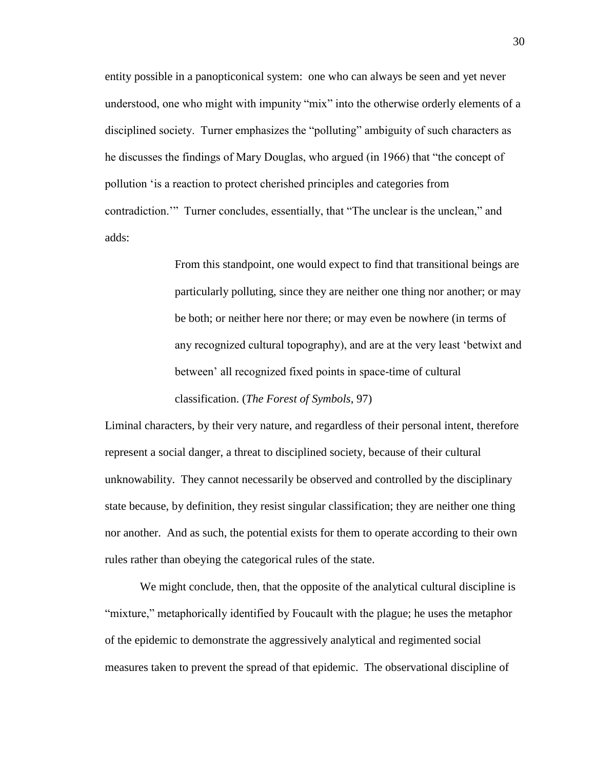entity possible in a panopticonical system: one who can always be seen and yet never understood, one who might with impunity "mix" into the otherwise orderly elements of a disciplined society. Turner emphasizes the "polluting" ambiguity of such characters as he discusses the findings of Mary Douglas, who argued (in 1966) that "the concept of pollution 'is a reaction to protect cherished principles and categories from contradiction.'" Turner concludes, essentially, that "The unclear is the unclean," and adds:

> From this standpoint, one would expect to find that transitional beings are particularly polluting, since they are neither one thing nor another; or may be both; or neither here nor there; or may even be nowhere (in terms of any recognized cultural topography), and are at the very least 'betwixt and between' all recognized fixed points in space-time of cultural classification. (*The Forest of Symbols*, 97)

Liminal characters, by their very nature, and regardless of their personal intent, therefore represent a social danger, a threat to disciplined society, because of their cultural unknowability. They cannot necessarily be observed and controlled by the disciplinary state because, by definition, they resist singular classification; they are neither one thing nor another. And as such, the potential exists for them to operate according to their own rules rather than obeying the categorical rules of the state.

We might conclude, then, that the opposite of the analytical cultural discipline is "mixture," metaphorically identified by Foucault with the plague; he uses the metaphor of the epidemic to demonstrate the aggressively analytical and regimented social measures taken to prevent the spread of that epidemic. The observational discipline of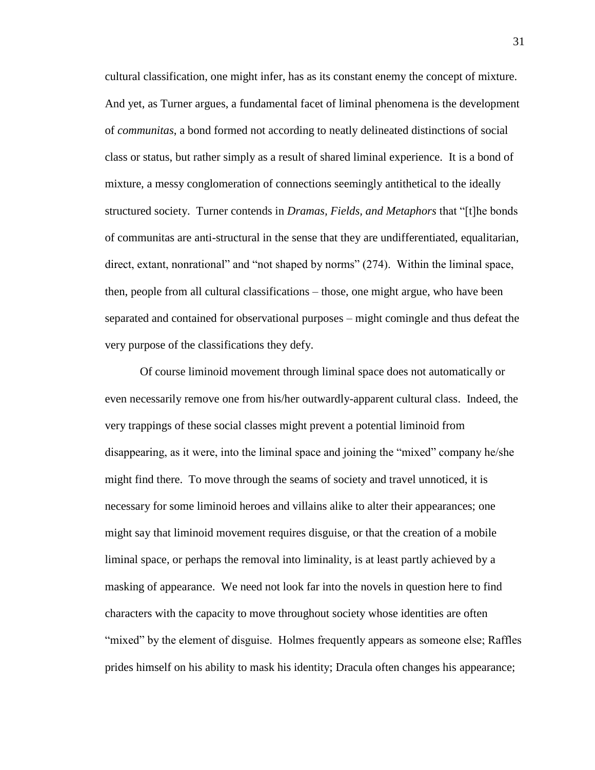cultural classification, one might infer, has as its constant enemy the concept of mixture. And yet, as Turner argues, a fundamental facet of liminal phenomena is the development of *communitas*, a bond formed not according to neatly delineated distinctions of social class or status, but rather simply as a result of shared liminal experience. It is a bond of mixture, a messy conglomeration of connections seemingly antithetical to the ideally structured society. Turner contends in *Dramas, Fields, and Metaphors* that "[t]he bonds of communitas are anti-structural in the sense that they are undifferentiated, equalitarian, direct, extant, nonrational" and "not shaped by norms" (274). Within the liminal space, then, people from all cultural classifications – those, one might argue, who have been separated and contained for observational purposes – might comingle and thus defeat the very purpose of the classifications they defy.

Of course liminoid movement through liminal space does not automatically or even necessarily remove one from his/her outwardly-apparent cultural class. Indeed, the very trappings of these social classes might prevent a potential liminoid from disappearing, as it were, into the liminal space and joining the "mixed" company he/she might find there. To move through the seams of society and travel unnoticed, it is necessary for some liminoid heroes and villains alike to alter their appearances; one might say that liminoid movement requires disguise, or that the creation of a mobile liminal space, or perhaps the removal into liminality, is at least partly achieved by a masking of appearance. We need not look far into the novels in question here to find characters with the capacity to move throughout society whose identities are often "mixed" by the element of disguise. Holmes frequently appears as someone else; Raffles prides himself on his ability to mask his identity; Dracula often changes his appearance;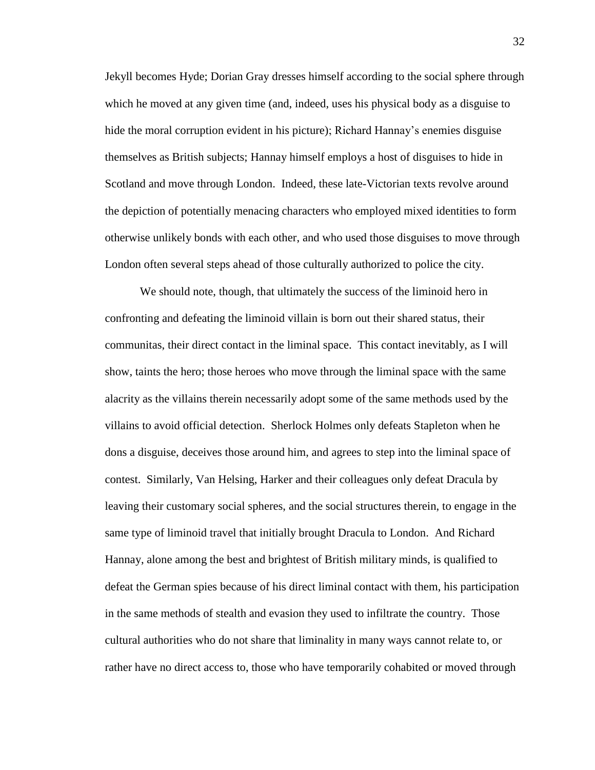Jekyll becomes Hyde; Dorian Gray dresses himself according to the social sphere through which he moved at any given time (and, indeed, uses his physical body as a disguise to hide the moral corruption evident in his picture); Richard Hannay's enemies disguise themselves as British subjects; Hannay himself employs a host of disguises to hide in Scotland and move through London. Indeed, these late-Victorian texts revolve around the depiction of potentially menacing characters who employed mixed identities to form otherwise unlikely bonds with each other, and who used those disguises to move through London often several steps ahead of those culturally authorized to police the city.

We should note, though, that ultimately the success of the liminoid hero in confronting and defeating the liminoid villain is born out their shared status, their communitas, their direct contact in the liminal space. This contact inevitably, as I will show, taints the hero; those heroes who move through the liminal space with the same alacrity as the villains therein necessarily adopt some of the same methods used by the villains to avoid official detection. Sherlock Holmes only defeats Stapleton when he dons a disguise, deceives those around him, and agrees to step into the liminal space of contest. Similarly, Van Helsing, Harker and their colleagues only defeat Dracula by leaving their customary social spheres, and the social structures therein, to engage in the same type of liminoid travel that initially brought Dracula to London. And Richard Hannay, alone among the best and brightest of British military minds, is qualified to defeat the German spies because of his direct liminal contact with them, his participation in the same methods of stealth and evasion they used to infiltrate the country. Those cultural authorities who do not share that liminality in many ways cannot relate to, or rather have no direct access to, those who have temporarily cohabited or moved through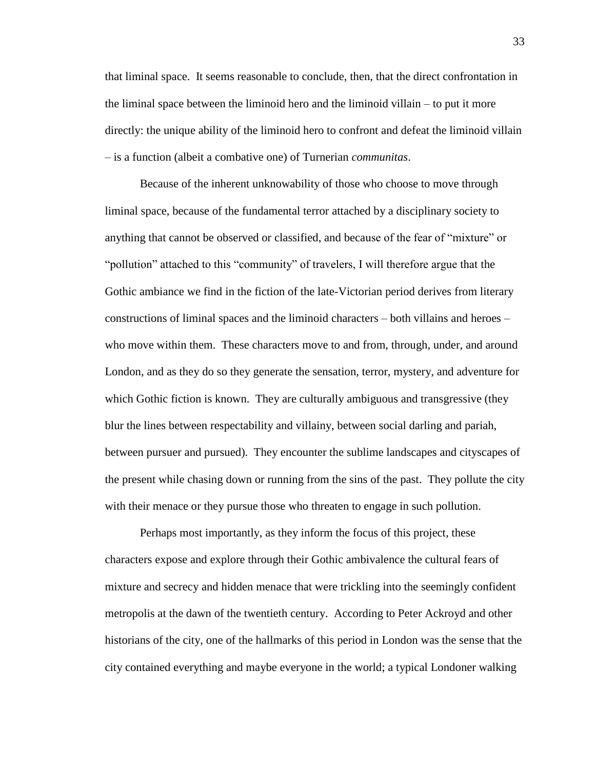that liminal space. It seems reasonable to conclude, then, that the direct confrontation in the liminal space between the liminoid hero and the liminoid villain – to put it more directly: the unique ability of the liminoid hero to confront and defeat the liminoid villain – is a function (albeit a combative one) of Turnerian *communitas*.

Because of the inherent unknowability of those who choose to move through liminal space, because of the fundamental terror attached by a disciplinary society to anything that cannot be observed or classified, and because of the fear of "mixture" or "pollution" attached to this "community" of travelers, I will therefore argue that the Gothic ambiance we find in the fiction of the late-Victorian period derives from literary constructions of liminal spaces and the liminoid characters – both villains and heroes – who move within them. These characters move to and from, through, under, and around London, and as they do so they generate the sensation, terror, mystery, and adventure for which Gothic fiction is known. They are culturally ambiguous and transgressive (they blur the lines between respectability and villainy, between social darling and pariah, between pursuer and pursued). They encounter the sublime landscapes and cityscapes of the present while chasing down or running from the sins of the past. They pollute the city with their menace or they pursue those who threaten to engage in such pollution.

Perhaps most importantly, as they inform the focus of this project, these characters expose and explore through their Gothic ambivalence the cultural fears of mixture and secrecy and hidden menace that were trickling into the seemingly confident metropolis at the dawn of the twentieth century. According to Peter Ackroyd and other historians of the city, one of the hallmarks of this period in London was the sense that the city contained everything and maybe everyone in the world; a typical Londoner walking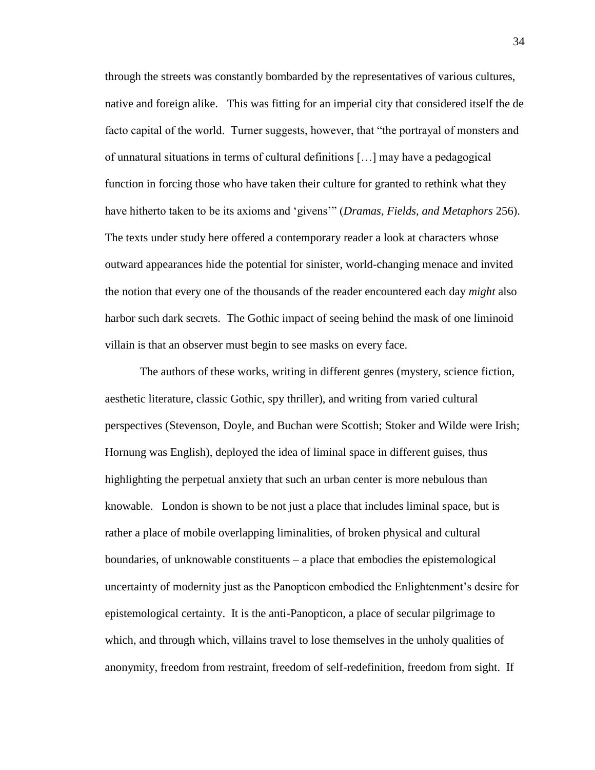through the streets was constantly bombarded by the representatives of various cultures, native and foreign alike. This was fitting for an imperial city that considered itself the de facto capital of the world. Turner suggests, however, that "the portrayal of monsters and of unnatural situations in terms of cultural definitions […] may have a pedagogical function in forcing those who have taken their culture for granted to rethink what they have hitherto taken to be its axioms and 'givens'" (*Dramas, Fields, and Metaphors* 256). The texts under study here offered a contemporary reader a look at characters whose outward appearances hide the potential for sinister, world-changing menace and invited the notion that every one of the thousands of the reader encountered each day *might* also harbor such dark secrets. The Gothic impact of seeing behind the mask of one liminoid villain is that an observer must begin to see masks on every face.

The authors of these works, writing in different genres (mystery, science fiction, aesthetic literature, classic Gothic, spy thriller), and writing from varied cultural perspectives (Stevenson, Doyle, and Buchan were Scottish; Stoker and Wilde were Irish; Hornung was English), deployed the idea of liminal space in different guises, thus highlighting the perpetual anxiety that such an urban center is more nebulous than knowable. London is shown to be not just a place that includes liminal space, but is rather a place of mobile overlapping liminalities, of broken physical and cultural boundaries, of unknowable constituents – a place that embodies the epistemological uncertainty of modernity just as the Panopticon embodied the Enlightenment's desire for epistemological certainty. It is the anti-Panopticon, a place of secular pilgrimage to which, and through which, villains travel to lose themselves in the unholy qualities of anonymity, freedom from restraint, freedom of self-redefinition, freedom from sight. If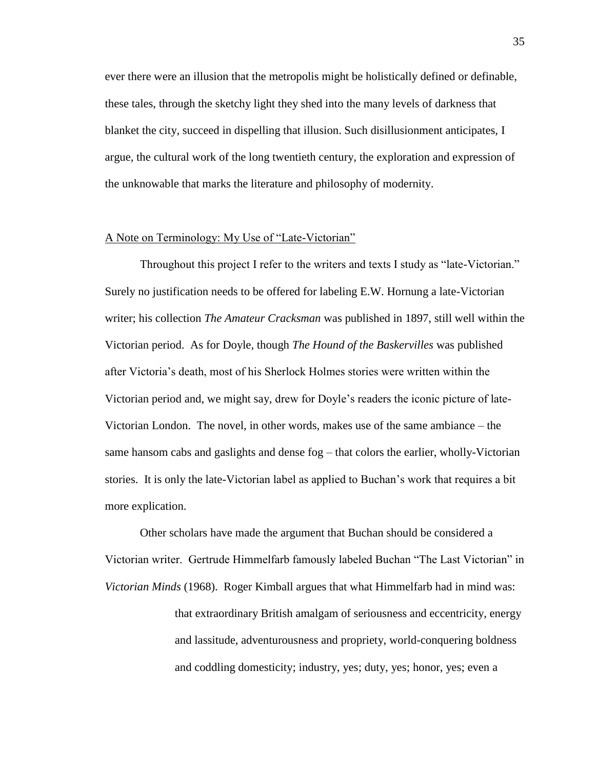ever there were an illusion that the metropolis might be holistically defined or definable, these tales, through the sketchy light they shed into the many levels of darkness that blanket the city, succeed in dispelling that illusion. Such disillusionment anticipates, I argue, the cultural work of the long twentieth century, the exploration and expression of the unknowable that marks the literature and philosophy of modernity.

#### A Note on Terminology: My Use of "Late-Victorian"

Throughout this project I refer to the writers and texts I study as "late-Victorian." Surely no justification needs to be offered for labeling E.W. Hornung a late-Victorian writer; his collection *The Amateur Cracksman* was published in 1897, still well within the Victorian period. As for Doyle, though *The Hound of the Baskervilles* was published after Victoria's death, most of his Sherlock Holmes stories were written within the Victorian period and, we might say, drew for Doyle's readers the iconic picture of late-Victorian London. The novel, in other words, makes use of the same ambiance – the same hansom cabs and gaslights and dense fog – that colors the earlier, wholly-Victorian stories. It is only the late-Victorian label as applied to Buchan's work that requires a bit more explication.

Other scholars have made the argument that Buchan should be considered a Victorian writer. Gertrude Himmelfarb famously labeled Buchan "The Last Victorian" in *Victorian Minds* (1968). Roger Kimball argues that what Himmelfarb had in mind was: that extraordinary British amalgam of seriousness and eccentricity, energy and lassitude, adventurousness and propriety, world-conquering boldness and coddling domesticity; industry, yes; duty, yes; honor, yes; even a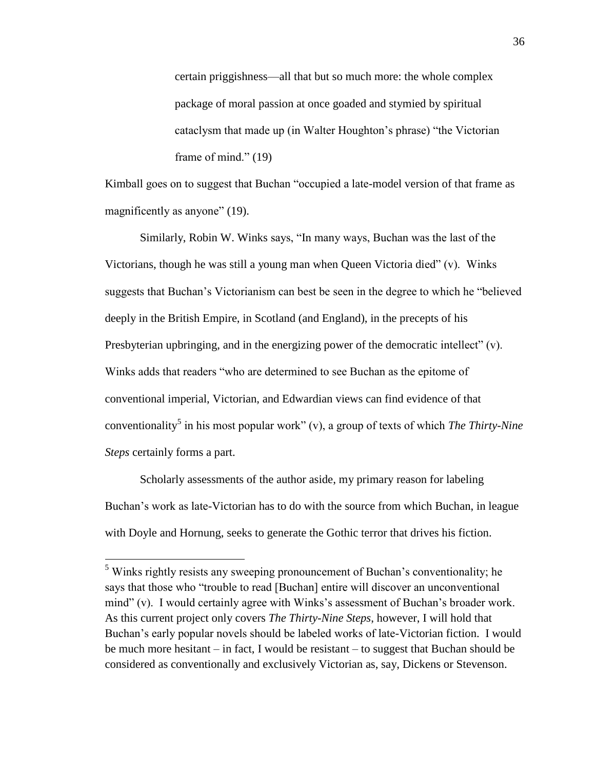certain priggishness—all that but so much more: the whole complex package of moral passion at once goaded and stymied by spiritual cataclysm that made up (in Walter Houghton's phrase) "the Victorian frame of mind." (19)

Kimball goes on to suggest that Buchan "occupied a late-model version of that frame as magnificently as anyone" (19).

Similarly, Robin W. Winks says, "In many ways, Buchan was the last of the Victorians, though he was still a young man when Queen Victoria died" (v). Winks suggests that Buchan's Victorianism can best be seen in the degree to which he "believed deeply in the British Empire, in Scotland (and England), in the precepts of his Presbyterian upbringing, and in the energizing power of the democratic intellect" (v). Winks adds that readers "who are determined to see Buchan as the epitome of conventional imperial, Victorian, and Edwardian views can find evidence of that conventionality<sup>5</sup> in his most popular work" (v), a group of texts of which *The Thirty-Nine Steps* certainly forms a part.

Scholarly assessments of the author aside, my primary reason for labeling Buchan's work as late-Victorian has to do with the source from which Buchan, in league with Doyle and Hornung, seeks to generate the Gothic terror that drives his fiction.

 $\overline{a}$ 

<sup>&</sup>lt;sup>5</sup> Winks rightly resists any sweeping pronouncement of Buchan's conventionality; he says that those who "trouble to read [Buchan] entire will discover an unconventional mind" (v). I would certainly agree with Winks's assessment of Buchan's broader work. As this current project only covers *The Thirty-Nine Steps*, however, I will hold that Buchan's early popular novels should be labeled works of late-Victorian fiction. I would be much more hesitant – in fact, I would be resistant – to suggest that Buchan should be considered as conventionally and exclusively Victorian as, say, Dickens or Stevenson.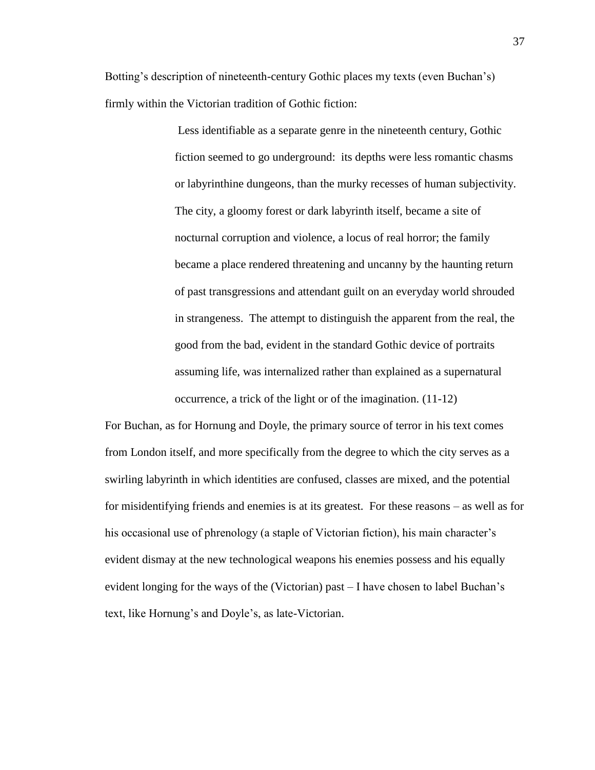Botting's description of nineteenth-century Gothic places my texts (even Buchan's) firmly within the Victorian tradition of Gothic fiction:

> Less identifiable as a separate genre in the nineteenth century, Gothic fiction seemed to go underground: its depths were less romantic chasms or labyrinthine dungeons, than the murky recesses of human subjectivity. The city, a gloomy forest or dark labyrinth itself, became a site of nocturnal corruption and violence, a locus of real horror; the family became a place rendered threatening and uncanny by the haunting return of past transgressions and attendant guilt on an everyday world shrouded in strangeness. The attempt to distinguish the apparent from the real, the good from the bad, evident in the standard Gothic device of portraits assuming life, was internalized rather than explained as a supernatural occurrence, a trick of the light or of the imagination. (11-12)

For Buchan, as for Hornung and Doyle, the primary source of terror in his text comes from London itself, and more specifically from the degree to which the city serves as a swirling labyrinth in which identities are confused, classes are mixed, and the potential for misidentifying friends and enemies is at its greatest. For these reasons – as well as for his occasional use of phrenology (a staple of Victorian fiction), his main character's evident dismay at the new technological weapons his enemies possess and his equally evident longing for the ways of the (Victorian) past – I have chosen to label Buchan's text, like Hornung's and Doyle's, as late-Victorian.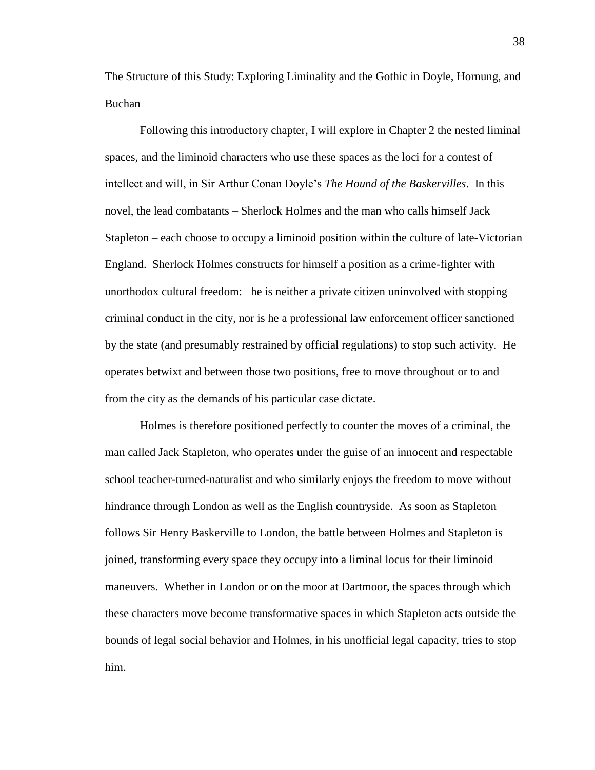The Structure of this Study: Exploring Liminality and the Gothic in Doyle, Hornung, and Buchan

Following this introductory chapter, I will explore in Chapter 2 the nested liminal spaces, and the liminoid characters who use these spaces as the loci for a contest of intellect and will, in Sir Arthur Conan Doyle's *The Hound of the Baskervilles*. In this novel, the lead combatants – Sherlock Holmes and the man who calls himself Jack Stapleton – each choose to occupy a liminoid position within the culture of late-Victorian England. Sherlock Holmes constructs for himself a position as a crime-fighter with unorthodox cultural freedom: he is neither a private citizen uninvolved with stopping criminal conduct in the city, nor is he a professional law enforcement officer sanctioned by the state (and presumably restrained by official regulations) to stop such activity. He operates betwixt and between those two positions, free to move throughout or to and from the city as the demands of his particular case dictate.

Holmes is therefore positioned perfectly to counter the moves of a criminal, the man called Jack Stapleton, who operates under the guise of an innocent and respectable school teacher-turned-naturalist and who similarly enjoys the freedom to move without hindrance through London as well as the English countryside. As soon as Stapleton follows Sir Henry Baskerville to London, the battle between Holmes and Stapleton is joined, transforming every space they occupy into a liminal locus for their liminoid maneuvers. Whether in London or on the moor at Dartmoor, the spaces through which these characters move become transformative spaces in which Stapleton acts outside the bounds of legal social behavior and Holmes, in his unofficial legal capacity, tries to stop him.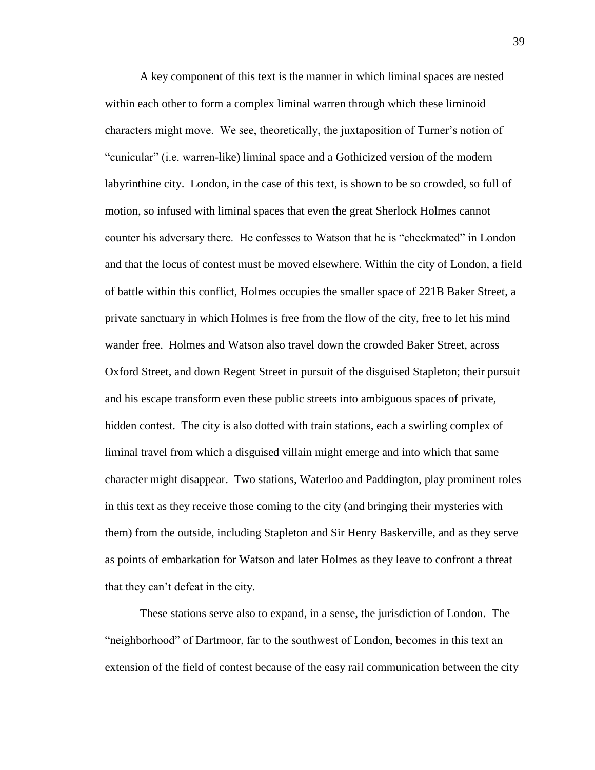A key component of this text is the manner in which liminal spaces are nested within each other to form a complex liminal warren through which these liminoid characters might move. We see, theoretically, the juxtaposition of Turner's notion of "cunicular" (i.e. warren-like) liminal space and a Gothicized version of the modern labyrinthine city. London, in the case of this text, is shown to be so crowded, so full of motion, so infused with liminal spaces that even the great Sherlock Holmes cannot counter his adversary there. He confesses to Watson that he is "checkmated" in London and that the locus of contest must be moved elsewhere. Within the city of London, a field of battle within this conflict, Holmes occupies the smaller space of 221B Baker Street, a private sanctuary in which Holmes is free from the flow of the city, free to let his mind wander free. Holmes and Watson also travel down the crowded Baker Street, across Oxford Street, and down Regent Street in pursuit of the disguised Stapleton; their pursuit and his escape transform even these public streets into ambiguous spaces of private, hidden contest. The city is also dotted with train stations, each a swirling complex of liminal travel from which a disguised villain might emerge and into which that same character might disappear. Two stations, Waterloo and Paddington, play prominent roles in this text as they receive those coming to the city (and bringing their mysteries with them) from the outside, including Stapleton and Sir Henry Baskerville, and as they serve as points of embarkation for Watson and later Holmes as they leave to confront a threat that they can't defeat in the city.

These stations serve also to expand, in a sense, the jurisdiction of London. The "neighborhood" of Dartmoor, far to the southwest of London, becomes in this text an extension of the field of contest because of the easy rail communication between the city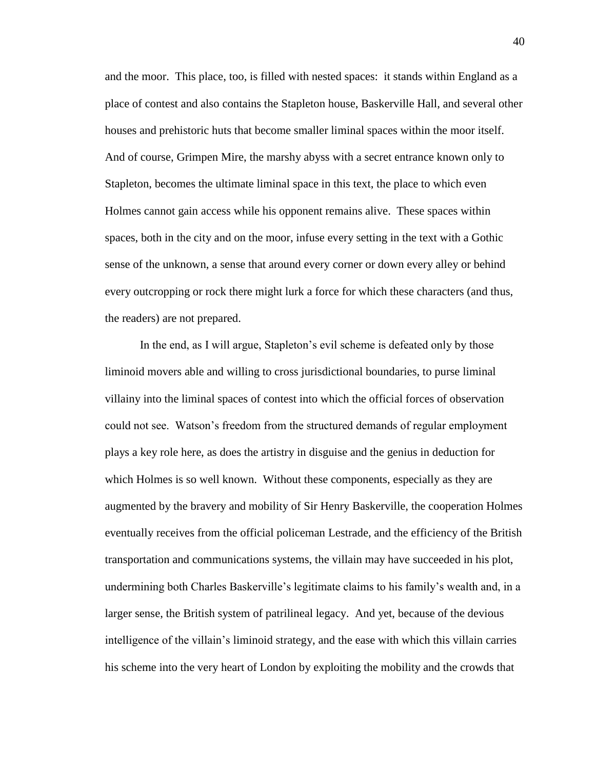and the moor. This place, too, is filled with nested spaces: it stands within England as a place of contest and also contains the Stapleton house, Baskerville Hall, and several other houses and prehistoric huts that become smaller liminal spaces within the moor itself. And of course, Grimpen Mire, the marshy abyss with a secret entrance known only to Stapleton, becomes the ultimate liminal space in this text, the place to which even Holmes cannot gain access while his opponent remains alive. These spaces within spaces, both in the city and on the moor, infuse every setting in the text with a Gothic sense of the unknown, a sense that around every corner or down every alley or behind every outcropping or rock there might lurk a force for which these characters (and thus, the readers) are not prepared.

In the end, as I will argue, Stapleton's evil scheme is defeated only by those liminoid movers able and willing to cross jurisdictional boundaries, to purse liminal villainy into the liminal spaces of contest into which the official forces of observation could not see. Watson's freedom from the structured demands of regular employment plays a key role here, as does the artistry in disguise and the genius in deduction for which Holmes is so well known. Without these components, especially as they are augmented by the bravery and mobility of Sir Henry Baskerville, the cooperation Holmes eventually receives from the official policeman Lestrade, and the efficiency of the British transportation and communications systems, the villain may have succeeded in his plot, undermining both Charles Baskerville's legitimate claims to his family's wealth and, in a larger sense, the British system of patrilineal legacy. And yet, because of the devious intelligence of the villain's liminoid strategy, and the ease with which this villain carries his scheme into the very heart of London by exploiting the mobility and the crowds that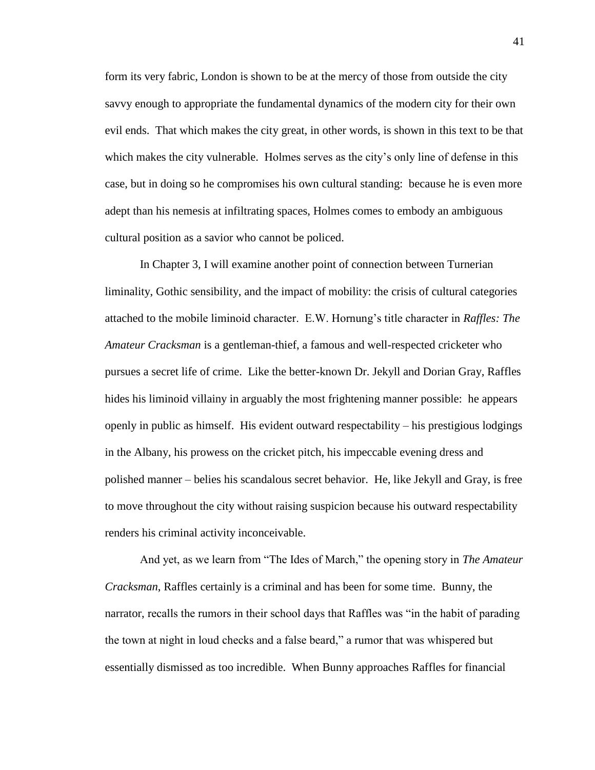form its very fabric, London is shown to be at the mercy of those from outside the city savvy enough to appropriate the fundamental dynamics of the modern city for their own evil ends. That which makes the city great, in other words, is shown in this text to be that which makes the city vulnerable. Holmes serves as the city's only line of defense in this case, but in doing so he compromises his own cultural standing: because he is even more adept than his nemesis at infiltrating spaces, Holmes comes to embody an ambiguous cultural position as a savior who cannot be policed.

In Chapter 3, I will examine another point of connection between Turnerian liminality, Gothic sensibility, and the impact of mobility: the crisis of cultural categories attached to the mobile liminoid character. E.W. Hornung's title character in *Raffles: The Amateur Cracksman* is a gentleman-thief, a famous and well-respected cricketer who pursues a secret life of crime. Like the better-known Dr. Jekyll and Dorian Gray, Raffles hides his liminoid villainy in arguably the most frightening manner possible: he appears openly in public as himself. His evident outward respectability – his prestigious lodgings in the Albany, his prowess on the cricket pitch, his impeccable evening dress and polished manner – belies his scandalous secret behavior. He, like Jekyll and Gray, is free to move throughout the city without raising suspicion because his outward respectability renders his criminal activity inconceivable.

And yet, as we learn from "The Ides of March," the opening story in *The Amateur Cracksman*, Raffles certainly is a criminal and has been for some time. Bunny, the narrator, recalls the rumors in their school days that Raffles was "in the habit of parading the town at night in loud checks and a false beard," a rumor that was whispered but essentially dismissed as too incredible. When Bunny approaches Raffles for financial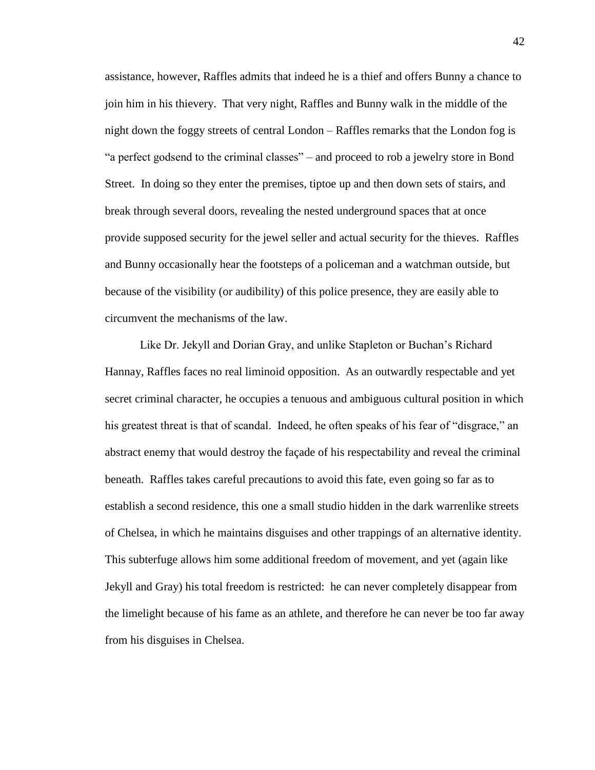assistance, however, Raffles admits that indeed he is a thief and offers Bunny a chance to join him in his thievery. That very night, Raffles and Bunny walk in the middle of the night down the foggy streets of central London – Raffles remarks that the London fog is "a perfect godsend to the criminal classes" – and proceed to rob a jewelry store in Bond Street. In doing so they enter the premises, tiptoe up and then down sets of stairs, and break through several doors, revealing the nested underground spaces that at once provide supposed security for the jewel seller and actual security for the thieves. Raffles and Bunny occasionally hear the footsteps of a policeman and a watchman outside, but because of the visibility (or audibility) of this police presence, they are easily able to circumvent the mechanisms of the law.

Like Dr. Jekyll and Dorian Gray, and unlike Stapleton or Buchan's Richard Hannay, Raffles faces no real liminoid opposition. As an outwardly respectable and yet secret criminal character, he occupies a tenuous and ambiguous cultural position in which his greatest threat is that of scandal. Indeed, he often speaks of his fear of "disgrace," an abstract enemy that would destroy the façade of his respectability and reveal the criminal beneath. Raffles takes careful precautions to avoid this fate, even going so far as to establish a second residence, this one a small studio hidden in the dark warrenlike streets of Chelsea, in which he maintains disguises and other trappings of an alternative identity. This subterfuge allows him some additional freedom of movement, and yet (again like Jekyll and Gray) his total freedom is restricted: he can never completely disappear from the limelight because of his fame as an athlete, and therefore he can never be too far away from his disguises in Chelsea.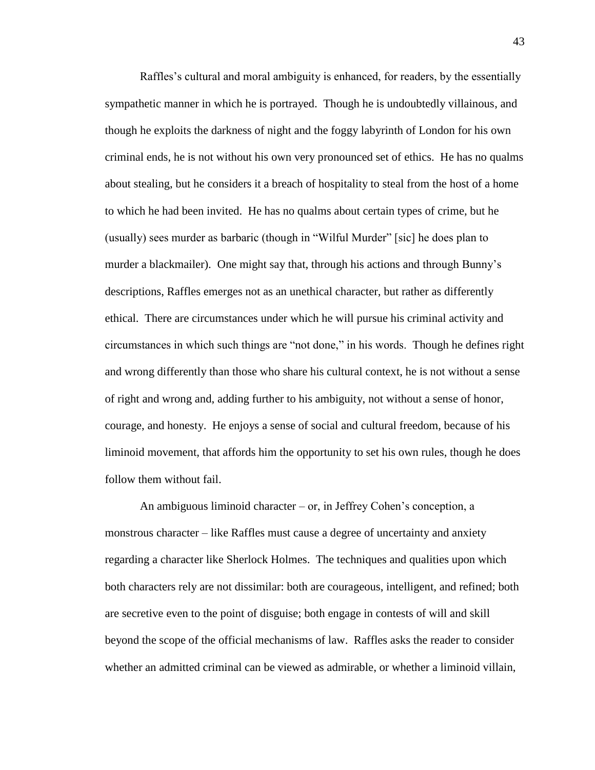Raffles's cultural and moral ambiguity is enhanced, for readers, by the essentially sympathetic manner in which he is portrayed. Though he is undoubtedly villainous, and though he exploits the darkness of night and the foggy labyrinth of London for his own criminal ends, he is not without his own very pronounced set of ethics. He has no qualms about stealing, but he considers it a breach of hospitality to steal from the host of a home to which he had been invited. He has no qualms about certain types of crime, but he (usually) sees murder as barbaric (though in "Wilful Murder" [sic] he does plan to murder a blackmailer). One might say that, through his actions and through Bunny's descriptions, Raffles emerges not as an unethical character, but rather as differently ethical. There are circumstances under which he will pursue his criminal activity and circumstances in which such things are "not done," in his words. Though he defines right and wrong differently than those who share his cultural context, he is not without a sense of right and wrong and, adding further to his ambiguity, not without a sense of honor, courage, and honesty. He enjoys a sense of social and cultural freedom, because of his liminoid movement, that affords him the opportunity to set his own rules, though he does follow them without fail.

An ambiguous liminoid character – or, in Jeffrey Cohen's conception, a monstrous character – like Raffles must cause a degree of uncertainty and anxiety regarding a character like Sherlock Holmes. The techniques and qualities upon which both characters rely are not dissimilar: both are courageous, intelligent, and refined; both are secretive even to the point of disguise; both engage in contests of will and skill beyond the scope of the official mechanisms of law. Raffles asks the reader to consider whether an admitted criminal can be viewed as admirable, or whether a liminoid villain,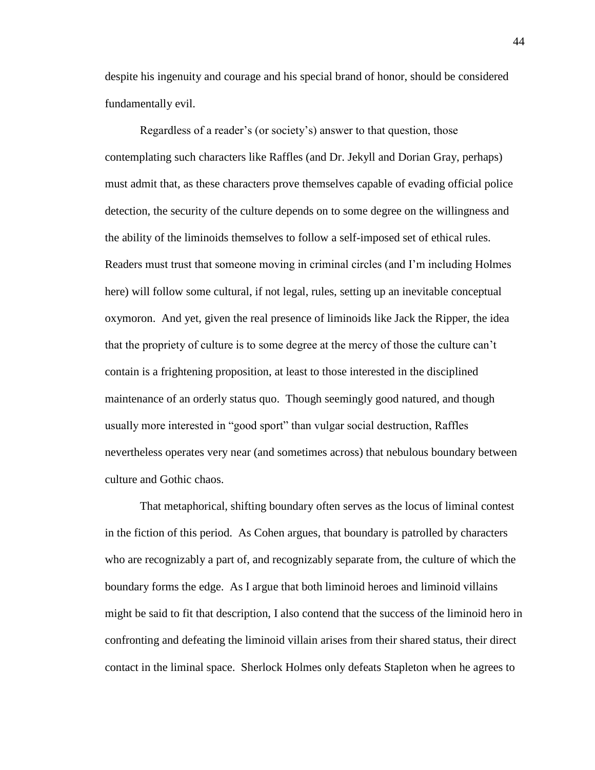despite his ingenuity and courage and his special brand of honor, should be considered fundamentally evil.

Regardless of a reader's (or society's) answer to that question, those contemplating such characters like Raffles (and Dr. Jekyll and Dorian Gray, perhaps) must admit that, as these characters prove themselves capable of evading official police detection, the security of the culture depends on to some degree on the willingness and the ability of the liminoids themselves to follow a self-imposed set of ethical rules. Readers must trust that someone moving in criminal circles (and I'm including Holmes here) will follow some cultural, if not legal, rules, setting up an inevitable conceptual oxymoron. And yet, given the real presence of liminoids like Jack the Ripper, the idea that the propriety of culture is to some degree at the mercy of those the culture can't contain is a frightening proposition, at least to those interested in the disciplined maintenance of an orderly status quo. Though seemingly good natured, and though usually more interested in "good sport" than vulgar social destruction, Raffles nevertheless operates very near (and sometimes across) that nebulous boundary between culture and Gothic chaos.

That metaphorical, shifting boundary often serves as the locus of liminal contest in the fiction of this period. As Cohen argues, that boundary is patrolled by characters who are recognizably a part of, and recognizably separate from, the culture of which the boundary forms the edge. As I argue that both liminoid heroes and liminoid villains might be said to fit that description, I also contend that the success of the liminoid hero in confronting and defeating the liminoid villain arises from their shared status, their direct contact in the liminal space. Sherlock Holmes only defeats Stapleton when he agrees to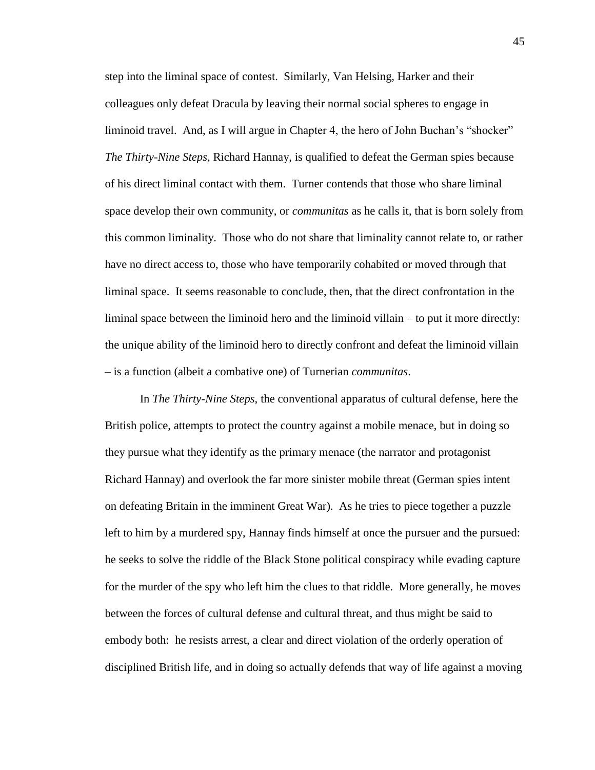step into the liminal space of contest. Similarly, Van Helsing, Harker and their colleagues only defeat Dracula by leaving their normal social spheres to engage in liminoid travel. And, as I will argue in Chapter 4, the hero of John Buchan's "shocker" *The Thirty-Nine Steps*, Richard Hannay, is qualified to defeat the German spies because of his direct liminal contact with them. Turner contends that those who share liminal space develop their own community, or *communitas* as he calls it, that is born solely from this common liminality. Those who do not share that liminality cannot relate to, or rather have no direct access to, those who have temporarily cohabited or moved through that liminal space. It seems reasonable to conclude, then, that the direct confrontation in the liminal space between the liminoid hero and the liminoid villain – to put it more directly: the unique ability of the liminoid hero to directly confront and defeat the liminoid villain – is a function (albeit a combative one) of Turnerian *communitas*.

In *The Thirty-Nine Steps*, the conventional apparatus of cultural defense, here the British police, attempts to protect the country against a mobile menace, but in doing so they pursue what they identify as the primary menace (the narrator and protagonist Richard Hannay) and overlook the far more sinister mobile threat (German spies intent on defeating Britain in the imminent Great War). As he tries to piece together a puzzle left to him by a murdered spy, Hannay finds himself at once the pursuer and the pursued: he seeks to solve the riddle of the Black Stone political conspiracy while evading capture for the murder of the spy who left him the clues to that riddle. More generally, he moves between the forces of cultural defense and cultural threat, and thus might be said to embody both: he resists arrest, a clear and direct violation of the orderly operation of disciplined British life, and in doing so actually defends that way of life against a moving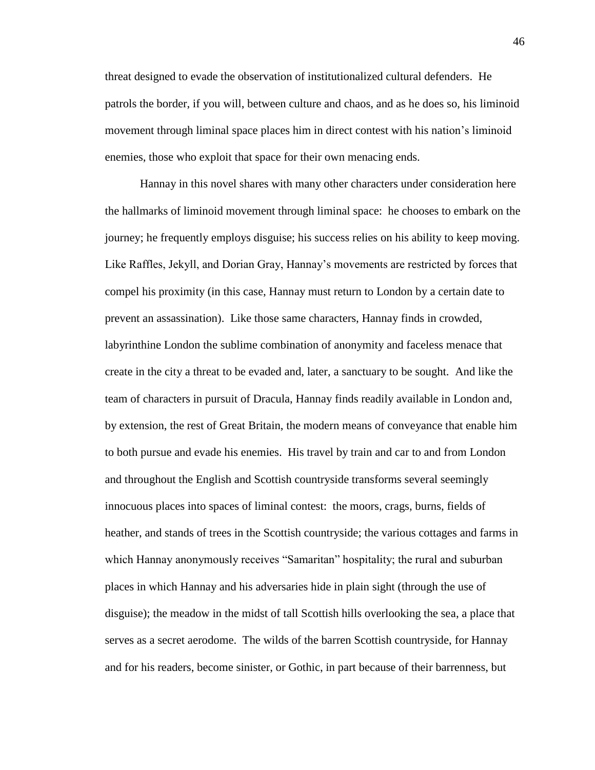threat designed to evade the observation of institutionalized cultural defenders. He patrols the border, if you will, between culture and chaos, and as he does so, his liminoid movement through liminal space places him in direct contest with his nation's liminoid enemies, those who exploit that space for their own menacing ends.

Hannay in this novel shares with many other characters under consideration here the hallmarks of liminoid movement through liminal space: he chooses to embark on the journey; he frequently employs disguise; his success relies on his ability to keep moving. Like Raffles, Jekyll, and Dorian Gray, Hannay's movements are restricted by forces that compel his proximity (in this case, Hannay must return to London by a certain date to prevent an assassination). Like those same characters, Hannay finds in crowded, labyrinthine London the sublime combination of anonymity and faceless menace that create in the city a threat to be evaded and, later, a sanctuary to be sought. And like the team of characters in pursuit of Dracula, Hannay finds readily available in London and, by extension, the rest of Great Britain, the modern means of conveyance that enable him to both pursue and evade his enemies. His travel by train and car to and from London and throughout the English and Scottish countryside transforms several seemingly innocuous places into spaces of liminal contest: the moors, crags, burns, fields of heather, and stands of trees in the Scottish countryside; the various cottages and farms in which Hannay anonymously receives "Samaritan" hospitality; the rural and suburban places in which Hannay and his adversaries hide in plain sight (through the use of disguise); the meadow in the midst of tall Scottish hills overlooking the sea, a place that serves as a secret aerodome. The wilds of the barren Scottish countryside, for Hannay and for his readers, become sinister, or Gothic, in part because of their barrenness, but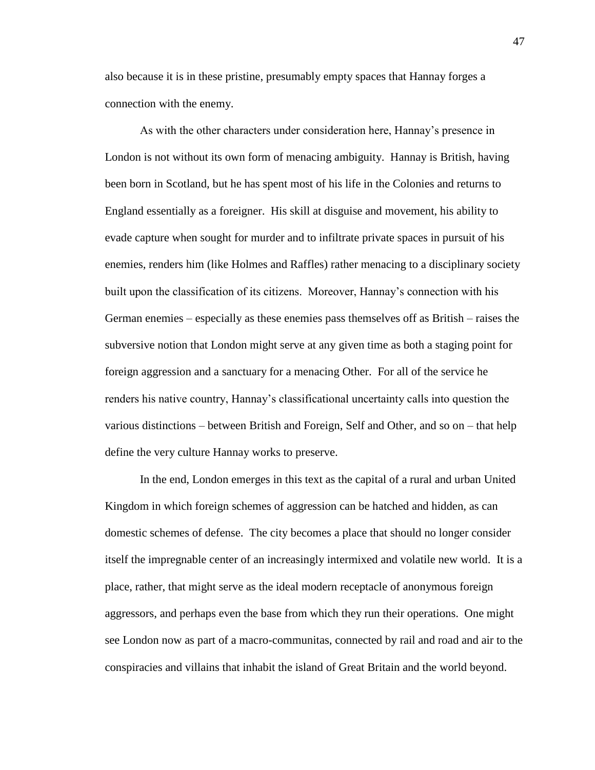also because it is in these pristine, presumably empty spaces that Hannay forges a connection with the enemy.

As with the other characters under consideration here, Hannay's presence in London is not without its own form of menacing ambiguity. Hannay is British, having been born in Scotland, but he has spent most of his life in the Colonies and returns to England essentially as a foreigner. His skill at disguise and movement, his ability to evade capture when sought for murder and to infiltrate private spaces in pursuit of his enemies, renders him (like Holmes and Raffles) rather menacing to a disciplinary society built upon the classification of its citizens. Moreover, Hannay's connection with his German enemies – especially as these enemies pass themselves off as British – raises the subversive notion that London might serve at any given time as both a staging point for foreign aggression and a sanctuary for a menacing Other. For all of the service he renders his native country, Hannay's classificational uncertainty calls into question the various distinctions – between British and Foreign, Self and Other, and so on – that help define the very culture Hannay works to preserve.

In the end, London emerges in this text as the capital of a rural and urban United Kingdom in which foreign schemes of aggression can be hatched and hidden, as can domestic schemes of defense. The city becomes a place that should no longer consider itself the impregnable center of an increasingly intermixed and volatile new world. It is a place, rather, that might serve as the ideal modern receptacle of anonymous foreign aggressors, and perhaps even the base from which they run their operations. One might see London now as part of a macro-communitas, connected by rail and road and air to the conspiracies and villains that inhabit the island of Great Britain and the world beyond.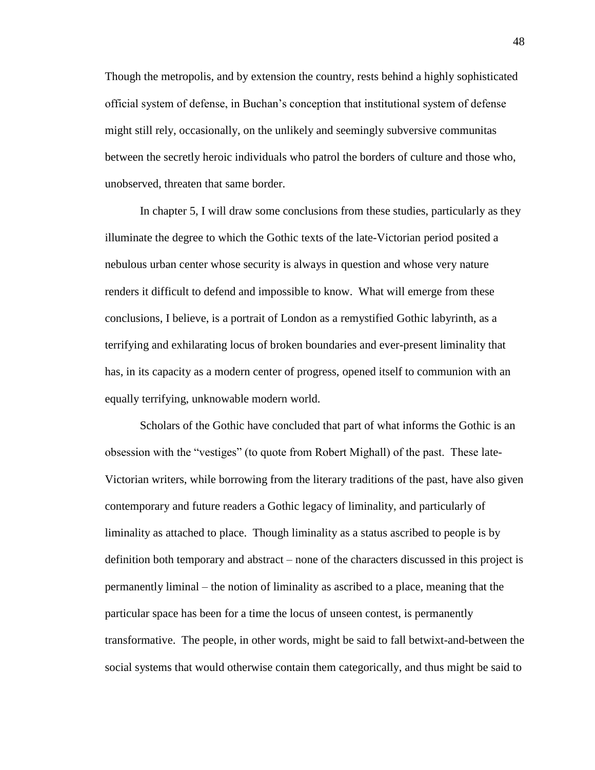Though the metropolis, and by extension the country, rests behind a highly sophisticated official system of defense, in Buchan's conception that institutional system of defense might still rely, occasionally, on the unlikely and seemingly subversive communitas between the secretly heroic individuals who patrol the borders of culture and those who, unobserved, threaten that same border.

In chapter 5, I will draw some conclusions from these studies, particularly as they illuminate the degree to which the Gothic texts of the late-Victorian period posited a nebulous urban center whose security is always in question and whose very nature renders it difficult to defend and impossible to know. What will emerge from these conclusions, I believe, is a portrait of London as a remystified Gothic labyrinth, as a terrifying and exhilarating locus of broken boundaries and ever-present liminality that has, in its capacity as a modern center of progress, opened itself to communion with an equally terrifying, unknowable modern world.

Scholars of the Gothic have concluded that part of what informs the Gothic is an obsession with the "vestiges" (to quote from Robert Mighall) of the past. These late-Victorian writers, while borrowing from the literary traditions of the past, have also given contemporary and future readers a Gothic legacy of liminality, and particularly of liminality as attached to place. Though liminality as a status ascribed to people is by definition both temporary and abstract – none of the characters discussed in this project is permanently liminal – the notion of liminality as ascribed to a place, meaning that the particular space has been for a time the locus of unseen contest, is permanently transformative. The people, in other words, might be said to fall betwixt-and-between the social systems that would otherwise contain them categorically, and thus might be said to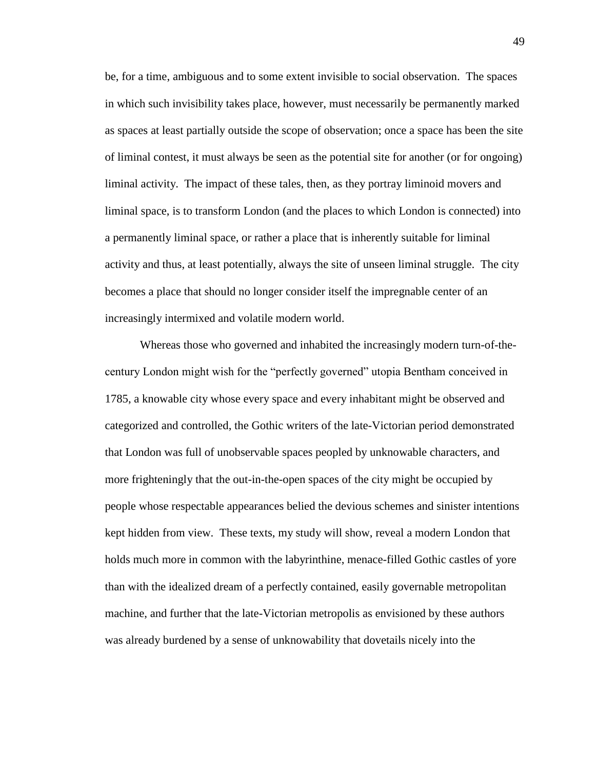be, for a time, ambiguous and to some extent invisible to social observation. The spaces in which such invisibility takes place, however, must necessarily be permanently marked as spaces at least partially outside the scope of observation; once a space has been the site of liminal contest, it must always be seen as the potential site for another (or for ongoing) liminal activity. The impact of these tales, then, as they portray liminoid movers and liminal space, is to transform London (and the places to which London is connected) into a permanently liminal space, or rather a place that is inherently suitable for liminal activity and thus, at least potentially, always the site of unseen liminal struggle. The city becomes a place that should no longer consider itself the impregnable center of an increasingly intermixed and volatile modern world.

Whereas those who governed and inhabited the increasingly modern turn-of-thecentury London might wish for the "perfectly governed" utopia Bentham conceived in 1785, a knowable city whose every space and every inhabitant might be observed and categorized and controlled, the Gothic writers of the late-Victorian period demonstrated that London was full of unobservable spaces peopled by unknowable characters, and more frighteningly that the out-in-the-open spaces of the city might be occupied by people whose respectable appearances belied the devious schemes and sinister intentions kept hidden from view. These texts, my study will show, reveal a modern London that holds much more in common with the labyrinthine, menace-filled Gothic castles of yore than with the idealized dream of a perfectly contained, easily governable metropolitan machine, and further that the late-Victorian metropolis as envisioned by these authors was already burdened by a sense of unknowability that dovetails nicely into the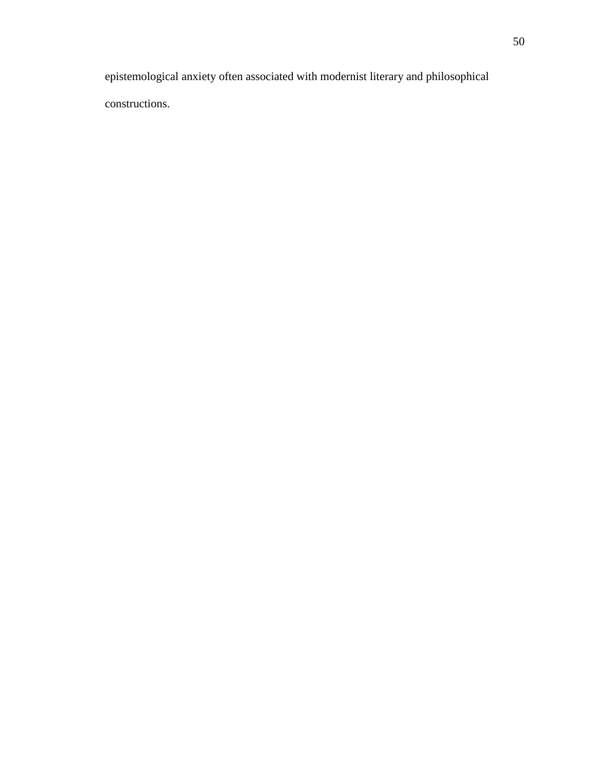epistemological anxiety often associated with modernist literary and philosophical constructions.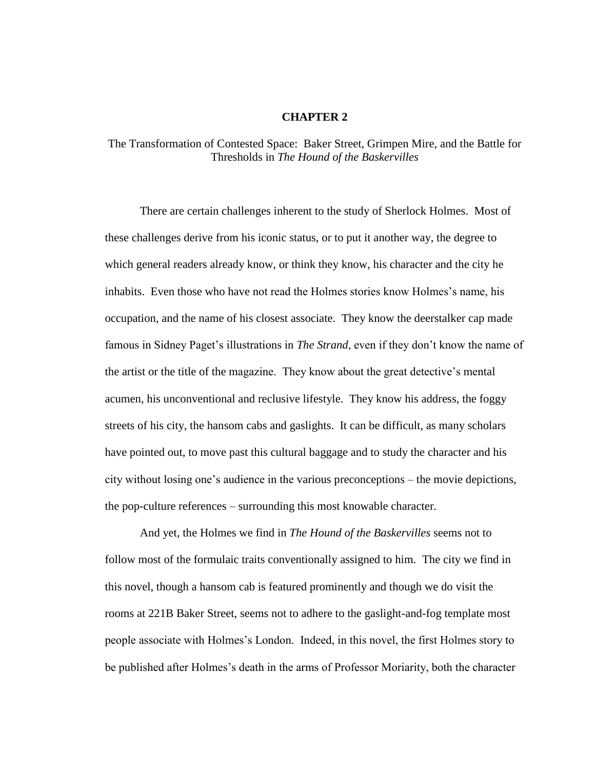## **CHAPTER 2**

## The Transformation of Contested Space: Baker Street, Grimpen Mire, and the Battle for Thresholds in *The Hound of the Baskervilles*

There are certain challenges inherent to the study of Sherlock Holmes. Most of these challenges derive from his iconic status, or to put it another way, the degree to which general readers already know, or think they know, his character and the city he inhabits. Even those who have not read the Holmes stories know Holmes's name, his occupation, and the name of his closest associate. They know the deerstalker cap made famous in Sidney Paget's illustrations in *The Strand*, even if they don't know the name of the artist or the title of the magazine. They know about the great detective's mental acumen, his unconventional and reclusive lifestyle. They know his address, the foggy streets of his city, the hansom cabs and gaslights. It can be difficult, as many scholars have pointed out, to move past this cultural baggage and to study the character and his city without losing one's audience in the various preconceptions – the movie depictions, the pop-culture references – surrounding this most knowable character.

And yet, the Holmes we find in *The Hound of the Baskervilles* seems not to follow most of the formulaic traits conventionally assigned to him. The city we find in this novel, though a hansom cab is featured prominently and though we do visit the rooms at 221B Baker Street, seems not to adhere to the gaslight-and-fog template most people associate with Holmes's London. Indeed, in this novel, the first Holmes story to be published after Holmes's death in the arms of Professor Moriarity, both the character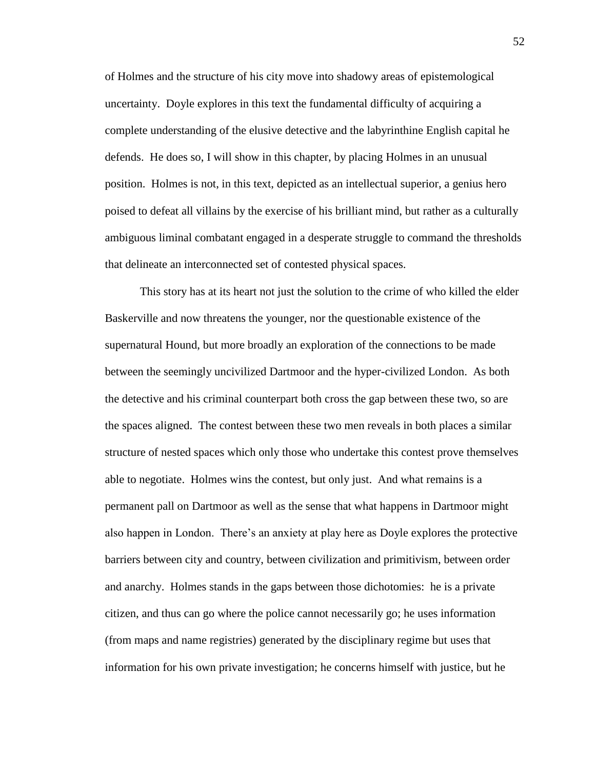of Holmes and the structure of his city move into shadowy areas of epistemological uncertainty. Doyle explores in this text the fundamental difficulty of acquiring a complete understanding of the elusive detective and the labyrinthine English capital he defends. He does so, I will show in this chapter, by placing Holmes in an unusual position. Holmes is not, in this text, depicted as an intellectual superior, a genius hero poised to defeat all villains by the exercise of his brilliant mind, but rather as a culturally ambiguous liminal combatant engaged in a desperate struggle to command the thresholds that delineate an interconnected set of contested physical spaces.

This story has at its heart not just the solution to the crime of who killed the elder Baskerville and now threatens the younger, nor the questionable existence of the supernatural Hound, but more broadly an exploration of the connections to be made between the seemingly uncivilized Dartmoor and the hyper-civilized London. As both the detective and his criminal counterpart both cross the gap between these two, so are the spaces aligned. The contest between these two men reveals in both places a similar structure of nested spaces which only those who undertake this contest prove themselves able to negotiate. Holmes wins the contest, but only just. And what remains is a permanent pall on Dartmoor as well as the sense that what happens in Dartmoor might also happen in London. There's an anxiety at play here as Doyle explores the protective barriers between city and country, between civilization and primitivism, between order and anarchy. Holmes stands in the gaps between those dichotomies: he is a private citizen, and thus can go where the police cannot necessarily go; he uses information (from maps and name registries) generated by the disciplinary regime but uses that information for his own private investigation; he concerns himself with justice, but he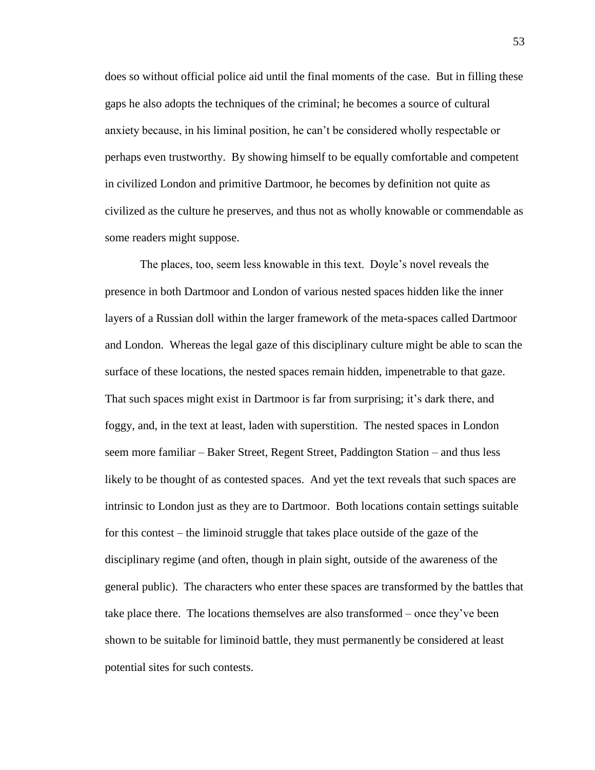does so without official police aid until the final moments of the case. But in filling these gaps he also adopts the techniques of the criminal; he becomes a source of cultural anxiety because, in his liminal position, he can't be considered wholly respectable or perhaps even trustworthy. By showing himself to be equally comfortable and competent in civilized London and primitive Dartmoor, he becomes by definition not quite as civilized as the culture he preserves, and thus not as wholly knowable or commendable as some readers might suppose.

The places, too, seem less knowable in this text. Doyle's novel reveals the presence in both Dartmoor and London of various nested spaces hidden like the inner layers of a Russian doll within the larger framework of the meta-spaces called Dartmoor and London. Whereas the legal gaze of this disciplinary culture might be able to scan the surface of these locations, the nested spaces remain hidden, impenetrable to that gaze. That such spaces might exist in Dartmoor is far from surprising; it's dark there, and foggy, and, in the text at least, laden with superstition. The nested spaces in London seem more familiar – Baker Street, Regent Street, Paddington Station – and thus less likely to be thought of as contested spaces. And yet the text reveals that such spaces are intrinsic to London just as they are to Dartmoor. Both locations contain settings suitable for this contest – the liminoid struggle that takes place outside of the gaze of the disciplinary regime (and often, though in plain sight, outside of the awareness of the general public). The characters who enter these spaces are transformed by the battles that take place there. The locations themselves are also transformed – once they've been shown to be suitable for liminoid battle, they must permanently be considered at least potential sites for such contests.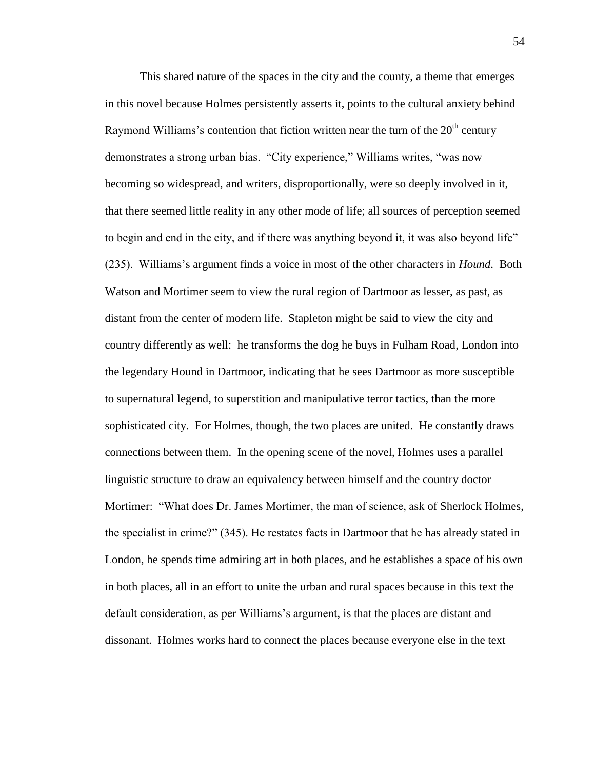This shared nature of the spaces in the city and the county, a theme that emerges in this novel because Holmes persistently asserts it, points to the cultural anxiety behind Raymond Williams's contention that fiction written near the turn of the  $20<sup>th</sup>$  century demonstrates a strong urban bias. "City experience," Williams writes, "was now becoming so widespread, and writers, disproportionally, were so deeply involved in it, that there seemed little reality in any other mode of life; all sources of perception seemed to begin and end in the city, and if there was anything beyond it, it was also beyond life" (235). Williams's argument finds a voice in most of the other characters in *Hound*. Both Watson and Mortimer seem to view the rural region of Dartmoor as lesser, as past, as distant from the center of modern life. Stapleton might be said to view the city and country differently as well: he transforms the dog he buys in Fulham Road, London into the legendary Hound in Dartmoor, indicating that he sees Dartmoor as more susceptible to supernatural legend, to superstition and manipulative terror tactics, than the more sophisticated city. For Holmes, though, the two places are united. He constantly draws connections between them. In the opening scene of the novel, Holmes uses a parallel linguistic structure to draw an equivalency between himself and the country doctor Mortimer: "What does Dr. James Mortimer, the man of science, ask of Sherlock Holmes, the specialist in crime?" (345). He restates facts in Dartmoor that he has already stated in London, he spends time admiring art in both places, and he establishes a space of his own in both places, all in an effort to unite the urban and rural spaces because in this text the default consideration, as per Williams's argument, is that the places are distant and dissonant. Holmes works hard to connect the places because everyone else in the text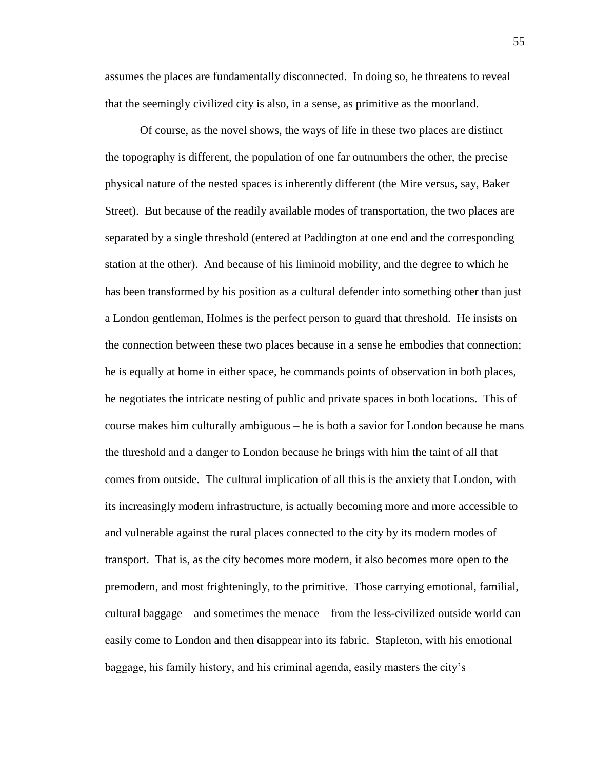assumes the places are fundamentally disconnected. In doing so, he threatens to reveal that the seemingly civilized city is also, in a sense, as primitive as the moorland.

Of course, as the novel shows, the ways of life in these two places are distinct – the topography is different, the population of one far outnumbers the other, the precise physical nature of the nested spaces is inherently different (the Mire versus, say, Baker Street). But because of the readily available modes of transportation, the two places are separated by a single threshold (entered at Paddington at one end and the corresponding station at the other). And because of his liminoid mobility, and the degree to which he has been transformed by his position as a cultural defender into something other than just a London gentleman, Holmes is the perfect person to guard that threshold. He insists on the connection between these two places because in a sense he embodies that connection; he is equally at home in either space, he commands points of observation in both places, he negotiates the intricate nesting of public and private spaces in both locations. This of course makes him culturally ambiguous – he is both a savior for London because he mans the threshold and a danger to London because he brings with him the taint of all that comes from outside. The cultural implication of all this is the anxiety that London, with its increasingly modern infrastructure, is actually becoming more and more accessible to and vulnerable against the rural places connected to the city by its modern modes of transport. That is, as the city becomes more modern, it also becomes more open to the premodern, and most frighteningly, to the primitive. Those carrying emotional, familial, cultural baggage – and sometimes the menace – from the less-civilized outside world can easily come to London and then disappear into its fabric. Stapleton, with his emotional baggage, his family history, and his criminal agenda, easily masters the city's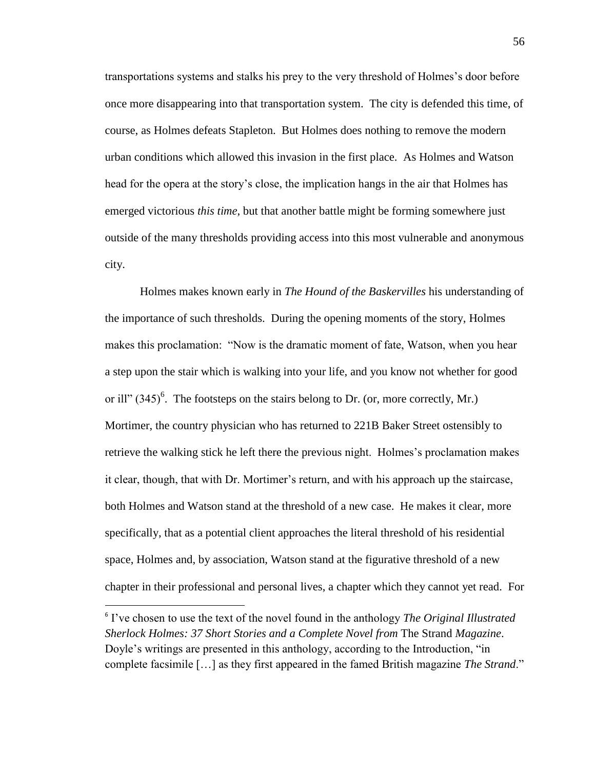transportations systems and stalks his prey to the very threshold of Holmes's door before once more disappearing into that transportation system. The city is defended this time, of course, as Holmes defeats Stapleton. But Holmes does nothing to remove the modern urban conditions which allowed this invasion in the first place. As Holmes and Watson head for the opera at the story's close, the implication hangs in the air that Holmes has emerged victorious *this time*, but that another battle might be forming somewhere just outside of the many thresholds providing access into this most vulnerable and anonymous city.

Holmes makes known early in *The Hound of the Baskervilles* his understanding of the importance of such thresholds. During the opening moments of the story, Holmes makes this proclamation: "Now is the dramatic moment of fate, Watson, when you hear a step upon the stair which is walking into your life, and you know not whether for good or ill"  $(345)^6$ . The footsteps on the stairs belong to Dr. (or, more correctly, Mr.) Mortimer, the country physician who has returned to 221B Baker Street ostensibly to retrieve the walking stick he left there the previous night. Holmes's proclamation makes it clear, though, that with Dr. Mortimer's return, and with his approach up the staircase, both Holmes and Watson stand at the threshold of a new case. He makes it clear, more specifically, that as a potential client approaches the literal threshold of his residential space, Holmes and, by association, Watson stand at the figurative threshold of a new chapter in their professional and personal lives, a chapter which they cannot yet read. For

 $\overline{a}$ 

<sup>6</sup> I've chosen to use the text of the novel found in the anthology *The Original Illustrated Sherlock Holmes: 37 Short Stories and a Complete Novel from* The Strand *Magazine*. Doyle's writings are presented in this anthology, according to the Introduction, "in complete facsimile […] as they first appeared in the famed British magazine *The Strand*."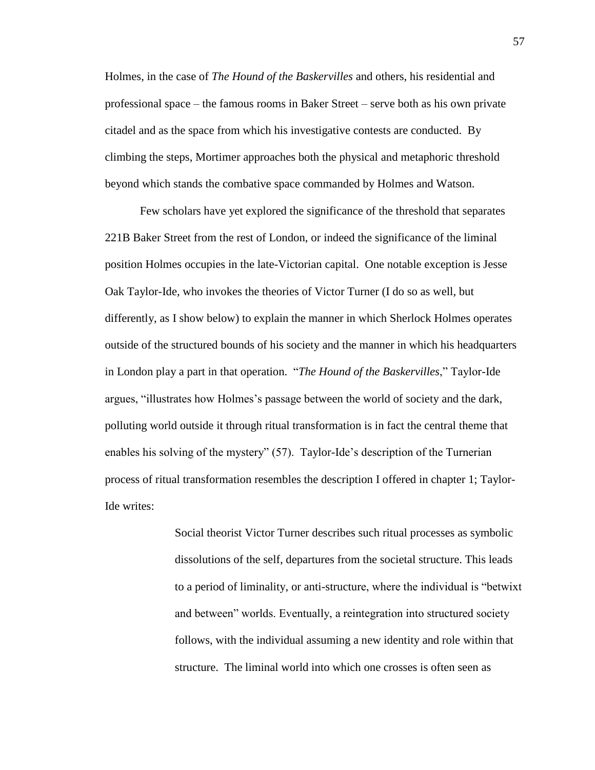Holmes, in the case of *The Hound of the Baskervilles* and others, his residential and professional space – the famous rooms in Baker Street – serve both as his own private citadel and as the space from which his investigative contests are conducted. By climbing the steps, Mortimer approaches both the physical and metaphoric threshold beyond which stands the combative space commanded by Holmes and Watson.

Few scholars have yet explored the significance of the threshold that separates 221B Baker Street from the rest of London, or indeed the significance of the liminal position Holmes occupies in the late-Victorian capital. One notable exception is Jesse Oak Taylor-Ide, who invokes the theories of Victor Turner (I do so as well, but differently, as I show below) to explain the manner in which Sherlock Holmes operates outside of the structured bounds of his society and the manner in which his headquarters in London play a part in that operation. "*The Hound of the Baskervilles*," Taylor-Ide argues, "illustrates how Holmes's passage between the world of society and the dark, polluting world outside it through ritual transformation is in fact the central theme that enables his solving of the mystery" (57). Taylor-Ide's description of the Turnerian process of ritual transformation resembles the description I offered in chapter 1; Taylor-Ide writes:

> Social theorist Victor Turner describes such ritual processes as symbolic dissolutions of the self, departures from the societal structure. This leads to a period of liminality, or anti-structure, where the individual is "betwixt and between" worlds. Eventually, a reintegration into structured society follows, with the individual assuming a new identity and role within that structure. The liminal world into which one crosses is often seen as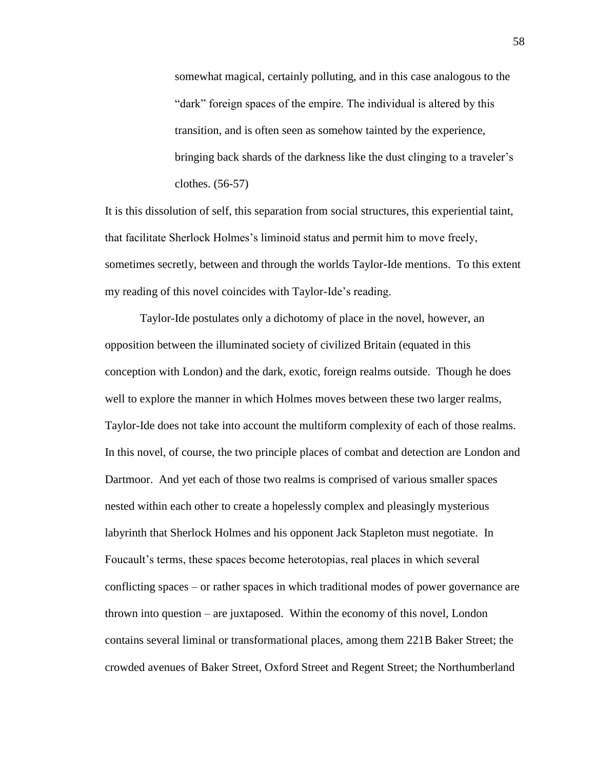somewhat magical, certainly polluting, and in this case analogous to the "dark" foreign spaces of the empire. The individual is altered by this transition, and is often seen as somehow tainted by the experience, bringing back shards of the darkness like the dust clinging to a traveler's clothes. (56-57)

It is this dissolution of self, this separation from social structures, this experiential taint, that facilitate Sherlock Holmes's liminoid status and permit him to move freely, sometimes secretly, between and through the worlds Taylor-Ide mentions. To this extent my reading of this novel coincides with Taylor-Ide's reading.

Taylor-Ide postulates only a dichotomy of place in the novel, however, an opposition between the illuminated society of civilized Britain (equated in this conception with London) and the dark, exotic, foreign realms outside. Though he does well to explore the manner in which Holmes moves between these two larger realms, Taylor-Ide does not take into account the multiform complexity of each of those realms. In this novel, of course, the two principle places of combat and detection are London and Dartmoor. And yet each of those two realms is comprised of various smaller spaces nested within each other to create a hopelessly complex and pleasingly mysterious labyrinth that Sherlock Holmes and his opponent Jack Stapleton must negotiate. In Foucault's terms, these spaces become heterotopias, real places in which several conflicting spaces – or rather spaces in which traditional modes of power governance are thrown into question – are juxtaposed. Within the economy of this novel, London contains several liminal or transformational places, among them 221B Baker Street; the crowded avenues of Baker Street, Oxford Street and Regent Street; the Northumberland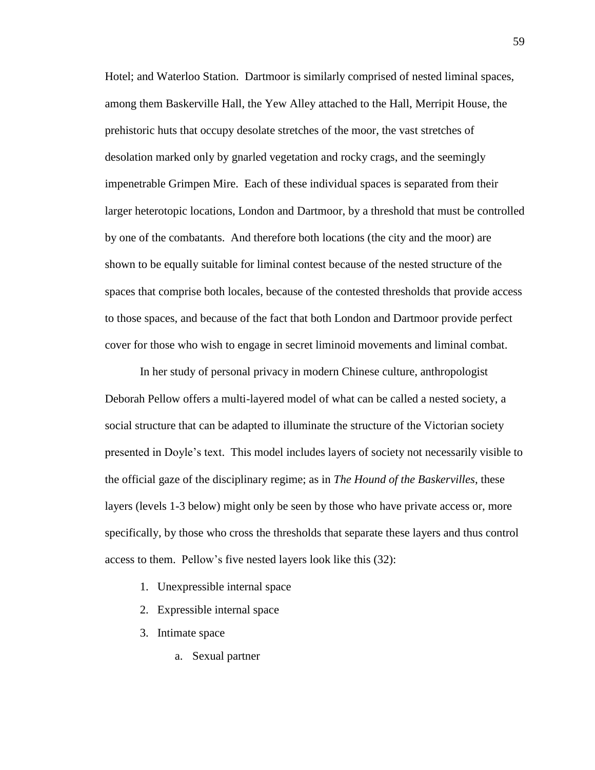Hotel; and Waterloo Station. Dartmoor is similarly comprised of nested liminal spaces, among them Baskerville Hall, the Yew Alley attached to the Hall, Merripit House, the prehistoric huts that occupy desolate stretches of the moor, the vast stretches of desolation marked only by gnarled vegetation and rocky crags, and the seemingly impenetrable Grimpen Mire. Each of these individual spaces is separated from their larger heterotopic locations, London and Dartmoor, by a threshold that must be controlled by one of the combatants. And therefore both locations (the city and the moor) are shown to be equally suitable for liminal contest because of the nested structure of the spaces that comprise both locales, because of the contested thresholds that provide access to those spaces, and because of the fact that both London and Dartmoor provide perfect cover for those who wish to engage in secret liminoid movements and liminal combat.

In her study of personal privacy in modern Chinese culture, anthropologist Deborah Pellow offers a multi-layered model of what can be called a nested society, a social structure that can be adapted to illuminate the structure of the Victorian society presented in Doyle's text. This model includes layers of society not necessarily visible to the official gaze of the disciplinary regime; as in *The Hound of the Baskervilles*, these layers (levels 1-3 below) might only be seen by those who have private access or, more specifically, by those who cross the thresholds that separate these layers and thus control access to them. Pellow's five nested layers look like this (32):

- 1. Unexpressible internal space
- 2. Expressible internal space
- 3. Intimate space
	- a. Sexual partner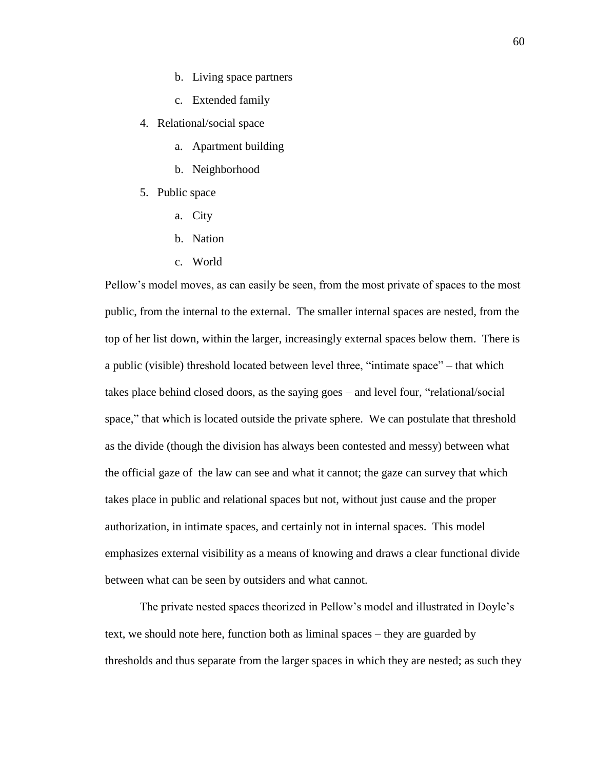- b. Living space partners
- c. Extended family
- 4. Relational/social space
	- a. Apartment building
	- b. Neighborhood
- 5. Public space
	- a. City
	- b. Nation
	- c. World

Pellow's model moves, as can easily be seen, from the most private of spaces to the most public, from the internal to the external. The smaller internal spaces are nested, from the top of her list down, within the larger, increasingly external spaces below them. There is a public (visible) threshold located between level three, "intimate space" – that which takes place behind closed doors, as the saying goes – and level four, "relational/social space," that which is located outside the private sphere. We can postulate that threshold as the divide (though the division has always been contested and messy) between what the official gaze of the law can see and what it cannot; the gaze can survey that which takes place in public and relational spaces but not, without just cause and the proper authorization, in intimate spaces, and certainly not in internal spaces. This model emphasizes external visibility as a means of knowing and draws a clear functional divide between what can be seen by outsiders and what cannot.

The private nested spaces theorized in Pellow's model and illustrated in Doyle's text, we should note here, function both as liminal spaces – they are guarded by thresholds and thus separate from the larger spaces in which they are nested; as such they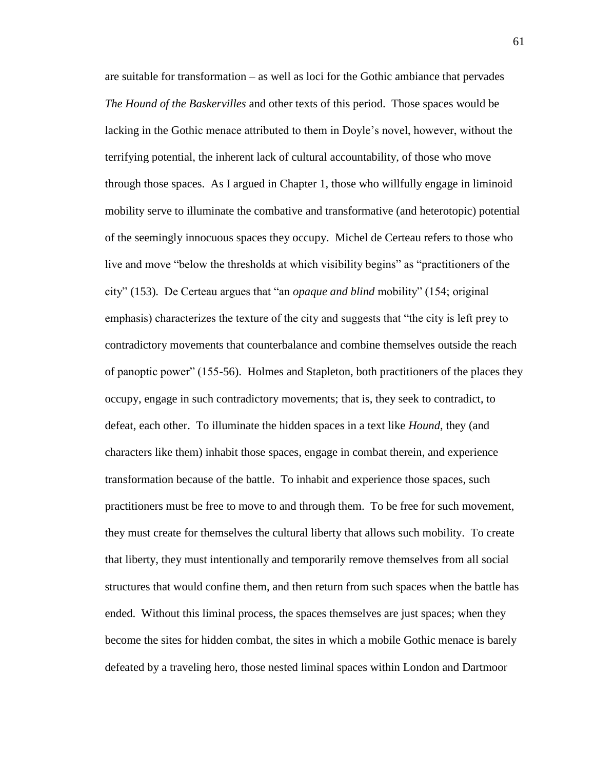are suitable for transformation – as well as loci for the Gothic ambiance that pervades *The Hound of the Baskervilles* and other texts of this period. Those spaces would be lacking in the Gothic menace attributed to them in Doyle's novel, however, without the terrifying potential, the inherent lack of cultural accountability, of those who move through those spaces. As I argued in Chapter 1, those who willfully engage in liminoid mobility serve to illuminate the combative and transformative (and heterotopic) potential of the seemingly innocuous spaces they occupy. Michel de Certeau refers to those who live and move "below the thresholds at which visibility begins" as "practitioners of the city" (153). De Certeau argues that "an *opaque and blind* mobility" (154; original emphasis) characterizes the texture of the city and suggests that "the city is left prey to contradictory movements that counterbalance and combine themselves outside the reach of panoptic power" (155-56). Holmes and Stapleton, both practitioners of the places they occupy, engage in such contradictory movements; that is, they seek to contradict, to defeat, each other. To illuminate the hidden spaces in a text like *Hound*, they (and characters like them) inhabit those spaces, engage in combat therein, and experience transformation because of the battle. To inhabit and experience those spaces, such practitioners must be free to move to and through them. To be free for such movement, they must create for themselves the cultural liberty that allows such mobility. To create that liberty, they must intentionally and temporarily remove themselves from all social structures that would confine them, and then return from such spaces when the battle has ended. Without this liminal process, the spaces themselves are just spaces; when they become the sites for hidden combat, the sites in which a mobile Gothic menace is barely defeated by a traveling hero, those nested liminal spaces within London and Dartmoor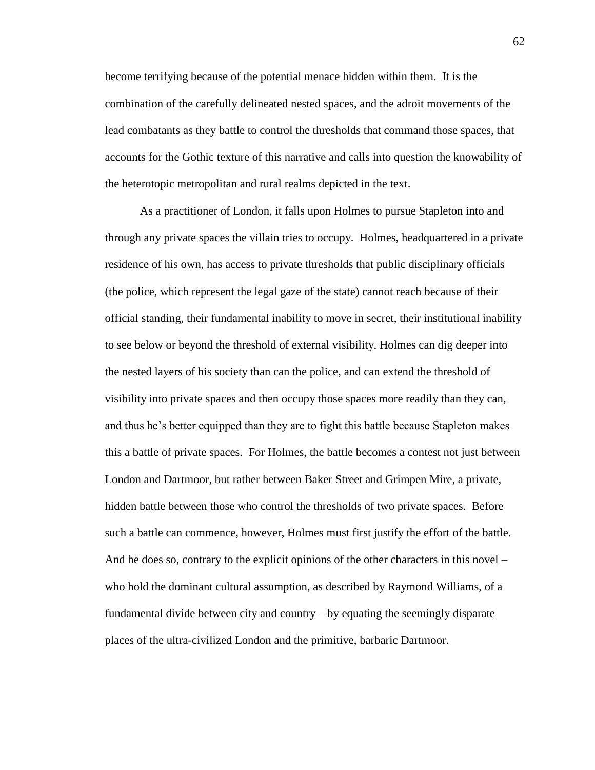become terrifying because of the potential menace hidden within them. It is the combination of the carefully delineated nested spaces, and the adroit movements of the lead combatants as they battle to control the thresholds that command those spaces, that accounts for the Gothic texture of this narrative and calls into question the knowability of the heterotopic metropolitan and rural realms depicted in the text.

As a practitioner of London, it falls upon Holmes to pursue Stapleton into and through any private spaces the villain tries to occupy. Holmes, headquartered in a private residence of his own, has access to private thresholds that public disciplinary officials (the police, which represent the legal gaze of the state) cannot reach because of their official standing, their fundamental inability to move in secret, their institutional inability to see below or beyond the threshold of external visibility. Holmes can dig deeper into the nested layers of his society than can the police, and can extend the threshold of visibility into private spaces and then occupy those spaces more readily than they can, and thus he's better equipped than they are to fight this battle because Stapleton makes this a battle of private spaces. For Holmes, the battle becomes a contest not just between London and Dartmoor, but rather between Baker Street and Grimpen Mire, a private, hidden battle between those who control the thresholds of two private spaces. Before such a battle can commence, however, Holmes must first justify the effort of the battle. And he does so, contrary to the explicit opinions of the other characters in this novel – who hold the dominant cultural assumption, as described by Raymond Williams, of a fundamental divide between city and country – by equating the seemingly disparate places of the ultra-civilized London and the primitive, barbaric Dartmoor.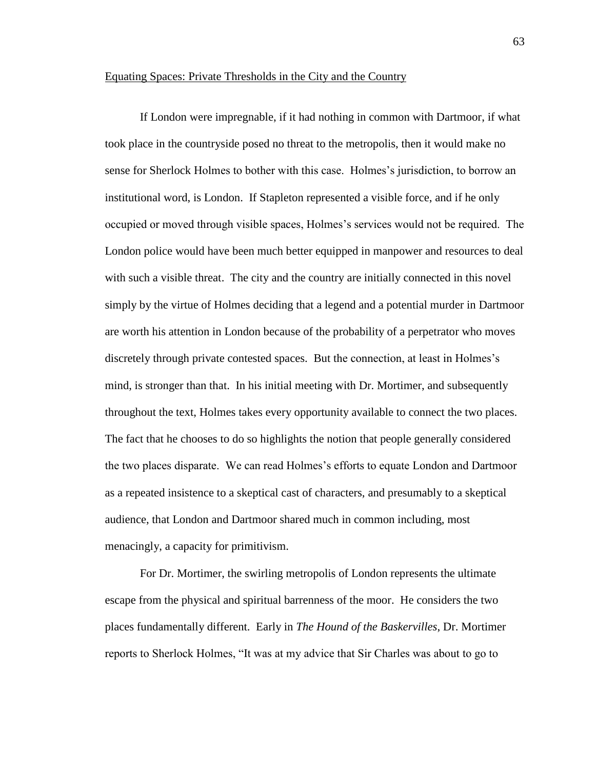## Equating Spaces: Private Thresholds in the City and the Country

If London were impregnable, if it had nothing in common with Dartmoor, if what took place in the countryside posed no threat to the metropolis, then it would make no sense for Sherlock Holmes to bother with this case. Holmes's jurisdiction, to borrow an institutional word, is London. If Stapleton represented a visible force, and if he only occupied or moved through visible spaces, Holmes's services would not be required. The London police would have been much better equipped in manpower and resources to deal with such a visible threat. The city and the country are initially connected in this novel simply by the virtue of Holmes deciding that a legend and a potential murder in Dartmoor are worth his attention in London because of the probability of a perpetrator who moves discretely through private contested spaces. But the connection, at least in Holmes's mind, is stronger than that. In his initial meeting with Dr. Mortimer, and subsequently throughout the text, Holmes takes every opportunity available to connect the two places. The fact that he chooses to do so highlights the notion that people generally considered the two places disparate. We can read Holmes's efforts to equate London and Dartmoor as a repeated insistence to a skeptical cast of characters, and presumably to a skeptical audience, that London and Dartmoor shared much in common including, most menacingly, a capacity for primitivism.

For Dr. Mortimer, the swirling metropolis of London represents the ultimate escape from the physical and spiritual barrenness of the moor. He considers the two places fundamentally different. Early in *The Hound of the Baskervilles*, Dr. Mortimer reports to Sherlock Holmes, "It was at my advice that Sir Charles was about to go to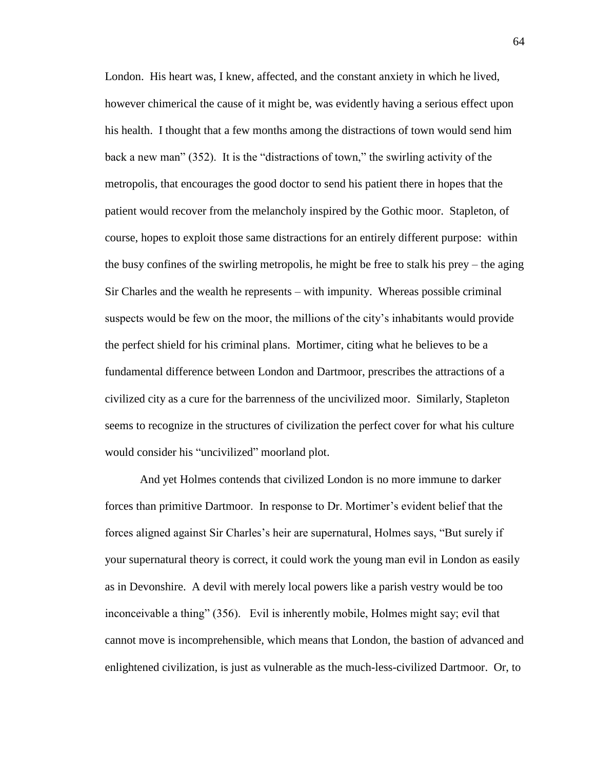London. His heart was, I knew, affected, and the constant anxiety in which he lived, however chimerical the cause of it might be, was evidently having a serious effect upon his health. I thought that a few months among the distractions of town would send him back a new man" (352). It is the "distractions of town," the swirling activity of the metropolis, that encourages the good doctor to send his patient there in hopes that the patient would recover from the melancholy inspired by the Gothic moor. Stapleton, of course, hopes to exploit those same distractions for an entirely different purpose: within the busy confines of the swirling metropolis, he might be free to stalk his prey – the aging Sir Charles and the wealth he represents – with impunity. Whereas possible criminal suspects would be few on the moor, the millions of the city's inhabitants would provide the perfect shield for his criminal plans. Mortimer, citing what he believes to be a fundamental difference between London and Dartmoor, prescribes the attractions of a civilized city as a cure for the barrenness of the uncivilized moor. Similarly, Stapleton seems to recognize in the structures of civilization the perfect cover for what his culture would consider his "uncivilized" moorland plot.

And yet Holmes contends that civilized London is no more immune to darker forces than primitive Dartmoor. In response to Dr. Mortimer's evident belief that the forces aligned against Sir Charles's heir are supernatural, Holmes says, "But surely if your supernatural theory is correct, it could work the young man evil in London as easily as in Devonshire. A devil with merely local powers like a parish vestry would be too inconceivable a thing" (356). Evil is inherently mobile, Holmes might say; evil that cannot move is incomprehensible, which means that London, the bastion of advanced and enlightened civilization, is just as vulnerable as the much-less-civilized Dartmoor. Or, to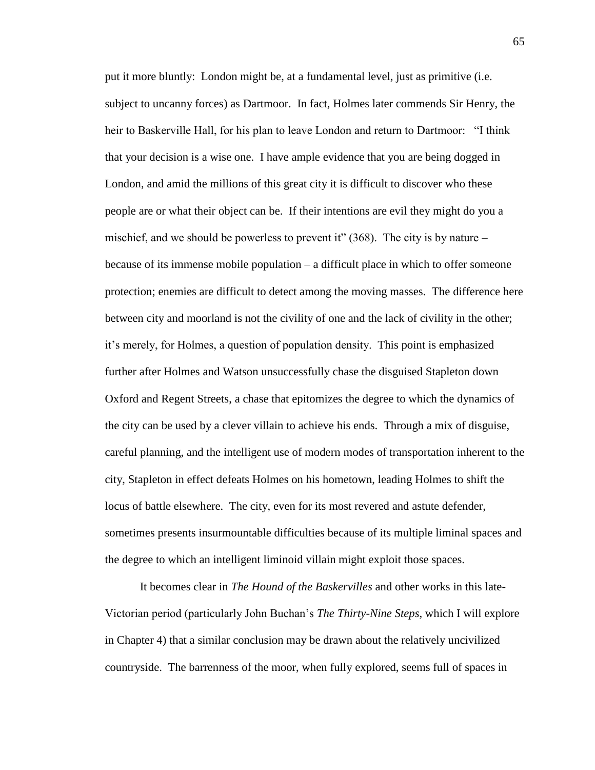put it more bluntly: London might be, at a fundamental level, just as primitive (i.e. subject to uncanny forces) as Dartmoor. In fact, Holmes later commends Sir Henry, the heir to Baskerville Hall, for his plan to leave London and return to Dartmoor: "I think that your decision is a wise one. I have ample evidence that you are being dogged in London, and amid the millions of this great city it is difficult to discover who these people are or what their object can be. If their intentions are evil they might do you a mischief, and we should be powerless to prevent it"  $(368)$ . The city is by nature – because of its immense mobile population – a difficult place in which to offer someone protection; enemies are difficult to detect among the moving masses. The difference here between city and moorland is not the civility of one and the lack of civility in the other; it's merely, for Holmes, a question of population density. This point is emphasized further after Holmes and Watson unsuccessfully chase the disguised Stapleton down Oxford and Regent Streets, a chase that epitomizes the degree to which the dynamics of the city can be used by a clever villain to achieve his ends. Through a mix of disguise, careful planning, and the intelligent use of modern modes of transportation inherent to the city, Stapleton in effect defeats Holmes on his hometown, leading Holmes to shift the locus of battle elsewhere. The city, even for its most revered and astute defender, sometimes presents insurmountable difficulties because of its multiple liminal spaces and the degree to which an intelligent liminoid villain might exploit those spaces.

It becomes clear in *The Hound of the Baskervilles* and other works in this late-Victorian period (particularly John Buchan's *The Thirty-Nine Steps*, which I will explore in Chapter 4) that a similar conclusion may be drawn about the relatively uncivilized countryside. The barrenness of the moor, when fully explored, seems full of spaces in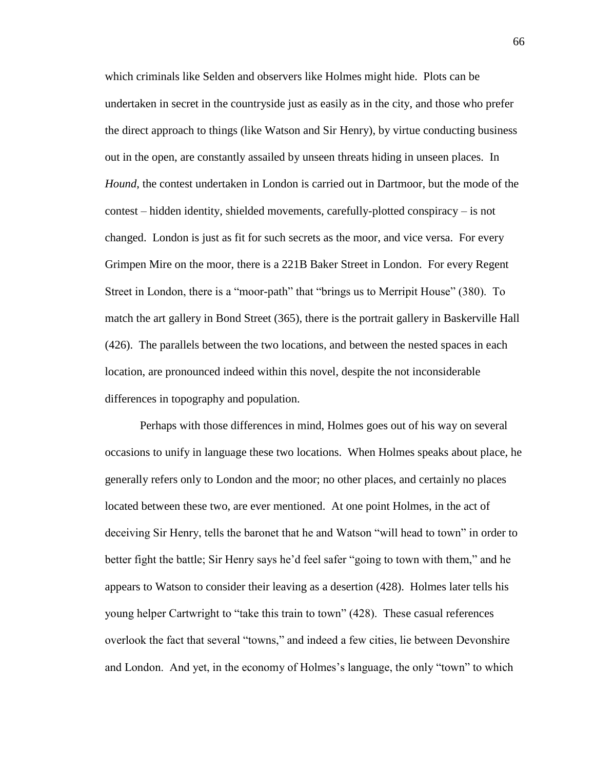which criminals like Selden and observers like Holmes might hide. Plots can be undertaken in secret in the countryside just as easily as in the city, and those who prefer the direct approach to things (like Watson and Sir Henry), by virtue conducting business out in the open, are constantly assailed by unseen threats hiding in unseen places. In *Hound*, the contest undertaken in London is carried out in Dartmoor, but the mode of the contest – hidden identity, shielded movements, carefully-plotted conspiracy – is not changed. London is just as fit for such secrets as the moor, and vice versa. For every Grimpen Mire on the moor, there is a 221B Baker Street in London. For every Regent Street in London, there is a "moor-path" that "brings us to Merripit House" (380). To match the art gallery in Bond Street (365), there is the portrait gallery in Baskerville Hall (426). The parallels between the two locations, and between the nested spaces in each location, are pronounced indeed within this novel, despite the not inconsiderable differences in topography and population.

Perhaps with those differences in mind, Holmes goes out of his way on several occasions to unify in language these two locations. When Holmes speaks about place, he generally refers only to London and the moor; no other places, and certainly no places located between these two, are ever mentioned. At one point Holmes, in the act of deceiving Sir Henry, tells the baronet that he and Watson "will head to town" in order to better fight the battle; Sir Henry says he'd feel safer "going to town with them," and he appears to Watson to consider their leaving as a desertion (428). Holmes later tells his young helper Cartwright to "take this train to town" (428). These casual references overlook the fact that several "towns," and indeed a few cities, lie between Devonshire and London. And yet, in the economy of Holmes's language, the only "town" to which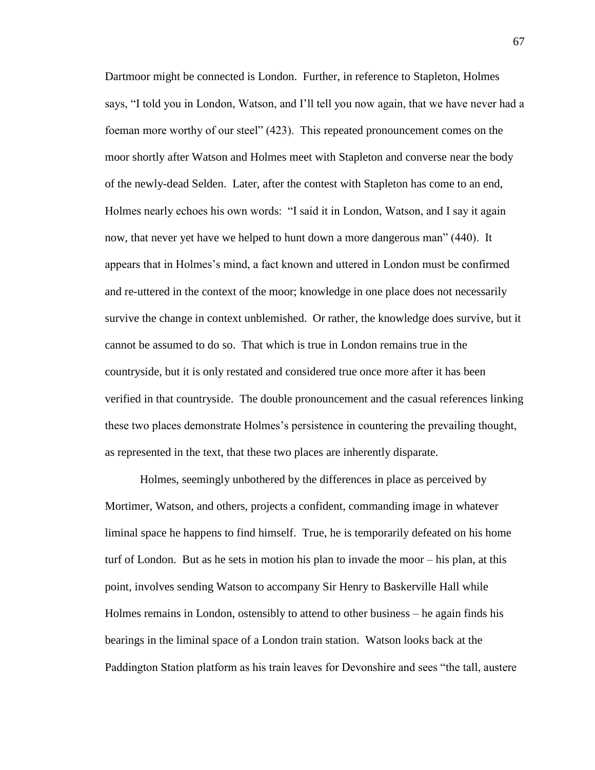Dartmoor might be connected is London. Further, in reference to Stapleton, Holmes says, "I told you in London, Watson, and I'll tell you now again, that we have never had a foeman more worthy of our steel" (423). This repeated pronouncement comes on the moor shortly after Watson and Holmes meet with Stapleton and converse near the body of the newly-dead Selden. Later, after the contest with Stapleton has come to an end, Holmes nearly echoes his own words: "I said it in London, Watson, and I say it again now, that never yet have we helped to hunt down a more dangerous man" (440). It appears that in Holmes's mind, a fact known and uttered in London must be confirmed and re-uttered in the context of the moor; knowledge in one place does not necessarily survive the change in context unblemished. Or rather, the knowledge does survive, but it cannot be assumed to do so. That which is true in London remains true in the countryside, but it is only restated and considered true once more after it has been verified in that countryside. The double pronouncement and the casual references linking these two places demonstrate Holmes's persistence in countering the prevailing thought, as represented in the text, that these two places are inherently disparate.

Holmes, seemingly unbothered by the differences in place as perceived by Mortimer, Watson, and others, projects a confident, commanding image in whatever liminal space he happens to find himself. True, he is temporarily defeated on his home turf of London. But as he sets in motion his plan to invade the moor – his plan, at this point, involves sending Watson to accompany Sir Henry to Baskerville Hall while Holmes remains in London, ostensibly to attend to other business – he again finds his bearings in the liminal space of a London train station. Watson looks back at the Paddington Station platform as his train leaves for Devonshire and sees "the tall, austere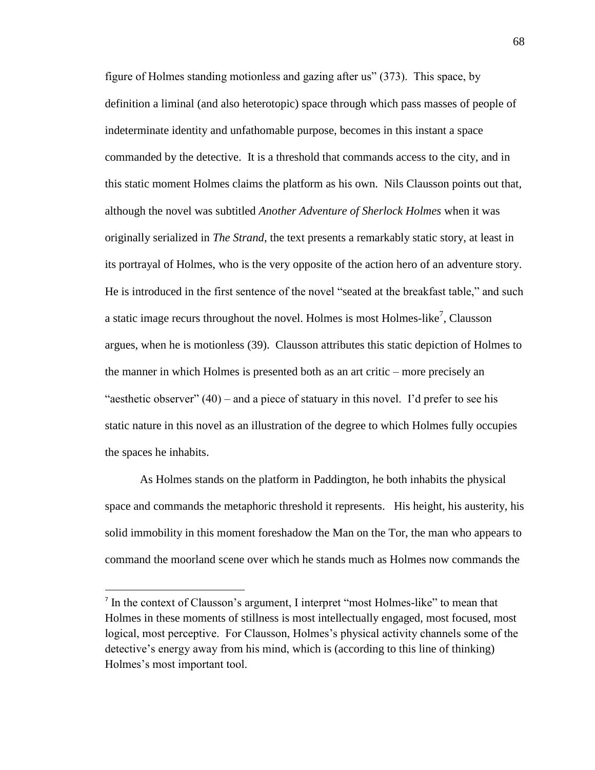figure of Holmes standing motionless and gazing after us" (373). This space, by definition a liminal (and also heterotopic) space through which pass masses of people of indeterminate identity and unfathomable purpose, becomes in this instant a space commanded by the detective. It is a threshold that commands access to the city, and in this static moment Holmes claims the platform as his own. Nils Clausson points out that, although the novel was subtitled *Another Adventure of Sherlock Holmes* when it was originally serialized in *The Strand*, the text presents a remarkably static story, at least in its portrayal of Holmes, who is the very opposite of the action hero of an adventure story. He is introduced in the first sentence of the novel "seated at the breakfast table," and such a static image recurs throughout the novel. Holmes is most Holmes-like<sup>7</sup>, Clausson argues, when he is motionless (39). Clausson attributes this static depiction of Holmes to the manner in which Holmes is presented both as an art critic – more precisely an "aesthetic observer"  $(40)$  – and a piece of statuary in this novel. I'd prefer to see his static nature in this novel as an illustration of the degree to which Holmes fully occupies the spaces he inhabits.

As Holmes stands on the platform in Paddington, he both inhabits the physical space and commands the metaphoric threshold it represents. His height, his austerity, his solid immobility in this moment foreshadow the Man on the Tor, the man who appears to command the moorland scene over which he stands much as Holmes now commands the

 $\overline{a}$ 

<sup>&</sup>lt;sup>7</sup> In the context of Clausson's argument, I interpret "most Holmes-like" to mean that Holmes in these moments of stillness is most intellectually engaged, most focused, most logical, most perceptive. For Clausson, Holmes's physical activity channels some of the detective's energy away from his mind, which is (according to this line of thinking) Holmes's most important tool.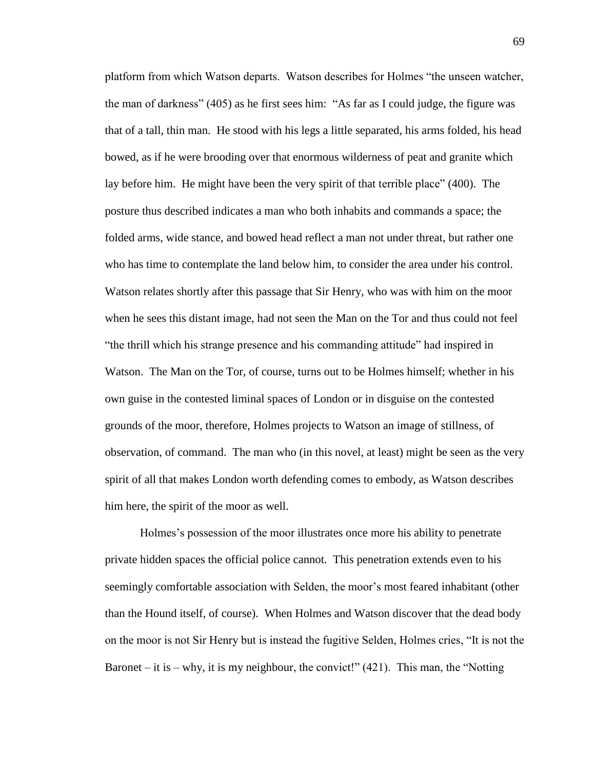platform from which Watson departs. Watson describes for Holmes "the unseen watcher, the man of darkness" (405) as he first sees him: "As far as I could judge, the figure was that of a tall, thin man. He stood with his legs a little separated, his arms folded, his head bowed, as if he were brooding over that enormous wilderness of peat and granite which lay before him. He might have been the very spirit of that terrible place" (400). The posture thus described indicates a man who both inhabits and commands a space; the folded arms, wide stance, and bowed head reflect a man not under threat, but rather one who has time to contemplate the land below him, to consider the area under his control. Watson relates shortly after this passage that Sir Henry, who was with him on the moor when he sees this distant image, had not seen the Man on the Tor and thus could not feel "the thrill which his strange presence and his commanding attitude" had inspired in Watson. The Man on the Tor, of course, turns out to be Holmes himself; whether in his own guise in the contested liminal spaces of London or in disguise on the contested grounds of the moor, therefore, Holmes projects to Watson an image of stillness, of observation, of command. The man who (in this novel, at least) might be seen as the very spirit of all that makes London worth defending comes to embody, as Watson describes him here, the spirit of the moor as well.

Holmes's possession of the moor illustrates once more his ability to penetrate private hidden spaces the official police cannot. This penetration extends even to his seemingly comfortable association with Selden, the moor's most feared inhabitant (other than the Hound itself, of course). When Holmes and Watson discover that the dead body on the moor is not Sir Henry but is instead the fugitive Selden, Holmes cries, "It is not the Baronet – it is – why, it is my neighbour, the convict!"  $(421)$ . This man, the "Notting"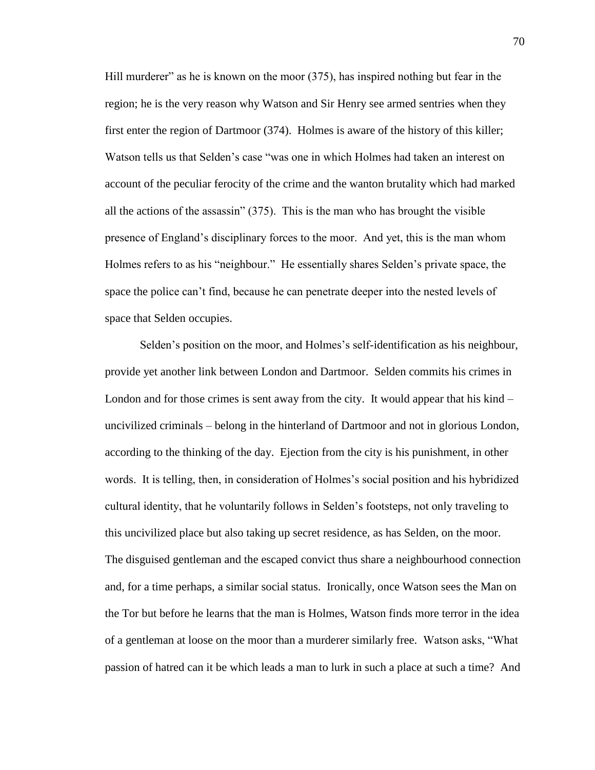Hill murderer" as he is known on the moor (375), has inspired nothing but fear in the region; he is the very reason why Watson and Sir Henry see armed sentries when they first enter the region of Dartmoor (374). Holmes is aware of the history of this killer; Watson tells us that Selden's case "was one in which Holmes had taken an interest on account of the peculiar ferocity of the crime and the wanton brutality which had marked all the actions of the assassin" (375). This is the man who has brought the visible presence of England's disciplinary forces to the moor. And yet, this is the man whom Holmes refers to as his "neighbour." He essentially shares Selden's private space, the space the police can't find, because he can penetrate deeper into the nested levels of space that Selden occupies.

Selden's position on the moor, and Holmes's self-identification as his neighbour, provide yet another link between London and Dartmoor. Selden commits his crimes in London and for those crimes is sent away from the city. It would appear that his kind – uncivilized criminals – belong in the hinterland of Dartmoor and not in glorious London, according to the thinking of the day. Ejection from the city is his punishment, in other words. It is telling, then, in consideration of Holmes's social position and his hybridized cultural identity, that he voluntarily follows in Selden's footsteps, not only traveling to this uncivilized place but also taking up secret residence, as has Selden, on the moor. The disguised gentleman and the escaped convict thus share a neighbourhood connection and, for a time perhaps, a similar social status. Ironically, once Watson sees the Man on the Tor but before he learns that the man is Holmes, Watson finds more terror in the idea of a gentleman at loose on the moor than a murderer similarly free. Watson asks, "What passion of hatred can it be which leads a man to lurk in such a place at such a time? And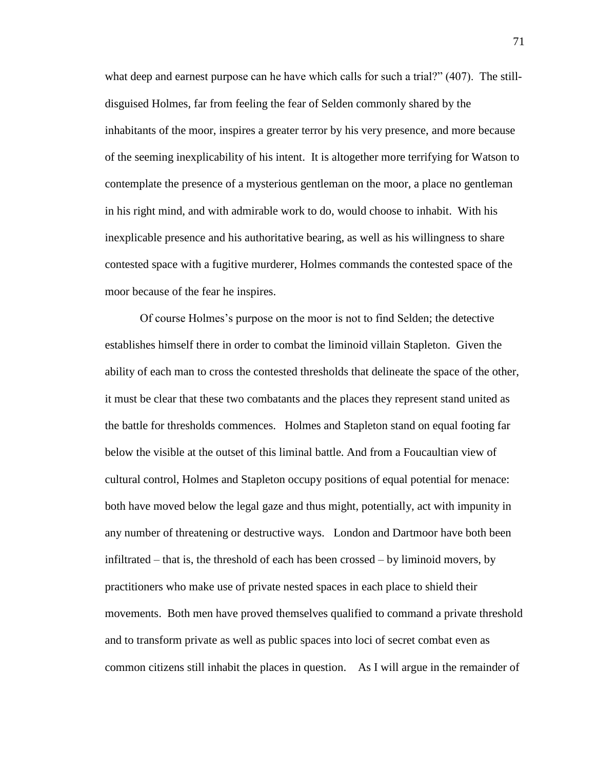what deep and earnest purpose can he have which calls for such a trial?" (407). The stilldisguised Holmes, far from feeling the fear of Selden commonly shared by the inhabitants of the moor, inspires a greater terror by his very presence, and more because of the seeming inexplicability of his intent. It is altogether more terrifying for Watson to contemplate the presence of a mysterious gentleman on the moor, a place no gentleman in his right mind, and with admirable work to do, would choose to inhabit. With his inexplicable presence and his authoritative bearing, as well as his willingness to share contested space with a fugitive murderer, Holmes commands the contested space of the moor because of the fear he inspires.

Of course Holmes's purpose on the moor is not to find Selden; the detective establishes himself there in order to combat the liminoid villain Stapleton. Given the ability of each man to cross the contested thresholds that delineate the space of the other, it must be clear that these two combatants and the places they represent stand united as the battle for thresholds commences. Holmes and Stapleton stand on equal footing far below the visible at the outset of this liminal battle. And from a Foucaultian view of cultural control, Holmes and Stapleton occupy positions of equal potential for menace: both have moved below the legal gaze and thus might, potentially, act with impunity in any number of threatening or destructive ways. London and Dartmoor have both been infiltrated – that is, the threshold of each has been crossed – by liminoid movers, by practitioners who make use of private nested spaces in each place to shield their movements. Both men have proved themselves qualified to command a private threshold and to transform private as well as public spaces into loci of secret combat even as common citizens still inhabit the places in question. As I will argue in the remainder of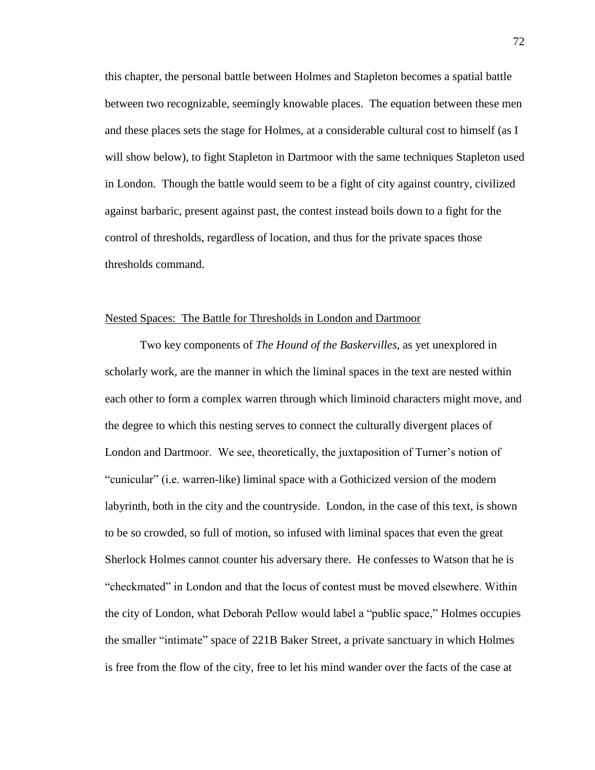this chapter, the personal battle between Holmes and Stapleton becomes a spatial battle between two recognizable, seemingly knowable places. The equation between these men and these places sets the stage for Holmes, at a considerable cultural cost to himself (as I will show below), to fight Stapleton in Dartmoor with the same techniques Stapleton used in London. Though the battle would seem to be a fight of city against country, civilized against barbaric, present against past, the contest instead boils down to a fight for the control of thresholds, regardless of location, and thus for the private spaces those thresholds command.

## Nested Spaces: The Battle for Thresholds in London and Dartmoor

Two key components of *The Hound of the Baskervilles*, as yet unexplored in scholarly work, are the manner in which the liminal spaces in the text are nested within each other to form a complex warren through which liminoid characters might move, and the degree to which this nesting serves to connect the culturally divergent places of London and Dartmoor. We see, theoretically, the juxtaposition of Turner's notion of "cunicular" (i.e. warren-like) liminal space with a Gothicized version of the modern labyrinth, both in the city and the countryside. London, in the case of this text, is shown to be so crowded, so full of motion, so infused with liminal spaces that even the great Sherlock Holmes cannot counter his adversary there. He confesses to Watson that he is "checkmated" in London and that the locus of contest must be moved elsewhere. Within the city of London, what Deborah Pellow would label a "public space," Holmes occupies the smaller "intimate" space of 221B Baker Street, a private sanctuary in which Holmes is free from the flow of the city, free to let his mind wander over the facts of the case at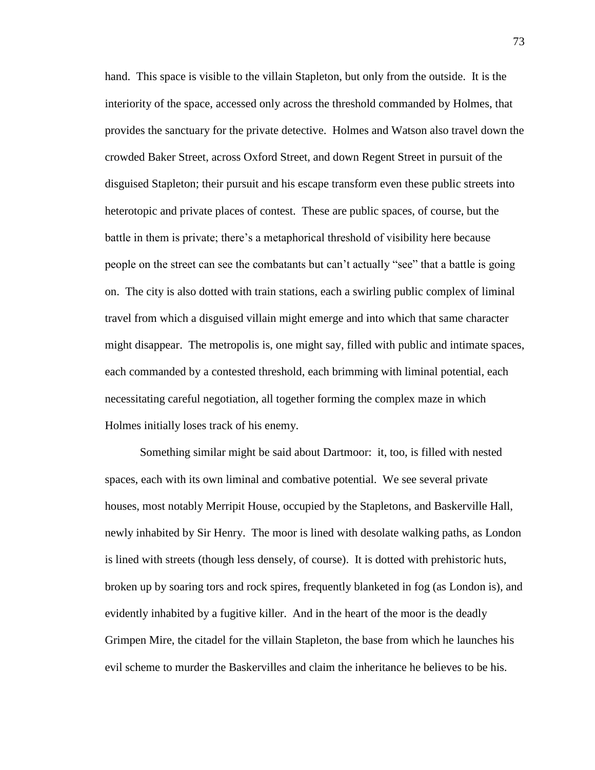hand. This space is visible to the villain Stapleton, but only from the outside. It is the interiority of the space, accessed only across the threshold commanded by Holmes, that provides the sanctuary for the private detective. Holmes and Watson also travel down the crowded Baker Street, across Oxford Street, and down Regent Street in pursuit of the disguised Stapleton; their pursuit and his escape transform even these public streets into heterotopic and private places of contest. These are public spaces, of course, but the battle in them is private; there's a metaphorical threshold of visibility here because people on the street can see the combatants but can't actually "see" that a battle is going on. The city is also dotted with train stations, each a swirling public complex of liminal travel from which a disguised villain might emerge and into which that same character might disappear. The metropolis is, one might say, filled with public and intimate spaces, each commanded by a contested threshold, each brimming with liminal potential, each necessitating careful negotiation, all together forming the complex maze in which Holmes initially loses track of his enemy.

Something similar might be said about Dartmoor: it, too, is filled with nested spaces, each with its own liminal and combative potential. We see several private houses, most notably Merripit House, occupied by the Stapletons, and Baskerville Hall, newly inhabited by Sir Henry. The moor is lined with desolate walking paths, as London is lined with streets (though less densely, of course). It is dotted with prehistoric huts, broken up by soaring tors and rock spires, frequently blanketed in fog (as London is), and evidently inhabited by a fugitive killer. And in the heart of the moor is the deadly Grimpen Mire, the citadel for the villain Stapleton, the base from which he launches his evil scheme to murder the Baskervilles and claim the inheritance he believes to be his.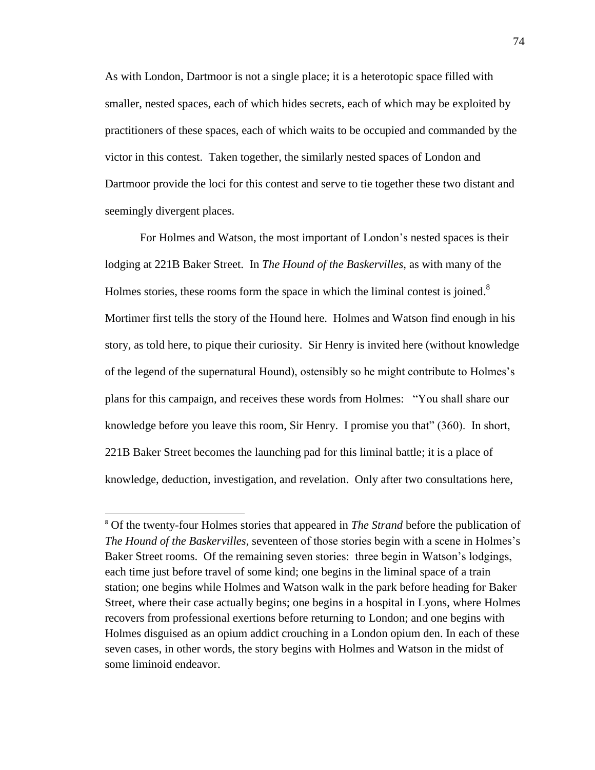As with London, Dartmoor is not a single place; it is a heterotopic space filled with smaller, nested spaces, each of which hides secrets, each of which may be exploited by practitioners of these spaces, each of which waits to be occupied and commanded by the victor in this contest. Taken together, the similarly nested spaces of London and Dartmoor provide the loci for this contest and serve to tie together these two distant and seemingly divergent places.

For Holmes and Watson, the most important of London's nested spaces is their lodging at 221B Baker Street. In *The Hound of the Baskervilles*, as with many of the Holmes stories, these rooms form the space in which the liminal contest is joined. $8$ Mortimer first tells the story of the Hound here. Holmes and Watson find enough in his story, as told here, to pique their curiosity. Sir Henry is invited here (without knowledge of the legend of the supernatural Hound), ostensibly so he might contribute to Holmes's plans for this campaign, and receives these words from Holmes: "You shall share our knowledge before you leave this room, Sir Henry. I promise you that" (360). In short, 221B Baker Street becomes the launching pad for this liminal battle; it is a place of knowledge, deduction, investigation, and revelation. Only after two consultations here,

 $\overline{a}$ 

<sup>8</sup> Of the twenty-four Holmes stories that appeared in *The Strand* before the publication of *The Hound of the Baskervilles*, seventeen of those stories begin with a scene in Holmes's Baker Street rooms. Of the remaining seven stories: three begin in Watson's lodgings, each time just before travel of some kind; one begins in the liminal space of a train station; one begins while Holmes and Watson walk in the park before heading for Baker Street, where their case actually begins; one begins in a hospital in Lyons, where Holmes recovers from professional exertions before returning to London; and one begins with Holmes disguised as an opium addict crouching in a London opium den. In each of these seven cases, in other words, the story begins with Holmes and Watson in the midst of some liminoid endeavor.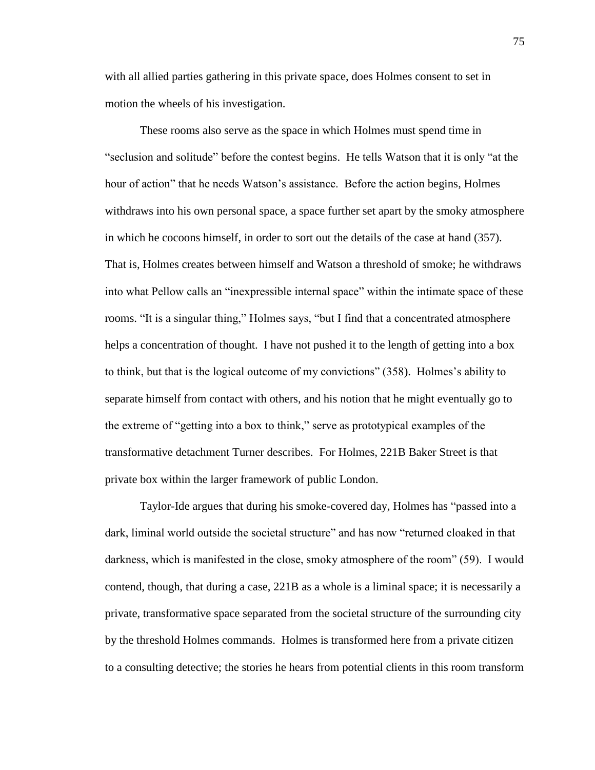with all allied parties gathering in this private space, does Holmes consent to set in motion the wheels of his investigation.

These rooms also serve as the space in which Holmes must spend time in "seclusion and solitude" before the contest begins. He tells Watson that it is only "at the hour of action" that he needs Watson's assistance. Before the action begins, Holmes withdraws into his own personal space, a space further set apart by the smoky atmosphere in which he cocoons himself, in order to sort out the details of the case at hand (357). That is, Holmes creates between himself and Watson a threshold of smoke; he withdraws into what Pellow calls an "inexpressible internal space" within the intimate space of these rooms. "It is a singular thing," Holmes says, "but I find that a concentrated atmosphere helps a concentration of thought. I have not pushed it to the length of getting into a box to think, but that is the logical outcome of my convictions" (358). Holmes's ability to separate himself from contact with others, and his notion that he might eventually go to the extreme of "getting into a box to think," serve as prototypical examples of the transformative detachment Turner describes. For Holmes, 221B Baker Street is that private box within the larger framework of public London.

Taylor-Ide argues that during his smoke-covered day, Holmes has "passed into a dark, liminal world outside the societal structure" and has now "returned cloaked in that darkness, which is manifested in the close, smoky atmosphere of the room" (59). I would contend, though, that during a case, 221B as a whole is a liminal space; it is necessarily a private, transformative space separated from the societal structure of the surrounding city by the threshold Holmes commands. Holmes is transformed here from a private citizen to a consulting detective; the stories he hears from potential clients in this room transform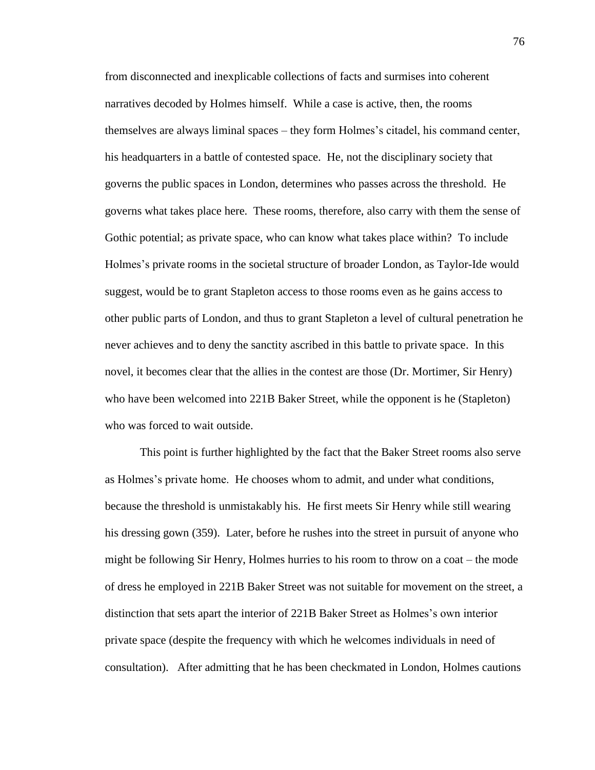from disconnected and inexplicable collections of facts and surmises into coherent narratives decoded by Holmes himself. While a case is active, then, the rooms themselves are always liminal spaces – they form Holmes's citadel, his command center, his headquarters in a battle of contested space. He, not the disciplinary society that governs the public spaces in London, determines who passes across the threshold. He governs what takes place here. These rooms, therefore, also carry with them the sense of Gothic potential; as private space, who can know what takes place within? To include Holmes's private rooms in the societal structure of broader London, as Taylor-Ide would suggest, would be to grant Stapleton access to those rooms even as he gains access to other public parts of London, and thus to grant Stapleton a level of cultural penetration he never achieves and to deny the sanctity ascribed in this battle to private space. In this novel, it becomes clear that the allies in the contest are those (Dr. Mortimer, Sir Henry) who have been welcomed into 221B Baker Street, while the opponent is he (Stapleton) who was forced to wait outside.

This point is further highlighted by the fact that the Baker Street rooms also serve as Holmes's private home. He chooses whom to admit, and under what conditions, because the threshold is unmistakably his. He first meets Sir Henry while still wearing his dressing gown (359). Later, before he rushes into the street in pursuit of anyone who might be following Sir Henry, Holmes hurries to his room to throw on a coat – the mode of dress he employed in 221B Baker Street was not suitable for movement on the street, a distinction that sets apart the interior of 221B Baker Street as Holmes's own interior private space (despite the frequency with which he welcomes individuals in need of consultation). After admitting that he has been checkmated in London, Holmes cautions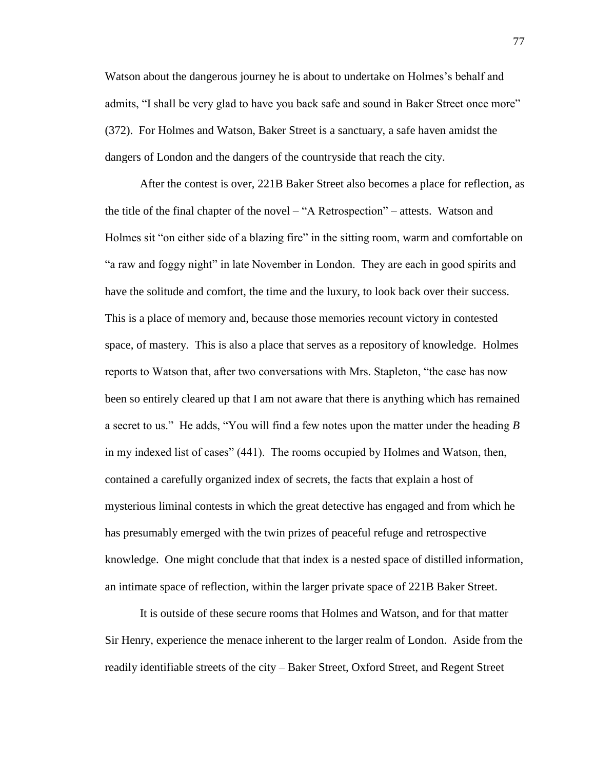Watson about the dangerous journey he is about to undertake on Holmes's behalf and admits, "I shall be very glad to have you back safe and sound in Baker Street once more" (372). For Holmes and Watson, Baker Street is a sanctuary, a safe haven amidst the dangers of London and the dangers of the countryside that reach the city.

After the contest is over, 221B Baker Street also becomes a place for reflection, as the title of the final chapter of the novel – "A Retrospection" – attests. Watson and Holmes sit "on either side of a blazing fire" in the sitting room, warm and comfortable on "a raw and foggy night" in late November in London. They are each in good spirits and have the solitude and comfort, the time and the luxury, to look back over their success. This is a place of memory and, because those memories recount victory in contested space, of mastery. This is also a place that serves as a repository of knowledge. Holmes reports to Watson that, after two conversations with Mrs. Stapleton, "the case has now been so entirely cleared up that I am not aware that there is anything which has remained a secret to us." He adds, "You will find a few notes upon the matter under the heading *B* in my indexed list of cases" (441). The rooms occupied by Holmes and Watson, then, contained a carefully organized index of secrets, the facts that explain a host of mysterious liminal contests in which the great detective has engaged and from which he has presumably emerged with the twin prizes of peaceful refuge and retrospective knowledge. One might conclude that that index is a nested space of distilled information, an intimate space of reflection, within the larger private space of 221B Baker Street.

It is outside of these secure rooms that Holmes and Watson, and for that matter Sir Henry, experience the menace inherent to the larger realm of London. Aside from the readily identifiable streets of the city – Baker Street, Oxford Street, and Regent Street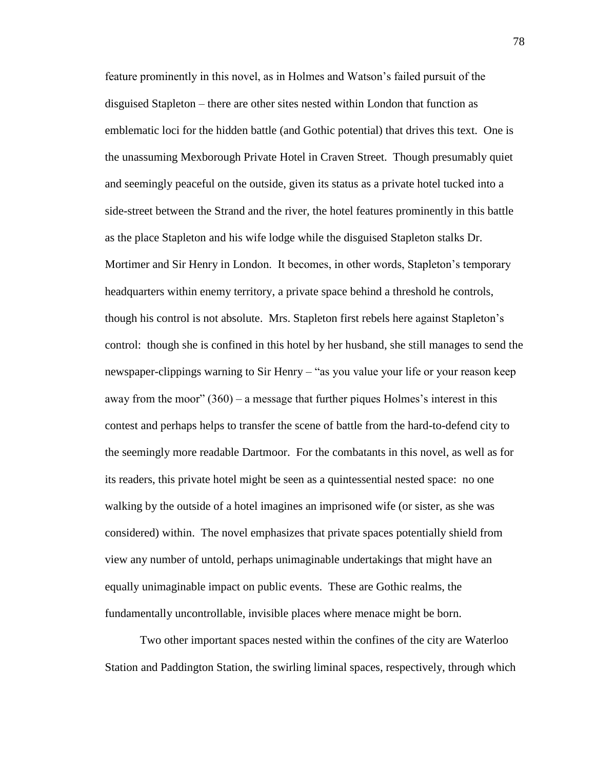feature prominently in this novel, as in Holmes and Watson's failed pursuit of the disguised Stapleton – there are other sites nested within London that function as emblematic loci for the hidden battle (and Gothic potential) that drives this text. One is the unassuming Mexborough Private Hotel in Craven Street. Though presumably quiet and seemingly peaceful on the outside, given its status as a private hotel tucked into a side-street between the Strand and the river, the hotel features prominently in this battle as the place Stapleton and his wife lodge while the disguised Stapleton stalks Dr. Mortimer and Sir Henry in London. It becomes, in other words, Stapleton's temporary headquarters within enemy territory, a private space behind a threshold he controls, though his control is not absolute. Mrs. Stapleton first rebels here against Stapleton's control: though she is confined in this hotel by her husband, she still manages to send the newspaper-clippings warning to Sir Henry – "as you value your life or your reason keep away from the moor"  $(360)$  – a message that further piques Holmes's interest in this contest and perhaps helps to transfer the scene of battle from the hard-to-defend city to the seemingly more readable Dartmoor. For the combatants in this novel, as well as for its readers, this private hotel might be seen as a quintessential nested space: no one walking by the outside of a hotel imagines an imprisoned wife (or sister, as she was considered) within. The novel emphasizes that private spaces potentially shield from view any number of untold, perhaps unimaginable undertakings that might have an equally unimaginable impact on public events. These are Gothic realms, the fundamentally uncontrollable, invisible places where menace might be born.

Two other important spaces nested within the confines of the city are Waterloo Station and Paddington Station, the swirling liminal spaces, respectively, through which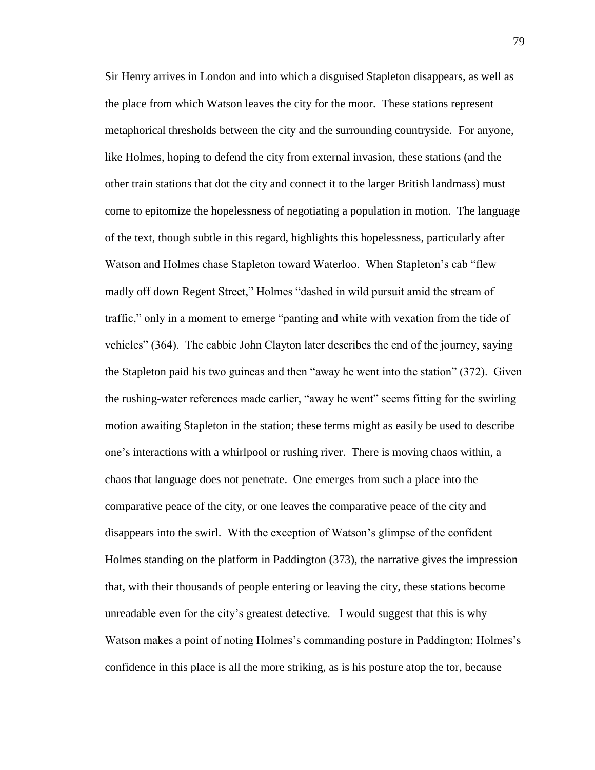Sir Henry arrives in London and into which a disguised Stapleton disappears, as well as the place from which Watson leaves the city for the moor. These stations represent metaphorical thresholds between the city and the surrounding countryside. For anyone, like Holmes, hoping to defend the city from external invasion, these stations (and the other train stations that dot the city and connect it to the larger British landmass) must come to epitomize the hopelessness of negotiating a population in motion. The language of the text, though subtle in this regard, highlights this hopelessness, particularly after Watson and Holmes chase Stapleton toward Waterloo. When Stapleton's cab "flew madly off down Regent Street," Holmes "dashed in wild pursuit amid the stream of traffic," only in a moment to emerge "panting and white with vexation from the tide of vehicles" (364). The cabbie John Clayton later describes the end of the journey, saying the Stapleton paid his two guineas and then "away he went into the station" (372). Given the rushing-water references made earlier, "away he went" seems fitting for the swirling motion awaiting Stapleton in the station; these terms might as easily be used to describe one's interactions with a whirlpool or rushing river. There is moving chaos within, a chaos that language does not penetrate. One emerges from such a place into the comparative peace of the city, or one leaves the comparative peace of the city and disappears into the swirl. With the exception of Watson's glimpse of the confident Holmes standing on the platform in Paddington (373), the narrative gives the impression that, with their thousands of people entering or leaving the city, these stations become unreadable even for the city's greatest detective. I would suggest that this is why Watson makes a point of noting Holmes's commanding posture in Paddington; Holmes's confidence in this place is all the more striking, as is his posture atop the tor, because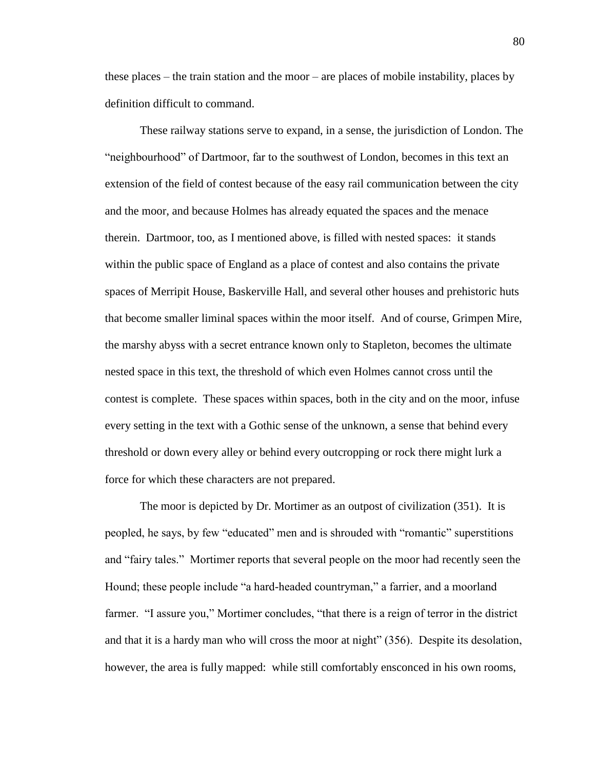these places – the train station and the moor – are places of mobile instability, places by definition difficult to command.

These railway stations serve to expand, in a sense, the jurisdiction of London. The "neighbourhood" of Dartmoor, far to the southwest of London, becomes in this text an extension of the field of contest because of the easy rail communication between the city and the moor, and because Holmes has already equated the spaces and the menace therein. Dartmoor, too, as I mentioned above, is filled with nested spaces: it stands within the public space of England as a place of contest and also contains the private spaces of Merripit House, Baskerville Hall, and several other houses and prehistoric huts that become smaller liminal spaces within the moor itself. And of course, Grimpen Mire, the marshy abyss with a secret entrance known only to Stapleton, becomes the ultimate nested space in this text, the threshold of which even Holmes cannot cross until the contest is complete. These spaces within spaces, both in the city and on the moor, infuse every setting in the text with a Gothic sense of the unknown, a sense that behind every threshold or down every alley or behind every outcropping or rock there might lurk a force for which these characters are not prepared.

The moor is depicted by Dr. Mortimer as an outpost of civilization (351). It is peopled, he says, by few "educated" men and is shrouded with "romantic" superstitions and "fairy tales." Mortimer reports that several people on the moor had recently seen the Hound; these people include "a hard-headed countryman," a farrier, and a moorland farmer. "I assure you," Mortimer concludes, "that there is a reign of terror in the district and that it is a hardy man who will cross the moor at night" (356). Despite its desolation, however, the area is fully mapped: while still comfortably ensconced in his own rooms,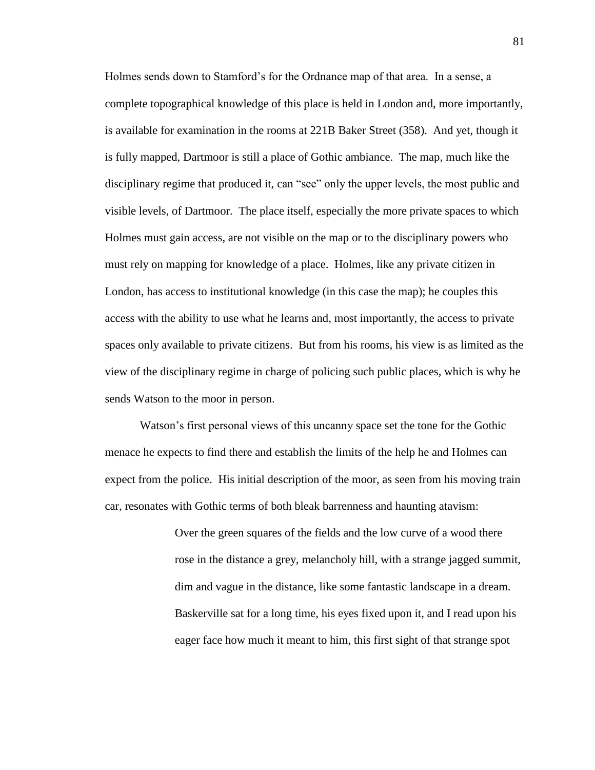Holmes sends down to Stamford's for the Ordnance map of that area. In a sense, a complete topographical knowledge of this place is held in London and, more importantly, is available for examination in the rooms at 221B Baker Street (358). And yet, though it is fully mapped, Dartmoor is still a place of Gothic ambiance. The map, much like the disciplinary regime that produced it, can "see" only the upper levels, the most public and visible levels, of Dartmoor. The place itself, especially the more private spaces to which Holmes must gain access, are not visible on the map or to the disciplinary powers who must rely on mapping for knowledge of a place. Holmes, like any private citizen in London, has access to institutional knowledge (in this case the map); he couples this access with the ability to use what he learns and, most importantly, the access to private spaces only available to private citizens. But from his rooms, his view is as limited as the view of the disciplinary regime in charge of policing such public places, which is why he sends Watson to the moor in person.

Watson's first personal views of this uncanny space set the tone for the Gothic menace he expects to find there and establish the limits of the help he and Holmes can expect from the police. His initial description of the moor, as seen from his moving train car, resonates with Gothic terms of both bleak barrenness and haunting atavism:

> Over the green squares of the fields and the low curve of a wood there rose in the distance a grey, melancholy hill, with a strange jagged summit, dim and vague in the distance, like some fantastic landscape in a dream. Baskerville sat for a long time, his eyes fixed upon it, and I read upon his eager face how much it meant to him, this first sight of that strange spot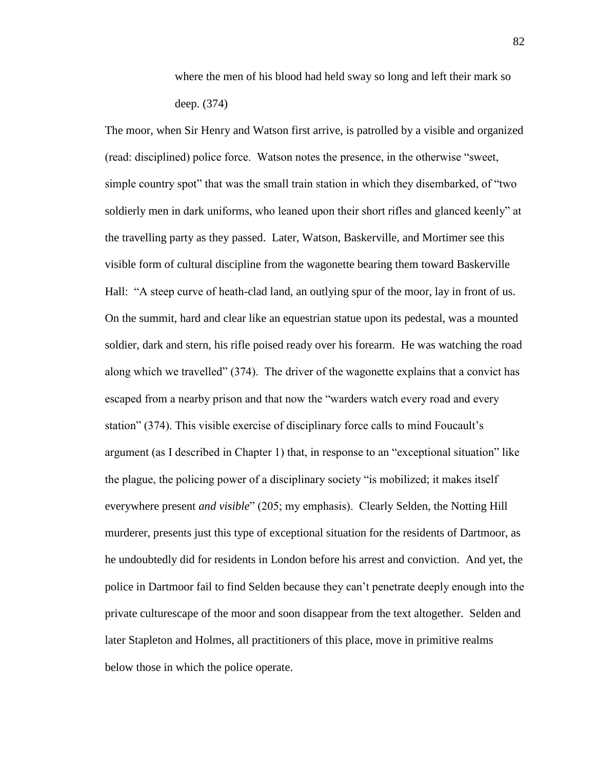where the men of his blood had held sway so long and left their mark so deep. (374)

The moor, when Sir Henry and Watson first arrive, is patrolled by a visible and organized (read: disciplined) police force. Watson notes the presence, in the otherwise "sweet, simple country spot" that was the small train station in which they disembarked, of "two soldierly men in dark uniforms, who leaned upon their short rifles and glanced keenly" at the travelling party as they passed. Later, Watson, Baskerville, and Mortimer see this visible form of cultural discipline from the wagonette bearing them toward Baskerville Hall: "A steep curve of heath-clad land, an outlying spur of the moor, lay in front of us. On the summit, hard and clear like an equestrian statue upon its pedestal, was a mounted soldier, dark and stern, his rifle poised ready over his forearm. He was watching the road along which we travelled" (374). The driver of the wagonette explains that a convict has escaped from a nearby prison and that now the "warders watch every road and every station" (374). This visible exercise of disciplinary force calls to mind Foucault's argument (as I described in Chapter 1) that, in response to an "exceptional situation" like the plague, the policing power of a disciplinary society "is mobilized; it makes itself everywhere present *and visible*" (205; my emphasis). Clearly Selden, the Notting Hill murderer, presents just this type of exceptional situation for the residents of Dartmoor, as he undoubtedly did for residents in London before his arrest and conviction. And yet, the police in Dartmoor fail to find Selden because they can't penetrate deeply enough into the private culturescape of the moor and soon disappear from the text altogether. Selden and later Stapleton and Holmes, all practitioners of this place, move in primitive realms below those in which the police operate.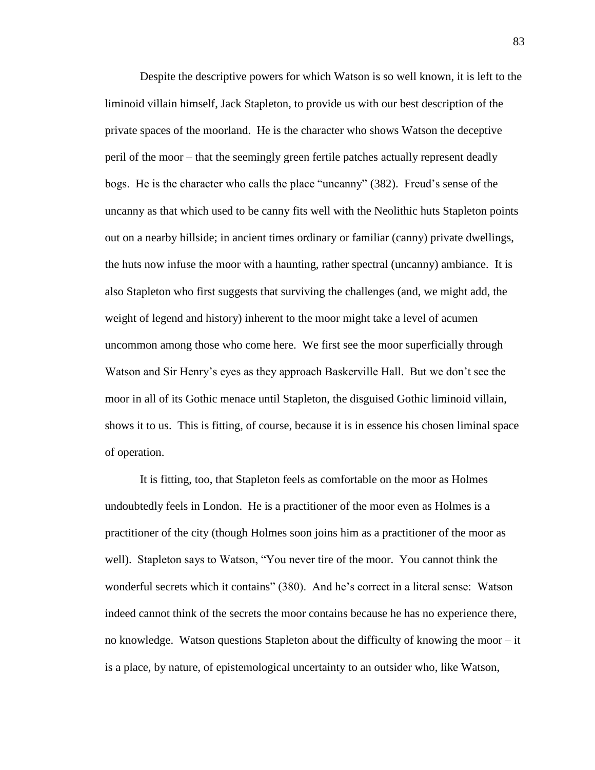Despite the descriptive powers for which Watson is so well known, it is left to the liminoid villain himself, Jack Stapleton, to provide us with our best description of the private spaces of the moorland. He is the character who shows Watson the deceptive peril of the moor – that the seemingly green fertile patches actually represent deadly bogs. He is the character who calls the place "uncanny" (382). Freud's sense of the uncanny as that which used to be canny fits well with the Neolithic huts Stapleton points out on a nearby hillside; in ancient times ordinary or familiar (canny) private dwellings, the huts now infuse the moor with a haunting, rather spectral (uncanny) ambiance. It is also Stapleton who first suggests that surviving the challenges (and, we might add, the weight of legend and history) inherent to the moor might take a level of acumen uncommon among those who come here. We first see the moor superficially through Watson and Sir Henry's eyes as they approach Baskerville Hall. But we don't see the moor in all of its Gothic menace until Stapleton, the disguised Gothic liminoid villain, shows it to us. This is fitting, of course, because it is in essence his chosen liminal space of operation.

It is fitting, too, that Stapleton feels as comfortable on the moor as Holmes undoubtedly feels in London. He is a practitioner of the moor even as Holmes is a practitioner of the city (though Holmes soon joins him as a practitioner of the moor as well). Stapleton says to Watson, "You never tire of the moor. You cannot think the wonderful secrets which it contains" (380). And he's correct in a literal sense: Watson indeed cannot think of the secrets the moor contains because he has no experience there, no knowledge. Watson questions Stapleton about the difficulty of knowing the moor – it is a place, by nature, of epistemological uncertainty to an outsider who, like Watson,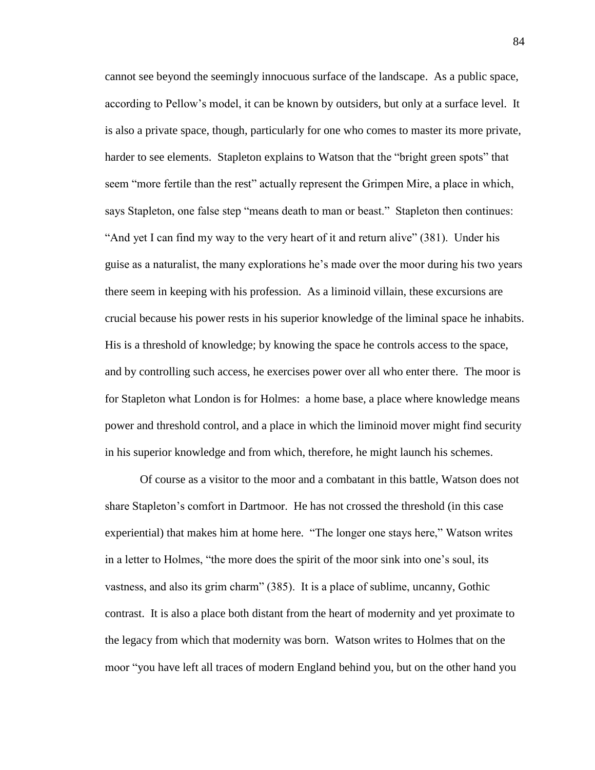cannot see beyond the seemingly innocuous surface of the landscape. As a public space, according to Pellow's model, it can be known by outsiders, but only at a surface level. It is also a private space, though, particularly for one who comes to master its more private, harder to see elements. Stapleton explains to Watson that the "bright green spots" that seem "more fertile than the rest" actually represent the Grimpen Mire, a place in which, says Stapleton, one false step "means death to man or beast." Stapleton then continues: "And yet I can find my way to the very heart of it and return alive" (381). Under his guise as a naturalist, the many explorations he's made over the moor during his two years there seem in keeping with his profession. As a liminoid villain, these excursions are crucial because his power rests in his superior knowledge of the liminal space he inhabits. His is a threshold of knowledge; by knowing the space he controls access to the space, and by controlling such access, he exercises power over all who enter there. The moor is for Stapleton what London is for Holmes: a home base, a place where knowledge means power and threshold control, and a place in which the liminoid mover might find security in his superior knowledge and from which, therefore, he might launch his schemes.

Of course as a visitor to the moor and a combatant in this battle, Watson does not share Stapleton's comfort in Dartmoor. He has not crossed the threshold (in this case experiential) that makes him at home here. "The longer one stays here," Watson writes in a letter to Holmes, "the more does the spirit of the moor sink into one's soul, its vastness, and also its grim charm" (385). It is a place of sublime, uncanny, Gothic contrast. It is also a place both distant from the heart of modernity and yet proximate to the legacy from which that modernity was born. Watson writes to Holmes that on the moor "you have left all traces of modern England behind you, but on the other hand you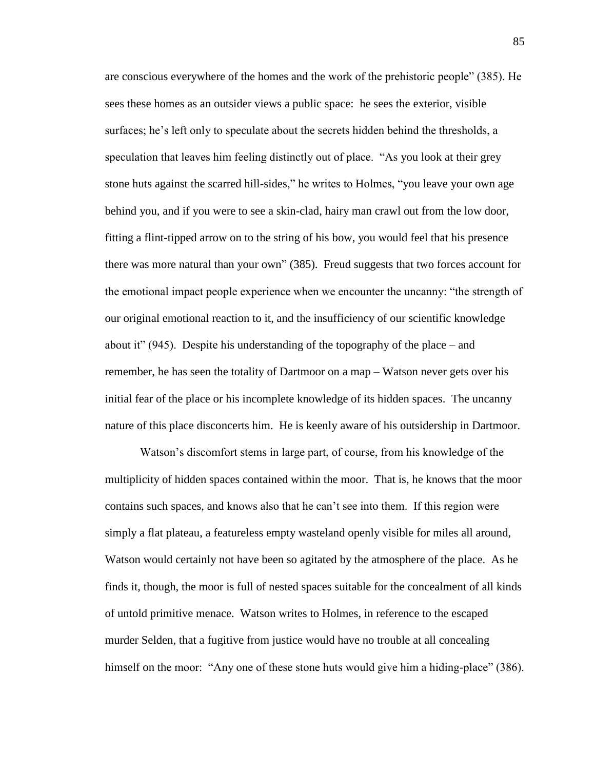are conscious everywhere of the homes and the work of the prehistoric people" (385). He sees these homes as an outsider views a public space: he sees the exterior, visible surfaces; he's left only to speculate about the secrets hidden behind the thresholds, a speculation that leaves him feeling distinctly out of place. "As you look at their grey stone huts against the scarred hill-sides," he writes to Holmes, "you leave your own age behind you, and if you were to see a skin-clad, hairy man crawl out from the low door, fitting a flint-tipped arrow on to the string of his bow, you would feel that his presence there was more natural than your own" (385). Freud suggests that two forces account for the emotional impact people experience when we encounter the uncanny: "the strength of our original emotional reaction to it, and the insufficiency of our scientific knowledge about it" (945). Despite his understanding of the topography of the place – and remember, he has seen the totality of Dartmoor on a map – Watson never gets over his initial fear of the place or his incomplete knowledge of its hidden spaces. The uncanny nature of this place disconcerts him. He is keenly aware of his outsidership in Dartmoor.

Watson's discomfort stems in large part, of course, from his knowledge of the multiplicity of hidden spaces contained within the moor. That is, he knows that the moor contains such spaces, and knows also that he can't see into them. If this region were simply a flat plateau, a featureless empty wasteland openly visible for miles all around, Watson would certainly not have been so agitated by the atmosphere of the place. As he finds it, though, the moor is full of nested spaces suitable for the concealment of all kinds of untold primitive menace. Watson writes to Holmes, in reference to the escaped murder Selden, that a fugitive from justice would have no trouble at all concealing himself on the moor: "Any one of these stone huts would give him a hiding-place" (386).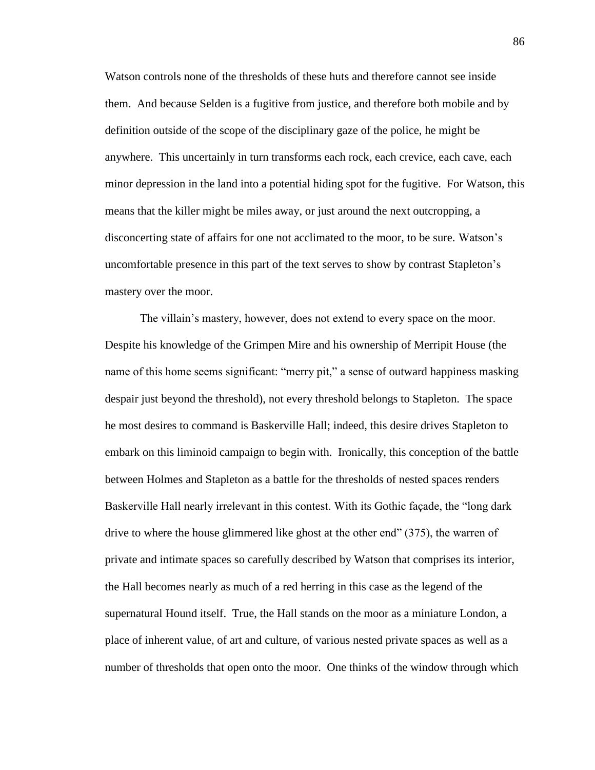Watson controls none of the thresholds of these huts and therefore cannot see inside them. And because Selden is a fugitive from justice, and therefore both mobile and by definition outside of the scope of the disciplinary gaze of the police, he might be anywhere. This uncertainly in turn transforms each rock, each crevice, each cave, each minor depression in the land into a potential hiding spot for the fugitive. For Watson, this means that the killer might be miles away, or just around the next outcropping, a disconcerting state of affairs for one not acclimated to the moor, to be sure. Watson's uncomfortable presence in this part of the text serves to show by contrast Stapleton's mastery over the moor.

The villain's mastery, however, does not extend to every space on the moor. Despite his knowledge of the Grimpen Mire and his ownership of Merripit House (the name of this home seems significant: "merry pit," a sense of outward happiness masking despair just beyond the threshold), not every threshold belongs to Stapleton. The space he most desires to command is Baskerville Hall; indeed, this desire drives Stapleton to embark on this liminoid campaign to begin with. Ironically, this conception of the battle between Holmes and Stapleton as a battle for the thresholds of nested spaces renders Baskerville Hall nearly irrelevant in this contest. With its Gothic façade, the "long dark drive to where the house glimmered like ghost at the other end" (375), the warren of private and intimate spaces so carefully described by Watson that comprises its interior, the Hall becomes nearly as much of a red herring in this case as the legend of the supernatural Hound itself. True, the Hall stands on the moor as a miniature London, a place of inherent value, of art and culture, of various nested private spaces as well as a number of thresholds that open onto the moor. One thinks of the window through which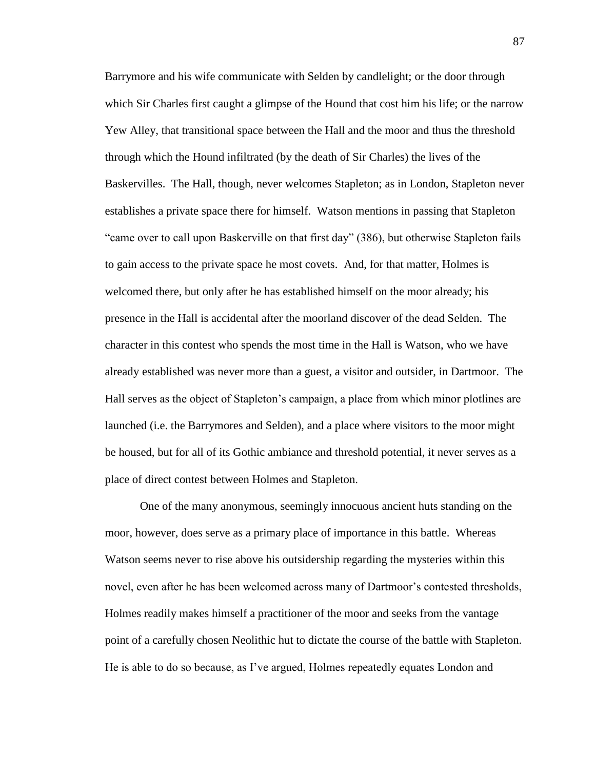Barrymore and his wife communicate with Selden by candlelight; or the door through which Sir Charles first caught a glimpse of the Hound that cost him his life; or the narrow Yew Alley, that transitional space between the Hall and the moor and thus the threshold through which the Hound infiltrated (by the death of Sir Charles) the lives of the Baskervilles. The Hall, though, never welcomes Stapleton; as in London, Stapleton never establishes a private space there for himself. Watson mentions in passing that Stapleton "came over to call upon Baskerville on that first day" (386), but otherwise Stapleton fails to gain access to the private space he most covets. And, for that matter, Holmes is welcomed there, but only after he has established himself on the moor already; his presence in the Hall is accidental after the moorland discover of the dead Selden. The character in this contest who spends the most time in the Hall is Watson, who we have already established was never more than a guest, a visitor and outsider, in Dartmoor. The Hall serves as the object of Stapleton's campaign, a place from which minor plotlines are launched (i.e. the Barrymores and Selden), and a place where visitors to the moor might be housed, but for all of its Gothic ambiance and threshold potential, it never serves as a place of direct contest between Holmes and Stapleton.

One of the many anonymous, seemingly innocuous ancient huts standing on the moor, however, does serve as a primary place of importance in this battle. Whereas Watson seems never to rise above his outsidership regarding the mysteries within this novel, even after he has been welcomed across many of Dartmoor's contested thresholds, Holmes readily makes himself a practitioner of the moor and seeks from the vantage point of a carefully chosen Neolithic hut to dictate the course of the battle with Stapleton. He is able to do so because, as I've argued, Holmes repeatedly equates London and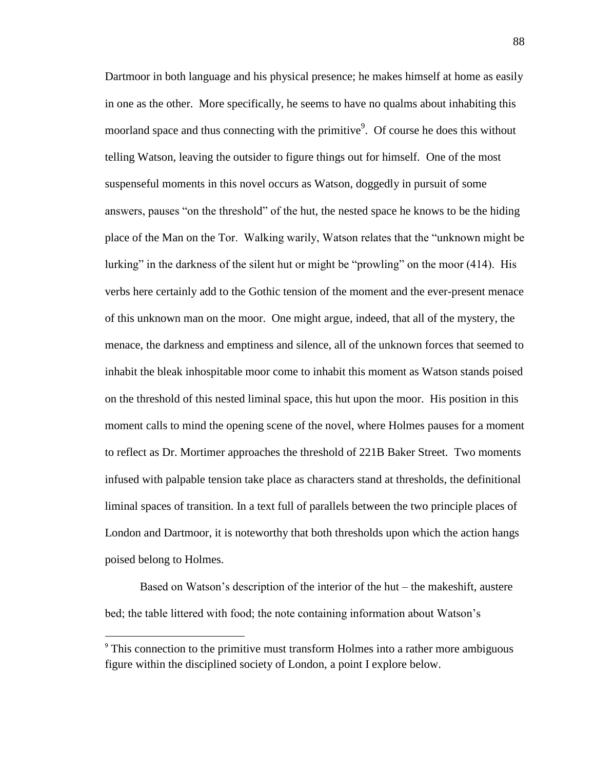Dartmoor in both language and his physical presence; he makes himself at home as easily in one as the other. More specifically, he seems to have no qualms about inhabiting this moorland space and thus connecting with the primitive<sup>9</sup>. Of course he does this without telling Watson, leaving the outsider to figure things out for himself. One of the most suspenseful moments in this novel occurs as Watson, doggedly in pursuit of some answers, pauses "on the threshold" of the hut, the nested space he knows to be the hiding place of the Man on the Tor. Walking warily, Watson relates that the "unknown might be lurking" in the darkness of the silent hut or might be "prowling" on the moor (414). His verbs here certainly add to the Gothic tension of the moment and the ever-present menace of this unknown man on the moor. One might argue, indeed, that all of the mystery, the menace, the darkness and emptiness and silence, all of the unknown forces that seemed to inhabit the bleak inhospitable moor come to inhabit this moment as Watson stands poised on the threshold of this nested liminal space, this hut upon the moor. His position in this moment calls to mind the opening scene of the novel, where Holmes pauses for a moment to reflect as Dr. Mortimer approaches the threshold of 221B Baker Street. Two moments infused with palpable tension take place as characters stand at thresholds, the definitional liminal spaces of transition. In a text full of parallels between the two principle places of London and Dartmoor, it is noteworthy that both thresholds upon which the action hangs poised belong to Holmes.

Based on Watson's description of the interior of the hut – the makeshift, austere bed; the table littered with food; the note containing information about Watson's

 $\overline{a}$ 

<sup>&</sup>lt;sup>9</sup> This connection to the primitive must transform Holmes into a rather more ambiguous figure within the disciplined society of London, a point I explore below.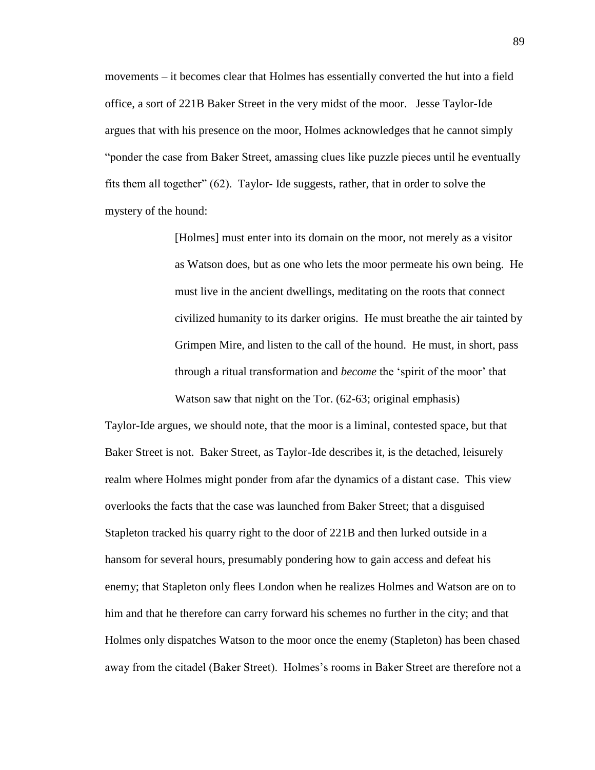movements – it becomes clear that Holmes has essentially converted the hut into a field office, a sort of 221B Baker Street in the very midst of the moor. Jesse Taylor-Ide argues that with his presence on the moor, Holmes acknowledges that he cannot simply "ponder the case from Baker Street, amassing clues like puzzle pieces until he eventually fits them all together" (62). Taylor- Ide suggests, rather, that in order to solve the mystery of the hound:

> [Holmes] must enter into its domain on the moor, not merely as a visitor as Watson does, but as one who lets the moor permeate his own being. He must live in the ancient dwellings, meditating on the roots that connect civilized humanity to its darker origins. He must breathe the air tainted by Grimpen Mire, and listen to the call of the hound. He must, in short, pass through a ritual transformation and *become* the 'spirit of the moor' that Watson saw that night on the Tor. (62-63; original emphasis)

Taylor-Ide argues, we should note, that the moor is a liminal, contested space, but that Baker Street is not. Baker Street, as Taylor-Ide describes it, is the detached, leisurely realm where Holmes might ponder from afar the dynamics of a distant case. This view overlooks the facts that the case was launched from Baker Street; that a disguised Stapleton tracked his quarry right to the door of 221B and then lurked outside in a hansom for several hours, presumably pondering how to gain access and defeat his enemy; that Stapleton only flees London when he realizes Holmes and Watson are on to him and that he therefore can carry forward his schemes no further in the city; and that Holmes only dispatches Watson to the moor once the enemy (Stapleton) has been chased away from the citadel (Baker Street). Holmes's rooms in Baker Street are therefore not a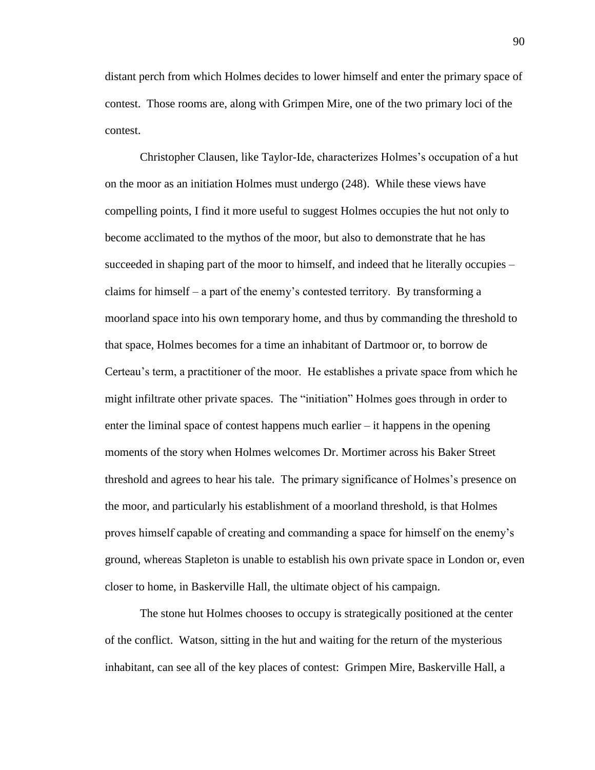distant perch from which Holmes decides to lower himself and enter the primary space of contest. Those rooms are, along with Grimpen Mire, one of the two primary loci of the contest.

Christopher Clausen, like Taylor-Ide, characterizes Holmes's occupation of a hut on the moor as an initiation Holmes must undergo (248). While these views have compelling points, I find it more useful to suggest Holmes occupies the hut not only to become acclimated to the mythos of the moor, but also to demonstrate that he has succeeded in shaping part of the moor to himself, and indeed that he literally occupies – claims for himself – a part of the enemy's contested territory. By transforming a moorland space into his own temporary home, and thus by commanding the threshold to that space, Holmes becomes for a time an inhabitant of Dartmoor or, to borrow de Certeau's term, a practitioner of the moor. He establishes a private space from which he might infiltrate other private spaces. The "initiation" Holmes goes through in order to enter the liminal space of contest happens much earlier – it happens in the opening moments of the story when Holmes welcomes Dr. Mortimer across his Baker Street threshold and agrees to hear his tale. The primary significance of Holmes's presence on the moor, and particularly his establishment of a moorland threshold, is that Holmes proves himself capable of creating and commanding a space for himself on the enemy's ground, whereas Stapleton is unable to establish his own private space in London or, even closer to home, in Baskerville Hall, the ultimate object of his campaign.

The stone hut Holmes chooses to occupy is strategically positioned at the center of the conflict. Watson, sitting in the hut and waiting for the return of the mysterious inhabitant, can see all of the key places of contest: Grimpen Mire, Baskerville Hall, a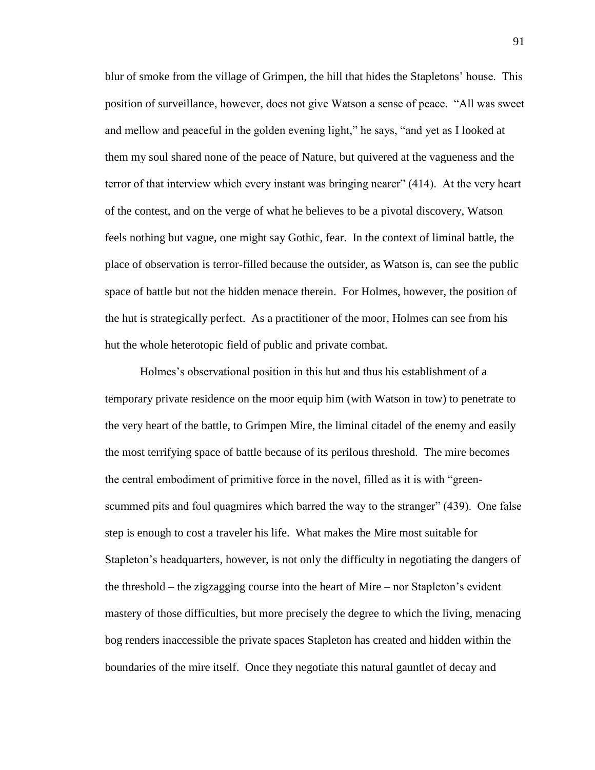blur of smoke from the village of Grimpen, the hill that hides the Stapletons' house. This position of surveillance, however, does not give Watson a sense of peace. "All was sweet and mellow and peaceful in the golden evening light," he says, "and yet as I looked at them my soul shared none of the peace of Nature, but quivered at the vagueness and the terror of that interview which every instant was bringing nearer" (414). At the very heart of the contest, and on the verge of what he believes to be a pivotal discovery, Watson feels nothing but vague, one might say Gothic, fear. In the context of liminal battle, the place of observation is terror-filled because the outsider, as Watson is, can see the public space of battle but not the hidden menace therein. For Holmes, however, the position of the hut is strategically perfect. As a practitioner of the moor, Holmes can see from his hut the whole heterotopic field of public and private combat.

Holmes's observational position in this hut and thus his establishment of a temporary private residence on the moor equip him (with Watson in tow) to penetrate to the very heart of the battle, to Grimpen Mire, the liminal citadel of the enemy and easily the most terrifying space of battle because of its perilous threshold. The mire becomes the central embodiment of primitive force in the novel, filled as it is with "greenscummed pits and foul quagmires which barred the way to the stranger" (439). One false step is enough to cost a traveler his life. What makes the Mire most suitable for Stapleton's headquarters, however, is not only the difficulty in negotiating the dangers of the threshold – the zigzagging course into the heart of Mire – nor Stapleton's evident mastery of those difficulties, but more precisely the degree to which the living, menacing bog renders inaccessible the private spaces Stapleton has created and hidden within the boundaries of the mire itself. Once they negotiate this natural gauntlet of decay and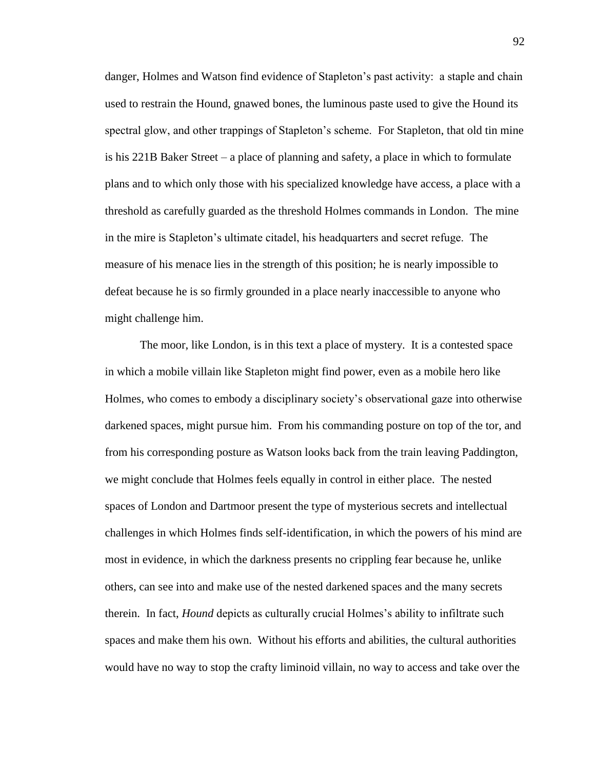danger, Holmes and Watson find evidence of Stapleton's past activity: a staple and chain used to restrain the Hound, gnawed bones, the luminous paste used to give the Hound its spectral glow, and other trappings of Stapleton's scheme. For Stapleton, that old tin mine is his 221B Baker Street – a place of planning and safety, a place in which to formulate plans and to which only those with his specialized knowledge have access, a place with a threshold as carefully guarded as the threshold Holmes commands in London. The mine in the mire is Stapleton's ultimate citadel, his headquarters and secret refuge. The measure of his menace lies in the strength of this position; he is nearly impossible to defeat because he is so firmly grounded in a place nearly inaccessible to anyone who might challenge him.

The moor, like London, is in this text a place of mystery. It is a contested space in which a mobile villain like Stapleton might find power, even as a mobile hero like Holmes, who comes to embody a disciplinary society's observational gaze into otherwise darkened spaces, might pursue him. From his commanding posture on top of the tor, and from his corresponding posture as Watson looks back from the train leaving Paddington, we might conclude that Holmes feels equally in control in either place. The nested spaces of London and Dartmoor present the type of mysterious secrets and intellectual challenges in which Holmes finds self-identification, in which the powers of his mind are most in evidence, in which the darkness presents no crippling fear because he, unlike others, can see into and make use of the nested darkened spaces and the many secrets therein. In fact, *Hound* depicts as culturally crucial Holmes's ability to infiltrate such spaces and make them his own. Without his efforts and abilities, the cultural authorities would have no way to stop the crafty liminoid villain, no way to access and take over the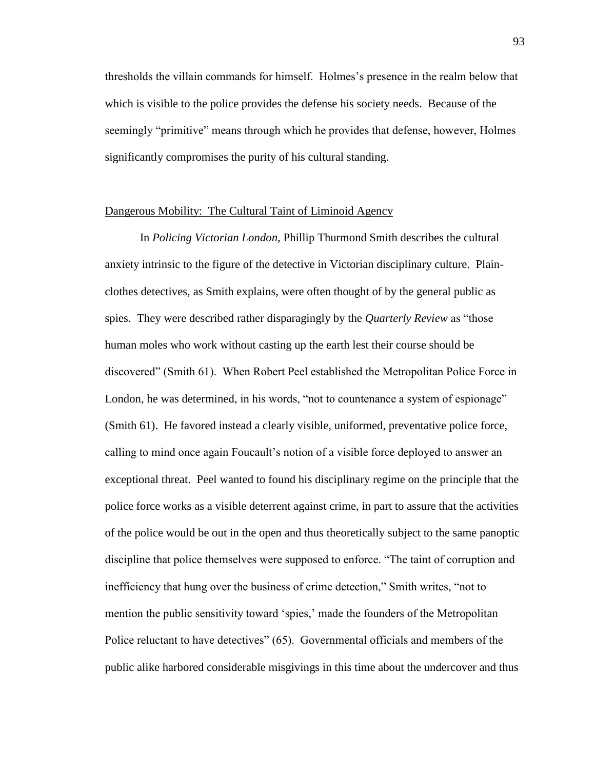thresholds the villain commands for himself. Holmes's presence in the realm below that which is visible to the police provides the defense his society needs. Because of the seemingly "primitive" means through which he provides that defense, however, Holmes significantly compromises the purity of his cultural standing.

## Dangerous Mobility: The Cultural Taint of Liminoid Agency

In *Policing Victorian London*, Phillip Thurmond Smith describes the cultural anxiety intrinsic to the figure of the detective in Victorian disciplinary culture. Plainclothes detectives, as Smith explains, were often thought of by the general public as spies. They were described rather disparagingly by the *Quarterly Review* as "those human moles who work without casting up the earth lest their course should be discovered" (Smith 61). When Robert Peel established the Metropolitan Police Force in London, he was determined, in his words, "not to countenance a system of espionage" (Smith 61). He favored instead a clearly visible, uniformed, preventative police force, calling to mind once again Foucault's notion of a visible force deployed to answer an exceptional threat. Peel wanted to found his disciplinary regime on the principle that the police force works as a visible deterrent against crime, in part to assure that the activities of the police would be out in the open and thus theoretically subject to the same panoptic discipline that police themselves were supposed to enforce. "The taint of corruption and inefficiency that hung over the business of crime detection," Smith writes, "not to mention the public sensitivity toward 'spies,' made the founders of the Metropolitan Police reluctant to have detectives" (65). Governmental officials and members of the public alike harbored considerable misgivings in this time about the undercover and thus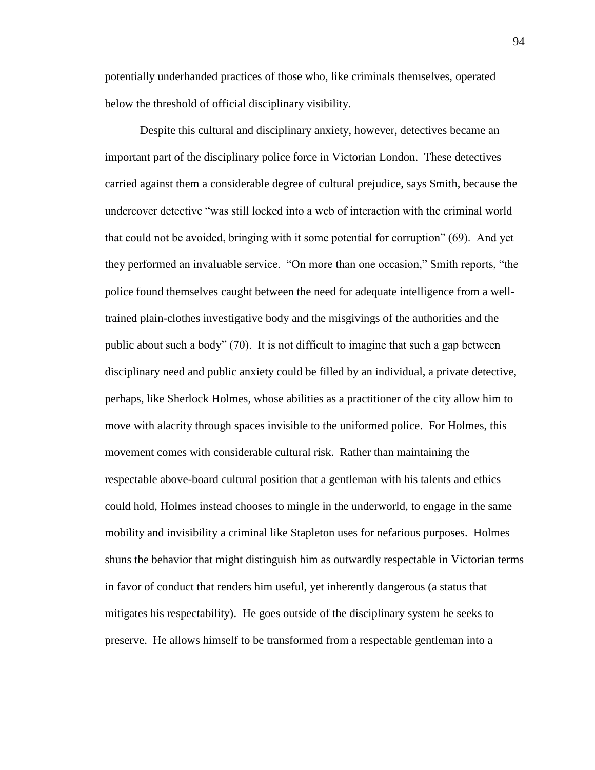potentially underhanded practices of those who, like criminals themselves, operated below the threshold of official disciplinary visibility.

Despite this cultural and disciplinary anxiety, however, detectives became an important part of the disciplinary police force in Victorian London. These detectives carried against them a considerable degree of cultural prejudice, says Smith, because the undercover detective "was still locked into a web of interaction with the criminal world that could not be avoided, bringing with it some potential for corruption" (69). And yet they performed an invaluable service. "On more than one occasion," Smith reports, "the police found themselves caught between the need for adequate intelligence from a welltrained plain-clothes investigative body and the misgivings of the authorities and the public about such a body" (70). It is not difficult to imagine that such a gap between disciplinary need and public anxiety could be filled by an individual, a private detective, perhaps, like Sherlock Holmes, whose abilities as a practitioner of the city allow him to move with alacrity through spaces invisible to the uniformed police. For Holmes, this movement comes with considerable cultural risk. Rather than maintaining the respectable above-board cultural position that a gentleman with his talents and ethics could hold, Holmes instead chooses to mingle in the underworld, to engage in the same mobility and invisibility a criminal like Stapleton uses for nefarious purposes. Holmes shuns the behavior that might distinguish him as outwardly respectable in Victorian terms in favor of conduct that renders him useful, yet inherently dangerous (a status that mitigates his respectability). He goes outside of the disciplinary system he seeks to preserve. He allows himself to be transformed from a respectable gentleman into a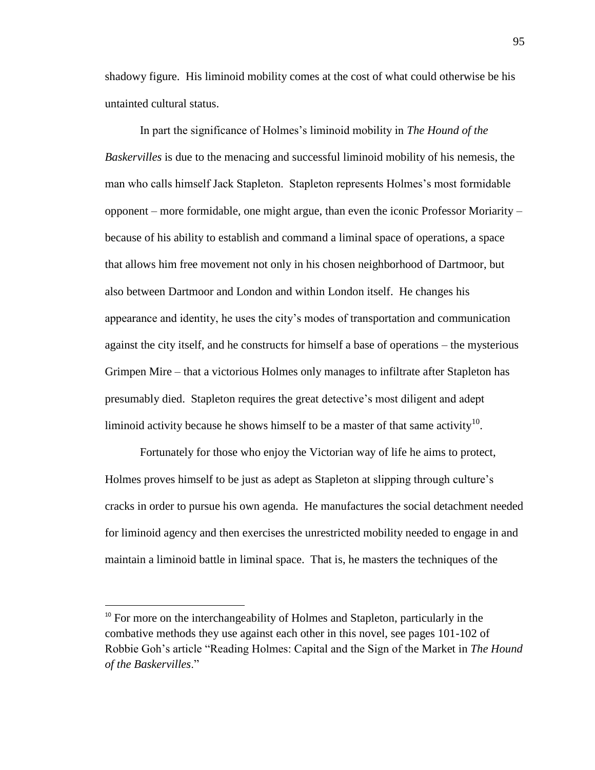shadowy figure. His liminoid mobility comes at the cost of what could otherwise be his untainted cultural status.

In part the significance of Holmes's liminoid mobility in *The Hound of the Baskervilles* is due to the menacing and successful liminoid mobility of his nemesis, the man who calls himself Jack Stapleton. Stapleton represents Holmes's most formidable opponent – more formidable, one might argue, than even the iconic Professor Moriarity – because of his ability to establish and command a liminal space of operations, a space that allows him free movement not only in his chosen neighborhood of Dartmoor, but also between Dartmoor and London and within London itself. He changes his appearance and identity, he uses the city's modes of transportation and communication against the city itself, and he constructs for himself a base of operations – the mysterious Grimpen Mire – that a victorious Holmes only manages to infiltrate after Stapleton has presumably died. Stapleton requires the great detective's most diligent and adept liminoid activity because he shows himself to be a master of that same activity  $10$ .

Fortunately for those who enjoy the Victorian way of life he aims to protect, Holmes proves himself to be just as adept as Stapleton at slipping through culture's cracks in order to pursue his own agenda. He manufactures the social detachment needed for liminoid agency and then exercises the unrestricted mobility needed to engage in and maintain a liminoid battle in liminal space. That is, he masters the techniques of the

 $\overline{a}$ 

<sup>&</sup>lt;sup>10</sup> For more on the interchangeability of Holmes and Stapleton, particularly in the combative methods they use against each other in this novel, see pages 101-102 of Robbie Goh's article "Reading Holmes: Capital and the Sign of the Market in *The Hound of the Baskervilles*."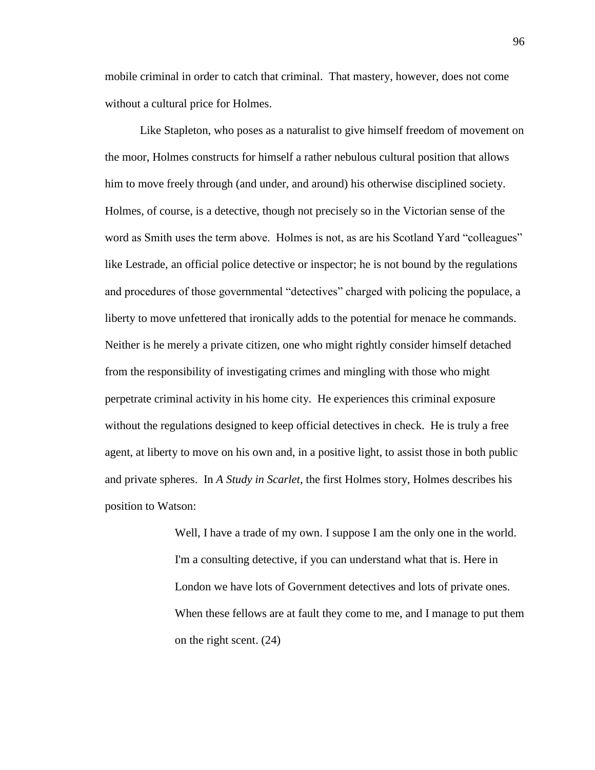mobile criminal in order to catch that criminal. That mastery, however, does not come without a cultural price for Holmes.

Like Stapleton, who poses as a naturalist to give himself freedom of movement on the moor, Holmes constructs for himself a rather nebulous cultural position that allows him to move freely through (and under, and around) his otherwise disciplined society. Holmes, of course, is a detective, though not precisely so in the Victorian sense of the word as Smith uses the term above. Holmes is not, as are his Scotland Yard "colleagues" like Lestrade, an official police detective or inspector; he is not bound by the regulations and procedures of those governmental "detectives" charged with policing the populace, a liberty to move unfettered that ironically adds to the potential for menace he commands. Neither is he merely a private citizen, one who might rightly consider himself detached from the responsibility of investigating crimes and mingling with those who might perpetrate criminal activity in his home city. He experiences this criminal exposure without the regulations designed to keep official detectives in check. He is truly a free agent, at liberty to move on his own and, in a positive light, to assist those in both public and private spheres. In *A Study in Scarlet*, the first Holmes story, Holmes describes his position to Watson:

> Well, I have a trade of my own. I suppose I am the only one in the world. I'm a consulting detective, if you can understand what that is. Here in London we have lots of Government detectives and lots of private ones. When these fellows are at fault they come to me, and I manage to put them on the right scent. (24)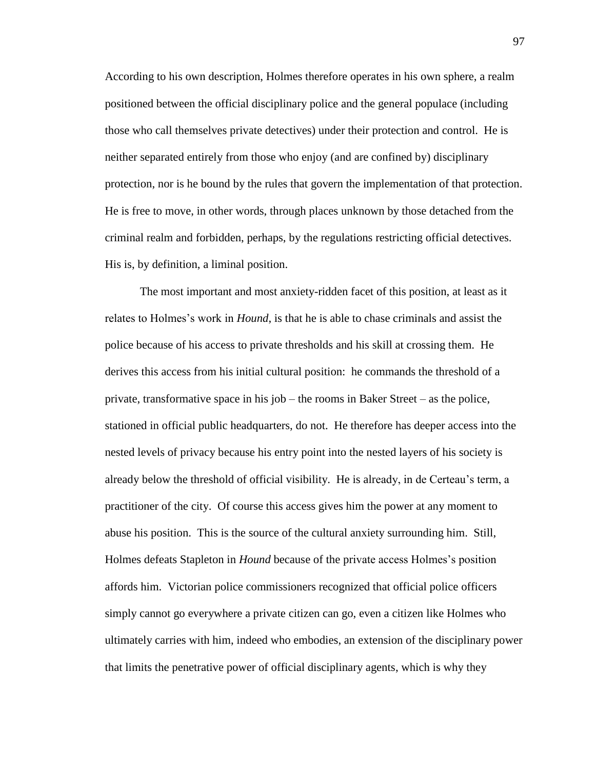According to his own description, Holmes therefore operates in his own sphere, a realm positioned between the official disciplinary police and the general populace (including those who call themselves private detectives) under their protection and control. He is neither separated entirely from those who enjoy (and are confined by) disciplinary protection, nor is he bound by the rules that govern the implementation of that protection. He is free to move, in other words, through places unknown by those detached from the criminal realm and forbidden, perhaps, by the regulations restricting official detectives. His is, by definition, a liminal position.

The most important and most anxiety-ridden facet of this position, at least as it relates to Holmes's work in *Hound*, is that he is able to chase criminals and assist the police because of his access to private thresholds and his skill at crossing them. He derives this access from his initial cultural position: he commands the threshold of a private, transformative space in his job – the rooms in Baker Street – as the police, stationed in official public headquarters, do not. He therefore has deeper access into the nested levels of privacy because his entry point into the nested layers of his society is already below the threshold of official visibility. He is already, in de Certeau's term, a practitioner of the city. Of course this access gives him the power at any moment to abuse his position. This is the source of the cultural anxiety surrounding him. Still, Holmes defeats Stapleton in *Hound* because of the private access Holmes's position affords him. Victorian police commissioners recognized that official police officers simply cannot go everywhere a private citizen can go, even a citizen like Holmes who ultimately carries with him, indeed who embodies, an extension of the disciplinary power that limits the penetrative power of official disciplinary agents, which is why they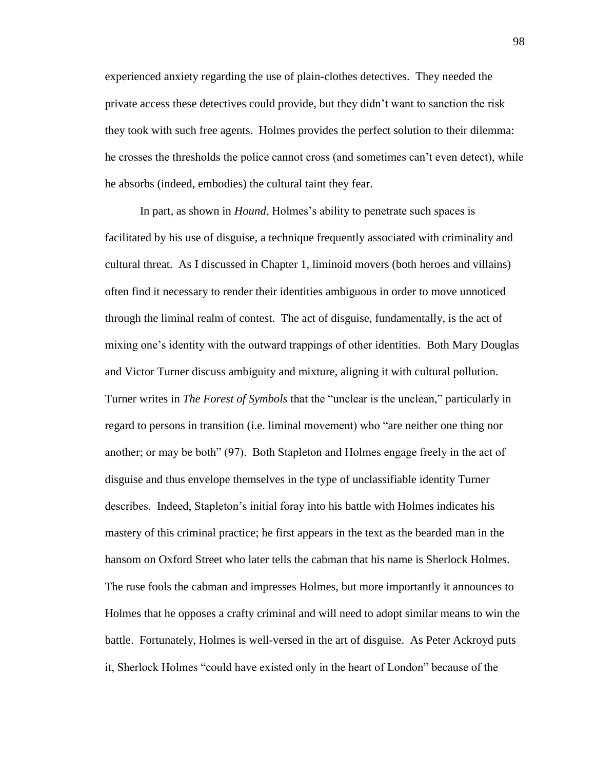experienced anxiety regarding the use of plain-clothes detectives. They needed the private access these detectives could provide, but they didn't want to sanction the risk they took with such free agents. Holmes provides the perfect solution to their dilemma: he crosses the thresholds the police cannot cross (and sometimes can't even detect), while he absorbs (indeed, embodies) the cultural taint they fear.

In part, as shown in *Hound*, Holmes's ability to penetrate such spaces is facilitated by his use of disguise, a technique frequently associated with criminality and cultural threat. As I discussed in Chapter 1, liminoid movers (both heroes and villains) often find it necessary to render their identities ambiguous in order to move unnoticed through the liminal realm of contest. The act of disguise, fundamentally, is the act of mixing one's identity with the outward trappings of other identities. Both Mary Douglas and Victor Turner discuss ambiguity and mixture, aligning it with cultural pollution. Turner writes in *The Forest of Symbols* that the "unclear is the unclean," particularly in regard to persons in transition (i.e. liminal movement) who "are neither one thing nor another; or may be both" (97). Both Stapleton and Holmes engage freely in the act of disguise and thus envelope themselves in the type of unclassifiable identity Turner describes. Indeed, Stapleton's initial foray into his battle with Holmes indicates his mastery of this criminal practice; he first appears in the text as the bearded man in the hansom on Oxford Street who later tells the cabman that his name is Sherlock Holmes. The ruse fools the cabman and impresses Holmes, but more importantly it announces to Holmes that he opposes a crafty criminal and will need to adopt similar means to win the battle. Fortunately, Holmes is well-versed in the art of disguise. As Peter Ackroyd puts it, Sherlock Holmes "could have existed only in the heart of London" because of the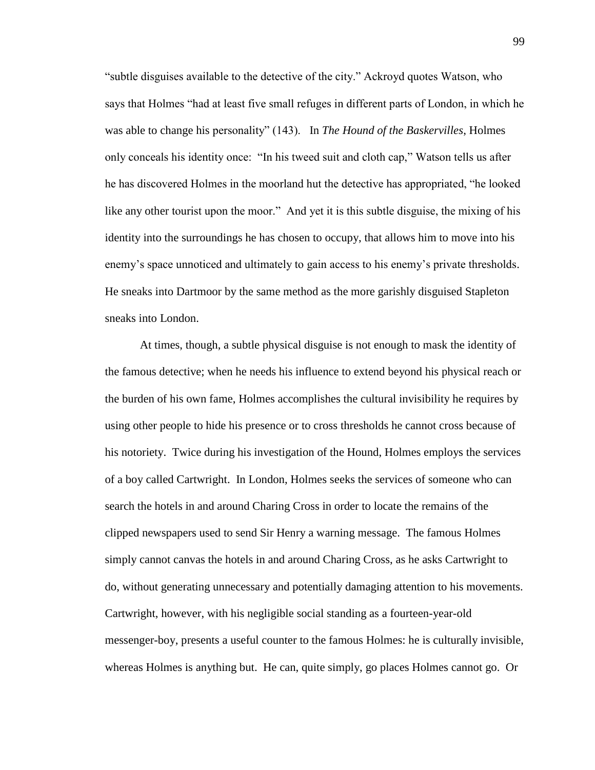"subtle disguises available to the detective of the city." Ackroyd quotes Watson, who says that Holmes "had at least five small refuges in different parts of London, in which he was able to change his personality" (143). In *The Hound of the Baskervilles*, Holmes only conceals his identity once: "In his tweed suit and cloth cap," Watson tells us after he has discovered Holmes in the moorland hut the detective has appropriated, "he looked like any other tourist upon the moor." And yet it is this subtle disguise, the mixing of his identity into the surroundings he has chosen to occupy, that allows him to move into his enemy's space unnoticed and ultimately to gain access to his enemy's private thresholds. He sneaks into Dartmoor by the same method as the more garishly disguised Stapleton sneaks into London.

At times, though, a subtle physical disguise is not enough to mask the identity of the famous detective; when he needs his influence to extend beyond his physical reach or the burden of his own fame, Holmes accomplishes the cultural invisibility he requires by using other people to hide his presence or to cross thresholds he cannot cross because of his notoriety. Twice during his investigation of the Hound, Holmes employs the services of a boy called Cartwright. In London, Holmes seeks the services of someone who can search the hotels in and around Charing Cross in order to locate the remains of the clipped newspapers used to send Sir Henry a warning message. The famous Holmes simply cannot canvas the hotels in and around Charing Cross, as he asks Cartwright to do, without generating unnecessary and potentially damaging attention to his movements. Cartwright, however, with his negligible social standing as a fourteen-year-old messenger-boy, presents a useful counter to the famous Holmes: he is culturally invisible, whereas Holmes is anything but. He can, quite simply, go places Holmes cannot go. Or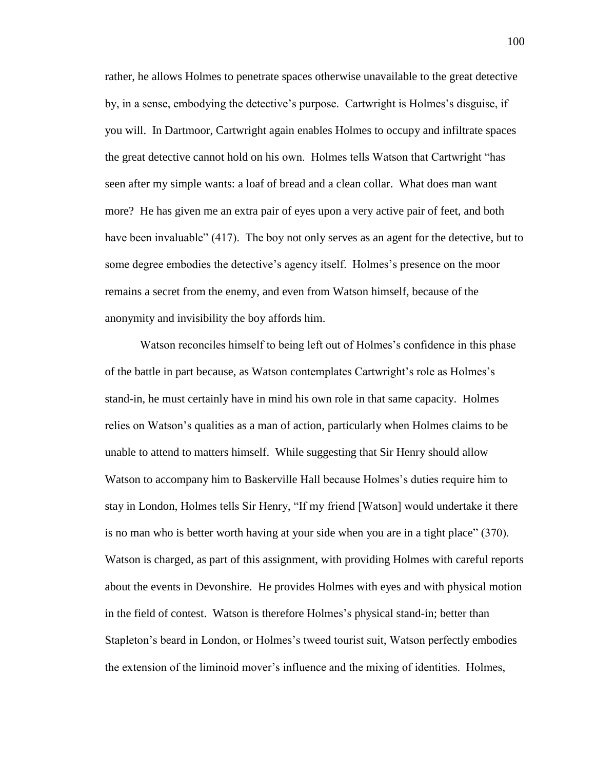rather, he allows Holmes to penetrate spaces otherwise unavailable to the great detective by, in a sense, embodying the detective's purpose. Cartwright is Holmes's disguise, if you will. In Dartmoor, Cartwright again enables Holmes to occupy and infiltrate spaces the great detective cannot hold on his own. Holmes tells Watson that Cartwright "has seen after my simple wants: a loaf of bread and a clean collar. What does man want more? He has given me an extra pair of eyes upon a very active pair of feet, and both have been invaluable" (417). The boy not only serves as an agent for the detective, but to some degree embodies the detective's agency itself. Holmes's presence on the moor remains a secret from the enemy, and even from Watson himself, because of the anonymity and invisibility the boy affords him.

Watson reconciles himself to being left out of Holmes's confidence in this phase of the battle in part because, as Watson contemplates Cartwright's role as Holmes's stand-in, he must certainly have in mind his own role in that same capacity. Holmes relies on Watson's qualities as a man of action, particularly when Holmes claims to be unable to attend to matters himself. While suggesting that Sir Henry should allow Watson to accompany him to Baskerville Hall because Holmes's duties require him to stay in London, Holmes tells Sir Henry, "If my friend [Watson] would undertake it there is no man who is better worth having at your side when you are in a tight place" (370). Watson is charged, as part of this assignment, with providing Holmes with careful reports about the events in Devonshire. He provides Holmes with eyes and with physical motion in the field of contest. Watson is therefore Holmes's physical stand-in; better than Stapleton's beard in London, or Holmes's tweed tourist suit, Watson perfectly embodies the extension of the liminoid mover's influence and the mixing of identities. Holmes,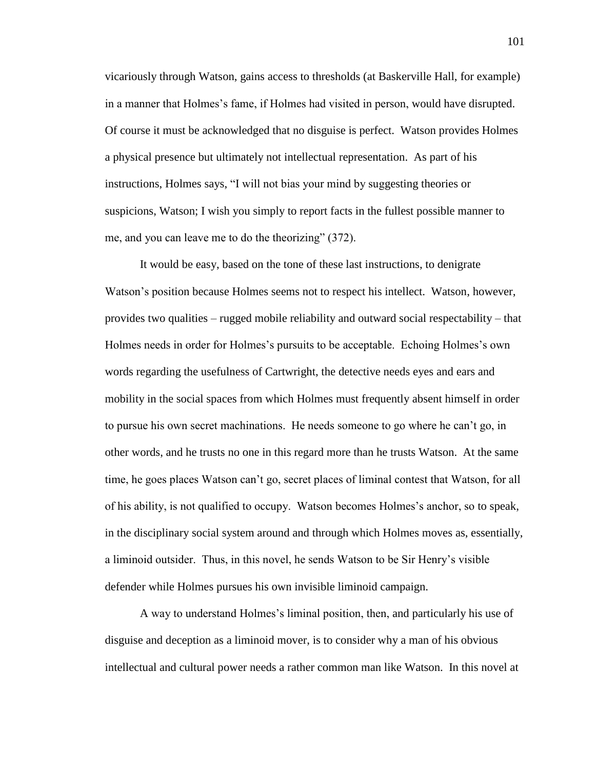vicariously through Watson, gains access to thresholds (at Baskerville Hall, for example) in a manner that Holmes's fame, if Holmes had visited in person, would have disrupted. Of course it must be acknowledged that no disguise is perfect. Watson provides Holmes a physical presence but ultimately not intellectual representation. As part of his instructions, Holmes says, "I will not bias your mind by suggesting theories or suspicions, Watson; I wish you simply to report facts in the fullest possible manner to me, and you can leave me to do the theorizing" (372).

It would be easy, based on the tone of these last instructions, to denigrate Watson's position because Holmes seems not to respect his intellect. Watson, however, provides two qualities – rugged mobile reliability and outward social respectability – that Holmes needs in order for Holmes's pursuits to be acceptable. Echoing Holmes's own words regarding the usefulness of Cartwright, the detective needs eyes and ears and mobility in the social spaces from which Holmes must frequently absent himself in order to pursue his own secret machinations. He needs someone to go where he can't go, in other words, and he trusts no one in this regard more than he trusts Watson. At the same time, he goes places Watson can't go, secret places of liminal contest that Watson, for all of his ability, is not qualified to occupy. Watson becomes Holmes's anchor, so to speak, in the disciplinary social system around and through which Holmes moves as, essentially, a liminoid outsider. Thus, in this novel, he sends Watson to be Sir Henry's visible defender while Holmes pursues his own invisible liminoid campaign.

A way to understand Holmes's liminal position, then, and particularly his use of disguise and deception as a liminoid mover, is to consider why a man of his obvious intellectual and cultural power needs a rather common man like Watson. In this novel at

101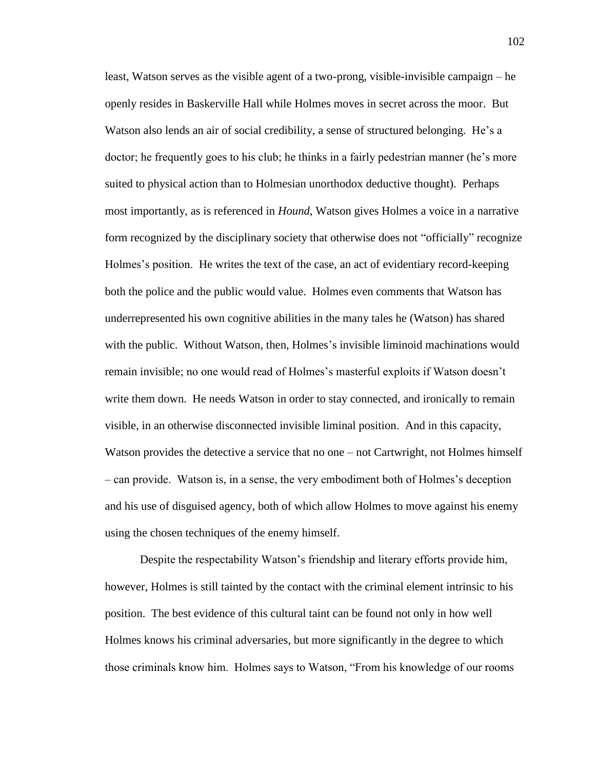least, Watson serves as the visible agent of a two-prong, visible-invisible campaign – he openly resides in Baskerville Hall while Holmes moves in secret across the moor. But Watson also lends an air of social credibility, a sense of structured belonging. He's a doctor; he frequently goes to his club; he thinks in a fairly pedestrian manner (he's more suited to physical action than to Holmesian unorthodox deductive thought). Perhaps most importantly, as is referenced in *Hound*, Watson gives Holmes a voice in a narrative form recognized by the disciplinary society that otherwise does not "officially" recognize Holmes's position. He writes the text of the case, an act of evidentiary record-keeping both the police and the public would value. Holmes even comments that Watson has underrepresented his own cognitive abilities in the many tales he (Watson) has shared with the public. Without Watson, then, Holmes's invisible liminoid machinations would remain invisible; no one would read of Holmes's masterful exploits if Watson doesn't write them down. He needs Watson in order to stay connected, and ironically to remain visible, in an otherwise disconnected invisible liminal position. And in this capacity, Watson provides the detective a service that no one – not Cartwright, not Holmes himself – can provide. Watson is, in a sense, the very embodiment both of Holmes's deception and his use of disguised agency, both of which allow Holmes to move against his enemy using the chosen techniques of the enemy himself.

Despite the respectability Watson's friendship and literary efforts provide him, however, Holmes is still tainted by the contact with the criminal element intrinsic to his position. The best evidence of this cultural taint can be found not only in how well Holmes knows his criminal adversaries, but more significantly in the degree to which those criminals know him. Holmes says to Watson, "From his knowledge of our rooms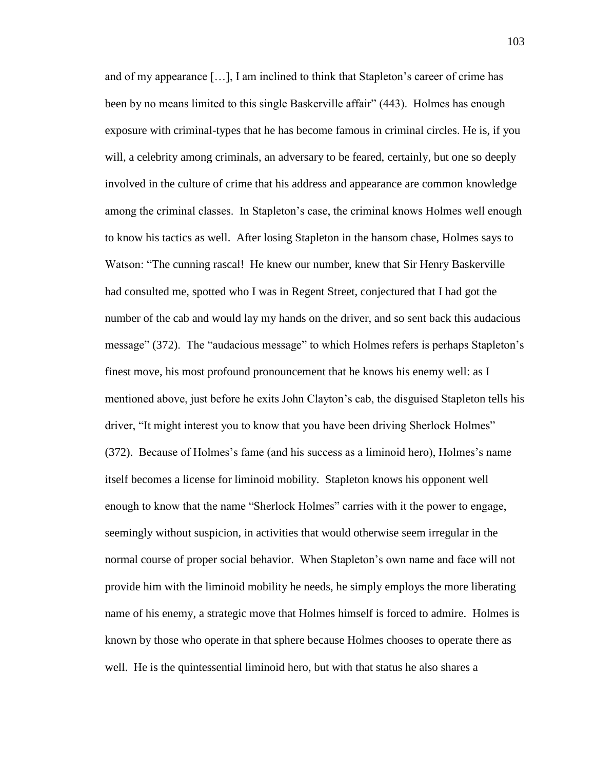and of my appearance […], I am inclined to think that Stapleton's career of crime has been by no means limited to this single Baskerville affair" (443). Holmes has enough exposure with criminal-types that he has become famous in criminal circles. He is, if you will, a celebrity among criminals, an adversary to be feared, certainly, but one so deeply involved in the culture of crime that his address and appearance are common knowledge among the criminal classes. In Stapleton's case, the criminal knows Holmes well enough to know his tactics as well. After losing Stapleton in the hansom chase, Holmes says to Watson: "The cunning rascal! He knew our number, knew that Sir Henry Baskerville had consulted me, spotted who I was in Regent Street, conjectured that I had got the number of the cab and would lay my hands on the driver, and so sent back this audacious message" (372). The "audacious message" to which Holmes refers is perhaps Stapleton's finest move, his most profound pronouncement that he knows his enemy well: as I mentioned above, just before he exits John Clayton's cab, the disguised Stapleton tells his driver, "It might interest you to know that you have been driving Sherlock Holmes" (372). Because of Holmes's fame (and his success as a liminoid hero), Holmes's name itself becomes a license for liminoid mobility. Stapleton knows his opponent well enough to know that the name "Sherlock Holmes" carries with it the power to engage, seemingly without suspicion, in activities that would otherwise seem irregular in the normal course of proper social behavior. When Stapleton's own name and face will not provide him with the liminoid mobility he needs, he simply employs the more liberating name of his enemy, a strategic move that Holmes himself is forced to admire. Holmes is known by those who operate in that sphere because Holmes chooses to operate there as well. He is the quintessential liminoid hero, but with that status he also shares a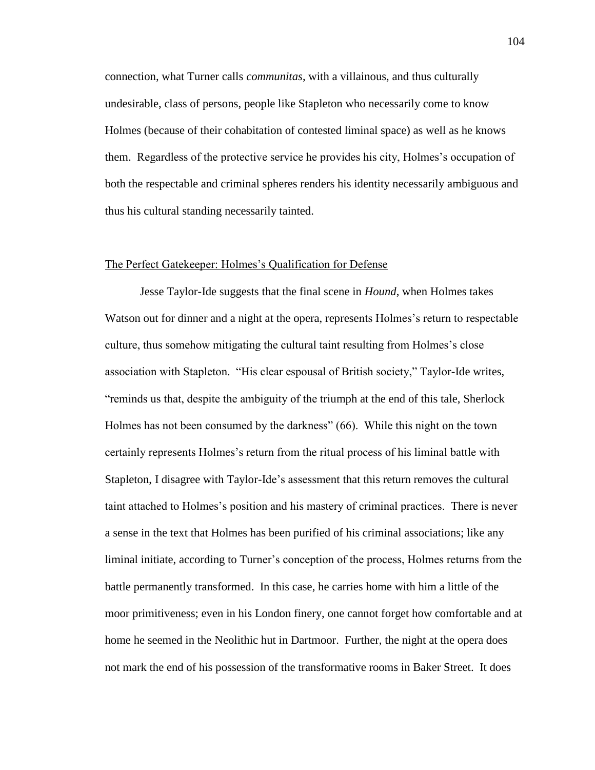connection, what Turner calls *communitas*, with a villainous, and thus culturally undesirable, class of persons, people like Stapleton who necessarily come to know Holmes (because of their cohabitation of contested liminal space) as well as he knows them. Regardless of the protective service he provides his city, Holmes's occupation of both the respectable and criminal spheres renders his identity necessarily ambiguous and thus his cultural standing necessarily tainted.

## The Perfect Gatekeeper: Holmes's Qualification for Defense

Jesse Taylor-Ide suggests that the final scene in *Hound*, when Holmes takes Watson out for dinner and a night at the opera, represents Holmes's return to respectable culture, thus somehow mitigating the cultural taint resulting from Holmes's close association with Stapleton. "His clear espousal of British society," Taylor-Ide writes, "reminds us that, despite the ambiguity of the triumph at the end of this tale, Sherlock Holmes has not been consumed by the darkness" (66). While this night on the town certainly represents Holmes's return from the ritual process of his liminal battle with Stapleton, I disagree with Taylor-Ide's assessment that this return removes the cultural taint attached to Holmes's position and his mastery of criminal practices. There is never a sense in the text that Holmes has been purified of his criminal associations; like any liminal initiate, according to Turner's conception of the process, Holmes returns from the battle permanently transformed. In this case, he carries home with him a little of the moor primitiveness; even in his London finery, one cannot forget how comfortable and at home he seemed in the Neolithic hut in Dartmoor. Further, the night at the opera does not mark the end of his possession of the transformative rooms in Baker Street. It does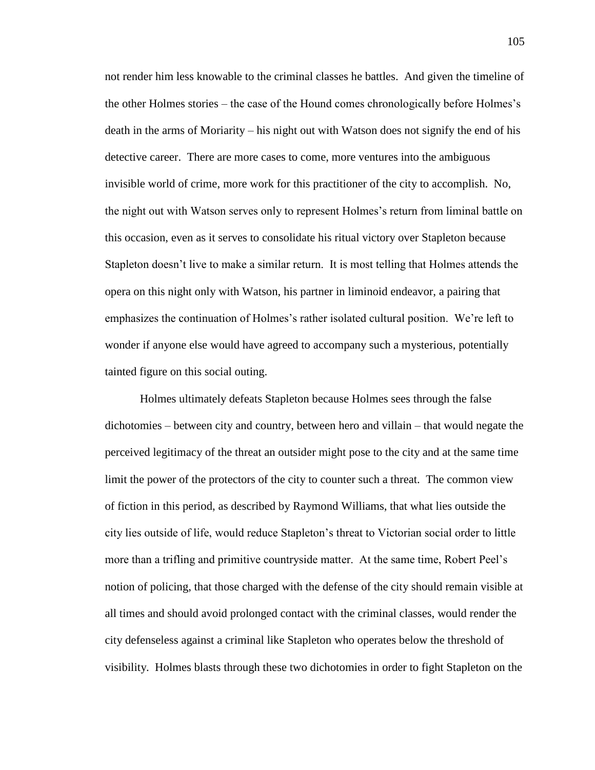not render him less knowable to the criminal classes he battles. And given the timeline of the other Holmes stories – the case of the Hound comes chronologically before Holmes's death in the arms of Moriarity – his night out with Watson does not signify the end of his detective career. There are more cases to come, more ventures into the ambiguous invisible world of crime, more work for this practitioner of the city to accomplish. No, the night out with Watson serves only to represent Holmes's return from liminal battle on this occasion, even as it serves to consolidate his ritual victory over Stapleton because Stapleton doesn't live to make a similar return. It is most telling that Holmes attends the opera on this night only with Watson, his partner in liminoid endeavor, a pairing that emphasizes the continuation of Holmes's rather isolated cultural position. We're left to wonder if anyone else would have agreed to accompany such a mysterious, potentially tainted figure on this social outing.

Holmes ultimately defeats Stapleton because Holmes sees through the false dichotomies – between city and country, between hero and villain – that would negate the perceived legitimacy of the threat an outsider might pose to the city and at the same time limit the power of the protectors of the city to counter such a threat. The common view of fiction in this period, as described by Raymond Williams, that what lies outside the city lies outside of life, would reduce Stapleton's threat to Victorian social order to little more than a trifling and primitive countryside matter. At the same time, Robert Peel's notion of policing, that those charged with the defense of the city should remain visible at all times and should avoid prolonged contact with the criminal classes, would render the city defenseless against a criminal like Stapleton who operates below the threshold of visibility. Holmes blasts through these two dichotomies in order to fight Stapleton on the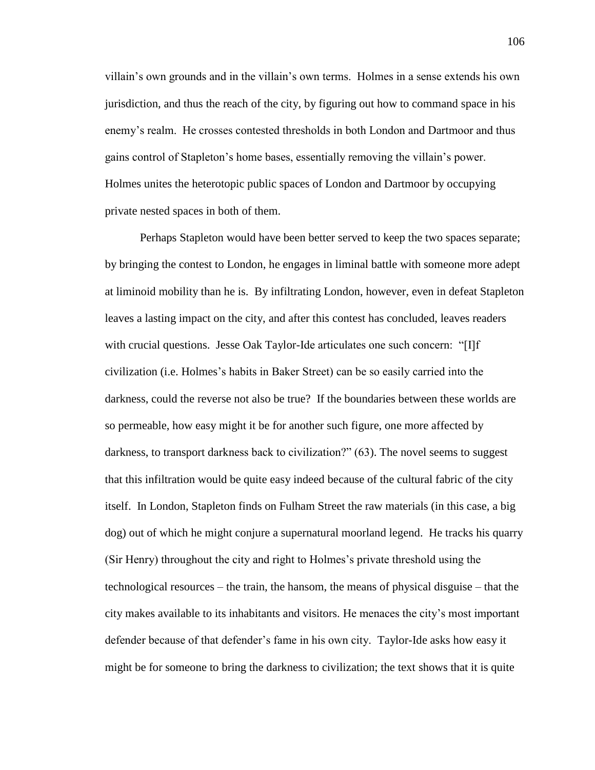villain's own grounds and in the villain's own terms. Holmes in a sense extends his own jurisdiction, and thus the reach of the city, by figuring out how to command space in his enemy's realm. He crosses contested thresholds in both London and Dartmoor and thus gains control of Stapleton's home bases, essentially removing the villain's power. Holmes unites the heterotopic public spaces of London and Dartmoor by occupying private nested spaces in both of them.

Perhaps Stapleton would have been better served to keep the two spaces separate; by bringing the contest to London, he engages in liminal battle with someone more adept at liminoid mobility than he is. By infiltrating London, however, even in defeat Stapleton leaves a lasting impact on the city, and after this contest has concluded, leaves readers with crucial questions. Jesse Oak Taylor-Ide articulates one such concern: "[I]f civilization (i.e. Holmes's habits in Baker Street) can be so easily carried into the darkness, could the reverse not also be true? If the boundaries between these worlds are so permeable, how easy might it be for another such figure, one more affected by darkness, to transport darkness back to civilization?" (63). The novel seems to suggest that this infiltration would be quite easy indeed because of the cultural fabric of the city itself. In London, Stapleton finds on Fulham Street the raw materials (in this case, a big dog) out of which he might conjure a supernatural moorland legend. He tracks his quarry (Sir Henry) throughout the city and right to Holmes's private threshold using the technological resources – the train, the hansom, the means of physical disguise – that the city makes available to its inhabitants and visitors. He menaces the city's most important defender because of that defender's fame in his own city. Taylor-Ide asks how easy it might be for someone to bring the darkness to civilization; the text shows that it is quite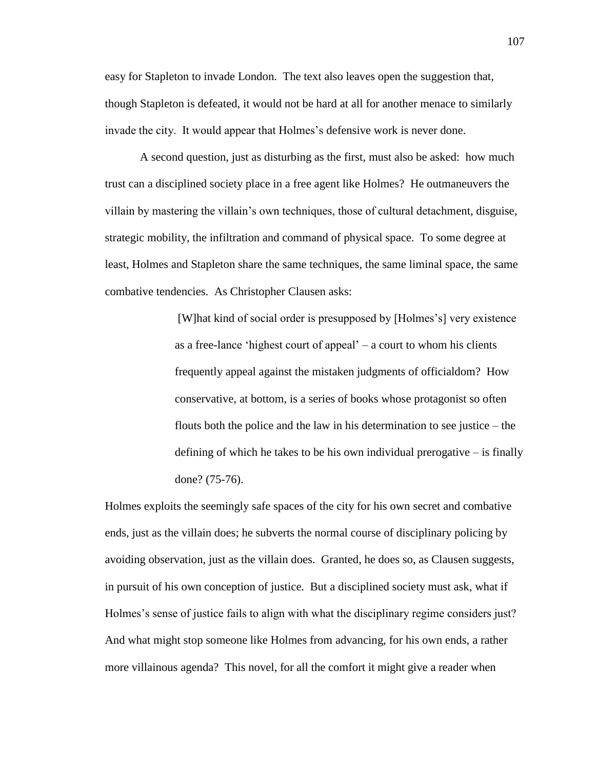easy for Stapleton to invade London. The text also leaves open the suggestion that, though Stapleton is defeated, it would not be hard at all for another menace to similarly invade the city. It would appear that Holmes's defensive work is never done.

A second question, just as disturbing as the first, must also be asked: how much trust can a disciplined society place in a free agent like Holmes? He outmaneuvers the villain by mastering the villain's own techniques, those of cultural detachment, disguise, strategic mobility, the infiltration and command of physical space. To some degree at least, Holmes and Stapleton share the same techniques, the same liminal space, the same combative tendencies. As Christopher Clausen asks:

> [W]hat kind of social order is presupposed by [Holmes's] very existence as a free-lance 'highest court of appeal'  $-$  a court to whom his clients frequently appeal against the mistaken judgments of officialdom? How conservative, at bottom, is a series of books whose protagonist so often flouts both the police and the law in his determination to see justice – the defining of which he takes to be his own individual prerogative – is finally done? (75-76).

Holmes exploits the seemingly safe spaces of the city for his own secret and combative ends, just as the villain does; he subverts the normal course of disciplinary policing by avoiding observation, just as the villain does. Granted, he does so, as Clausen suggests, in pursuit of his own conception of justice. But a disciplined society must ask, what if Holmes's sense of justice fails to align with what the disciplinary regime considers just? And what might stop someone like Holmes from advancing, for his own ends, a rather more villainous agenda? This novel, for all the comfort it might give a reader when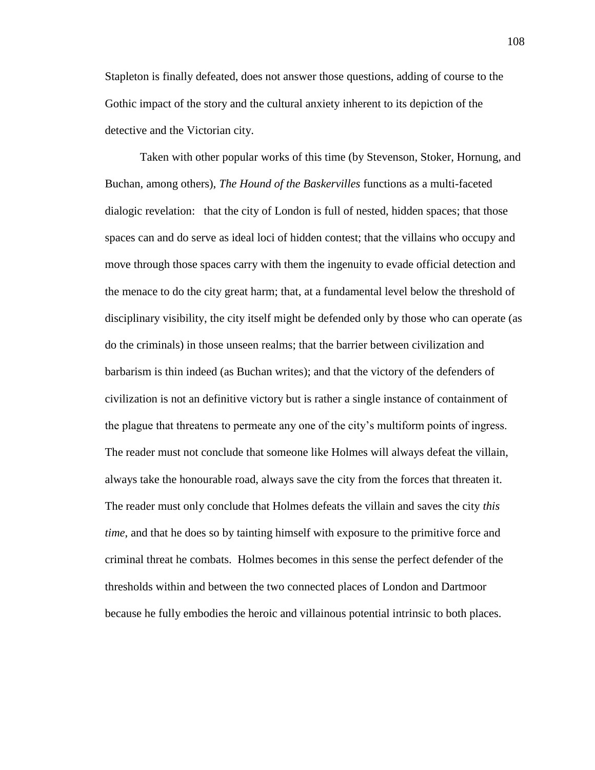Stapleton is finally defeated, does not answer those questions, adding of course to the Gothic impact of the story and the cultural anxiety inherent to its depiction of the detective and the Victorian city.

Taken with other popular works of this time (by Stevenson, Stoker, Hornung, and Buchan, among others), *The Hound of the Baskervilles* functions as a multi-faceted dialogic revelation: that the city of London is full of nested, hidden spaces; that those spaces can and do serve as ideal loci of hidden contest; that the villains who occupy and move through those spaces carry with them the ingenuity to evade official detection and the menace to do the city great harm; that, at a fundamental level below the threshold of disciplinary visibility, the city itself might be defended only by those who can operate (as do the criminals) in those unseen realms; that the barrier between civilization and barbarism is thin indeed (as Buchan writes); and that the victory of the defenders of civilization is not an definitive victory but is rather a single instance of containment of the plague that threatens to permeate any one of the city's multiform points of ingress. The reader must not conclude that someone like Holmes will always defeat the villain, always take the honourable road, always save the city from the forces that threaten it. The reader must only conclude that Holmes defeats the villain and saves the city *this time*, and that he does so by tainting himself with exposure to the primitive force and criminal threat he combats. Holmes becomes in this sense the perfect defender of the thresholds within and between the two connected places of London and Dartmoor because he fully embodies the heroic and villainous potential intrinsic to both places.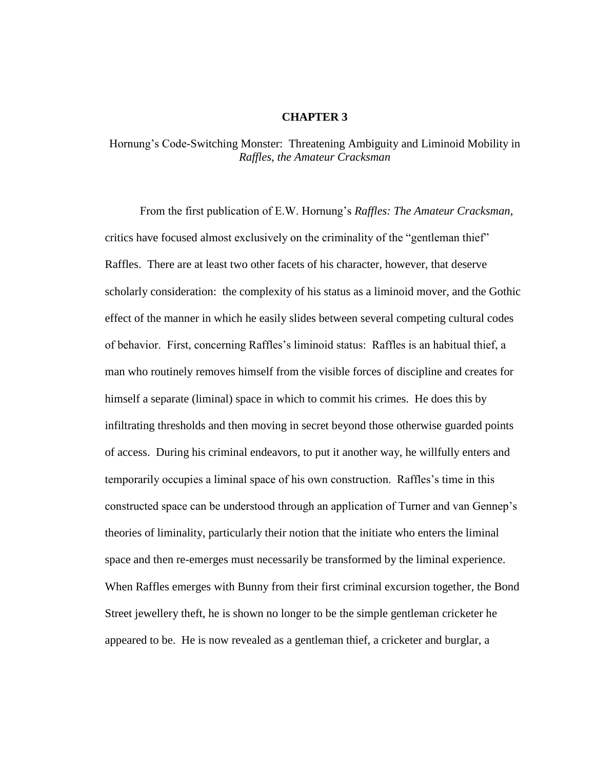## **CHAPTER 3**

## Hornung's Code-Switching Monster: Threatening Ambiguity and Liminoid Mobility in *Raffles, the Amateur Cracksman*

From the first publication of E.W. Hornung's *Raffles: The Amateur Cracksman*, critics have focused almost exclusively on the criminality of the "gentleman thief" Raffles. There are at least two other facets of his character, however, that deserve scholarly consideration: the complexity of his status as a liminoid mover, and the Gothic effect of the manner in which he easily slides between several competing cultural codes of behavior. First, concerning Raffles's liminoid status: Raffles is an habitual thief, a man who routinely removes himself from the visible forces of discipline and creates for himself a separate (liminal) space in which to commit his crimes. He does this by infiltrating thresholds and then moving in secret beyond those otherwise guarded points of access. During his criminal endeavors, to put it another way, he willfully enters and temporarily occupies a liminal space of his own construction. Raffles's time in this constructed space can be understood through an application of Turner and van Gennep's theories of liminality, particularly their notion that the initiate who enters the liminal space and then re-emerges must necessarily be transformed by the liminal experience. When Raffles emerges with Bunny from their first criminal excursion together, the Bond Street jewellery theft, he is shown no longer to be the simple gentleman cricketer he appeared to be. He is now revealed as a gentleman thief, a cricketer and burglar, a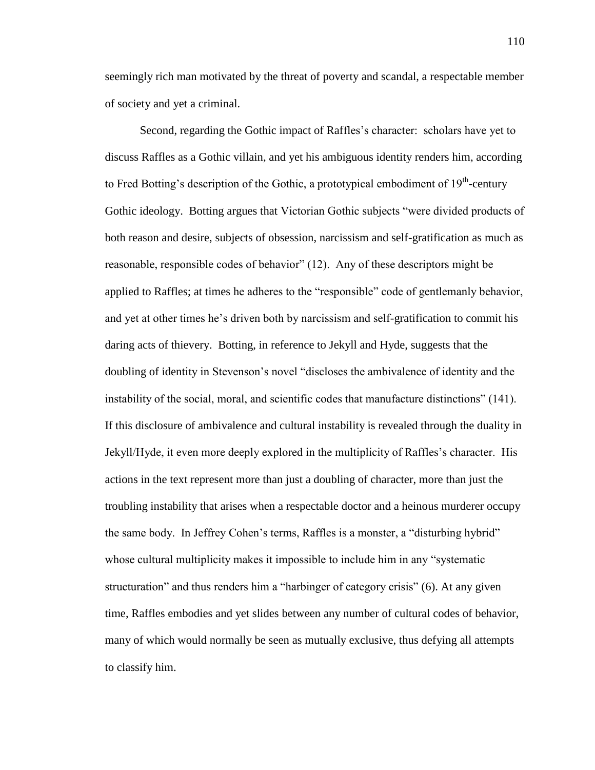seemingly rich man motivated by the threat of poverty and scandal, a respectable member of society and yet a criminal.

Second, regarding the Gothic impact of Raffles's character: scholars have yet to discuss Raffles as a Gothic villain, and yet his ambiguous identity renders him, according to Fred Botting's description of the Gothic, a prototypical embodiment of  $19<sup>th</sup>$ -century Gothic ideology. Botting argues that Victorian Gothic subjects "were divided products of both reason and desire, subjects of obsession, narcissism and self-gratification as much as reasonable, responsible codes of behavior" (12). Any of these descriptors might be applied to Raffles; at times he adheres to the "responsible" code of gentlemanly behavior, and yet at other times he's driven both by narcissism and self-gratification to commit his daring acts of thievery. Botting, in reference to Jekyll and Hyde, suggests that the doubling of identity in Stevenson's novel "discloses the ambivalence of identity and the instability of the social, moral, and scientific codes that manufacture distinctions" (141). If this disclosure of ambivalence and cultural instability is revealed through the duality in Jekyll/Hyde, it even more deeply explored in the multiplicity of Raffles's character. His actions in the text represent more than just a doubling of character, more than just the troubling instability that arises when a respectable doctor and a heinous murderer occupy the same body. In Jeffrey Cohen's terms, Raffles is a monster, a "disturbing hybrid" whose cultural multiplicity makes it impossible to include him in any "systematic structuration" and thus renders him a "harbinger of category crisis" (6). At any given time, Raffles embodies and yet slides between any number of cultural codes of behavior, many of which would normally be seen as mutually exclusive, thus defying all attempts to classify him.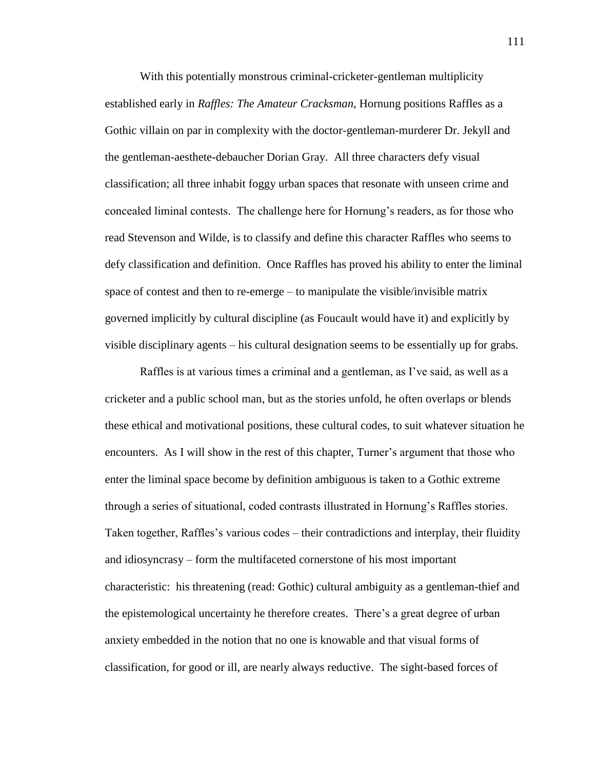With this potentially monstrous criminal-cricketer-gentleman multiplicity established early in *Raffles: The Amateur Cracksman*, Hornung positions Raffles as a Gothic villain on par in complexity with the doctor-gentleman-murderer Dr. Jekyll and the gentleman-aesthete-debaucher Dorian Gray. All three characters defy visual classification; all three inhabit foggy urban spaces that resonate with unseen crime and concealed liminal contests. The challenge here for Hornung's readers, as for those who read Stevenson and Wilde, is to classify and define this character Raffles who seems to defy classification and definition. Once Raffles has proved his ability to enter the liminal space of contest and then to re-emerge – to manipulate the visible/invisible matrix governed implicitly by cultural discipline (as Foucault would have it) and explicitly by visible disciplinary agents – his cultural designation seems to be essentially up for grabs.

Raffles is at various times a criminal and a gentleman, as I've said, as well as a cricketer and a public school man, but as the stories unfold, he often overlaps or blends these ethical and motivational positions, these cultural codes, to suit whatever situation he encounters. As I will show in the rest of this chapter, Turner's argument that those who enter the liminal space become by definition ambiguous is taken to a Gothic extreme through a series of situational, coded contrasts illustrated in Hornung's Raffles stories. Taken together, Raffles's various codes – their contradictions and interplay, their fluidity and idiosyncrasy – form the multifaceted cornerstone of his most important characteristic: his threatening (read: Gothic) cultural ambiguity as a gentleman-thief and the epistemological uncertainty he therefore creates. There's a great degree of urban anxiety embedded in the notion that no one is knowable and that visual forms of classification, for good or ill, are nearly always reductive. The sight-based forces of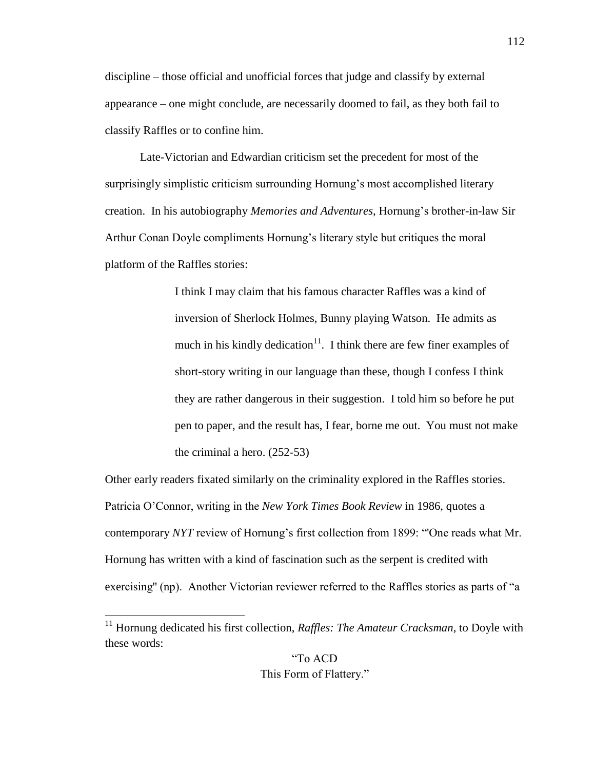discipline – those official and unofficial forces that judge and classify by external appearance – one might conclude, are necessarily doomed to fail, as they both fail to classify Raffles or to confine him.

Late-Victorian and Edwardian criticism set the precedent for most of the surprisingly simplistic criticism surrounding Hornung's most accomplished literary creation. In his autobiography *Memories and Adventures*, Hornung's brother-in-law Sir Arthur Conan Doyle compliments Hornung's literary style but critiques the moral platform of the Raffles stories:

> I think I may claim that his famous character Raffles was a kind of inversion of Sherlock Holmes, Bunny playing Watson. He admits as much in his kindly dedication<sup>11</sup>. I think there are few finer examples of short-story writing in our language than these, though I confess I think they are rather dangerous in their suggestion. I told him so before he put pen to paper, and the result has, I fear, borne me out. You must not make the criminal a hero. (252-53)

Other early readers fixated similarly on the criminality explored in the Raffles stories. Patricia O'Connor, writing in the *New York Times Book Review* in 1986, quotes a contemporary *NYT* review of Hornung's first collection from 1899: "'One reads what Mr. Hornung has written with a kind of fascination such as the serpent is credited with exercising'' (np). Another Victorian reviewer referred to the Raffles stories as parts of "a

<sup>&</sup>lt;sup>11</sup> Hornung dedicated his first collection, *Raffles: The Amateur Cracksman*, to Doyle with these words: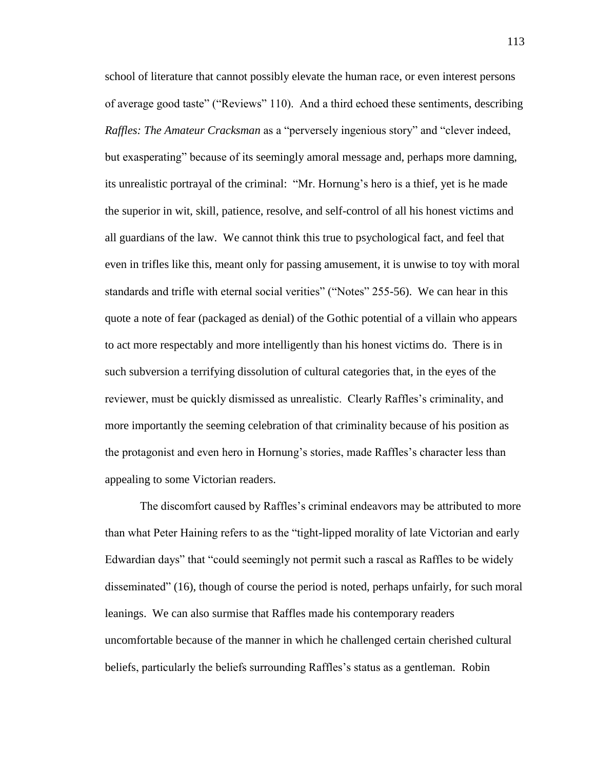school of literature that cannot possibly elevate the human race, or even interest persons of average good taste" ("Reviews" 110). And a third echoed these sentiments, describing *Raffles: The Amateur Cracksman* as a "perversely ingenious story" and "clever indeed, but exasperating" because of its seemingly amoral message and, perhaps more damning, its unrealistic portrayal of the criminal: "Mr. Hornung's hero is a thief, yet is he made the superior in wit, skill, patience, resolve, and self-control of all his honest victims and all guardians of the law. We cannot think this true to psychological fact, and feel that even in trifles like this, meant only for passing amusement, it is unwise to toy with moral standards and trifle with eternal social verities" ("Notes" 255-56). We can hear in this quote a note of fear (packaged as denial) of the Gothic potential of a villain who appears to act more respectably and more intelligently than his honest victims do. There is in such subversion a terrifying dissolution of cultural categories that, in the eyes of the reviewer, must be quickly dismissed as unrealistic. Clearly Raffles's criminality, and more importantly the seeming celebration of that criminality because of his position as the protagonist and even hero in Hornung's stories, made Raffles's character less than appealing to some Victorian readers.

The discomfort caused by Raffles's criminal endeavors may be attributed to more than what Peter Haining refers to as the "tight-lipped morality of late Victorian and early Edwardian days" that "could seemingly not permit such a rascal as Raffles to be widely disseminated" (16), though of course the period is noted, perhaps unfairly, for such moral leanings. We can also surmise that Raffles made his contemporary readers uncomfortable because of the manner in which he challenged certain cherished cultural beliefs, particularly the beliefs surrounding Raffles's status as a gentleman. Robin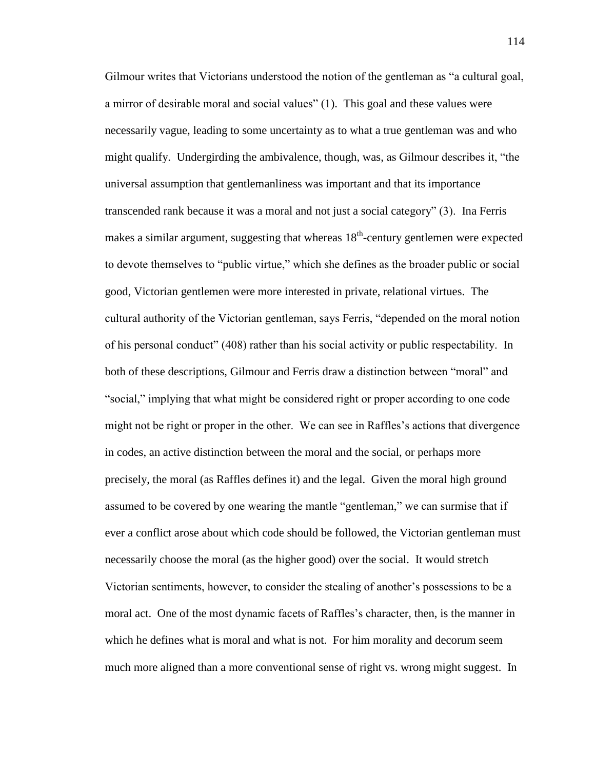Gilmour writes that Victorians understood the notion of the gentleman as "a cultural goal, a mirror of desirable moral and social values" (1). This goal and these values were necessarily vague, leading to some uncertainty as to what a true gentleman was and who might qualify. Undergirding the ambivalence, though, was, as Gilmour describes it, "the universal assumption that gentlemanliness was important and that its importance transcended rank because it was a moral and not just a social category" (3). Ina Ferris makes a similar argument, suggesting that whereas  $18<sup>th</sup>$ -century gentlemen were expected to devote themselves to "public virtue," which she defines as the broader public or social good, Victorian gentlemen were more interested in private, relational virtues. The cultural authority of the Victorian gentleman, says Ferris, "depended on the moral notion of his personal conduct" (408) rather than his social activity or public respectability. In both of these descriptions, Gilmour and Ferris draw a distinction between "moral" and "social," implying that what might be considered right or proper according to one code might not be right or proper in the other. We can see in Raffles's actions that divergence in codes, an active distinction between the moral and the social, or perhaps more precisely, the moral (as Raffles defines it) and the legal. Given the moral high ground assumed to be covered by one wearing the mantle "gentleman," we can surmise that if ever a conflict arose about which code should be followed, the Victorian gentleman must necessarily choose the moral (as the higher good) over the social. It would stretch Victorian sentiments, however, to consider the stealing of another's possessions to be a moral act. One of the most dynamic facets of Raffles's character, then, is the manner in which he defines what is moral and what is not. For him morality and decorum seem much more aligned than a more conventional sense of right vs. wrong might suggest. In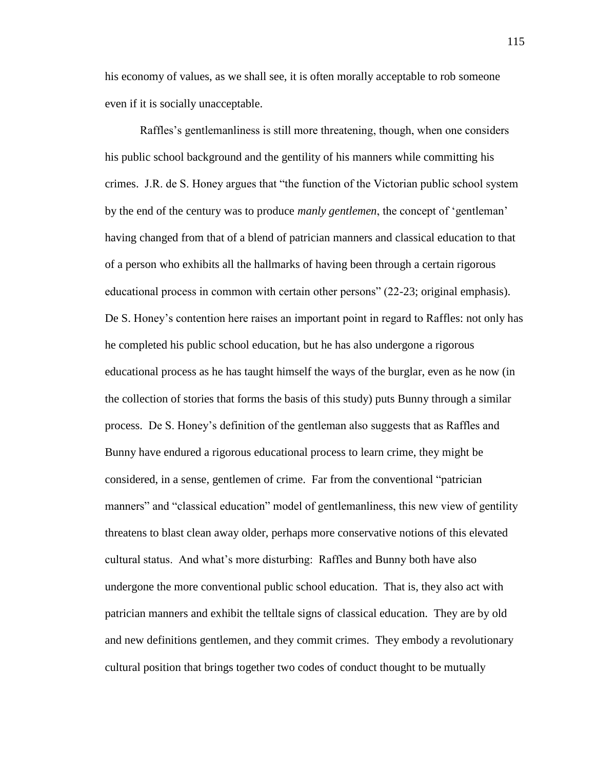his economy of values, as we shall see, it is often morally acceptable to rob someone even if it is socially unacceptable.

Raffles's gentlemanliness is still more threatening, though, when one considers his public school background and the gentility of his manners while committing his crimes. J.R. de S. Honey argues that "the function of the Victorian public school system by the end of the century was to produce *manly gentlemen*, the concept of 'gentleman' having changed from that of a blend of patrician manners and classical education to that of a person who exhibits all the hallmarks of having been through a certain rigorous educational process in common with certain other persons" (22-23; original emphasis). De S. Honey's contention here raises an important point in regard to Raffles: not only has he completed his public school education, but he has also undergone a rigorous educational process as he has taught himself the ways of the burglar, even as he now (in the collection of stories that forms the basis of this study) puts Bunny through a similar process. De S. Honey's definition of the gentleman also suggests that as Raffles and Bunny have endured a rigorous educational process to learn crime, they might be considered, in a sense, gentlemen of crime. Far from the conventional "patrician manners" and "classical education" model of gentlemanliness, this new view of gentility threatens to blast clean away older, perhaps more conservative notions of this elevated cultural status. And what's more disturbing: Raffles and Bunny both have also undergone the more conventional public school education. That is, they also act with patrician manners and exhibit the telltale signs of classical education. They are by old and new definitions gentlemen, and they commit crimes. They embody a revolutionary cultural position that brings together two codes of conduct thought to be mutually

115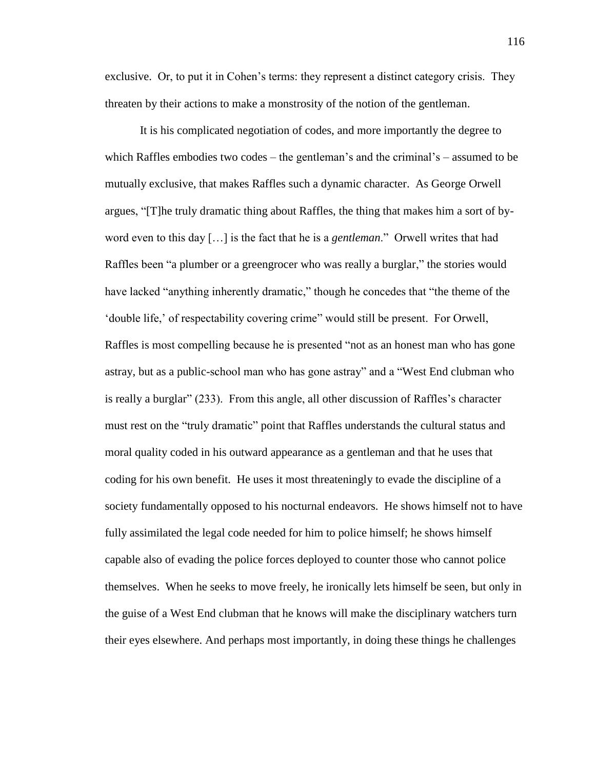exclusive. Or, to put it in Cohen's terms: they represent a distinct category crisis. They threaten by their actions to make a monstrosity of the notion of the gentleman.

It is his complicated negotiation of codes, and more importantly the degree to which Raffles embodies two codes – the gentleman's and the criminal's – assumed to be mutually exclusive, that makes Raffles such a dynamic character. As George Orwell argues, "[T]he truly dramatic thing about Raffles, the thing that makes him a sort of byword even to this day […] is the fact that he is a *gentleman*." Orwell writes that had Raffles been "a plumber or a greengrocer who was really a burglar," the stories would have lacked "anything inherently dramatic," though he concedes that "the theme of the 'double life,' of respectability covering crime" would still be present. For Orwell, Raffles is most compelling because he is presented "not as an honest man who has gone astray, but as a public-school man who has gone astray" and a "West End clubman who is really a burglar" (233). From this angle, all other discussion of Raffles's character must rest on the "truly dramatic" point that Raffles understands the cultural status and moral quality coded in his outward appearance as a gentleman and that he uses that coding for his own benefit. He uses it most threateningly to evade the discipline of a society fundamentally opposed to his nocturnal endeavors. He shows himself not to have fully assimilated the legal code needed for him to police himself; he shows himself capable also of evading the police forces deployed to counter those who cannot police themselves. When he seeks to move freely, he ironically lets himself be seen, but only in the guise of a West End clubman that he knows will make the disciplinary watchers turn their eyes elsewhere. And perhaps most importantly, in doing these things he challenges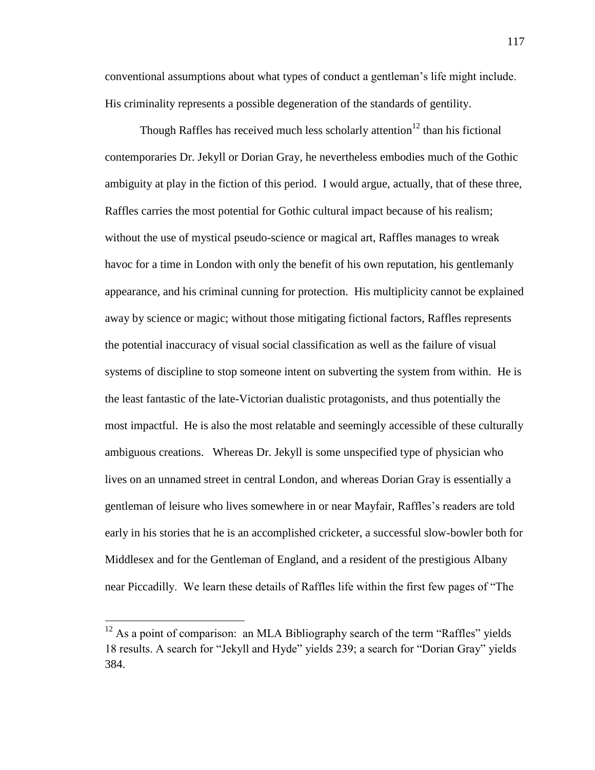conventional assumptions about what types of conduct a gentleman's life might include. His criminality represents a possible degeneration of the standards of gentility.

Though Raffles has received much less scholarly attention<sup>12</sup> than his fictional contemporaries Dr. Jekyll or Dorian Gray, he nevertheless embodies much of the Gothic ambiguity at play in the fiction of this period. I would argue, actually, that of these three, Raffles carries the most potential for Gothic cultural impact because of his realism; without the use of mystical pseudo-science or magical art, Raffles manages to wreak havoc for a time in London with only the benefit of his own reputation, his gentlemanly appearance, and his criminal cunning for protection. His multiplicity cannot be explained away by science or magic; without those mitigating fictional factors, Raffles represents the potential inaccuracy of visual social classification as well as the failure of visual systems of discipline to stop someone intent on subverting the system from within. He is the least fantastic of the late-Victorian dualistic protagonists, and thus potentially the most impactful. He is also the most relatable and seemingly accessible of these culturally ambiguous creations. Whereas Dr. Jekyll is some unspecified type of physician who lives on an unnamed street in central London, and whereas Dorian Gray is essentially a gentleman of leisure who lives somewhere in or near Mayfair, Raffles's readers are told early in his stories that he is an accomplished cricketer, a successful slow-bowler both for Middlesex and for the Gentleman of England, and a resident of the prestigious Albany near Piccadilly. We learn these details of Raffles life within the first few pages of "The

 $12$  As a point of comparison: an MLA Bibliography search of the term "Raffles" yields 18 results. A search for "Jekyll and Hyde" yields 239; a search for "Dorian Gray" yields 384.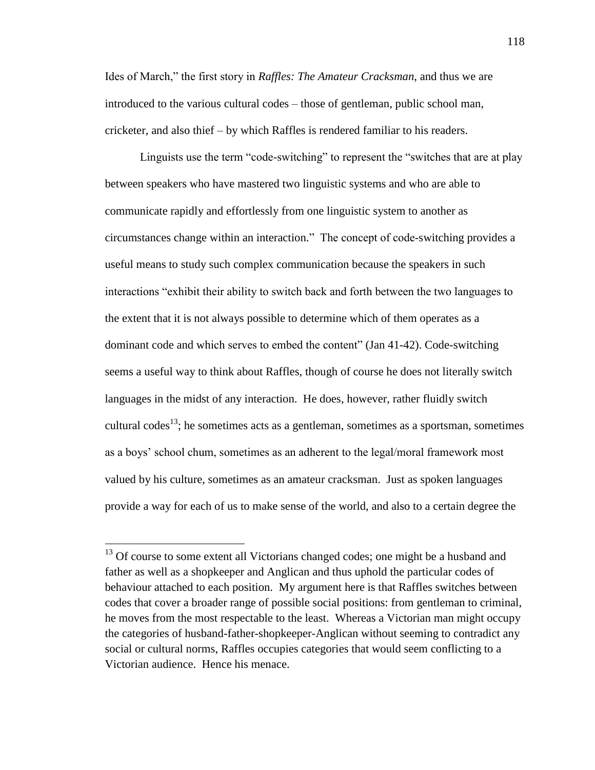Ides of March," the first story in *Raffles: The Amateur Cracksman*, and thus we are introduced to the various cultural codes – those of gentleman, public school man, cricketer, and also thief – by which Raffles is rendered familiar to his readers.

Linguists use the term "code-switching" to represent the "switches that are at play between speakers who have mastered two linguistic systems and who are able to communicate rapidly and effortlessly from one linguistic system to another as circumstances change within an interaction." The concept of code-switching provides a useful means to study such complex communication because the speakers in such interactions "exhibit their ability to switch back and forth between the two languages to the extent that it is not always possible to determine which of them operates as a dominant code and which serves to embed the content" (Jan 41-42). Code-switching seems a useful way to think about Raffles, though of course he does not literally switch languages in the midst of any interaction. He does, however, rather fluidly switch cultural codes<sup>13</sup>; he sometimes acts as a gentleman, sometimes as a sportsman, sometimes as a boys' school chum, sometimes as an adherent to the legal/moral framework most valued by his culture, sometimes as an amateur cracksman. Just as spoken languages provide a way for each of us to make sense of the world, and also to a certain degree the

<sup>&</sup>lt;sup>13</sup> Of course to some extent all Victorians changed codes; one might be a husband and father as well as a shopkeeper and Anglican and thus uphold the particular codes of behaviour attached to each position. My argument here is that Raffles switches between codes that cover a broader range of possible social positions: from gentleman to criminal, he moves from the most respectable to the least. Whereas a Victorian man might occupy the categories of husband-father-shopkeeper-Anglican without seeming to contradict any social or cultural norms, Raffles occupies categories that would seem conflicting to a Victorian audience. Hence his menace.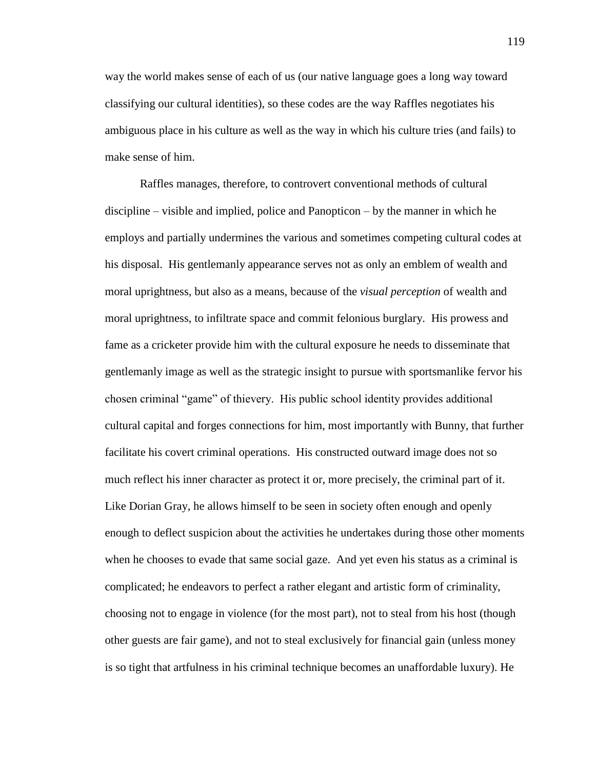way the world makes sense of each of us (our native language goes a long way toward classifying our cultural identities), so these codes are the way Raffles negotiates his ambiguous place in his culture as well as the way in which his culture tries (and fails) to make sense of him.

Raffles manages, therefore, to controvert conventional methods of cultural discipline – visible and implied, police and Panopticon – by the manner in which he employs and partially undermines the various and sometimes competing cultural codes at his disposal. His gentlemanly appearance serves not as only an emblem of wealth and moral uprightness, but also as a means, because of the *visual perception* of wealth and moral uprightness, to infiltrate space and commit felonious burglary. His prowess and fame as a cricketer provide him with the cultural exposure he needs to disseminate that gentlemanly image as well as the strategic insight to pursue with sportsmanlike fervor his chosen criminal "game" of thievery. His public school identity provides additional cultural capital and forges connections for him, most importantly with Bunny, that further facilitate his covert criminal operations. His constructed outward image does not so much reflect his inner character as protect it or, more precisely, the criminal part of it. Like Dorian Gray, he allows himself to be seen in society often enough and openly enough to deflect suspicion about the activities he undertakes during those other moments when he chooses to evade that same social gaze. And yet even his status as a criminal is complicated; he endeavors to perfect a rather elegant and artistic form of criminality, choosing not to engage in violence (for the most part), not to steal from his host (though other guests are fair game), and not to steal exclusively for financial gain (unless money is so tight that artfulness in his criminal technique becomes an unaffordable luxury). He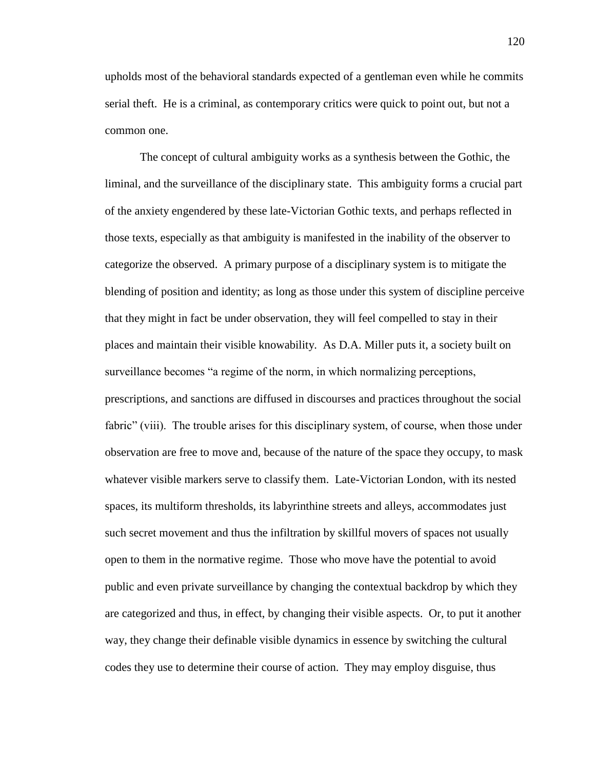upholds most of the behavioral standards expected of a gentleman even while he commits serial theft. He is a criminal, as contemporary critics were quick to point out, but not a common one.

The concept of cultural ambiguity works as a synthesis between the Gothic, the liminal, and the surveillance of the disciplinary state. This ambiguity forms a crucial part of the anxiety engendered by these late-Victorian Gothic texts, and perhaps reflected in those texts, especially as that ambiguity is manifested in the inability of the observer to categorize the observed. A primary purpose of a disciplinary system is to mitigate the blending of position and identity; as long as those under this system of discipline perceive that they might in fact be under observation, they will feel compelled to stay in their places and maintain their visible knowability. As D.A. Miller puts it, a society built on surveillance becomes "a regime of the norm, in which normalizing perceptions, prescriptions, and sanctions are diffused in discourses and practices throughout the social fabric" (viii). The trouble arises for this disciplinary system, of course, when those under observation are free to move and, because of the nature of the space they occupy, to mask whatever visible markers serve to classify them. Late-Victorian London, with its nested spaces, its multiform thresholds, its labyrinthine streets and alleys, accommodates just such secret movement and thus the infiltration by skillful movers of spaces not usually open to them in the normative regime. Those who move have the potential to avoid public and even private surveillance by changing the contextual backdrop by which they are categorized and thus, in effect, by changing their visible aspects. Or, to put it another way, they change their definable visible dynamics in essence by switching the cultural codes they use to determine their course of action. They may employ disguise, thus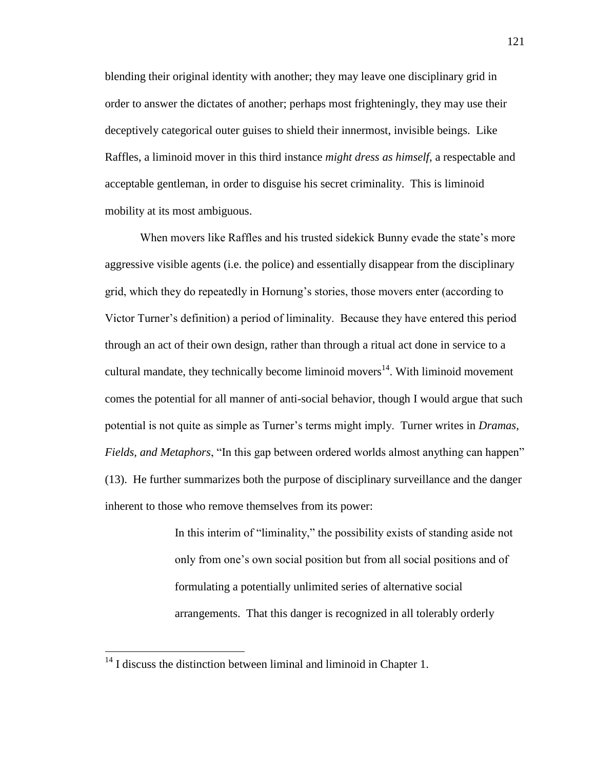blending their original identity with another; they may leave one disciplinary grid in order to answer the dictates of another; perhaps most frighteningly, they may use their deceptively categorical outer guises to shield their innermost, invisible beings. Like Raffles, a liminoid mover in this third instance *might dress as himself*, a respectable and acceptable gentleman, in order to disguise his secret criminality. This is liminoid mobility at its most ambiguous.

When movers like Raffles and his trusted sidekick Bunny evade the state's more aggressive visible agents (i.e. the police) and essentially disappear from the disciplinary grid, which they do repeatedly in Hornung's stories, those movers enter (according to Victor Turner's definition) a period of liminality. Because they have entered this period through an act of their own design, rather than through a ritual act done in service to a cultural mandate, they technically become liminoid movers $14$ . With liminoid movement comes the potential for all manner of anti-social behavior, though I would argue that such potential is not quite as simple as Turner's terms might imply. Turner writes in *Dramas, Fields, and Metaphors*, "In this gap between ordered worlds almost anything can happen" (13). He further summarizes both the purpose of disciplinary surveillance and the danger inherent to those who remove themselves from its power:

> In this interim of "liminality," the possibility exists of standing aside not only from one's own social position but from all social positions and of formulating a potentially unlimited series of alternative social arrangements. That this danger is recognized in all tolerably orderly

 $14$  I discuss the distinction between liminal and liminoid in Chapter 1.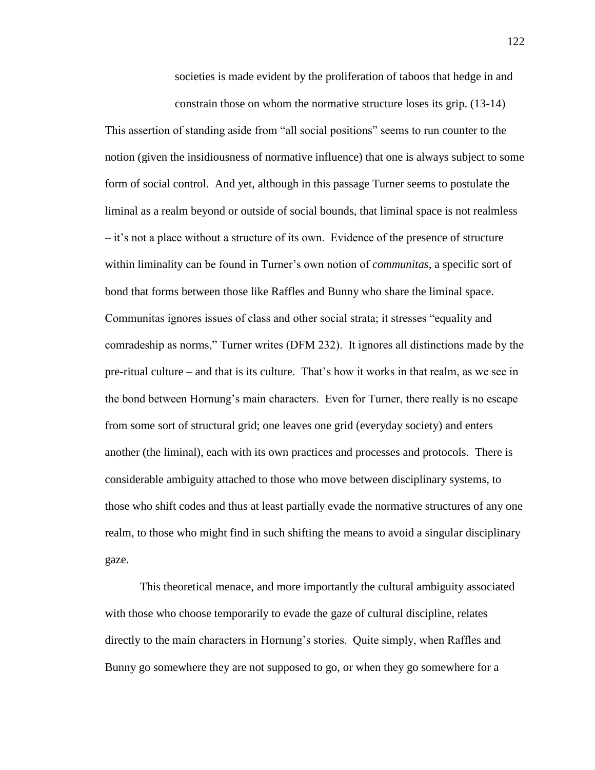societies is made evident by the proliferation of taboos that hedge in and constrain those on whom the normative structure loses its grip. (13-14)

This assertion of standing aside from "all social positions" seems to run counter to the notion (given the insidiousness of normative influence) that one is always subject to some form of social control. And yet, although in this passage Turner seems to postulate the liminal as a realm beyond or outside of social bounds, that liminal space is not realmless – it's not a place without a structure of its own. Evidence of the presence of structure within liminality can be found in Turner's own notion of *communitas*, a specific sort of bond that forms between those like Raffles and Bunny who share the liminal space. Communitas ignores issues of class and other social strata; it stresses "equality and comradeship as norms," Turner writes (DFM 232). It ignores all distinctions made by the pre-ritual culture – and that is its culture. That's how it works in that realm, as we see in the bond between Hornung's main characters. Even for Turner, there really is no escape from some sort of structural grid; one leaves one grid (everyday society) and enters another (the liminal), each with its own practices and processes and protocols. There is considerable ambiguity attached to those who move between disciplinary systems, to those who shift codes and thus at least partially evade the normative structures of any one realm, to those who might find in such shifting the means to avoid a singular disciplinary gaze.

This theoretical menace, and more importantly the cultural ambiguity associated with those who choose temporarily to evade the gaze of cultural discipline, relates directly to the main characters in Hornung's stories. Quite simply, when Raffles and Bunny go somewhere they are not supposed to go, or when they go somewhere for a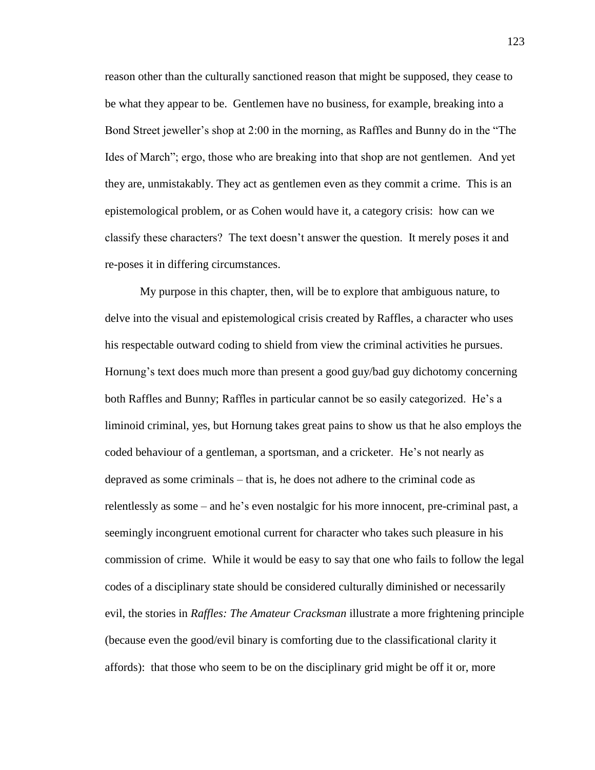reason other than the culturally sanctioned reason that might be supposed, they cease to be what they appear to be. Gentlemen have no business, for example, breaking into a Bond Street jeweller's shop at 2:00 in the morning, as Raffles and Bunny do in the "The Ides of March"; ergo, those who are breaking into that shop are not gentlemen. And yet they are, unmistakably. They act as gentlemen even as they commit a crime. This is an epistemological problem, or as Cohen would have it, a category crisis: how can we classify these characters? The text doesn't answer the question. It merely poses it and re-poses it in differing circumstances.

My purpose in this chapter, then, will be to explore that ambiguous nature, to delve into the visual and epistemological crisis created by Raffles, a character who uses his respectable outward coding to shield from view the criminal activities he pursues. Hornung's text does much more than present a good guy/bad guy dichotomy concerning both Raffles and Bunny; Raffles in particular cannot be so easily categorized. He's a liminoid criminal, yes, but Hornung takes great pains to show us that he also employs the coded behaviour of a gentleman, a sportsman, and a cricketer. He's not nearly as depraved as some criminals – that is, he does not adhere to the criminal code as relentlessly as some – and he's even nostalgic for his more innocent, pre-criminal past, a seemingly incongruent emotional current for character who takes such pleasure in his commission of crime. While it would be easy to say that one who fails to follow the legal codes of a disciplinary state should be considered culturally diminished or necessarily evil, the stories in *Raffles: The Amateur Cracksman* illustrate a more frightening principle (because even the good/evil binary is comforting due to the classificational clarity it affords): that those who seem to be on the disciplinary grid might be off it or, more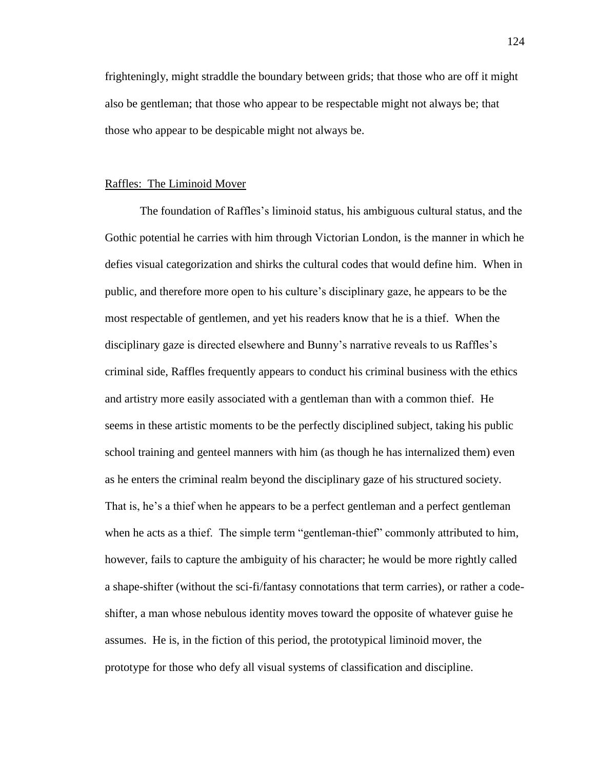frighteningly, might straddle the boundary between grids; that those who are off it might also be gentleman; that those who appear to be respectable might not always be; that those who appear to be despicable might not always be.

## Raffles: The Liminoid Mover

The foundation of Raffles's liminoid status, his ambiguous cultural status, and the Gothic potential he carries with him through Victorian London, is the manner in which he defies visual categorization and shirks the cultural codes that would define him. When in public, and therefore more open to his culture's disciplinary gaze, he appears to be the most respectable of gentlemen, and yet his readers know that he is a thief. When the disciplinary gaze is directed elsewhere and Bunny's narrative reveals to us Raffles's criminal side, Raffles frequently appears to conduct his criminal business with the ethics and artistry more easily associated with a gentleman than with a common thief. He seems in these artistic moments to be the perfectly disciplined subject, taking his public school training and genteel manners with him (as though he has internalized them) even as he enters the criminal realm beyond the disciplinary gaze of his structured society. That is, he's a thief when he appears to be a perfect gentleman and a perfect gentleman when he acts as a thief. The simple term "gentleman-thief" commonly attributed to him, however, fails to capture the ambiguity of his character; he would be more rightly called a shape-shifter (without the sci-fi/fantasy connotations that term carries), or rather a codeshifter, a man whose nebulous identity moves toward the opposite of whatever guise he assumes. He is, in the fiction of this period, the prototypical liminoid mover, the prototype for those who defy all visual systems of classification and discipline.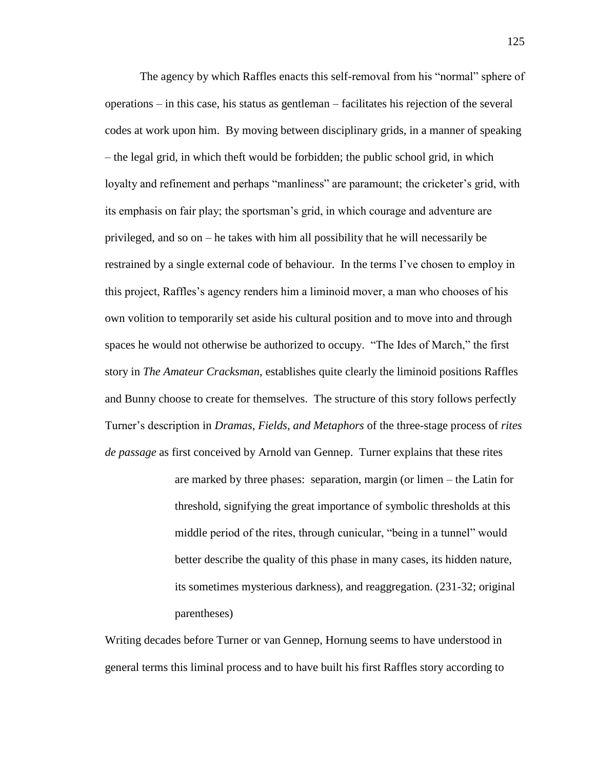The agency by which Raffles enacts this self-removal from his "normal" sphere of operations – in this case, his status as gentleman – facilitates his rejection of the several codes at work upon him. By moving between disciplinary grids, in a manner of speaking – the legal grid, in which theft would be forbidden; the public school grid, in which loyalty and refinement and perhaps "manliness" are paramount; the cricketer's grid, with its emphasis on fair play; the sportsman's grid, in which courage and adventure are privileged, and so on – he takes with him all possibility that he will necessarily be restrained by a single external code of behaviour. In the terms I've chosen to employ in this project, Raffles's agency renders him a liminoid mover, a man who chooses of his own volition to temporarily set aside his cultural position and to move into and through spaces he would not otherwise be authorized to occupy. "The Ides of March," the first story in *The Amateur Cracksman*, establishes quite clearly the liminoid positions Raffles and Bunny choose to create for themselves. The structure of this story follows perfectly Turner's description in *Dramas, Fields, and Metaphors* of the three-stage process of *rites de passage* as first conceived by Arnold van Gennep. Turner explains that these rites

> are marked by three phases: separation, margin (or limen – the Latin for threshold, signifying the great importance of symbolic thresholds at this middle period of the rites, through cunicular, "being in a tunnel" would better describe the quality of this phase in many cases, its hidden nature, its sometimes mysterious darkness), and reaggregation. (231-32; original parentheses)

Writing decades before Turner or van Gennep, Hornung seems to have understood in general terms this liminal process and to have built his first Raffles story according to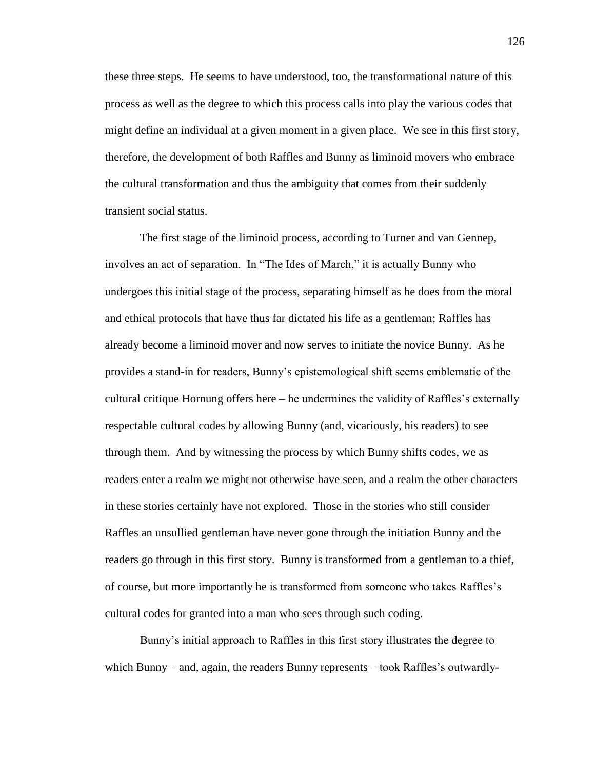these three steps. He seems to have understood, too, the transformational nature of this process as well as the degree to which this process calls into play the various codes that might define an individual at a given moment in a given place. We see in this first story, therefore, the development of both Raffles and Bunny as liminoid movers who embrace the cultural transformation and thus the ambiguity that comes from their suddenly transient social status.

The first stage of the liminoid process, according to Turner and van Gennep, involves an act of separation. In "The Ides of March," it is actually Bunny who undergoes this initial stage of the process, separating himself as he does from the moral and ethical protocols that have thus far dictated his life as a gentleman; Raffles has already become a liminoid mover and now serves to initiate the novice Bunny. As he provides a stand-in for readers, Bunny's epistemological shift seems emblematic of the cultural critique Hornung offers here – he undermines the validity of Raffles's externally respectable cultural codes by allowing Bunny (and, vicariously, his readers) to see through them. And by witnessing the process by which Bunny shifts codes, we as readers enter a realm we might not otherwise have seen, and a realm the other characters in these stories certainly have not explored. Those in the stories who still consider Raffles an unsullied gentleman have never gone through the initiation Bunny and the readers go through in this first story. Bunny is transformed from a gentleman to a thief, of course, but more importantly he is transformed from someone who takes Raffles's cultural codes for granted into a man who sees through such coding.

Bunny's initial approach to Raffles in this first story illustrates the degree to which Bunny – and, again, the readers Bunny represents – took Raffles's outwardly-

126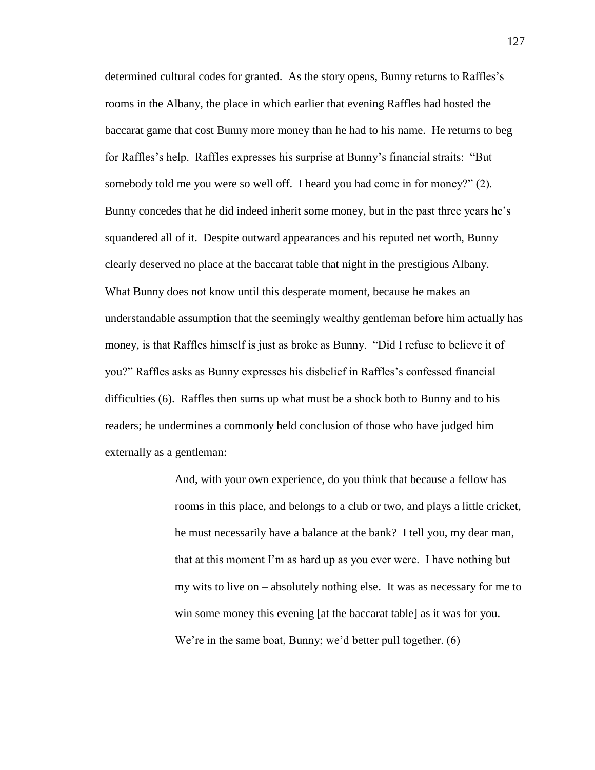determined cultural codes for granted. As the story opens, Bunny returns to Raffles's rooms in the Albany, the place in which earlier that evening Raffles had hosted the baccarat game that cost Bunny more money than he had to his name. He returns to beg for Raffles's help. Raffles expresses his surprise at Bunny's financial straits: "But somebody told me you were so well off. I heard you had come in for money?" (2). Bunny concedes that he did indeed inherit some money, but in the past three years he's squandered all of it. Despite outward appearances and his reputed net worth, Bunny clearly deserved no place at the baccarat table that night in the prestigious Albany. What Bunny does not know until this desperate moment, because he makes an understandable assumption that the seemingly wealthy gentleman before him actually has money, is that Raffles himself is just as broke as Bunny. "Did I refuse to believe it of you?" Raffles asks as Bunny expresses his disbelief in Raffles's confessed financial difficulties (6). Raffles then sums up what must be a shock both to Bunny and to his readers; he undermines a commonly held conclusion of those who have judged him externally as a gentleman:

> And, with your own experience, do you think that because a fellow has rooms in this place, and belongs to a club or two, and plays a little cricket, he must necessarily have a balance at the bank? I tell you, my dear man, that at this moment I'm as hard up as you ever were. I have nothing but my wits to live on – absolutely nothing else. It was as necessary for me to win some money this evening [at the baccarat table] as it was for you. We're in the same boat, Bunny; we'd better pull together. (6)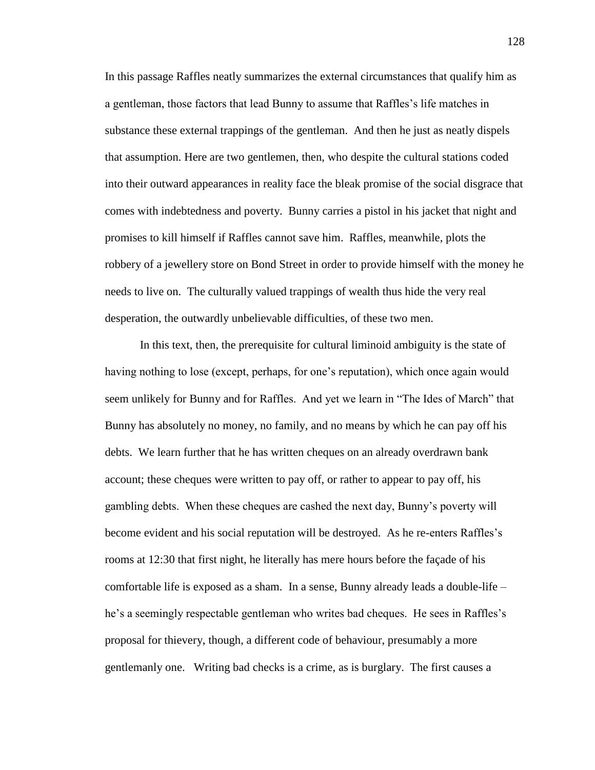In this passage Raffles neatly summarizes the external circumstances that qualify him as a gentleman, those factors that lead Bunny to assume that Raffles's life matches in substance these external trappings of the gentleman. And then he just as neatly dispels that assumption. Here are two gentlemen, then, who despite the cultural stations coded into their outward appearances in reality face the bleak promise of the social disgrace that comes with indebtedness and poverty. Bunny carries a pistol in his jacket that night and promises to kill himself if Raffles cannot save him. Raffles, meanwhile, plots the robbery of a jewellery store on Bond Street in order to provide himself with the money he needs to live on. The culturally valued trappings of wealth thus hide the very real desperation, the outwardly unbelievable difficulties, of these two men.

In this text, then, the prerequisite for cultural liminoid ambiguity is the state of having nothing to lose (except, perhaps, for one's reputation), which once again would seem unlikely for Bunny and for Raffles. And yet we learn in "The Ides of March" that Bunny has absolutely no money, no family, and no means by which he can pay off his debts. We learn further that he has written cheques on an already overdrawn bank account; these cheques were written to pay off, or rather to appear to pay off, his gambling debts. When these cheques are cashed the next day, Bunny's poverty will become evident and his social reputation will be destroyed. As he re-enters Raffles's rooms at 12:30 that first night, he literally has mere hours before the façade of his comfortable life is exposed as a sham. In a sense, Bunny already leads a double-life – he's a seemingly respectable gentleman who writes bad cheques. He sees in Raffles's proposal for thievery, though, a different code of behaviour, presumably a more gentlemanly one. Writing bad checks is a crime, as is burglary. The first causes a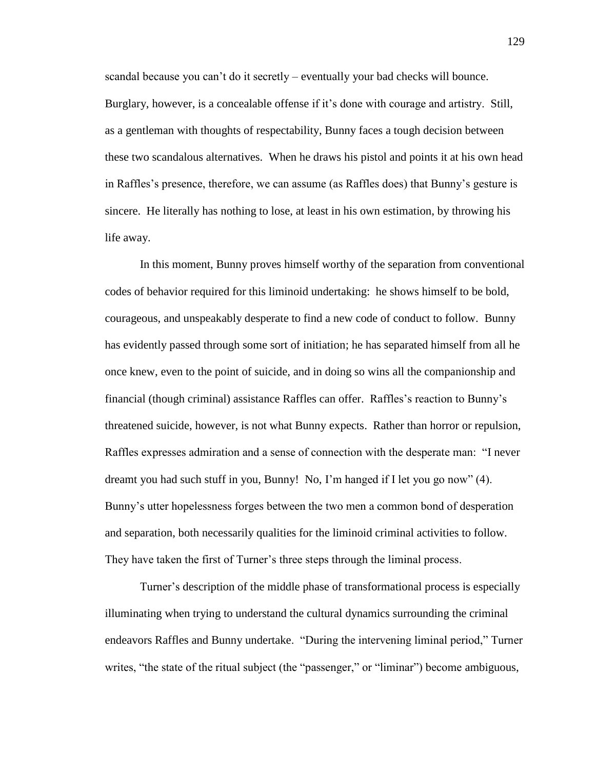scandal because you can't do it secretly – eventually your bad checks will bounce. Burglary, however, is a concealable offense if it's done with courage and artistry. Still, as a gentleman with thoughts of respectability, Bunny faces a tough decision between these two scandalous alternatives. When he draws his pistol and points it at his own head in Raffles's presence, therefore, we can assume (as Raffles does) that Bunny's gesture is sincere. He literally has nothing to lose, at least in his own estimation, by throwing his life away.

In this moment, Bunny proves himself worthy of the separation from conventional codes of behavior required for this liminoid undertaking: he shows himself to be bold, courageous, and unspeakably desperate to find a new code of conduct to follow. Bunny has evidently passed through some sort of initiation; he has separated himself from all he once knew, even to the point of suicide, and in doing so wins all the companionship and financial (though criminal) assistance Raffles can offer. Raffles's reaction to Bunny's threatened suicide, however, is not what Bunny expects. Rather than horror or repulsion, Raffles expresses admiration and a sense of connection with the desperate man: "I never dreamt you had such stuff in you, Bunny! No, I'm hanged if I let you go now" (4). Bunny's utter hopelessness forges between the two men a common bond of desperation and separation, both necessarily qualities for the liminoid criminal activities to follow. They have taken the first of Turner's three steps through the liminal process.

Turner's description of the middle phase of transformational process is especially illuminating when trying to understand the cultural dynamics surrounding the criminal endeavors Raffles and Bunny undertake. "During the intervening liminal period," Turner writes, "the state of the ritual subject (the "passenger," or "liminar") become ambiguous,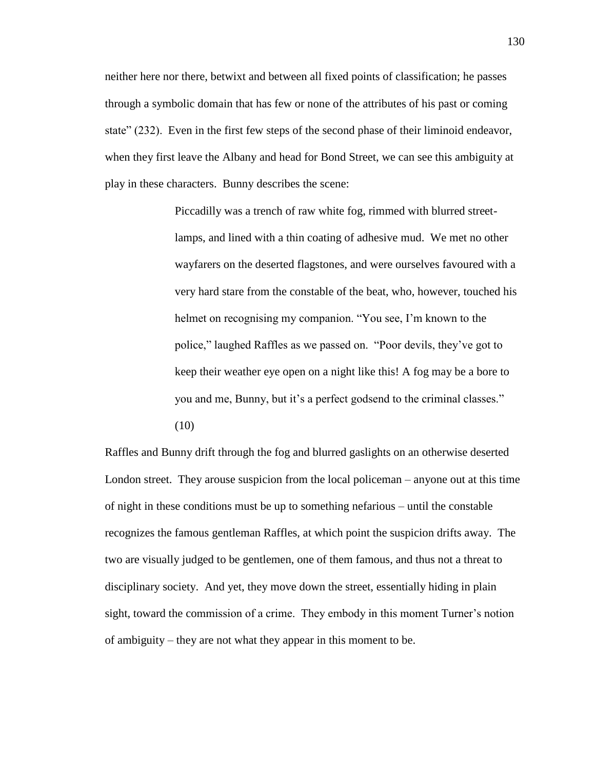neither here nor there, betwixt and between all fixed points of classification; he passes through a symbolic domain that has few or none of the attributes of his past or coming state" (232). Even in the first few steps of the second phase of their liminoid endeavor, when they first leave the Albany and head for Bond Street, we can see this ambiguity at play in these characters. Bunny describes the scene:

> Piccadilly was a trench of raw white fog, rimmed with blurred streetlamps, and lined with a thin coating of adhesive mud. We met no other wayfarers on the deserted flagstones, and were ourselves favoured with a very hard stare from the constable of the beat, who, however, touched his helmet on recognising my companion. "You see, I'm known to the police," laughed Raffles as we passed on. "Poor devils, they've got to keep their weather eye open on a night like this! A fog may be a bore to you and me, Bunny, but it's a perfect godsend to the criminal classes." (10)

Raffles and Bunny drift through the fog and blurred gaslights on an otherwise deserted London street. They arouse suspicion from the local policeman – anyone out at this time of night in these conditions must be up to something nefarious – until the constable recognizes the famous gentleman Raffles, at which point the suspicion drifts away. The two are visually judged to be gentlemen, one of them famous, and thus not a threat to disciplinary society. And yet, they move down the street, essentially hiding in plain sight, toward the commission of a crime. They embody in this moment Turner's notion of ambiguity – they are not what they appear in this moment to be.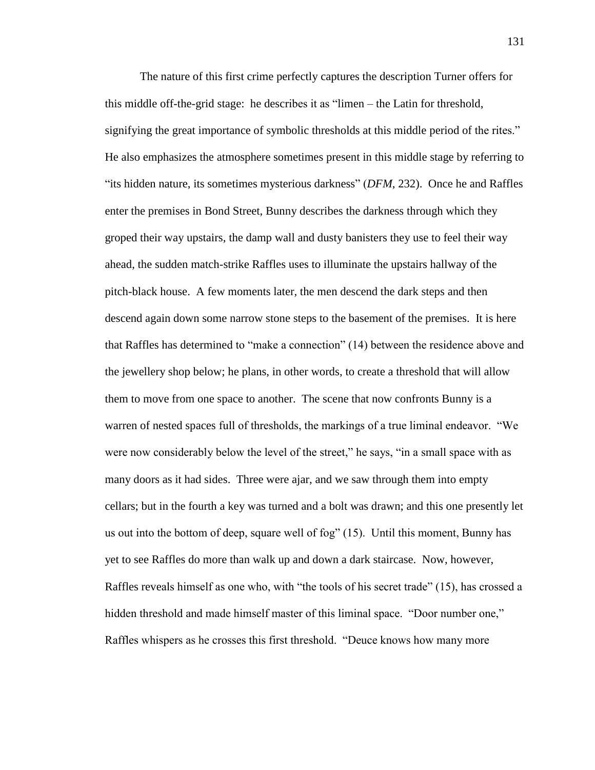The nature of this first crime perfectly captures the description Turner offers for this middle off-the-grid stage: he describes it as "limen – the Latin for threshold, signifying the great importance of symbolic thresholds at this middle period of the rites." He also emphasizes the atmosphere sometimes present in this middle stage by referring to "its hidden nature, its sometimes mysterious darkness" (*DFM*, 232). Once he and Raffles enter the premises in Bond Street, Bunny describes the darkness through which they groped their way upstairs, the damp wall and dusty banisters they use to feel their way ahead, the sudden match-strike Raffles uses to illuminate the upstairs hallway of the pitch-black house. A few moments later, the men descend the dark steps and then descend again down some narrow stone steps to the basement of the premises. It is here that Raffles has determined to "make a connection" (14) between the residence above and the jewellery shop below; he plans, in other words, to create a threshold that will allow them to move from one space to another. The scene that now confronts Bunny is a warren of nested spaces full of thresholds, the markings of a true liminal endeavor. "We were now considerably below the level of the street," he says, "in a small space with as many doors as it had sides. Three were ajar, and we saw through them into empty cellars; but in the fourth a key was turned and a bolt was drawn; and this one presently let us out into the bottom of deep, square well of fog" (15). Until this moment, Bunny has yet to see Raffles do more than walk up and down a dark staircase. Now, however, Raffles reveals himself as one who, with "the tools of his secret trade" (15), has crossed a hidden threshold and made himself master of this liminal space. "Door number one," Raffles whispers as he crosses this first threshold. "Deuce knows how many more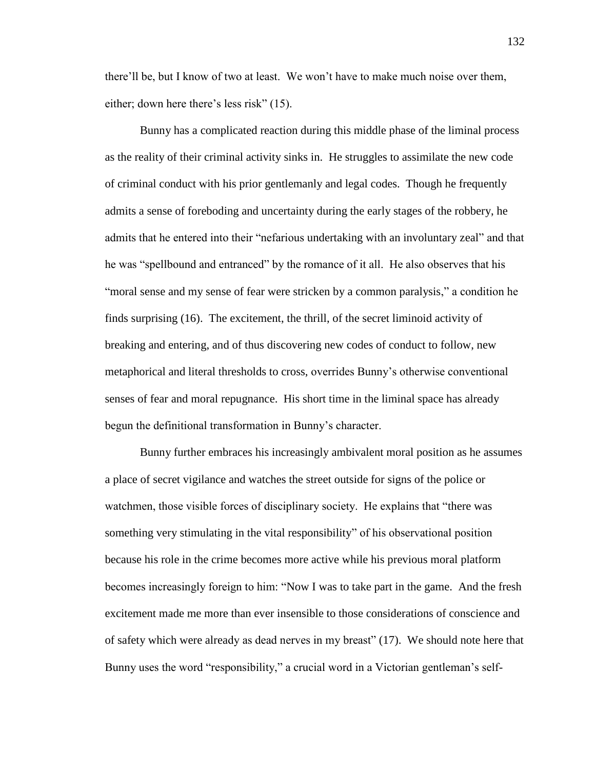there'll be, but I know of two at least. We won't have to make much noise over them, either; down here there's less risk" (15).

Bunny has a complicated reaction during this middle phase of the liminal process as the reality of their criminal activity sinks in. He struggles to assimilate the new code of criminal conduct with his prior gentlemanly and legal codes. Though he frequently admits a sense of foreboding and uncertainty during the early stages of the robbery, he admits that he entered into their "nefarious undertaking with an involuntary zeal" and that he was "spellbound and entranced" by the romance of it all. He also observes that his "moral sense and my sense of fear were stricken by a common paralysis," a condition he finds surprising (16). The excitement, the thrill, of the secret liminoid activity of breaking and entering, and of thus discovering new codes of conduct to follow, new metaphorical and literal thresholds to cross, overrides Bunny's otherwise conventional senses of fear and moral repugnance. His short time in the liminal space has already begun the definitional transformation in Bunny's character.

Bunny further embraces his increasingly ambivalent moral position as he assumes a place of secret vigilance and watches the street outside for signs of the police or watchmen, those visible forces of disciplinary society. He explains that "there was something very stimulating in the vital responsibility" of his observational position because his role in the crime becomes more active while his previous moral platform becomes increasingly foreign to him: "Now I was to take part in the game. And the fresh excitement made me more than ever insensible to those considerations of conscience and of safety which were already as dead nerves in my breast" (17). We should note here that Bunny uses the word "responsibility," a crucial word in a Victorian gentleman's self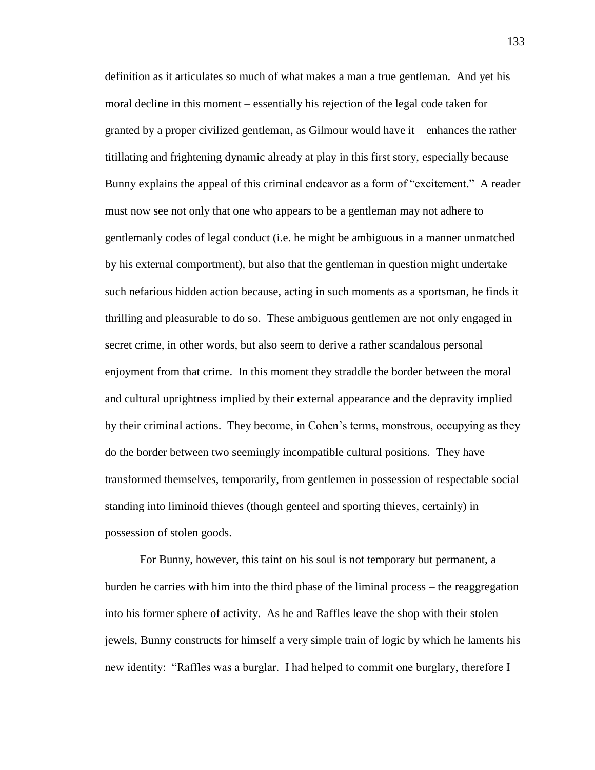definition as it articulates so much of what makes a man a true gentleman. And yet his moral decline in this moment – essentially his rejection of the legal code taken for granted by a proper civilized gentleman, as Gilmour would have it – enhances the rather titillating and frightening dynamic already at play in this first story, especially because Bunny explains the appeal of this criminal endeavor as a form of "excitement." A reader must now see not only that one who appears to be a gentleman may not adhere to gentlemanly codes of legal conduct (i.e. he might be ambiguous in a manner unmatched by his external comportment), but also that the gentleman in question might undertake such nefarious hidden action because, acting in such moments as a sportsman, he finds it thrilling and pleasurable to do so. These ambiguous gentlemen are not only engaged in secret crime, in other words, but also seem to derive a rather scandalous personal enjoyment from that crime. In this moment they straddle the border between the moral and cultural uprightness implied by their external appearance and the depravity implied by their criminal actions. They become, in Cohen's terms, monstrous, occupying as they do the border between two seemingly incompatible cultural positions. They have transformed themselves, temporarily, from gentlemen in possession of respectable social standing into liminoid thieves (though genteel and sporting thieves, certainly) in possession of stolen goods.

For Bunny, however, this taint on his soul is not temporary but permanent, a burden he carries with him into the third phase of the liminal process – the reaggregation into his former sphere of activity. As he and Raffles leave the shop with their stolen jewels, Bunny constructs for himself a very simple train of logic by which he laments his new identity: "Raffles was a burglar. I had helped to commit one burglary, therefore I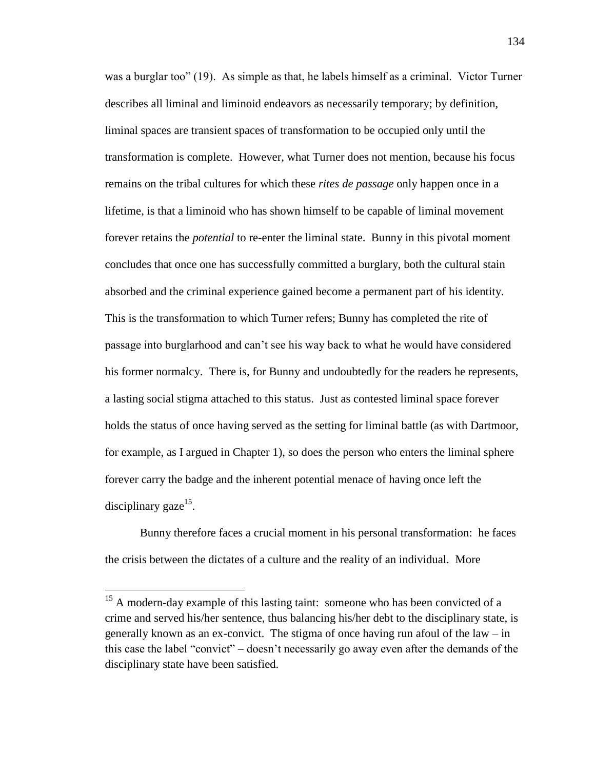was a burglar too" (19). As simple as that, he labels himself as a criminal. Victor Turner describes all liminal and liminoid endeavors as necessarily temporary; by definition, liminal spaces are transient spaces of transformation to be occupied only until the transformation is complete. However, what Turner does not mention, because his focus remains on the tribal cultures for which these *rites de passage* only happen once in a lifetime, is that a liminoid who has shown himself to be capable of liminal movement forever retains the *potential* to re-enter the liminal state. Bunny in this pivotal moment concludes that once one has successfully committed a burglary, both the cultural stain absorbed and the criminal experience gained become a permanent part of his identity. This is the transformation to which Turner refers; Bunny has completed the rite of passage into burglarhood and can't see his way back to what he would have considered his former normalcy. There is, for Bunny and undoubtedly for the readers he represents, a lasting social stigma attached to this status. Just as contested liminal space forever holds the status of once having served as the setting for liminal battle (as with Dartmoor, for example, as I argued in Chapter 1), so does the person who enters the liminal sphere forever carry the badge and the inherent potential menace of having once left the disciplinary gaze $15$ .

Bunny therefore faces a crucial moment in his personal transformation: he faces the crisis between the dictates of a culture and the reality of an individual. More

 $15$  A modern-day example of this lasting taint: someone who has been convicted of a crime and served his/her sentence, thus balancing his/her debt to the disciplinary state, is generally known as an ex-convict. The stigma of once having run afoul of the law – in this case the label "convict" – doesn't necessarily go away even after the demands of the disciplinary state have been satisfied.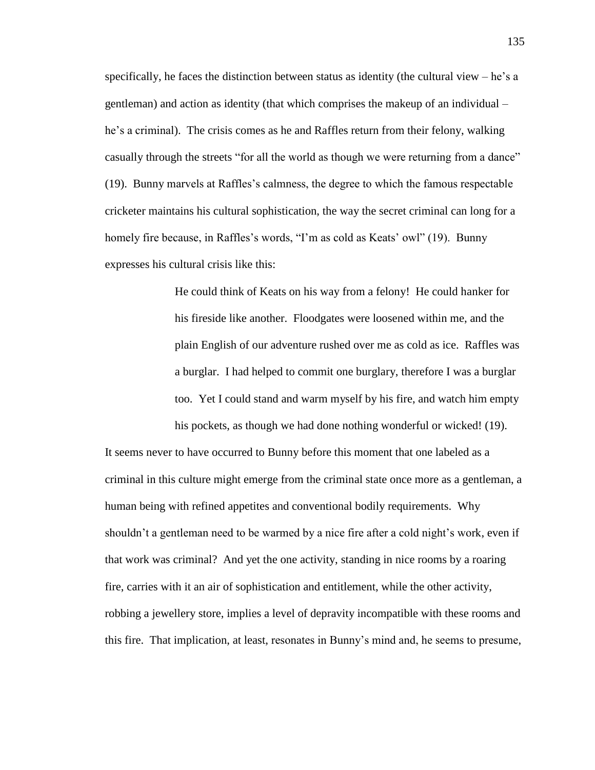specifically, he faces the distinction between status as identity (the cultural view  $-$  he's a gentleman) and action as identity (that which comprises the makeup of an individual – he's a criminal). The crisis comes as he and Raffles return from their felony, walking casually through the streets "for all the world as though we were returning from a dance" (19). Bunny marvels at Raffles's calmness, the degree to which the famous respectable cricketer maintains his cultural sophistication, the way the secret criminal can long for a homely fire because, in Raffles's words, "I'm as cold as Keats' owl" (19). Bunny expresses his cultural crisis like this:

> He could think of Keats on his way from a felony! He could hanker for his fireside like another. Floodgates were loosened within me, and the plain English of our adventure rushed over me as cold as ice. Raffles was a burglar. I had helped to commit one burglary, therefore I was a burglar too. Yet I could stand and warm myself by his fire, and watch him empty his pockets, as though we had done nothing wonderful or wicked! (19).

It seems never to have occurred to Bunny before this moment that one labeled as a criminal in this culture might emerge from the criminal state once more as a gentleman, a human being with refined appetites and conventional bodily requirements. Why shouldn't a gentleman need to be warmed by a nice fire after a cold night's work, even if that work was criminal? And yet the one activity, standing in nice rooms by a roaring fire, carries with it an air of sophistication and entitlement, while the other activity, robbing a jewellery store, implies a level of depravity incompatible with these rooms and this fire. That implication, at least, resonates in Bunny's mind and, he seems to presume,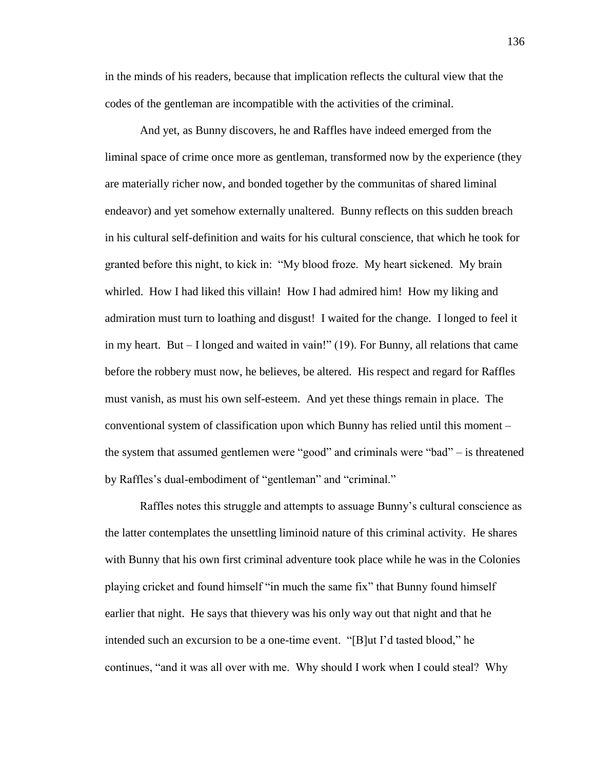in the minds of his readers, because that implication reflects the cultural view that the codes of the gentleman are incompatible with the activities of the criminal.

And yet, as Bunny discovers, he and Raffles have indeed emerged from the liminal space of crime once more as gentleman, transformed now by the experience (they are materially richer now, and bonded together by the communitas of shared liminal endeavor) and yet somehow externally unaltered. Bunny reflects on this sudden breach in his cultural self-definition and waits for his cultural conscience, that which he took for granted before this night, to kick in: "My blood froze. My heart sickened. My brain whirled. How I had liked this villain! How I had admired him! How my liking and admiration must turn to loathing and disgust! I waited for the change. I longed to feel it in my heart. But – I longed and waited in vain!" (19). For Bunny, all relations that came before the robbery must now, he believes, be altered. His respect and regard for Raffles must vanish, as must his own self-esteem. And yet these things remain in place. The conventional system of classification upon which Bunny has relied until this moment – the system that assumed gentlemen were "good" and criminals were "bad" – is threatened by Raffles's dual-embodiment of "gentleman" and "criminal."

Raffles notes this struggle and attempts to assuage Bunny's cultural conscience as the latter contemplates the unsettling liminoid nature of this criminal activity. He shares with Bunny that his own first criminal adventure took place while he was in the Colonies playing cricket and found himself "in much the same fix" that Bunny found himself earlier that night. He says that thievery was his only way out that night and that he intended such an excursion to be a one-time event. "[B]ut I'd tasted blood," he continues, "and it was all over with me. Why should I work when I could steal? Why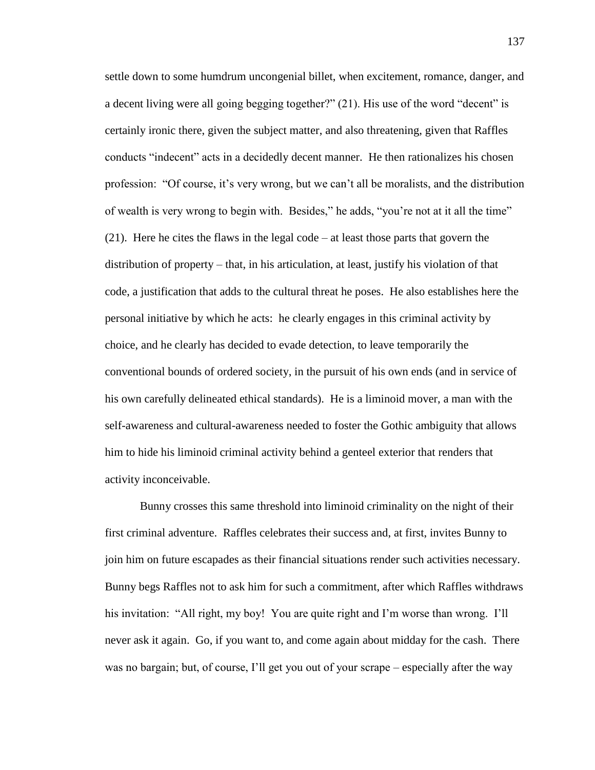settle down to some humdrum uncongenial billet, when excitement, romance, danger, and a decent living were all going begging together?" (21). His use of the word "decent" is certainly ironic there, given the subject matter, and also threatening, given that Raffles conducts "indecent" acts in a decidedly decent manner. He then rationalizes his chosen profession: "Of course, it's very wrong, but we can't all be moralists, and the distribution of wealth is very wrong to begin with. Besides," he adds, "you're not at it all the time" (21). Here he cites the flaws in the legal code – at least those parts that govern the distribution of property – that, in his articulation, at least, justify his violation of that code, a justification that adds to the cultural threat he poses. He also establishes here the personal initiative by which he acts: he clearly engages in this criminal activity by choice, and he clearly has decided to evade detection, to leave temporarily the conventional bounds of ordered society, in the pursuit of his own ends (and in service of his own carefully delineated ethical standards). He is a liminoid mover, a man with the self-awareness and cultural-awareness needed to foster the Gothic ambiguity that allows him to hide his liminoid criminal activity behind a genteel exterior that renders that activity inconceivable.

Bunny crosses this same threshold into liminoid criminality on the night of their first criminal adventure. Raffles celebrates their success and, at first, invites Bunny to join him on future escapades as their financial situations render such activities necessary. Bunny begs Raffles not to ask him for such a commitment, after which Raffles withdraws his invitation: "All right, my boy! You are quite right and I'm worse than wrong. I'll never ask it again. Go, if you want to, and come again about midday for the cash. There was no bargain; but, of course, I'll get you out of your scrape – especially after the way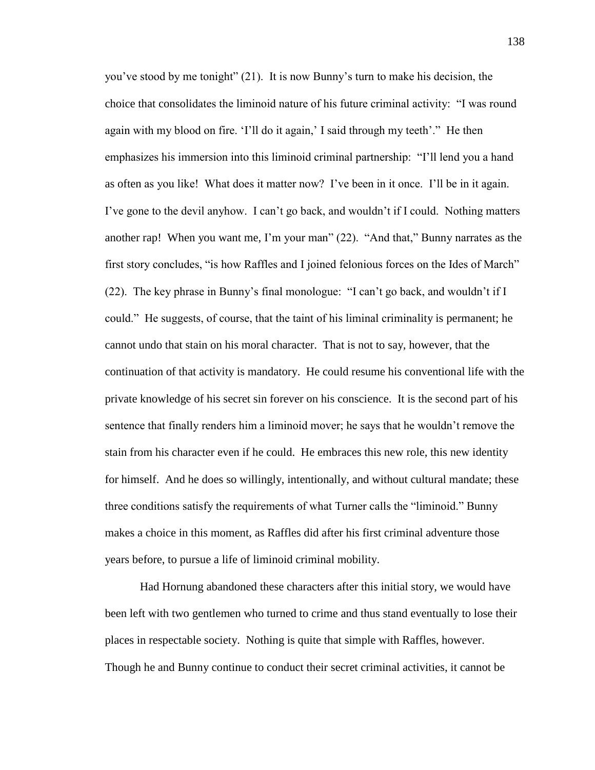you've stood by me tonight" (21). It is now Bunny's turn to make his decision, the choice that consolidates the liminoid nature of his future criminal activity: "I was round again with my blood on fire. 'I'll do it again,' I said through my teeth'." He then emphasizes his immersion into this liminoid criminal partnership: "I'll lend you a hand as often as you like! What does it matter now? I've been in it once. I'll be in it again. I've gone to the devil anyhow. I can't go back, and wouldn't if I could. Nothing matters another rap! When you want me, I'm your man" (22). "And that," Bunny narrates as the first story concludes, "is how Raffles and I joined felonious forces on the Ides of March" (22). The key phrase in Bunny's final monologue: "I can't go back, and wouldn't if I could." He suggests, of course, that the taint of his liminal criminality is permanent; he cannot undo that stain on his moral character. That is not to say, however, that the continuation of that activity is mandatory. He could resume his conventional life with the private knowledge of his secret sin forever on his conscience. It is the second part of his sentence that finally renders him a liminoid mover; he says that he wouldn't remove the stain from his character even if he could. He embraces this new role, this new identity for himself. And he does so willingly, intentionally, and without cultural mandate; these three conditions satisfy the requirements of what Turner calls the "liminoid." Bunny makes a choice in this moment, as Raffles did after his first criminal adventure those years before, to pursue a life of liminoid criminal mobility.

Had Hornung abandoned these characters after this initial story, we would have been left with two gentlemen who turned to crime and thus stand eventually to lose their places in respectable society. Nothing is quite that simple with Raffles, however. Though he and Bunny continue to conduct their secret criminal activities, it cannot be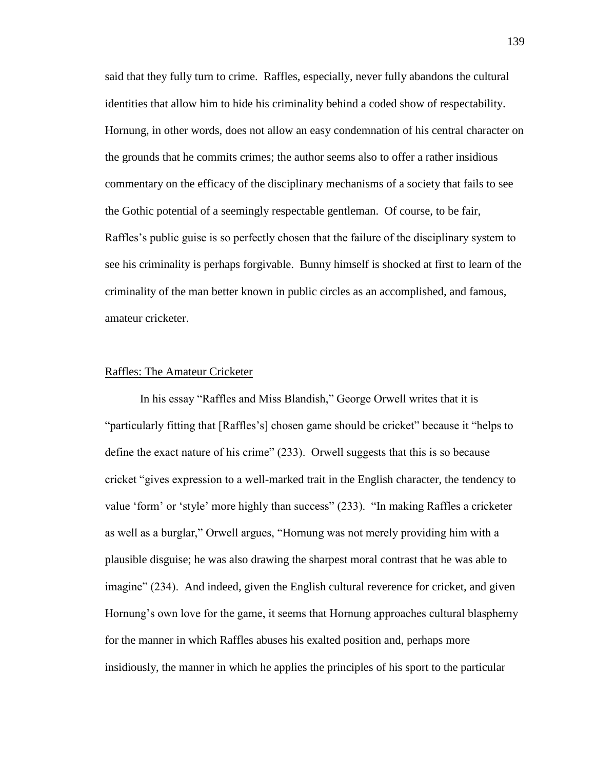said that they fully turn to crime. Raffles, especially, never fully abandons the cultural identities that allow him to hide his criminality behind a coded show of respectability. Hornung, in other words, does not allow an easy condemnation of his central character on the grounds that he commits crimes; the author seems also to offer a rather insidious commentary on the efficacy of the disciplinary mechanisms of a society that fails to see the Gothic potential of a seemingly respectable gentleman. Of course, to be fair, Raffles's public guise is so perfectly chosen that the failure of the disciplinary system to see his criminality is perhaps forgivable. Bunny himself is shocked at first to learn of the criminality of the man better known in public circles as an accomplished, and famous, amateur cricketer.

## Raffles: The Amateur Cricketer

In his essay "Raffles and Miss Blandish," George Orwell writes that it is "particularly fitting that [Raffles's] chosen game should be cricket" because it "helps to define the exact nature of his crime" (233). Orwell suggests that this is so because cricket "gives expression to a well-marked trait in the English character, the tendency to value 'form' or 'style' more highly than success" (233). "In making Raffles a cricketer as well as a burglar," Orwell argues, "Hornung was not merely providing him with a plausible disguise; he was also drawing the sharpest moral contrast that he was able to imagine" (234). And indeed, given the English cultural reverence for cricket, and given Hornung's own love for the game, it seems that Hornung approaches cultural blasphemy for the manner in which Raffles abuses his exalted position and, perhaps more insidiously, the manner in which he applies the principles of his sport to the particular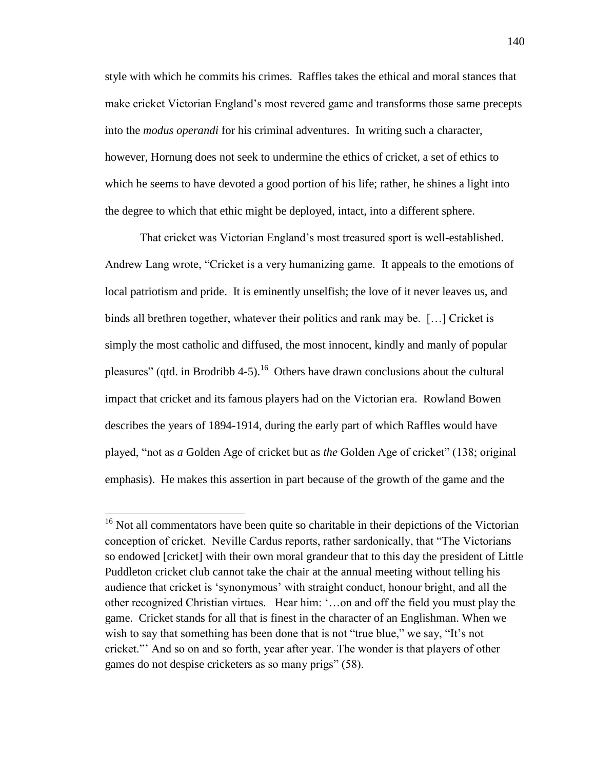style with which he commits his crimes. Raffles takes the ethical and moral stances that make cricket Victorian England's most revered game and transforms those same precepts into the *modus operandi* for his criminal adventures. In writing such a character, however, Hornung does not seek to undermine the ethics of cricket, a set of ethics to which he seems to have devoted a good portion of his life; rather, he shines a light into the degree to which that ethic might be deployed, intact, into a different sphere.

That cricket was Victorian England's most treasured sport is well-established. Andrew Lang wrote, "Cricket is a very humanizing game. It appeals to the emotions of local patriotism and pride. It is eminently unselfish; the love of it never leaves us, and binds all brethren together, whatever their politics and rank may be. […] Cricket is simply the most catholic and diffused, the most innocent, kindly and manly of popular pleasures" (qtd. in Brodribb 4-5).<sup>16</sup> Others have drawn conclusions about the cultural impact that cricket and its famous players had on the Victorian era. Rowland Bowen describes the years of 1894-1914, during the early part of which Raffles would have played, "not as *a* Golden Age of cricket but as *the* Golden Age of cricket" (138; original emphasis). He makes this assertion in part because of the growth of the game and the

<sup>&</sup>lt;sup>16</sup> Not all commentators have been quite so charitable in their depictions of the Victorian conception of cricket. Neville Cardus reports, rather sardonically, that "The Victorians so endowed [cricket] with their own moral grandeur that to this day the president of Little Puddleton cricket club cannot take the chair at the annual meeting without telling his audience that cricket is 'synonymous' with straight conduct, honour bright, and all the other recognized Christian virtues. Hear him: '…on and off the field you must play the game. Cricket stands for all that is finest in the character of an Englishman. When we wish to say that something has been done that is not "true blue," we say, "It's not cricket."' And so on and so forth, year after year. The wonder is that players of other games do not despise cricketers as so many prigs" (58).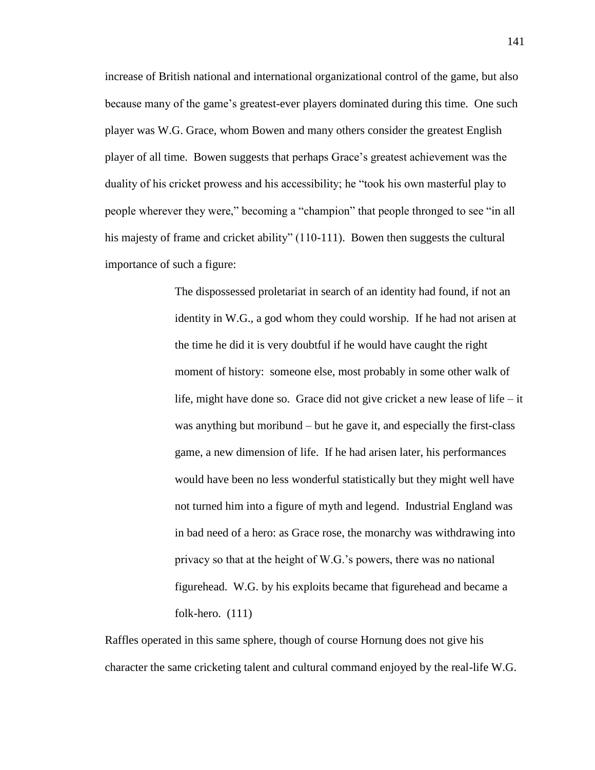increase of British national and international organizational control of the game, but also because many of the game's greatest-ever players dominated during this time. One such player was W.G. Grace, whom Bowen and many others consider the greatest English player of all time. Bowen suggests that perhaps Grace's greatest achievement was the duality of his cricket prowess and his accessibility; he "took his own masterful play to people wherever they were," becoming a "champion" that people thronged to see "in all his majesty of frame and cricket ability" (110-111). Bowen then suggests the cultural importance of such a figure:

> The dispossessed proletariat in search of an identity had found, if not an identity in W.G., a god whom they could worship. If he had not arisen at the time he did it is very doubtful if he would have caught the right moment of history: someone else, most probably in some other walk of life, might have done so. Grace did not give cricket a new lease of life – it was anything but moribund – but he gave it, and especially the first-class game, a new dimension of life. If he had arisen later, his performances would have been no less wonderful statistically but they might well have not turned him into a figure of myth and legend. Industrial England was in bad need of a hero: as Grace rose, the monarchy was withdrawing into privacy so that at the height of W.G.'s powers, there was no national figurehead. W.G. by his exploits became that figurehead and became a folk-hero. (111)

Raffles operated in this same sphere, though of course Hornung does not give his character the same cricketing talent and cultural command enjoyed by the real-life W.G.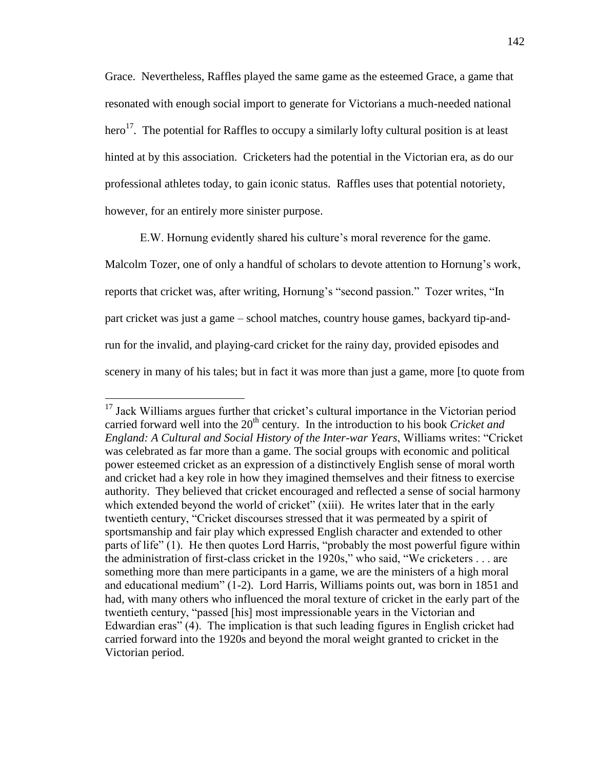Grace. Nevertheless, Raffles played the same game as the esteemed Grace, a game that resonated with enough social import to generate for Victorians a much-needed national hero<sup>17</sup>. The potential for Raffles to occupy a similarly lofty cultural position is at least hinted at by this association. Cricketers had the potential in the Victorian era, as do our professional athletes today, to gain iconic status. Raffles uses that potential notoriety, however, for an entirely more sinister purpose.

E.W. Hornung evidently shared his culture's moral reverence for the game.

Malcolm Tozer, one of only a handful of scholars to devote attention to Hornung's work, reports that cricket was, after writing, Hornung's "second passion." Tozer writes, "In part cricket was just a game – school matches, country house games, backyard tip-andrun for the invalid, and playing-card cricket for the rainy day, provided episodes and scenery in many of his tales; but in fact it was more than just a game, more [to quote from

<sup>&</sup>lt;sup>17</sup> Jack Williams argues further that cricket's cultural importance in the Victorian period carried forward well into the 20<sup>th</sup> century. In the introduction to his book *Cricket and England: A Cultural and Social History of the Inter-war Years*, Williams writes: "Cricket was celebrated as far more than a game. The social groups with economic and political power esteemed cricket as an expression of a distinctively English sense of moral worth and cricket had a key role in how they imagined themselves and their fitness to exercise authority. They believed that cricket encouraged and reflected a sense of social harmony which extended beyond the world of cricket" (xiii). He writes later that in the early twentieth century, "Cricket discourses stressed that it was permeated by a spirit of sportsmanship and fair play which expressed English character and extended to other parts of life" (1). He then quotes Lord Harris, "probably the most powerful figure within the administration of first-class cricket in the 1920s," who said, "We cricketers . . . are something more than mere participants in a game, we are the ministers of a high moral and educational medium" (1-2). Lord Harris, Williams points out, was born in 1851 and had, with many others who influenced the moral texture of cricket in the early part of the twentieth century, "passed [his] most impressionable years in the Victorian and Edwardian eras" (4). The implication is that such leading figures in English cricket had carried forward into the 1920s and beyond the moral weight granted to cricket in the Victorian period.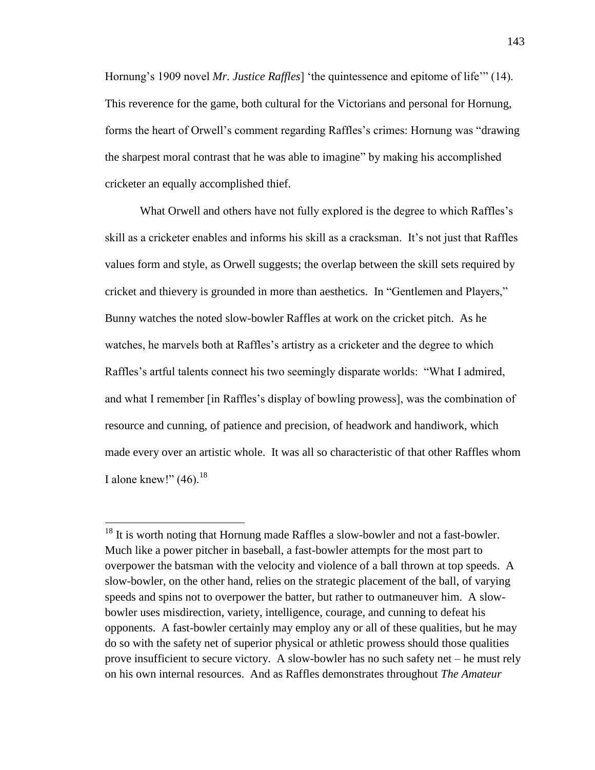Hornung's 1909 novel *Mr. Justice Raffles*] 'the quintessence and epitome of life'" (14). This reverence for the game, both cultural for the Victorians and personal for Hornung, forms the heart of Orwell's comment regarding Raffles's crimes: Hornung was "drawing the sharpest moral contrast that he was able to imagine" by making his accomplished cricketer an equally accomplished thief.

What Orwell and others have not fully explored is the degree to which Raffles's skill as a cricketer enables and informs his skill as a cracksman. It's not just that Raffles values form and style, as Orwell suggests; the overlap between the skill sets required by cricket and thievery is grounded in more than aesthetics. In "Gentlemen and Players," Bunny watches the noted slow-bowler Raffles at work on the cricket pitch. As he watches, he marvels both at Raffles's artistry as a cricketer and the degree to which Raffles's artful talents connect his two seemingly disparate worlds: "What I admired, and what I remember [in Raffles's display of bowling prowess], was the combination of resource and cunning, of patience and precision, of headwork and handiwork, which made every over an artistic whole. It was all so characteristic of that other Raffles whom I alone knew!"  $(46)$ .<sup>18</sup>

<sup>&</sup>lt;sup>18</sup> It is worth noting that Hornung made Raffles a slow-bowler and not a fast-bowler. Much like a power pitcher in baseball, a fast-bowler attempts for the most part to overpower the batsman with the velocity and violence of a ball thrown at top speeds. A slow-bowler, on the other hand, relies on the strategic placement of the ball, of varying speeds and spins not to overpower the batter, but rather to outmaneuver him. A slowbowler uses misdirection, variety, intelligence, courage, and cunning to defeat his opponents. A fast-bowler certainly may employ any or all of these qualities, but he may do so with the safety net of superior physical or athletic prowess should those qualities prove insufficient to secure victory. A slow-bowler has no such safety net – he must rely on his own internal resources. And as Raffles demonstrates throughout *The Amateur*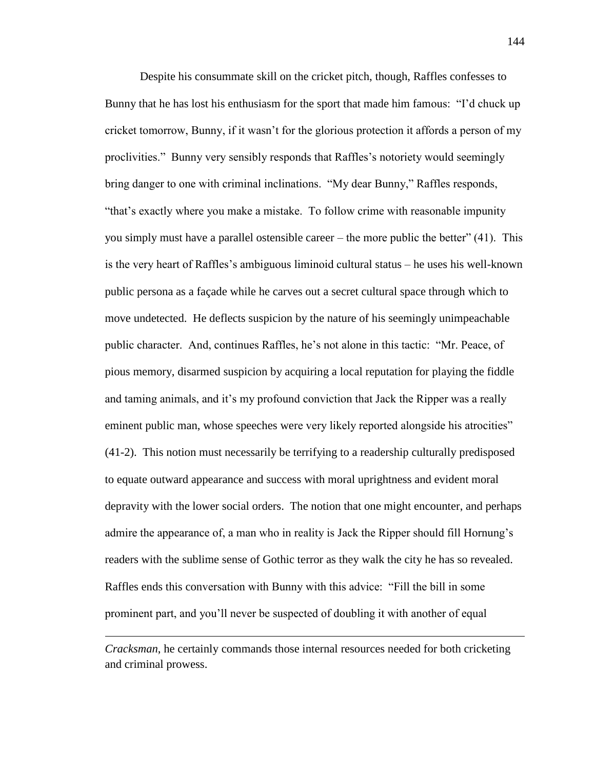Despite his consummate skill on the cricket pitch, though, Raffles confesses to Bunny that he has lost his enthusiasm for the sport that made him famous: "I'd chuck up cricket tomorrow, Bunny, if it wasn't for the glorious protection it affords a person of my proclivities." Bunny very sensibly responds that Raffles's notoriety would seemingly bring danger to one with criminal inclinations. "My dear Bunny," Raffles responds, "that's exactly where you make a mistake. To follow crime with reasonable impunity you simply must have a parallel ostensible career – the more public the better" (41). This is the very heart of Raffles's ambiguous liminoid cultural status – he uses his well-known public persona as a façade while he carves out a secret cultural space through which to move undetected. He deflects suspicion by the nature of his seemingly unimpeachable public character. And, continues Raffles, he's not alone in this tactic: "Mr. Peace, of pious memory, disarmed suspicion by acquiring a local reputation for playing the fiddle and taming animals, and it's my profound conviction that Jack the Ripper was a really eminent public man, whose speeches were very likely reported alongside his atrocities" (41-2). This notion must necessarily be terrifying to a readership culturally predisposed to equate outward appearance and success with moral uprightness and evident moral depravity with the lower social orders. The notion that one might encounter, and perhaps admire the appearance of, a man who in reality is Jack the Ripper should fill Hornung's readers with the sublime sense of Gothic terror as they walk the city he has so revealed. Raffles ends this conversation with Bunny with this advice: "Fill the bill in some prominent part, and you'll never be suspected of doubling it with another of equal

*Cracksman*, he certainly commands those internal resources needed for both cricketing and criminal prowess.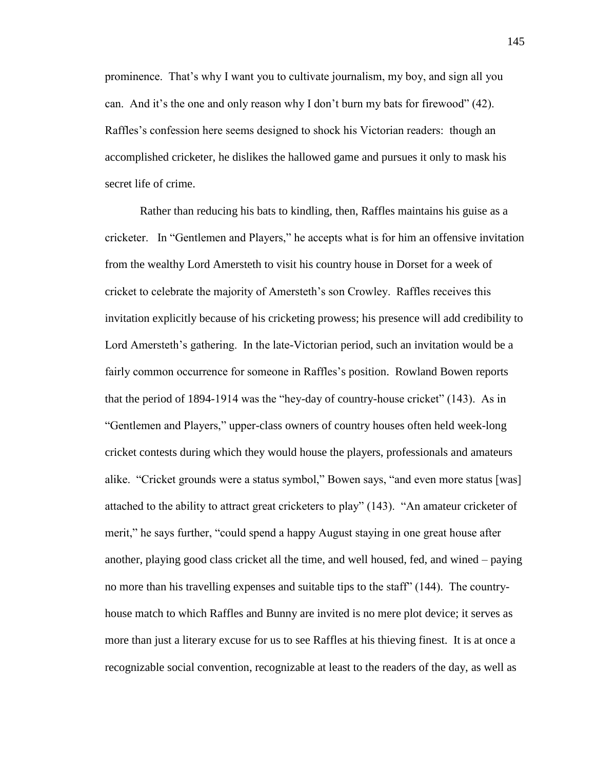prominence. That's why I want you to cultivate journalism, my boy, and sign all you can. And it's the one and only reason why I don't burn my bats for firewood" (42). Raffles's confession here seems designed to shock his Victorian readers: though an accomplished cricketer, he dislikes the hallowed game and pursues it only to mask his secret life of crime.

Rather than reducing his bats to kindling, then, Raffles maintains his guise as a cricketer. In "Gentlemen and Players," he accepts what is for him an offensive invitation from the wealthy Lord Amersteth to visit his country house in Dorset for a week of cricket to celebrate the majority of Amersteth's son Crowley. Raffles receives this invitation explicitly because of his cricketing prowess; his presence will add credibility to Lord Amersteth's gathering. In the late-Victorian period, such an invitation would be a fairly common occurrence for someone in Raffles's position. Rowland Bowen reports that the period of 1894-1914 was the "hey-day of country-house cricket" (143). As in "Gentlemen and Players," upper-class owners of country houses often held week-long cricket contests during which they would house the players, professionals and amateurs alike. "Cricket grounds were a status symbol," Bowen says, "and even more status [was] attached to the ability to attract great cricketers to play" (143). "An amateur cricketer of merit," he says further, "could spend a happy August staying in one great house after another, playing good class cricket all the time, and well housed, fed, and wined – paying no more than his travelling expenses and suitable tips to the staff" (144). The countryhouse match to which Raffles and Bunny are invited is no mere plot device; it serves as more than just a literary excuse for us to see Raffles at his thieving finest. It is at once a recognizable social convention, recognizable at least to the readers of the day, as well as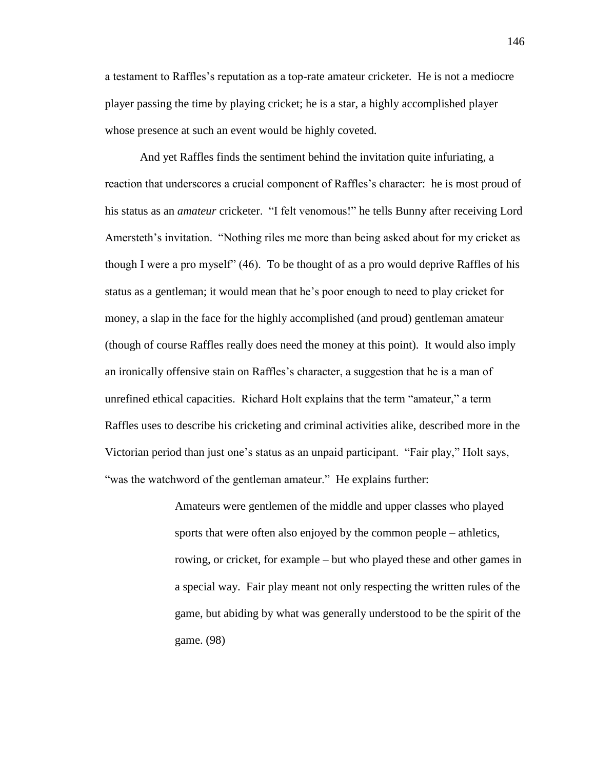a testament to Raffles's reputation as a top-rate amateur cricketer. He is not a mediocre player passing the time by playing cricket; he is a star, a highly accomplished player whose presence at such an event would be highly coveted.

And yet Raffles finds the sentiment behind the invitation quite infuriating, a reaction that underscores a crucial component of Raffles's character: he is most proud of his status as an *amateur* cricketer. "I felt venomous!" he tells Bunny after receiving Lord Amersteth's invitation. "Nothing riles me more than being asked about for my cricket as though I were a pro myself" (46). To be thought of as a pro would deprive Raffles of his status as a gentleman; it would mean that he's poor enough to need to play cricket for money, a slap in the face for the highly accomplished (and proud) gentleman amateur (though of course Raffles really does need the money at this point). It would also imply an ironically offensive stain on Raffles's character, a suggestion that he is a man of unrefined ethical capacities. Richard Holt explains that the term "amateur," a term Raffles uses to describe his cricketing and criminal activities alike, described more in the Victorian period than just one's status as an unpaid participant. "Fair play," Holt says, "was the watchword of the gentleman amateur." He explains further:

> Amateurs were gentlemen of the middle and upper classes who played sports that were often also enjoyed by the common people – athletics, rowing, or cricket, for example – but who played these and other games in a special way. Fair play meant not only respecting the written rules of the game, but abiding by what was generally understood to be the spirit of the game. (98)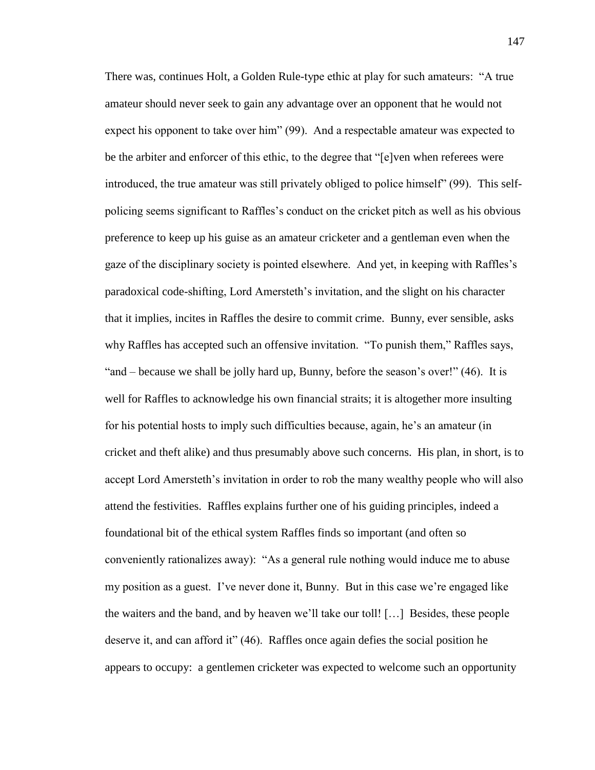There was, continues Holt, a Golden Rule-type ethic at play for such amateurs: "A true amateur should never seek to gain any advantage over an opponent that he would not expect his opponent to take over him" (99). And a respectable amateur was expected to be the arbiter and enforcer of this ethic, to the degree that "[e]ven when referees were introduced, the true amateur was still privately obliged to police himself" (99). This selfpolicing seems significant to Raffles's conduct on the cricket pitch as well as his obvious preference to keep up his guise as an amateur cricketer and a gentleman even when the gaze of the disciplinary society is pointed elsewhere. And yet, in keeping with Raffles's paradoxical code-shifting, Lord Amersteth's invitation, and the slight on his character that it implies, incites in Raffles the desire to commit crime. Bunny, ever sensible, asks why Raffles has accepted such an offensive invitation. "To punish them," Raffles says, "and – because we shall be jolly hard up, Bunny, before the season's over!" (46). It is well for Raffles to acknowledge his own financial straits; it is altogether more insulting for his potential hosts to imply such difficulties because, again, he's an amateur (in cricket and theft alike) and thus presumably above such concerns. His plan, in short, is to accept Lord Amersteth's invitation in order to rob the many wealthy people who will also attend the festivities. Raffles explains further one of his guiding principles, indeed a foundational bit of the ethical system Raffles finds so important (and often so conveniently rationalizes away): "As a general rule nothing would induce me to abuse my position as a guest. I've never done it, Bunny. But in this case we're engaged like the waiters and the band, and by heaven we'll take our toll! […] Besides, these people deserve it, and can afford it" (46). Raffles once again defies the social position he appears to occupy: a gentlemen cricketer was expected to welcome such an opportunity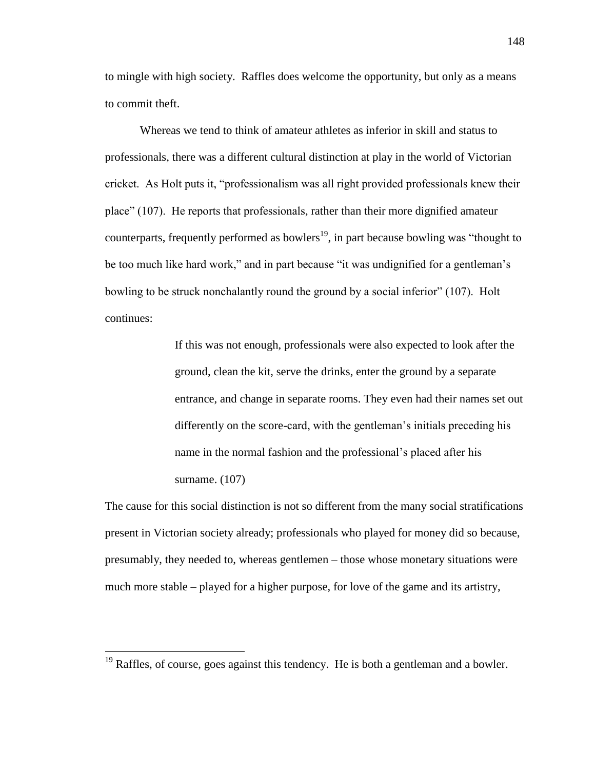to mingle with high society. Raffles does welcome the opportunity, but only as a means to commit theft.

Whereas we tend to think of amateur athletes as inferior in skill and status to professionals, there was a different cultural distinction at play in the world of Victorian cricket. As Holt puts it, "professionalism was all right provided professionals knew their place" (107). He reports that professionals, rather than their more dignified amateur counterparts, frequently performed as bowlers<sup>19</sup>, in part because bowling was "thought to be too much like hard work," and in part because "it was undignified for a gentleman's bowling to be struck nonchalantly round the ground by a social inferior" (107). Holt continues:

> If this was not enough, professionals were also expected to look after the ground, clean the kit, serve the drinks, enter the ground by a separate entrance, and change in separate rooms. They even had their names set out differently on the score-card, with the gentleman's initials preceding his name in the normal fashion and the professional's placed after his surname. (107)

The cause for this social distinction is not so different from the many social stratifications present in Victorian society already; professionals who played for money did so because, presumably, they needed to, whereas gentlemen – those whose monetary situations were much more stable – played for a higher purpose, for love of the game and its artistry,

 $\overline{a}$ 

 $19$  Raffles, of course, goes against this tendency. He is both a gentleman and a bowler.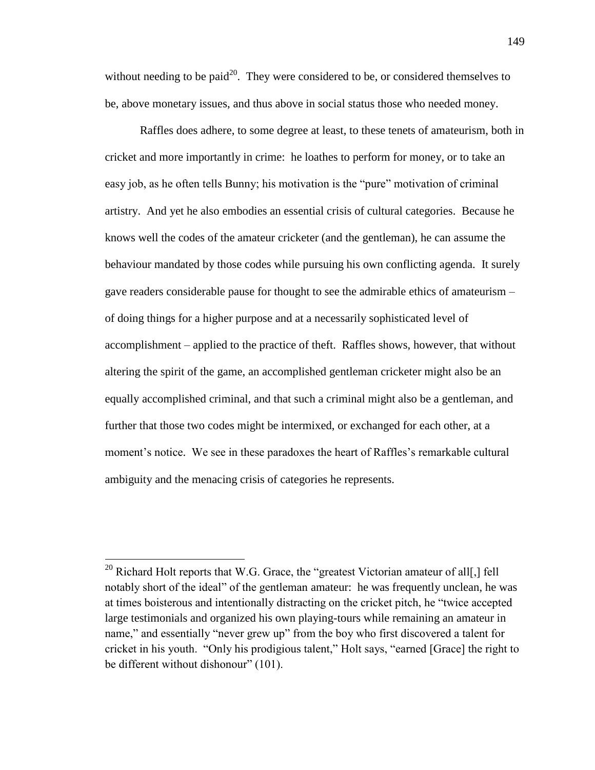without needing to be paid<sup>20</sup>. They were considered to be, or considered themselves to be, above monetary issues, and thus above in social status those who needed money.

Raffles does adhere, to some degree at least, to these tenets of amateurism, both in cricket and more importantly in crime: he loathes to perform for money, or to take an easy job, as he often tells Bunny; his motivation is the "pure" motivation of criminal artistry. And yet he also embodies an essential crisis of cultural categories. Because he knows well the codes of the amateur cricketer (and the gentleman), he can assume the behaviour mandated by those codes while pursuing his own conflicting agenda. It surely gave readers considerable pause for thought to see the admirable ethics of amateurism – of doing things for a higher purpose and at a necessarily sophisticated level of accomplishment – applied to the practice of theft. Raffles shows, however, that without altering the spirit of the game, an accomplished gentleman cricketer might also be an equally accomplished criminal, and that such a criminal might also be a gentleman, and further that those two codes might be intermixed, or exchanged for each other, at a moment's notice. We see in these paradoxes the heart of Raffles's remarkable cultural ambiguity and the menacing crisis of categories he represents.

 $\overline{a}$ 

<sup>&</sup>lt;sup>20</sup> Richard Holt reports that W.G. Grace, the "greatest Victorian amateur of all[,] fell notably short of the ideal" of the gentleman amateur: he was frequently unclean, he was at times boisterous and intentionally distracting on the cricket pitch, he "twice accepted large testimonials and organized his own playing-tours while remaining an amateur in name," and essentially "never grew up" from the boy who first discovered a talent for cricket in his youth. "Only his prodigious talent," Holt says, "earned [Grace] the right to be different without dishonour" (101).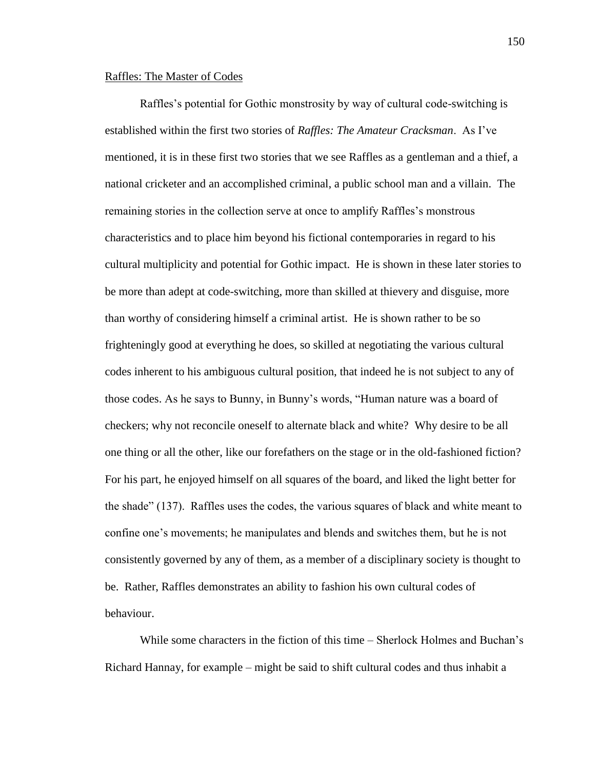## Raffles: The Master of Codes

Raffles's potential for Gothic monstrosity by way of cultural code-switching is established within the first two stories of *Raffles: The Amateur Cracksman*. As I've mentioned, it is in these first two stories that we see Raffles as a gentleman and a thief, a national cricketer and an accomplished criminal, a public school man and a villain. The remaining stories in the collection serve at once to amplify Raffles's monstrous characteristics and to place him beyond his fictional contemporaries in regard to his cultural multiplicity and potential for Gothic impact. He is shown in these later stories to be more than adept at code-switching, more than skilled at thievery and disguise, more than worthy of considering himself a criminal artist. He is shown rather to be so frighteningly good at everything he does, so skilled at negotiating the various cultural codes inherent to his ambiguous cultural position, that indeed he is not subject to any of those codes. As he says to Bunny, in Bunny's words, "Human nature was a board of checkers; why not reconcile oneself to alternate black and white? Why desire to be all one thing or all the other, like our forefathers on the stage or in the old-fashioned fiction? For his part, he enjoyed himself on all squares of the board, and liked the light better for the shade" (137). Raffles uses the codes, the various squares of black and white meant to confine one's movements; he manipulates and blends and switches them, but he is not consistently governed by any of them, as a member of a disciplinary society is thought to be. Rather, Raffles demonstrates an ability to fashion his own cultural codes of behaviour.

While some characters in the fiction of this time – Sherlock Holmes and Buchan's Richard Hannay, for example – might be said to shift cultural codes and thus inhabit a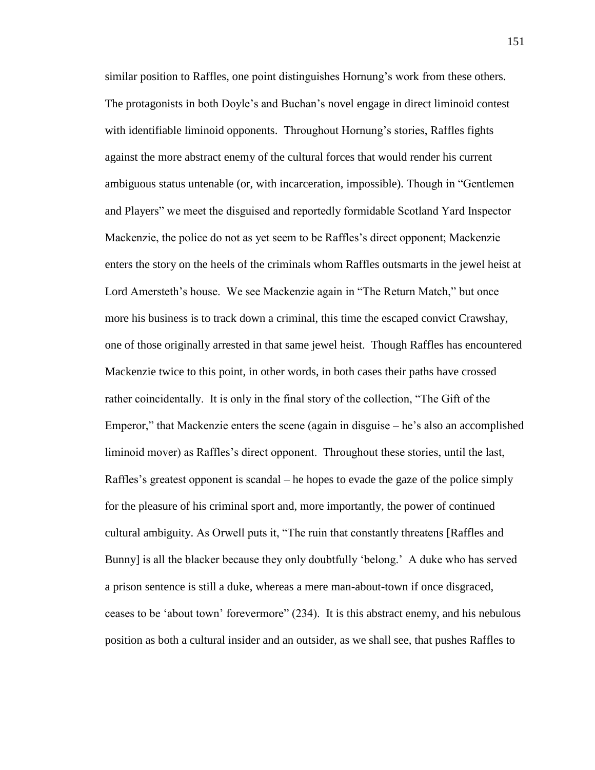similar position to Raffles, one point distinguishes Hornung's work from these others. The protagonists in both Doyle's and Buchan's novel engage in direct liminoid contest with identifiable liminoid opponents. Throughout Hornung's stories, Raffles fights against the more abstract enemy of the cultural forces that would render his current ambiguous status untenable (or, with incarceration, impossible). Though in "Gentlemen and Players" we meet the disguised and reportedly formidable Scotland Yard Inspector Mackenzie, the police do not as yet seem to be Raffles's direct opponent; Mackenzie enters the story on the heels of the criminals whom Raffles outsmarts in the jewel heist at Lord Amersteth's house. We see Mackenzie again in "The Return Match," but once more his business is to track down a criminal, this time the escaped convict Crawshay, one of those originally arrested in that same jewel heist. Though Raffles has encountered Mackenzie twice to this point, in other words, in both cases their paths have crossed rather coincidentally. It is only in the final story of the collection, "The Gift of the Emperor," that Mackenzie enters the scene (again in disguise – he's also an accomplished liminoid mover) as Raffles's direct opponent. Throughout these stories, until the last, Raffles's greatest opponent is scandal – he hopes to evade the gaze of the police simply for the pleasure of his criminal sport and, more importantly, the power of continued cultural ambiguity. As Orwell puts it, "The ruin that constantly threatens [Raffles and Bunny] is all the blacker because they only doubtfully 'belong.' A duke who has served a prison sentence is still a duke, whereas a mere man-about-town if once disgraced, ceases to be 'about town' forevermore" (234). It is this abstract enemy, and his nebulous position as both a cultural insider and an outsider, as we shall see, that pushes Raffles to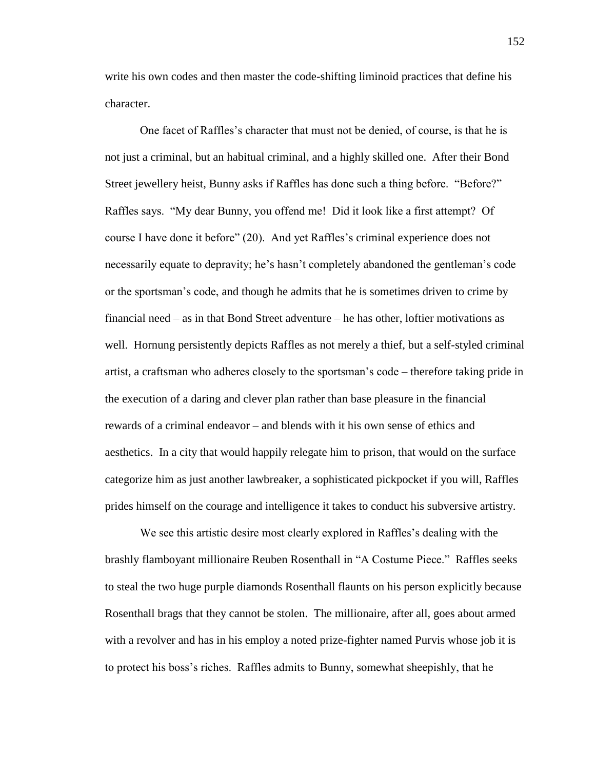write his own codes and then master the code-shifting liminoid practices that define his character.

One facet of Raffles's character that must not be denied, of course, is that he is not just a criminal, but an habitual criminal, and a highly skilled one. After their Bond Street jewellery heist, Bunny asks if Raffles has done such a thing before. "Before?" Raffles says. "My dear Bunny, you offend me! Did it look like a first attempt? Of course I have done it before" (20). And yet Raffles's criminal experience does not necessarily equate to depravity; he's hasn't completely abandoned the gentleman's code or the sportsman's code, and though he admits that he is sometimes driven to crime by financial need – as in that Bond Street adventure – he has other, loftier motivations as well. Hornung persistently depicts Raffles as not merely a thief, but a self-styled criminal artist, a craftsman who adheres closely to the sportsman's code – therefore taking pride in the execution of a daring and clever plan rather than base pleasure in the financial rewards of a criminal endeavor – and blends with it his own sense of ethics and aesthetics. In a city that would happily relegate him to prison, that would on the surface categorize him as just another lawbreaker, a sophisticated pickpocket if you will, Raffles prides himself on the courage and intelligence it takes to conduct his subversive artistry.

We see this artistic desire most clearly explored in Raffles's dealing with the brashly flamboyant millionaire Reuben Rosenthall in "A Costume Piece." Raffles seeks to steal the two huge purple diamonds Rosenthall flaunts on his person explicitly because Rosenthall brags that they cannot be stolen. The millionaire, after all, goes about armed with a revolver and has in his employ a noted prize-fighter named Purvis whose job it is to protect his boss's riches. Raffles admits to Bunny, somewhat sheepishly, that he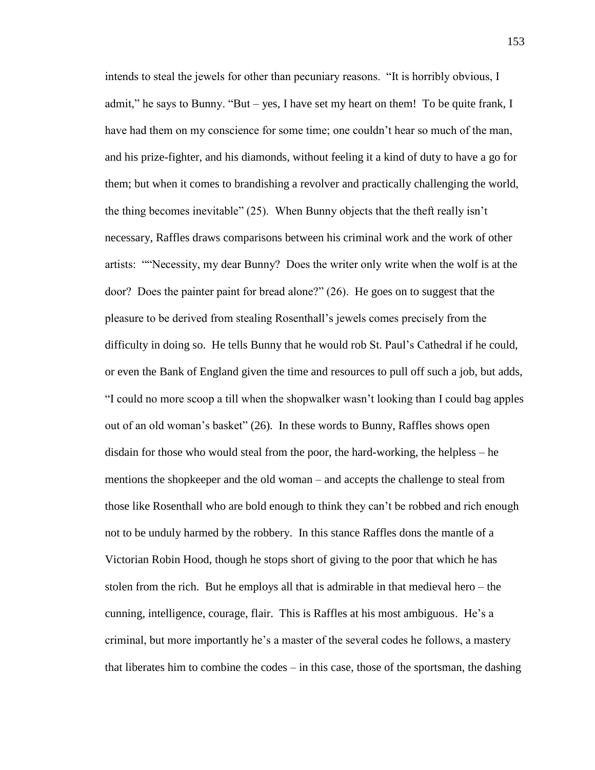intends to steal the jewels for other than pecuniary reasons. "It is horribly obvious, I admit," he says to Bunny. "But – yes, I have set my heart on them! To be quite frank, I have had them on my conscience for some time; one couldn't hear so much of the man, and his prize-fighter, and his diamonds, without feeling it a kind of duty to have a go for them; but when it comes to brandishing a revolver and practically challenging the world, the thing becomes inevitable" (25). When Bunny objects that the theft really isn't necessary, Raffles draws comparisons between his criminal work and the work of other artists: ""Necessity, my dear Bunny? Does the writer only write when the wolf is at the door? Does the painter paint for bread alone?" (26). He goes on to suggest that the pleasure to be derived from stealing Rosenthall's jewels comes precisely from the difficulty in doing so. He tells Bunny that he would rob St. Paul's Cathedral if he could, or even the Bank of England given the time and resources to pull off such a job, but adds, "I could no more scoop a till when the shopwalker wasn't looking than I could bag apples out of an old woman's basket" (26). In these words to Bunny, Raffles shows open disdain for those who would steal from the poor, the hard-working, the helpless – he mentions the shopkeeper and the old woman – and accepts the challenge to steal from those like Rosenthall who are bold enough to think they can't be robbed and rich enough not to be unduly harmed by the robbery. In this stance Raffles dons the mantle of a Victorian Robin Hood, though he stops short of giving to the poor that which he has stolen from the rich. But he employs all that is admirable in that medieval hero – the cunning, intelligence, courage, flair. This is Raffles at his most ambiguous. He's a criminal, but more importantly he's a master of the several codes he follows, a mastery that liberates him to combine the codes – in this case, those of the sportsman, the dashing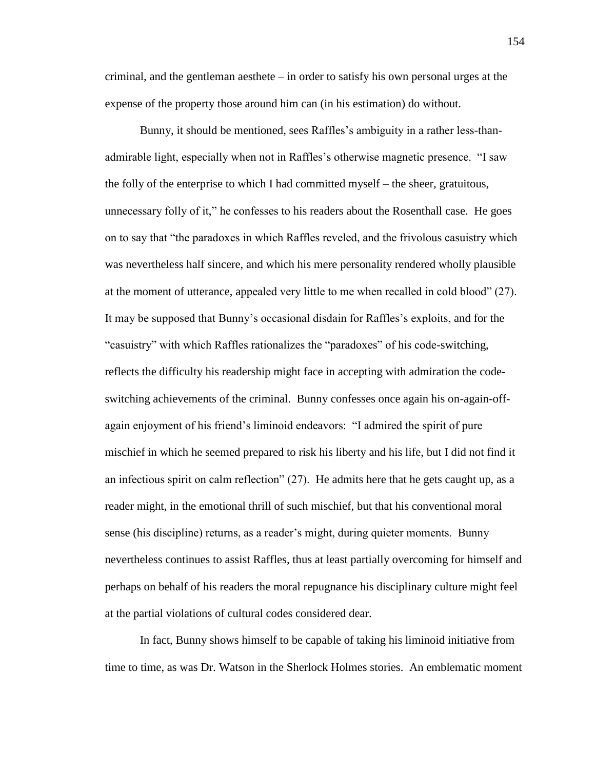criminal, and the gentleman aesthete – in order to satisfy his own personal urges at the expense of the property those around him can (in his estimation) do without.

Bunny, it should be mentioned, sees Raffles's ambiguity in a rather less-thanadmirable light, especially when not in Raffles's otherwise magnetic presence. "I saw the folly of the enterprise to which I had committed myself – the sheer, gratuitous, unnecessary folly of it," he confesses to his readers about the Rosenthall case. He goes on to say that "the paradoxes in which Raffles reveled, and the frivolous casuistry which was nevertheless half sincere, and which his mere personality rendered wholly plausible at the moment of utterance, appealed very little to me when recalled in cold blood" (27). It may be supposed that Bunny's occasional disdain for Raffles's exploits, and for the "casuistry" with which Raffles rationalizes the "paradoxes" of his code-switching, reflects the difficulty his readership might face in accepting with admiration the codeswitching achievements of the criminal. Bunny confesses once again his on-again-offagain enjoyment of his friend's liminoid endeavors: "I admired the spirit of pure mischief in which he seemed prepared to risk his liberty and his life, but I did not find it an infectious spirit on calm reflection" (27). He admits here that he gets caught up, as a reader might, in the emotional thrill of such mischief, but that his conventional moral sense (his discipline) returns, as a reader's might, during quieter moments. Bunny nevertheless continues to assist Raffles, thus at least partially overcoming for himself and perhaps on behalf of his readers the moral repugnance his disciplinary culture might feel at the partial violations of cultural codes considered dear.

In fact, Bunny shows himself to be capable of taking his liminoid initiative from time to time, as was Dr. Watson in the Sherlock Holmes stories. An emblematic moment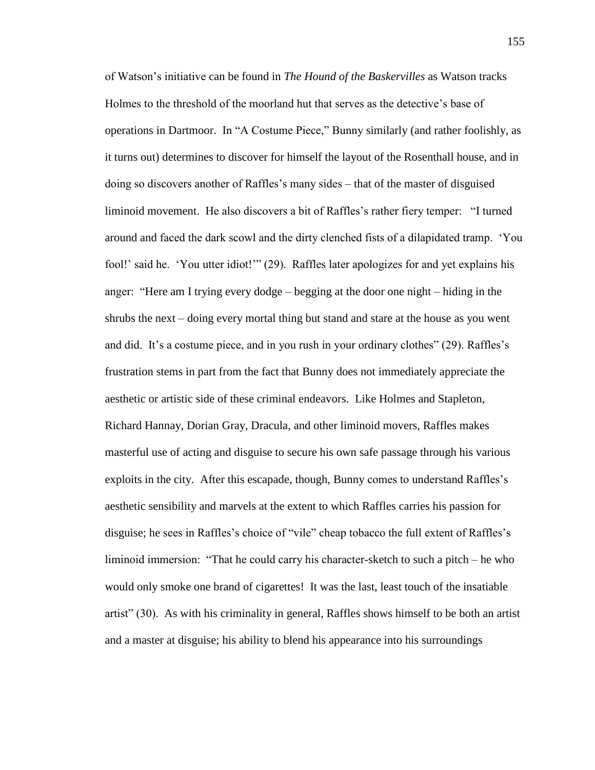of Watson's initiative can be found in *The Hound of the Baskervilles* as Watson tracks Holmes to the threshold of the moorland hut that serves as the detective's base of operations in Dartmoor. In "A Costume Piece," Bunny similarly (and rather foolishly, as it turns out) determines to discover for himself the layout of the Rosenthall house, and in doing so discovers another of Raffles's many sides – that of the master of disguised liminoid movement. He also discovers a bit of Raffles's rather fiery temper: "I turned around and faced the dark scowl and the dirty clenched fists of a dilapidated tramp. 'You fool!' said he. 'You utter idiot!'" (29). Raffles later apologizes for and yet explains his anger: "Here am I trying every dodge – begging at the door one night – hiding in the shrubs the next – doing every mortal thing but stand and stare at the house as you went and did. It's a costume piece, and in you rush in your ordinary clothes" (29). Raffles's frustration stems in part from the fact that Bunny does not immediately appreciate the aesthetic or artistic side of these criminal endeavors. Like Holmes and Stapleton, Richard Hannay, Dorian Gray, Dracula, and other liminoid movers, Raffles makes masterful use of acting and disguise to secure his own safe passage through his various exploits in the city. After this escapade, though, Bunny comes to understand Raffles's aesthetic sensibility and marvels at the extent to which Raffles carries his passion for disguise; he sees in Raffles's choice of "vile" cheap tobacco the full extent of Raffles's liminoid immersion: "That he could carry his character-sketch to such a pitch – he who would only smoke one brand of cigarettes! It was the last, least touch of the insatiable artist" (30). As with his criminality in general, Raffles shows himself to be both an artist and a master at disguise; his ability to blend his appearance into his surroundings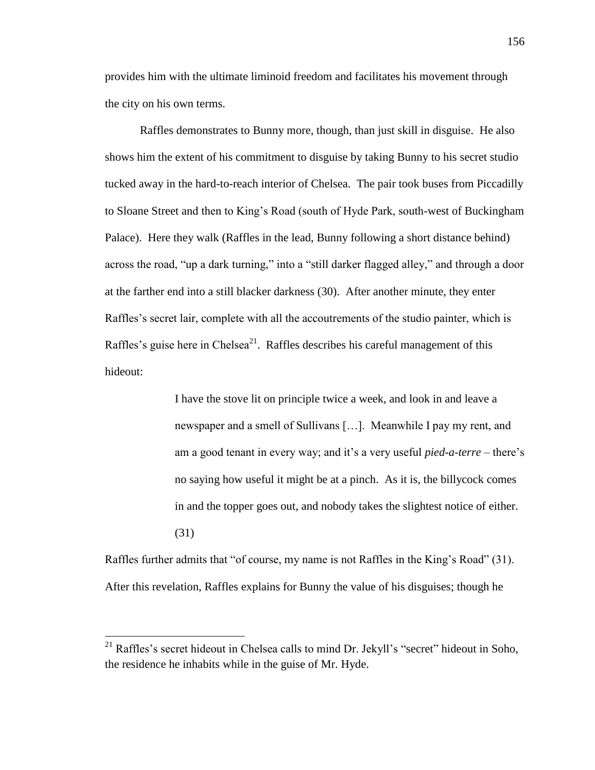provides him with the ultimate liminoid freedom and facilitates his movement through the city on his own terms.

Raffles demonstrates to Bunny more, though, than just skill in disguise. He also shows him the extent of his commitment to disguise by taking Bunny to his secret studio tucked away in the hard-to-reach interior of Chelsea. The pair took buses from Piccadilly to Sloane Street and then to King's Road (south of Hyde Park, south-west of Buckingham Palace). Here they walk (Raffles in the lead, Bunny following a short distance behind) across the road, "up a dark turning," into a "still darker flagged alley," and through a door at the farther end into a still blacker darkness (30). After another minute, they enter Raffles's secret lair, complete with all the accoutrements of the studio painter, which is Raffles's guise here in Chelsea<sup>21</sup>. Raffles describes his careful management of this hideout:

> I have the stove lit on principle twice a week, and look in and leave a newspaper and a smell of Sullivans […]. Meanwhile I pay my rent, and am a good tenant in every way; and it's a very useful *pied-a-terre* – there's no saying how useful it might be at a pinch. As it is, the billycock comes in and the topper goes out, and nobody takes the slightest notice of either. (31)

Raffles further admits that "of course, my name is not Raffles in the King's Road" (31). After this revelation, Raffles explains for Bunny the value of his disguises; though he

 $\overline{a}$ 

 $^{21}$  Raffles's secret hideout in Chelsea calls to mind Dr. Jekyll's "secret" hideout in Soho, the residence he inhabits while in the guise of Mr. Hyde.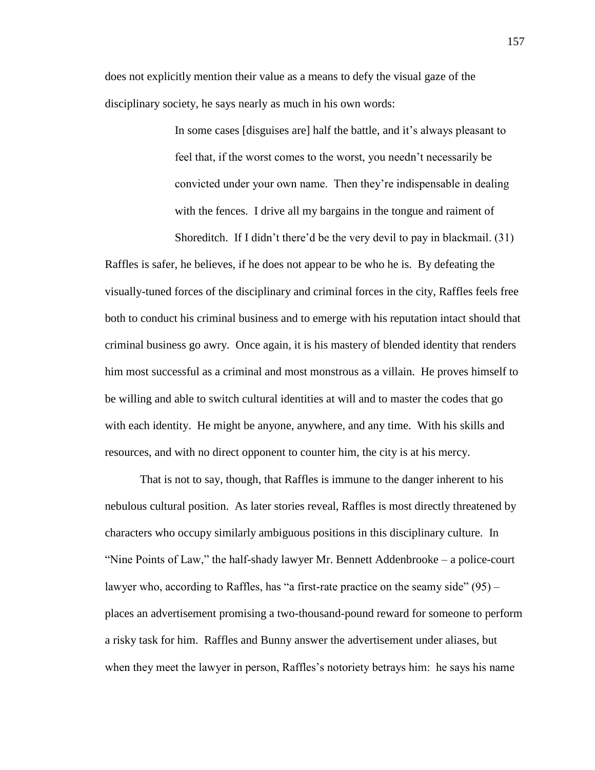does not explicitly mention their value as a means to defy the visual gaze of the disciplinary society, he says nearly as much in his own words:

> In some cases [disguises are] half the battle, and it's always pleasant to feel that, if the worst comes to the worst, you needn't necessarily be convicted under your own name. Then they're indispensable in dealing with the fences. I drive all my bargains in the tongue and raiment of Shoreditch. If I didn't there'd be the very devil to pay in blackmail. (31)

Raffles is safer, he believes, if he does not appear to be who he is. By defeating the visually-tuned forces of the disciplinary and criminal forces in the city, Raffles feels free both to conduct his criminal business and to emerge with his reputation intact should that criminal business go awry. Once again, it is his mastery of blended identity that renders him most successful as a criminal and most monstrous as a villain. He proves himself to be willing and able to switch cultural identities at will and to master the codes that go with each identity. He might be anyone, anywhere, and any time. With his skills and resources, and with no direct opponent to counter him, the city is at his mercy.

That is not to say, though, that Raffles is immune to the danger inherent to his nebulous cultural position. As later stories reveal, Raffles is most directly threatened by characters who occupy similarly ambiguous positions in this disciplinary culture. In "Nine Points of Law," the half-shady lawyer Mr. Bennett Addenbrooke – a police-court lawyer who, according to Raffles, has "a first-rate practice on the seamy side"  $(95)$  – places an advertisement promising a two-thousand-pound reward for someone to perform a risky task for him. Raffles and Bunny answer the advertisement under aliases, but when they meet the lawyer in person, Raffles's notoriety betrays him: he says his name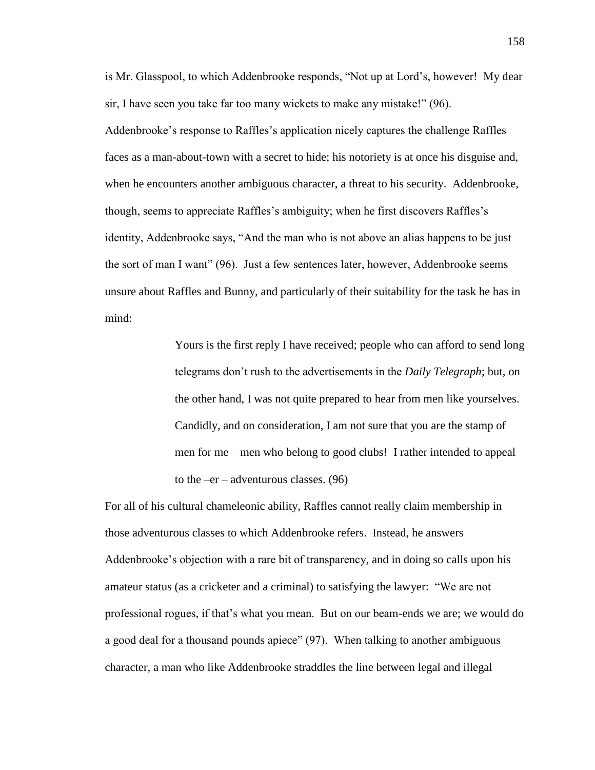is Mr. Glasspool, to which Addenbrooke responds, "Not up at Lord's, however! My dear sir, I have seen you take far too many wickets to make any mistake!" (96).

Addenbrooke's response to Raffles's application nicely captures the challenge Raffles faces as a man-about-town with a secret to hide; his notoriety is at once his disguise and, when he encounters another ambiguous character, a threat to his security. Addenbrooke, though, seems to appreciate Raffles's ambiguity; when he first discovers Raffles's identity, Addenbrooke says, "And the man who is not above an alias happens to be just the sort of man I want" (96). Just a few sentences later, however, Addenbrooke seems unsure about Raffles and Bunny, and particularly of their suitability for the task he has in mind:

> Yours is the first reply I have received; people who can afford to send long telegrams don't rush to the advertisements in the *Daily Telegraph*; but, on the other hand, I was not quite prepared to hear from men like yourselves. Candidly, and on consideration, I am not sure that you are the stamp of men for me – men who belong to good clubs! I rather intended to appeal to the  $-er -$  adventurous classes. (96)

For all of his cultural chameleonic ability, Raffles cannot really claim membership in those adventurous classes to which Addenbrooke refers. Instead, he answers Addenbrooke's objection with a rare bit of transparency, and in doing so calls upon his amateur status (as a cricketer and a criminal) to satisfying the lawyer: "We are not professional rogues, if that's what you mean. But on our beam-ends we are; we would do a good deal for a thousand pounds apiece" (97). When talking to another ambiguous character, a man who like Addenbrooke straddles the line between legal and illegal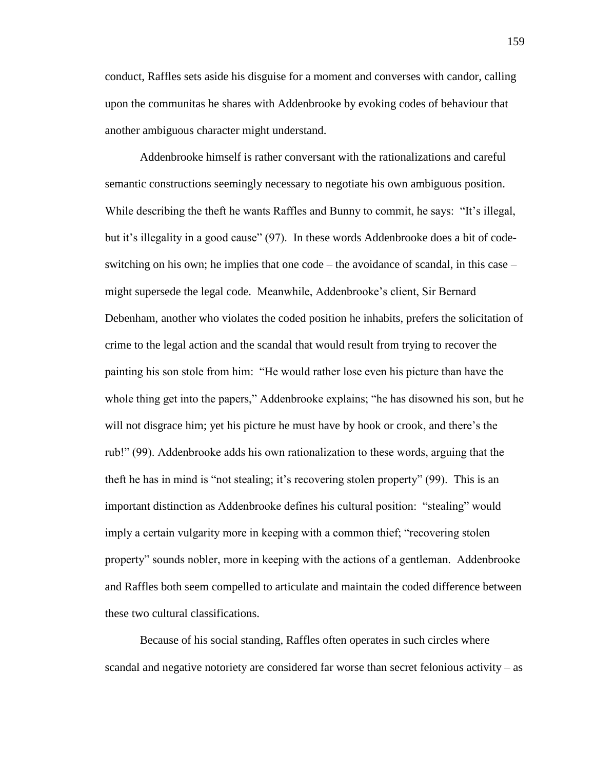conduct, Raffles sets aside his disguise for a moment and converses with candor, calling upon the communitas he shares with Addenbrooke by evoking codes of behaviour that another ambiguous character might understand.

Addenbrooke himself is rather conversant with the rationalizations and careful semantic constructions seemingly necessary to negotiate his own ambiguous position. While describing the theft he wants Raffles and Bunny to commit, he says: "It's illegal, but it's illegality in a good cause" (97). In these words Addenbrooke does a bit of codeswitching on his own; he implies that one code – the avoidance of scandal, in this case – might supersede the legal code. Meanwhile, Addenbrooke's client, Sir Bernard Debenham, another who violates the coded position he inhabits, prefers the solicitation of crime to the legal action and the scandal that would result from trying to recover the painting his son stole from him: "He would rather lose even his picture than have the whole thing get into the papers," Addenbrooke explains; "he has disowned his son, but he will not disgrace him; yet his picture he must have by hook or crook, and there's the rub!" (99). Addenbrooke adds his own rationalization to these words, arguing that the theft he has in mind is "not stealing; it's recovering stolen property" (99). This is an important distinction as Addenbrooke defines his cultural position: "stealing" would imply a certain vulgarity more in keeping with a common thief; "recovering stolen property" sounds nobler, more in keeping with the actions of a gentleman. Addenbrooke and Raffles both seem compelled to articulate and maintain the coded difference between these two cultural classifications.

Because of his social standing, Raffles often operates in such circles where scandal and negative notoriety are considered far worse than secret felonious activity – as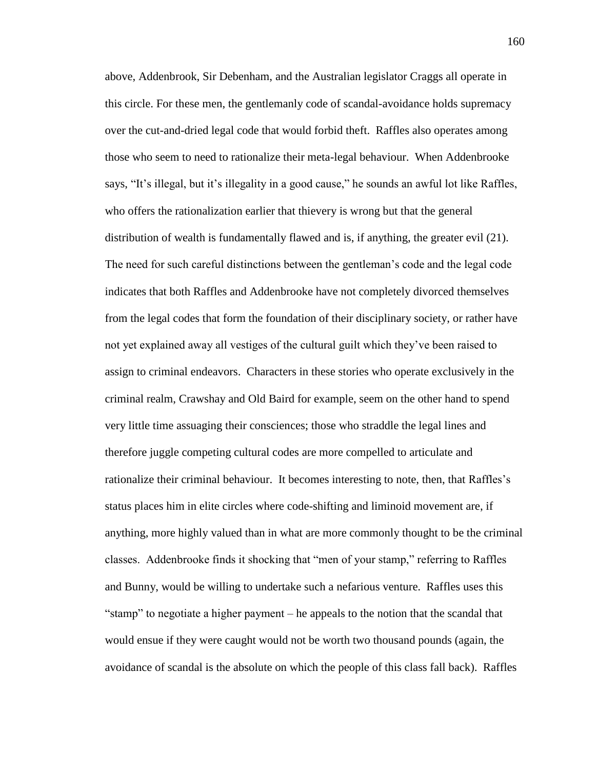above, Addenbrook, Sir Debenham, and the Australian legislator Craggs all operate in this circle. For these men, the gentlemanly code of scandal-avoidance holds supremacy over the cut-and-dried legal code that would forbid theft. Raffles also operates among those who seem to need to rationalize their meta-legal behaviour. When Addenbrooke says, "It's illegal, but it's illegality in a good cause," he sounds an awful lot like Raffles, who offers the rationalization earlier that thievery is wrong but that the general distribution of wealth is fundamentally flawed and is, if anything, the greater evil (21). The need for such careful distinctions between the gentleman's code and the legal code indicates that both Raffles and Addenbrooke have not completely divorced themselves from the legal codes that form the foundation of their disciplinary society, or rather have not yet explained away all vestiges of the cultural guilt which they've been raised to assign to criminal endeavors. Characters in these stories who operate exclusively in the criminal realm, Crawshay and Old Baird for example, seem on the other hand to spend very little time assuaging their consciences; those who straddle the legal lines and therefore juggle competing cultural codes are more compelled to articulate and rationalize their criminal behaviour. It becomes interesting to note, then, that Raffles's status places him in elite circles where code-shifting and liminoid movement are, if anything, more highly valued than in what are more commonly thought to be the criminal classes. Addenbrooke finds it shocking that "men of your stamp," referring to Raffles and Bunny, would be willing to undertake such a nefarious venture. Raffles uses this "stamp" to negotiate a higher payment – he appeals to the notion that the scandal that would ensue if they were caught would not be worth two thousand pounds (again, the avoidance of scandal is the absolute on which the people of this class fall back). Raffles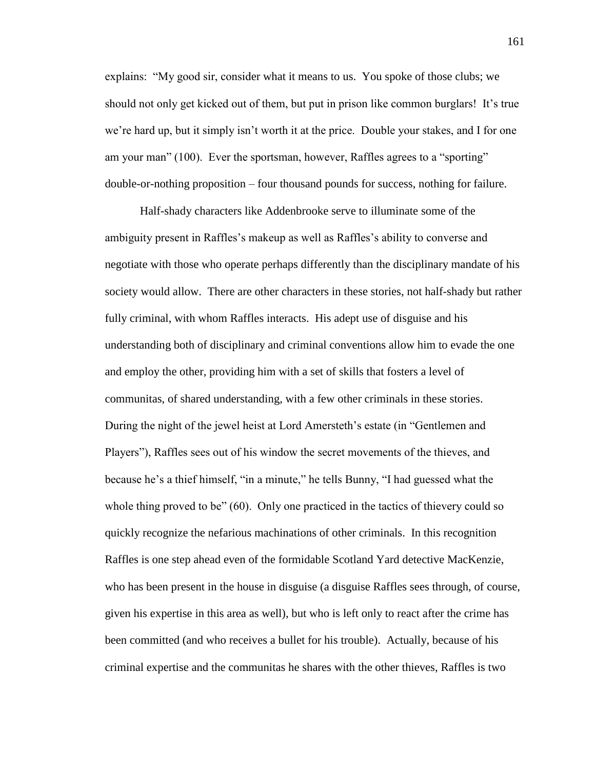explains: "My good sir, consider what it means to us. You spoke of those clubs; we should not only get kicked out of them, but put in prison like common burglars! It's true we're hard up, but it simply isn't worth it at the price. Double your stakes, and I for one am your man" (100). Ever the sportsman, however, Raffles agrees to a "sporting" double-or-nothing proposition – four thousand pounds for success, nothing for failure.

Half-shady characters like Addenbrooke serve to illuminate some of the ambiguity present in Raffles's makeup as well as Raffles's ability to converse and negotiate with those who operate perhaps differently than the disciplinary mandate of his society would allow. There are other characters in these stories, not half-shady but rather fully criminal, with whom Raffles interacts. His adept use of disguise and his understanding both of disciplinary and criminal conventions allow him to evade the one and employ the other, providing him with a set of skills that fosters a level of communitas, of shared understanding, with a few other criminals in these stories. During the night of the jewel heist at Lord Amersteth's estate (in "Gentlemen and Players"), Raffles sees out of his window the secret movements of the thieves, and because he's a thief himself, "in a minute," he tells Bunny, "I had guessed what the whole thing proved to be" (60). Only one practiced in the tactics of thievery could so quickly recognize the nefarious machinations of other criminals. In this recognition Raffles is one step ahead even of the formidable Scotland Yard detective MacKenzie, who has been present in the house in disguise (a disguise Raffles sees through, of course, given his expertise in this area as well), but who is left only to react after the crime has been committed (and who receives a bullet for his trouble). Actually, because of his criminal expertise and the communitas he shares with the other thieves, Raffles is two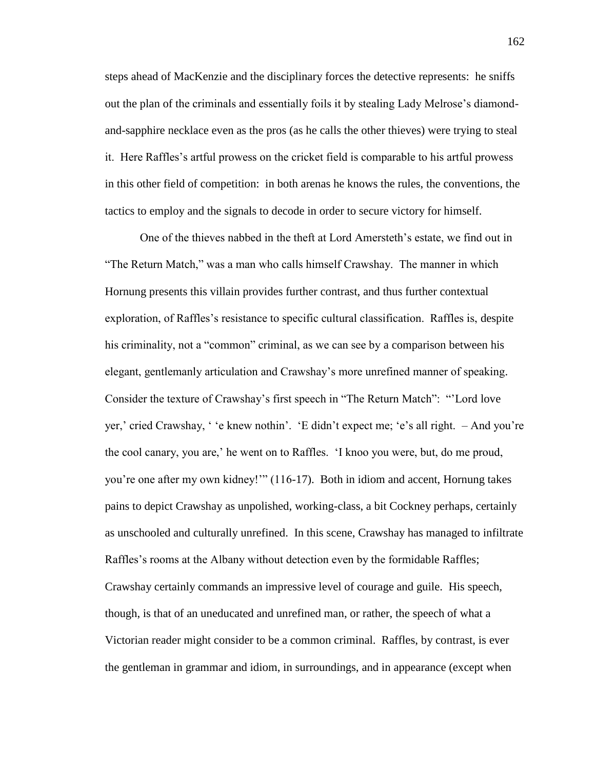steps ahead of MacKenzie and the disciplinary forces the detective represents: he sniffs out the plan of the criminals and essentially foils it by stealing Lady Melrose's diamondand-sapphire necklace even as the pros (as he calls the other thieves) were trying to steal it. Here Raffles's artful prowess on the cricket field is comparable to his artful prowess in this other field of competition: in both arenas he knows the rules, the conventions, the tactics to employ and the signals to decode in order to secure victory for himself.

One of the thieves nabbed in the theft at Lord Amersteth's estate, we find out in "The Return Match," was a man who calls himself Crawshay. The manner in which Hornung presents this villain provides further contrast, and thus further contextual exploration, of Raffles's resistance to specific cultural classification. Raffles is, despite his criminality, not a "common" criminal, as we can see by a comparison between his elegant, gentlemanly articulation and Crawshay's more unrefined manner of speaking. Consider the texture of Crawshay's first speech in "The Return Match": "'Lord love yer,' cried Crawshay, ' 'e knew nothin'. 'E didn't expect me; 'e's all right. – And you're the cool canary, you are,' he went on to Raffles. 'I knoo you were, but, do me proud, you're one after my own kidney!'" (116-17). Both in idiom and accent, Hornung takes pains to depict Crawshay as unpolished, working-class, a bit Cockney perhaps, certainly as unschooled and culturally unrefined. In this scene, Crawshay has managed to infiltrate Raffles's rooms at the Albany without detection even by the formidable Raffles; Crawshay certainly commands an impressive level of courage and guile. His speech, though, is that of an uneducated and unrefined man, or rather, the speech of what a Victorian reader might consider to be a common criminal. Raffles, by contrast, is ever the gentleman in grammar and idiom, in surroundings, and in appearance (except when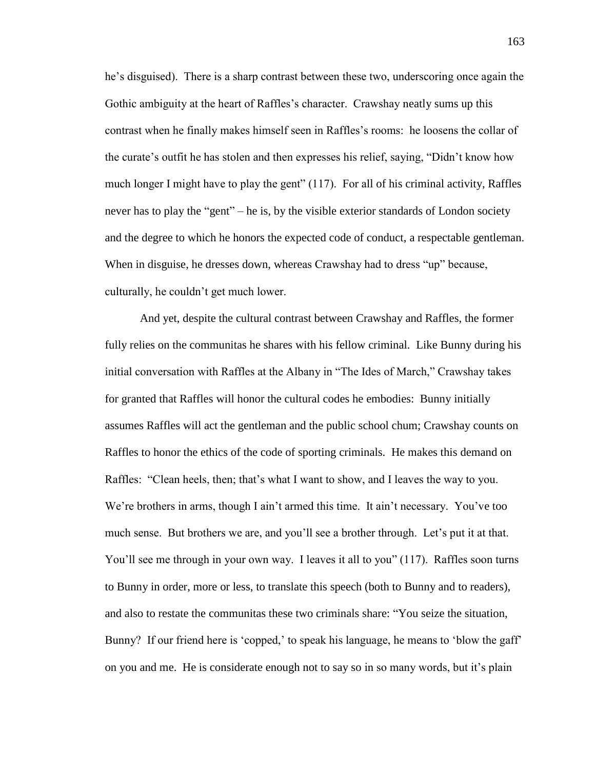he's disguised). There is a sharp contrast between these two, underscoring once again the Gothic ambiguity at the heart of Raffles's character. Crawshay neatly sums up this contrast when he finally makes himself seen in Raffles's rooms: he loosens the collar of the curate's outfit he has stolen and then expresses his relief, saying, "Didn't know how much longer I might have to play the gent" (117). For all of his criminal activity, Raffles never has to play the "gent" – he is, by the visible exterior standards of London society and the degree to which he honors the expected code of conduct, a respectable gentleman. When in disguise, he dresses down, whereas Crawshay had to dress "up" because, culturally, he couldn't get much lower.

And yet, despite the cultural contrast between Crawshay and Raffles, the former fully relies on the communitas he shares with his fellow criminal. Like Bunny during his initial conversation with Raffles at the Albany in "The Ides of March," Crawshay takes for granted that Raffles will honor the cultural codes he embodies: Bunny initially assumes Raffles will act the gentleman and the public school chum; Crawshay counts on Raffles to honor the ethics of the code of sporting criminals. He makes this demand on Raffles: "Clean heels, then; that's what I want to show, and I leaves the way to you. We're brothers in arms, though I ain't armed this time. It ain't necessary. You've too much sense. But brothers we are, and you'll see a brother through. Let's put it at that. You'll see me through in your own way. I leaves it all to you" (117). Raffles soon turns to Bunny in order, more or less, to translate this speech (both to Bunny and to readers), and also to restate the communitas these two criminals share: "You seize the situation, Bunny? If our friend here is 'copped,' to speak his language, he means to 'blow the gaff' on you and me. He is considerate enough not to say so in so many words, but it's plain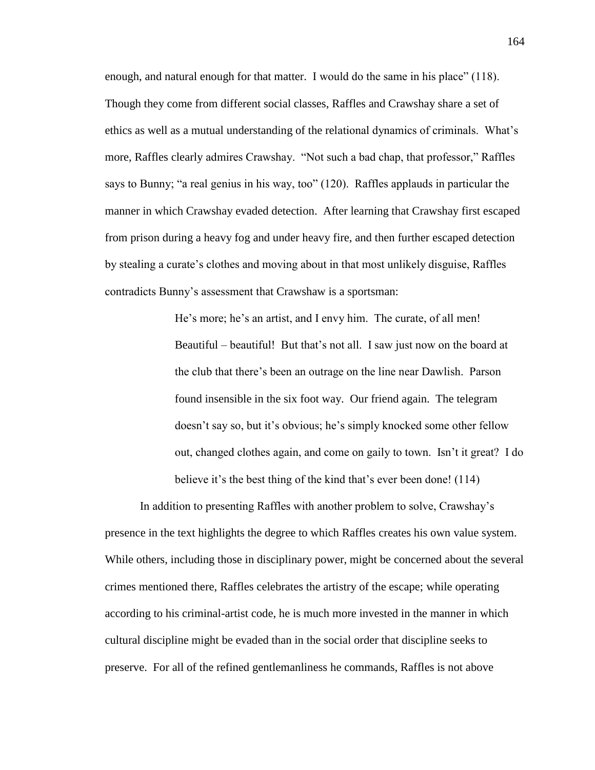enough, and natural enough for that matter. I would do the same in his place" (118). Though they come from different social classes, Raffles and Crawshay share a set of ethics as well as a mutual understanding of the relational dynamics of criminals. What's more, Raffles clearly admires Crawshay. "Not such a bad chap, that professor," Raffles says to Bunny; "a real genius in his way, too" (120). Raffles applauds in particular the manner in which Crawshay evaded detection. After learning that Crawshay first escaped from prison during a heavy fog and under heavy fire, and then further escaped detection by stealing a curate's clothes and moving about in that most unlikely disguise, Raffles contradicts Bunny's assessment that Crawshaw is a sportsman:

> He's more; he's an artist, and I envy him. The curate, of all men! Beautiful – beautiful! But that's not all. I saw just now on the board at the club that there's been an outrage on the line near Dawlish. Parson found insensible in the six foot way. Our friend again. The telegram doesn't say so, but it's obvious; he's simply knocked some other fellow out, changed clothes again, and come on gaily to town. Isn't it great? I do believe it's the best thing of the kind that's ever been done! (114)

In addition to presenting Raffles with another problem to solve, Crawshay's presence in the text highlights the degree to which Raffles creates his own value system. While others, including those in disciplinary power, might be concerned about the several crimes mentioned there, Raffles celebrates the artistry of the escape; while operating according to his criminal-artist code, he is much more invested in the manner in which cultural discipline might be evaded than in the social order that discipline seeks to preserve. For all of the refined gentlemanliness he commands, Raffles is not above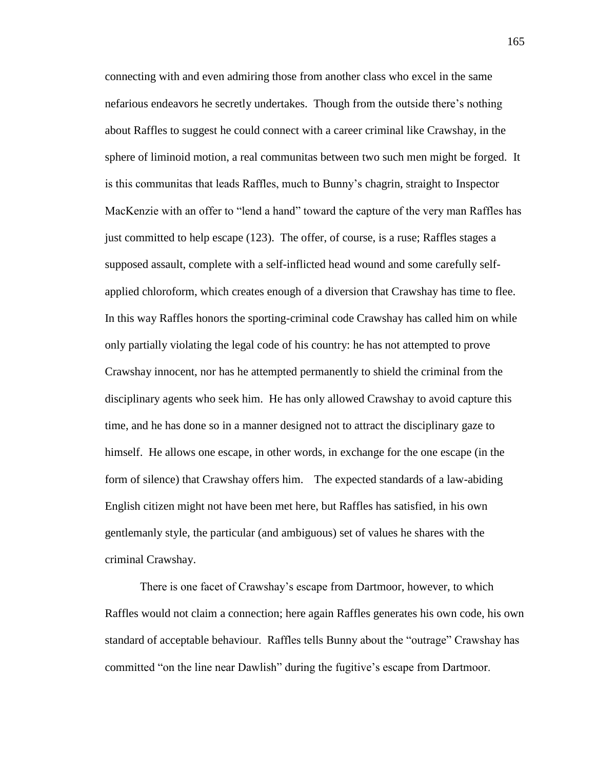connecting with and even admiring those from another class who excel in the same nefarious endeavors he secretly undertakes. Though from the outside there's nothing about Raffles to suggest he could connect with a career criminal like Crawshay, in the sphere of liminoid motion, a real communitas between two such men might be forged. It is this communitas that leads Raffles, much to Bunny's chagrin, straight to Inspector MacKenzie with an offer to "lend a hand" toward the capture of the very man Raffles has just committed to help escape (123). The offer, of course, is a ruse; Raffles stages a supposed assault, complete with a self-inflicted head wound and some carefully selfapplied chloroform, which creates enough of a diversion that Crawshay has time to flee. In this way Raffles honors the sporting-criminal code Crawshay has called him on while only partially violating the legal code of his country: he has not attempted to prove Crawshay innocent, nor has he attempted permanently to shield the criminal from the disciplinary agents who seek him. He has only allowed Crawshay to avoid capture this time, and he has done so in a manner designed not to attract the disciplinary gaze to himself. He allows one escape, in other words, in exchange for the one escape (in the form of silence) that Crawshay offers him. The expected standards of a law-abiding English citizen might not have been met here, but Raffles has satisfied, in his own gentlemanly style, the particular (and ambiguous) set of values he shares with the criminal Crawshay.

There is one facet of Crawshay's escape from Dartmoor, however, to which Raffles would not claim a connection; here again Raffles generates his own code, his own standard of acceptable behaviour. Raffles tells Bunny about the "outrage" Crawshay has committed "on the line near Dawlish" during the fugitive's escape from Dartmoor.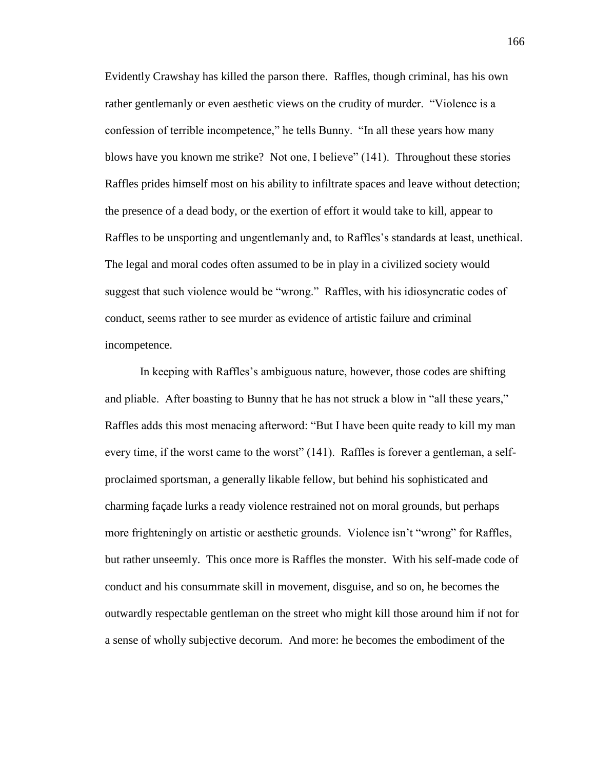Evidently Crawshay has killed the parson there. Raffles, though criminal, has his own rather gentlemanly or even aesthetic views on the crudity of murder. "Violence is a confession of terrible incompetence," he tells Bunny. "In all these years how many blows have you known me strike? Not one, I believe" (141). Throughout these stories Raffles prides himself most on his ability to infiltrate spaces and leave without detection; the presence of a dead body, or the exertion of effort it would take to kill, appear to Raffles to be unsporting and ungentlemanly and, to Raffles's standards at least, unethical. The legal and moral codes often assumed to be in play in a civilized society would suggest that such violence would be "wrong." Raffles, with his idiosyncratic codes of conduct, seems rather to see murder as evidence of artistic failure and criminal incompetence.

In keeping with Raffles's ambiguous nature, however, those codes are shifting and pliable. After boasting to Bunny that he has not struck a blow in "all these years," Raffles adds this most menacing afterword: "But I have been quite ready to kill my man every time, if the worst came to the worst" (141). Raffles is forever a gentleman, a selfproclaimed sportsman, a generally likable fellow, but behind his sophisticated and charming façade lurks a ready violence restrained not on moral grounds, but perhaps more frighteningly on artistic or aesthetic grounds. Violence isn't "wrong" for Raffles, but rather unseemly. This once more is Raffles the monster. With his self-made code of conduct and his consummate skill in movement, disguise, and so on, he becomes the outwardly respectable gentleman on the street who might kill those around him if not for a sense of wholly subjective decorum. And more: he becomes the embodiment of the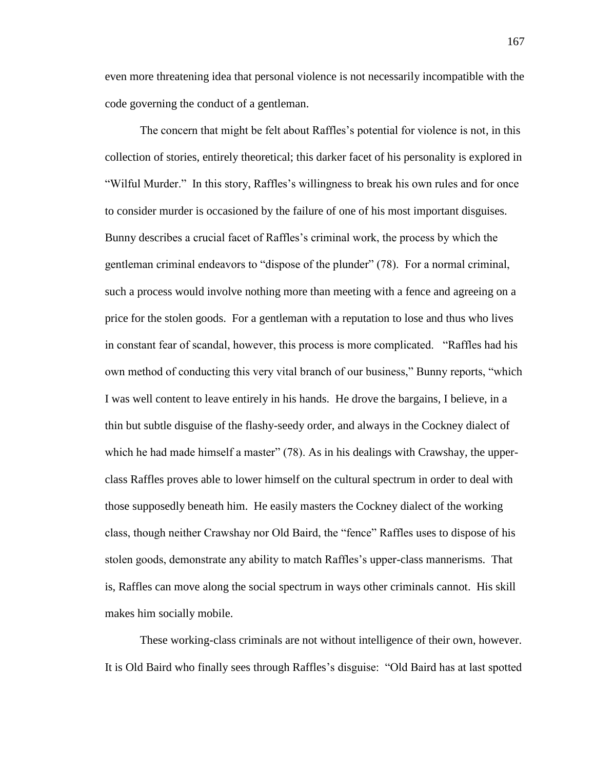even more threatening idea that personal violence is not necessarily incompatible with the code governing the conduct of a gentleman.

The concern that might be felt about Raffles's potential for violence is not, in this collection of stories, entirely theoretical; this darker facet of his personality is explored in "Wilful Murder." In this story, Raffles's willingness to break his own rules and for once to consider murder is occasioned by the failure of one of his most important disguises. Bunny describes a crucial facet of Raffles's criminal work, the process by which the gentleman criminal endeavors to "dispose of the plunder" (78). For a normal criminal, such a process would involve nothing more than meeting with a fence and agreeing on a price for the stolen goods. For a gentleman with a reputation to lose and thus who lives in constant fear of scandal, however, this process is more complicated. "Raffles had his own method of conducting this very vital branch of our business," Bunny reports, "which I was well content to leave entirely in his hands. He drove the bargains, I believe, in a thin but subtle disguise of the flashy-seedy order, and always in the Cockney dialect of which he had made himself a master" (78). As in his dealings with Crawshay, the upperclass Raffles proves able to lower himself on the cultural spectrum in order to deal with those supposedly beneath him. He easily masters the Cockney dialect of the working class, though neither Crawshay nor Old Baird, the "fence" Raffles uses to dispose of his stolen goods, demonstrate any ability to match Raffles's upper-class mannerisms. That is, Raffles can move along the social spectrum in ways other criminals cannot. His skill makes him socially mobile.

These working-class criminals are not without intelligence of their own, however. It is Old Baird who finally sees through Raffles's disguise: "Old Baird has at last spotted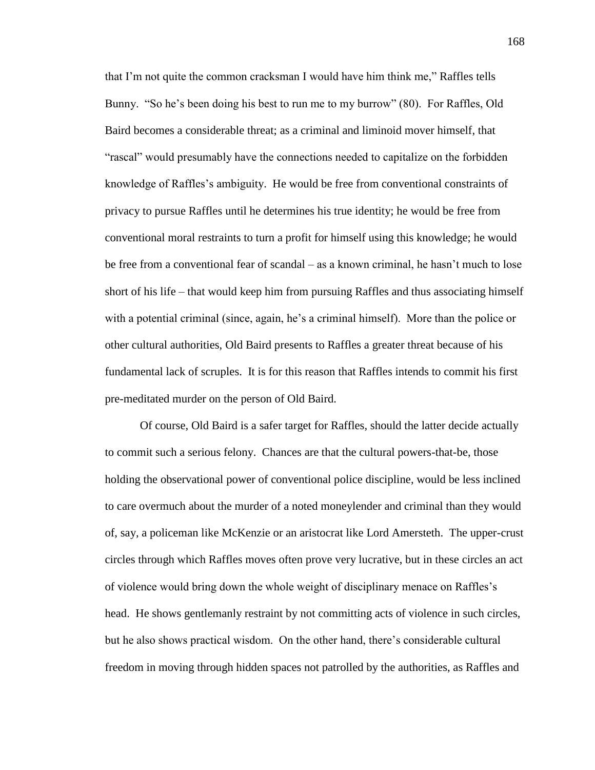that I'm not quite the common cracksman I would have him think me," Raffles tells Bunny. "So he's been doing his best to run me to my burrow" (80). For Raffles, Old Baird becomes a considerable threat; as a criminal and liminoid mover himself, that "rascal" would presumably have the connections needed to capitalize on the forbidden knowledge of Raffles's ambiguity. He would be free from conventional constraints of privacy to pursue Raffles until he determines his true identity; he would be free from conventional moral restraints to turn a profit for himself using this knowledge; he would be free from a conventional fear of scandal – as a known criminal, he hasn't much to lose short of his life – that would keep him from pursuing Raffles and thus associating himself with a potential criminal (since, again, he's a criminal himself). More than the police or other cultural authorities, Old Baird presents to Raffles a greater threat because of his fundamental lack of scruples. It is for this reason that Raffles intends to commit his first pre-meditated murder on the person of Old Baird.

Of course, Old Baird is a safer target for Raffles, should the latter decide actually to commit such a serious felony. Chances are that the cultural powers-that-be, those holding the observational power of conventional police discipline, would be less inclined to care overmuch about the murder of a noted moneylender and criminal than they would of, say, a policeman like McKenzie or an aristocrat like Lord Amersteth. The upper-crust circles through which Raffles moves often prove very lucrative, but in these circles an act of violence would bring down the whole weight of disciplinary menace on Raffles's head. He shows gentlemanly restraint by not committing acts of violence in such circles, but he also shows practical wisdom. On the other hand, there's considerable cultural freedom in moving through hidden spaces not patrolled by the authorities, as Raffles and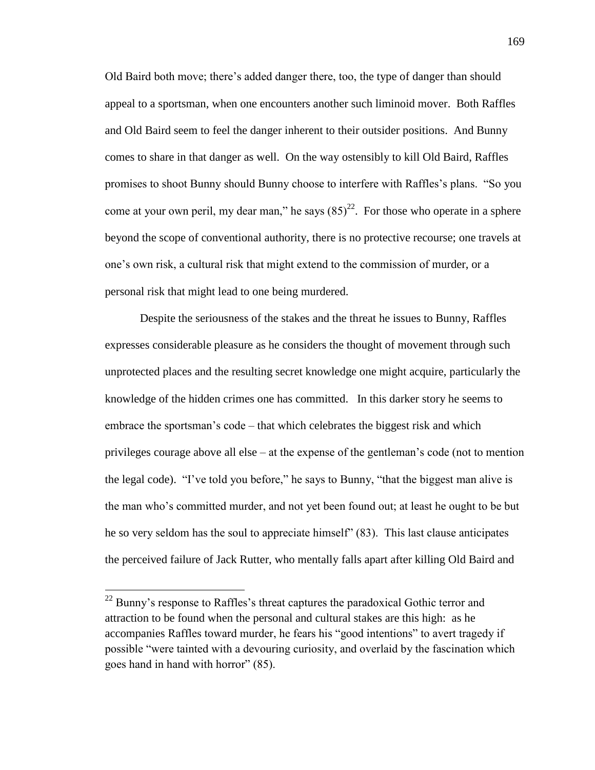Old Baird both move; there's added danger there, too, the type of danger than should appeal to a sportsman, when one encounters another such liminoid mover. Both Raffles and Old Baird seem to feel the danger inherent to their outsider positions. And Bunny comes to share in that danger as well. On the way ostensibly to kill Old Baird, Raffles promises to shoot Bunny should Bunny choose to interfere with Raffles's plans. "So you come at your own peril, my dear man," he says  $(85)^{22}$ . For those who operate in a sphere beyond the scope of conventional authority, there is no protective recourse; one travels at one's own risk, a cultural risk that might extend to the commission of murder, or a personal risk that might lead to one being murdered.

Despite the seriousness of the stakes and the threat he issues to Bunny, Raffles expresses considerable pleasure as he considers the thought of movement through such unprotected places and the resulting secret knowledge one might acquire, particularly the knowledge of the hidden crimes one has committed. In this darker story he seems to embrace the sportsman's code – that which celebrates the biggest risk and which privileges courage above all else – at the expense of the gentleman's code (not to mention the legal code). "I've told you before," he says to Bunny, "that the biggest man alive is the man who's committed murder, and not yet been found out; at least he ought to be but he so very seldom has the soul to appreciate himself" (83). This last clause anticipates the perceived failure of Jack Rutter, who mentally falls apart after killing Old Baird and

 $\overline{a}$ 

 $^{22}$  Bunny's response to Raffles's threat captures the paradoxical Gothic terror and attraction to be found when the personal and cultural stakes are this high: as he accompanies Raffles toward murder, he fears his "good intentions" to avert tragedy if possible "were tainted with a devouring curiosity, and overlaid by the fascination which goes hand in hand with horror" (85).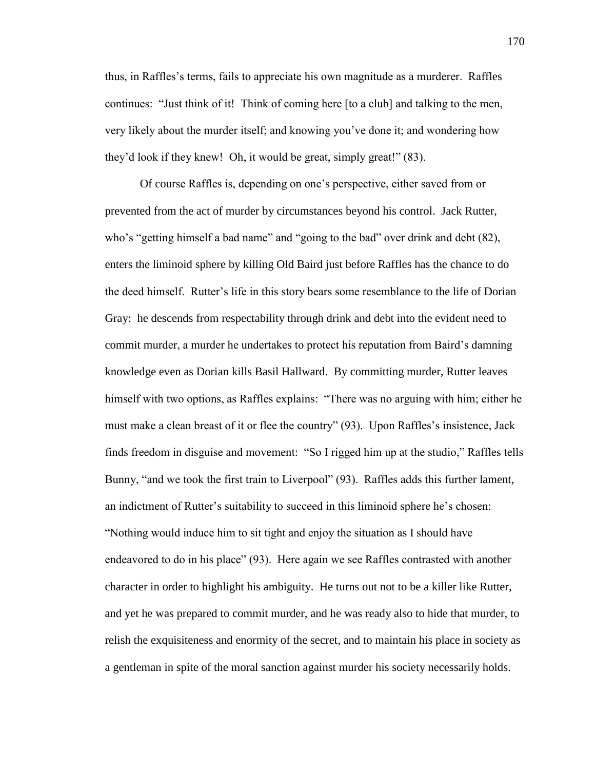thus, in Raffles's terms, fails to appreciate his own magnitude as a murderer. Raffles continues: "Just think of it! Think of coming here [to a club] and talking to the men, very likely about the murder itself; and knowing you've done it; and wondering how they'd look if they knew! Oh, it would be great, simply great!" (83).

Of course Raffles is, depending on one's perspective, either saved from or prevented from the act of murder by circumstances beyond his control. Jack Rutter, who's "getting himself a bad name" and "going to the bad" over drink and debt (82), enters the liminoid sphere by killing Old Baird just before Raffles has the chance to do the deed himself. Rutter's life in this story bears some resemblance to the life of Dorian Gray: he descends from respectability through drink and debt into the evident need to commit murder, a murder he undertakes to protect his reputation from Baird's damning knowledge even as Dorian kills Basil Hallward. By committing murder, Rutter leaves himself with two options, as Raffles explains: "There was no arguing with him; either he must make a clean breast of it or flee the country" (93). Upon Raffles's insistence, Jack finds freedom in disguise and movement: "So I rigged him up at the studio," Raffles tells Bunny, "and we took the first train to Liverpool" (93). Raffles adds this further lament, an indictment of Rutter's suitability to succeed in this liminoid sphere he's chosen: "Nothing would induce him to sit tight and enjoy the situation as I should have endeavored to do in his place" (93). Here again we see Raffles contrasted with another character in order to highlight his ambiguity. He turns out not to be a killer like Rutter, and yet he was prepared to commit murder, and he was ready also to hide that murder, to relish the exquisiteness and enormity of the secret, and to maintain his place in society as a gentleman in spite of the moral sanction against murder his society necessarily holds.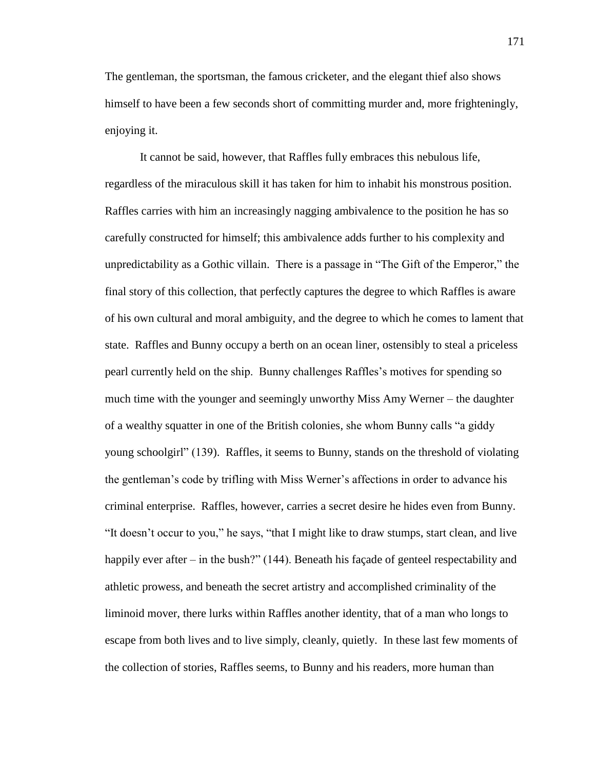The gentleman, the sportsman, the famous cricketer, and the elegant thief also shows himself to have been a few seconds short of committing murder and, more frighteningly, enjoying it.

It cannot be said, however, that Raffles fully embraces this nebulous life, regardless of the miraculous skill it has taken for him to inhabit his monstrous position. Raffles carries with him an increasingly nagging ambivalence to the position he has so carefully constructed for himself; this ambivalence adds further to his complexity and unpredictability as a Gothic villain. There is a passage in "The Gift of the Emperor," the final story of this collection, that perfectly captures the degree to which Raffles is aware of his own cultural and moral ambiguity, and the degree to which he comes to lament that state. Raffles and Bunny occupy a berth on an ocean liner, ostensibly to steal a priceless pearl currently held on the ship. Bunny challenges Raffles's motives for spending so much time with the younger and seemingly unworthy Miss Amy Werner – the daughter of a wealthy squatter in one of the British colonies, she whom Bunny calls "a giddy young schoolgirl" (139). Raffles, it seems to Bunny, stands on the threshold of violating the gentleman's code by trifling with Miss Werner's affections in order to advance his criminal enterprise. Raffles, however, carries a secret desire he hides even from Bunny. "It doesn't occur to you," he says, "that I might like to draw stumps, start clean, and live happily ever after – in the bush?" (144). Beneath his façade of genteel respectability and athletic prowess, and beneath the secret artistry and accomplished criminality of the liminoid mover, there lurks within Raffles another identity, that of a man who longs to escape from both lives and to live simply, cleanly, quietly. In these last few moments of the collection of stories, Raffles seems, to Bunny and his readers, more human than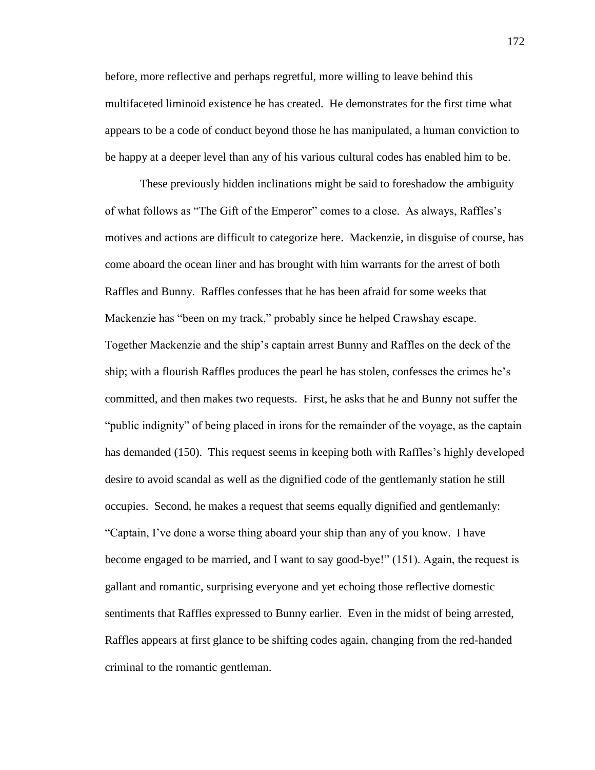before, more reflective and perhaps regretful, more willing to leave behind this multifaceted liminoid existence he has created. He demonstrates for the first time what appears to be a code of conduct beyond those he has manipulated, a human conviction to be happy at a deeper level than any of his various cultural codes has enabled him to be.

These previously hidden inclinations might be said to foreshadow the ambiguity of what follows as "The Gift of the Emperor" comes to a close. As always, Raffles's motives and actions are difficult to categorize here. Mackenzie, in disguise of course, has come aboard the ocean liner and has brought with him warrants for the arrest of both Raffles and Bunny. Raffles confesses that he has been afraid for some weeks that Mackenzie has "been on my track," probably since he helped Crawshay escape. Together Mackenzie and the ship's captain arrest Bunny and Raffles on the deck of the ship; with a flourish Raffles produces the pearl he has stolen, confesses the crimes he's committed, and then makes two requests. First, he asks that he and Bunny not suffer the "public indignity" of being placed in irons for the remainder of the voyage, as the captain has demanded (150). This request seems in keeping both with Raffles's highly developed desire to avoid scandal as well as the dignified code of the gentlemanly station he still occupies. Second, he makes a request that seems equally dignified and gentlemanly: "Captain, I've done a worse thing aboard your ship than any of you know. I have become engaged to be married, and I want to say good-bye!" (151). Again, the request is gallant and romantic, surprising everyone and yet echoing those reflective domestic sentiments that Raffles expressed to Bunny earlier. Even in the midst of being arrested, Raffles appears at first glance to be shifting codes again, changing from the red-handed criminal to the romantic gentleman.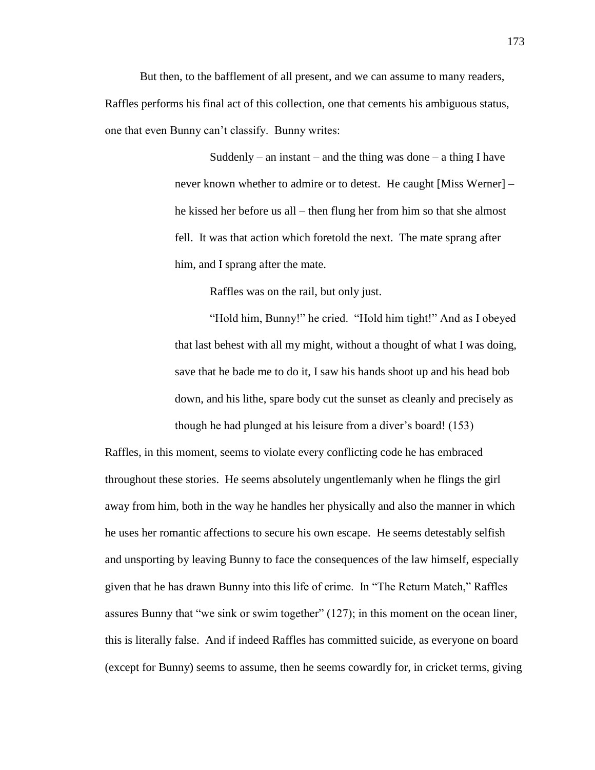But then, to the bafflement of all present, and we can assume to many readers, Raffles performs his final act of this collection, one that cements his ambiguous status, one that even Bunny can't classify. Bunny writes:

> Suddenly – an instant – and the thing was done – a thing I have never known whether to admire or to detest. He caught [Miss Werner] – he kissed her before us all – then flung her from him so that she almost fell. It was that action which foretold the next. The mate sprang after him, and I sprang after the mate.

> > Raffles was on the rail, but only just.

"Hold him, Bunny!" he cried. "Hold him tight!" And as I obeyed that last behest with all my might, without a thought of what I was doing, save that he bade me to do it, I saw his hands shoot up and his head bob down, and his lithe, spare body cut the sunset as cleanly and precisely as though he had plunged at his leisure from a diver's board! (153)

Raffles, in this moment, seems to violate every conflicting code he has embraced throughout these stories. He seems absolutely ungentlemanly when he flings the girl away from him, both in the way he handles her physically and also the manner in which he uses her romantic affections to secure his own escape. He seems detestably selfish and unsporting by leaving Bunny to face the consequences of the law himself, especially given that he has drawn Bunny into this life of crime. In "The Return Match," Raffles assures Bunny that "we sink or swim together" (127); in this moment on the ocean liner, this is literally false. And if indeed Raffles has committed suicide, as everyone on board (except for Bunny) seems to assume, then he seems cowardly for, in cricket terms, giving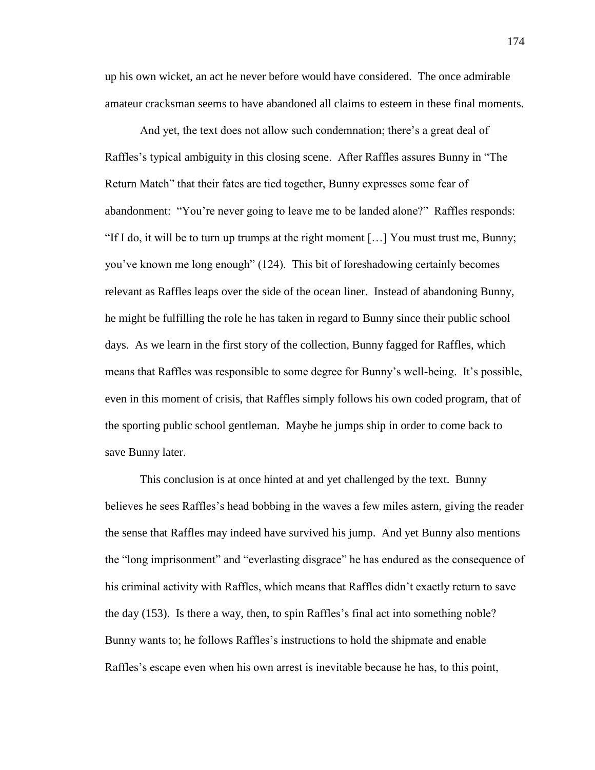up his own wicket, an act he never before would have considered. The once admirable amateur cracksman seems to have abandoned all claims to esteem in these final moments.

And yet, the text does not allow such condemnation; there's a great deal of Raffles's typical ambiguity in this closing scene. After Raffles assures Bunny in "The Return Match" that their fates are tied together, Bunny expresses some fear of abandonment: "You're never going to leave me to be landed alone?" Raffles responds: "If I do, it will be to turn up trumps at the right moment  $[\dots]$  You must trust me, Bunny; you've known me long enough" (124). This bit of foreshadowing certainly becomes relevant as Raffles leaps over the side of the ocean liner. Instead of abandoning Bunny, he might be fulfilling the role he has taken in regard to Bunny since their public school days. As we learn in the first story of the collection, Bunny fagged for Raffles, which means that Raffles was responsible to some degree for Bunny's well-being. It's possible, even in this moment of crisis, that Raffles simply follows his own coded program, that of the sporting public school gentleman. Maybe he jumps ship in order to come back to save Bunny later.

This conclusion is at once hinted at and yet challenged by the text. Bunny believes he sees Raffles's head bobbing in the waves a few miles astern, giving the reader the sense that Raffles may indeed have survived his jump. And yet Bunny also mentions the "long imprisonment" and "everlasting disgrace" he has endured as the consequence of his criminal activity with Raffles, which means that Raffles didn't exactly return to save the day (153). Is there a way, then, to spin Raffles's final act into something noble? Bunny wants to; he follows Raffles's instructions to hold the shipmate and enable Raffles's escape even when his own arrest is inevitable because he has, to this point,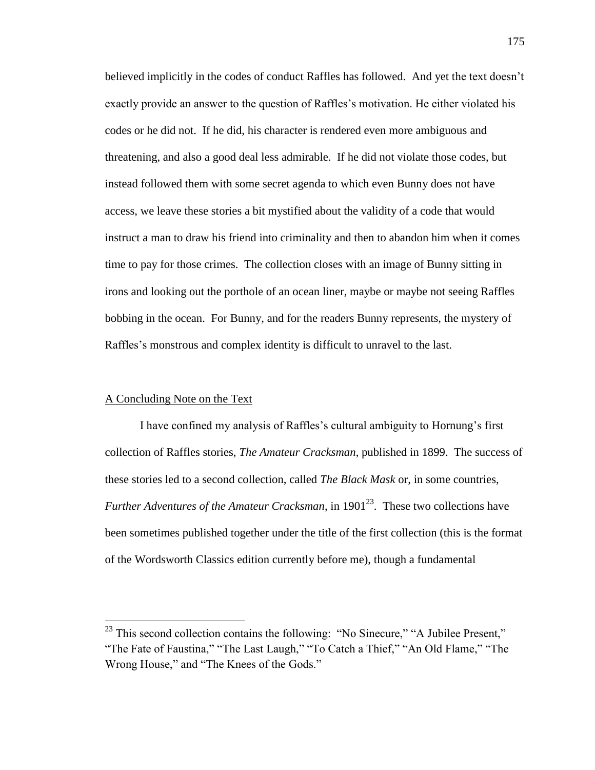believed implicitly in the codes of conduct Raffles has followed. And yet the text doesn't exactly provide an answer to the question of Raffles's motivation. He either violated his codes or he did not. If he did, his character is rendered even more ambiguous and threatening, and also a good deal less admirable. If he did not violate those codes, but instead followed them with some secret agenda to which even Bunny does not have access, we leave these stories a bit mystified about the validity of a code that would instruct a man to draw his friend into criminality and then to abandon him when it comes time to pay for those crimes. The collection closes with an image of Bunny sitting in irons and looking out the porthole of an ocean liner, maybe or maybe not seeing Raffles bobbing in the ocean. For Bunny, and for the readers Bunny represents, the mystery of Raffles's monstrous and complex identity is difficult to unravel to the last.

## A Concluding Note on the Text

 $\overline{a}$ 

I have confined my analysis of Raffles's cultural ambiguity to Hornung's first collection of Raffles stories, *The Amateur Cracksman*, published in 1899. The success of these stories led to a second collection, called *The Black Mask* or, in some countries, *Further Adventures of the Amateur Cracksman*, in  $1901^{23}$ . These two collections have been sometimes published together under the title of the first collection (this is the format of the Wordsworth Classics edition currently before me), though a fundamental

 $^{23}$  This second collection contains the following: "No Sinecure," "A Jubilee Present," "The Fate of Faustina," "The Last Laugh," "To Catch a Thief," "An Old Flame," "The Wrong House," and "The Knees of the Gods."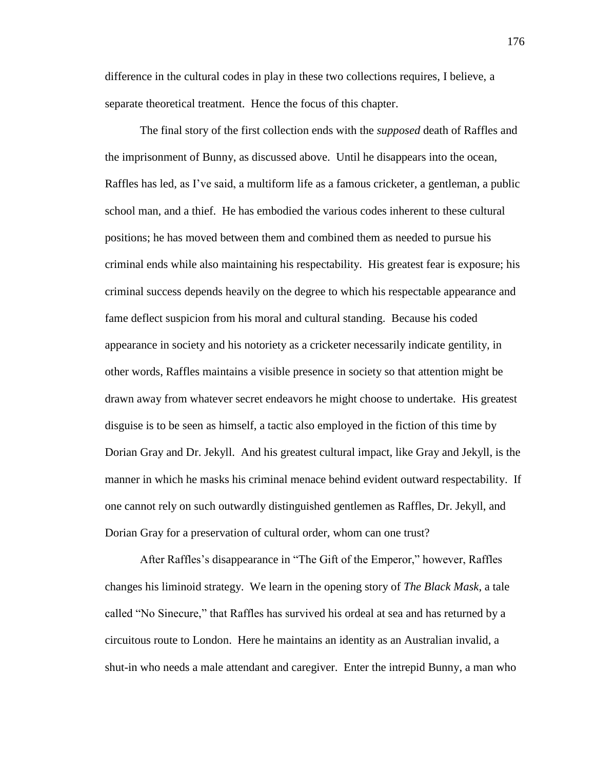difference in the cultural codes in play in these two collections requires, I believe, a separate theoretical treatment. Hence the focus of this chapter.

The final story of the first collection ends with the *supposed* death of Raffles and the imprisonment of Bunny, as discussed above. Until he disappears into the ocean, Raffles has led, as I've said, a multiform life as a famous cricketer, a gentleman, a public school man, and a thief. He has embodied the various codes inherent to these cultural positions; he has moved between them and combined them as needed to pursue his criminal ends while also maintaining his respectability. His greatest fear is exposure; his criminal success depends heavily on the degree to which his respectable appearance and fame deflect suspicion from his moral and cultural standing. Because his coded appearance in society and his notoriety as a cricketer necessarily indicate gentility, in other words, Raffles maintains a visible presence in society so that attention might be drawn away from whatever secret endeavors he might choose to undertake. His greatest disguise is to be seen as himself, a tactic also employed in the fiction of this time by Dorian Gray and Dr. Jekyll. And his greatest cultural impact, like Gray and Jekyll, is the manner in which he masks his criminal menace behind evident outward respectability. If one cannot rely on such outwardly distinguished gentlemen as Raffles, Dr. Jekyll, and Dorian Gray for a preservation of cultural order, whom can one trust?

After Raffles's disappearance in "The Gift of the Emperor," however, Raffles changes his liminoid strategy. We learn in the opening story of *The Black Mask*, a tale called "No Sinecure," that Raffles has survived his ordeal at sea and has returned by a circuitous route to London. Here he maintains an identity as an Australian invalid, a shut-in who needs a male attendant and caregiver. Enter the intrepid Bunny, a man who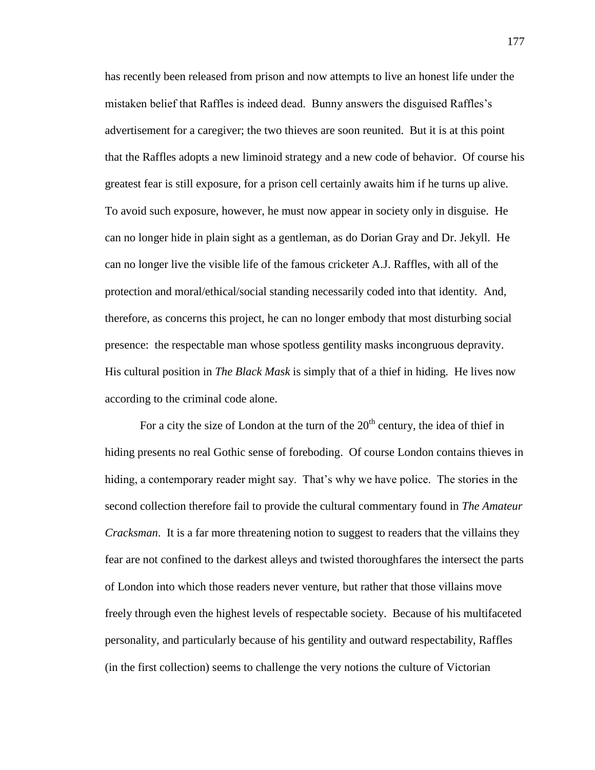has recently been released from prison and now attempts to live an honest life under the mistaken belief that Raffles is indeed dead. Bunny answers the disguised Raffles's advertisement for a caregiver; the two thieves are soon reunited. But it is at this point that the Raffles adopts a new liminoid strategy and a new code of behavior. Of course his greatest fear is still exposure, for a prison cell certainly awaits him if he turns up alive. To avoid such exposure, however, he must now appear in society only in disguise. He can no longer hide in plain sight as a gentleman, as do Dorian Gray and Dr. Jekyll. He can no longer live the visible life of the famous cricketer A.J. Raffles, with all of the protection and moral/ethical/social standing necessarily coded into that identity. And, therefore, as concerns this project, he can no longer embody that most disturbing social presence: the respectable man whose spotless gentility masks incongruous depravity. His cultural position in *The Black Mask* is simply that of a thief in hiding. He lives now according to the criminal code alone.

For a city the size of London at the turn of the  $20<sup>th</sup>$  century, the idea of thief in hiding presents no real Gothic sense of foreboding. Of course London contains thieves in hiding, a contemporary reader might say. That's why we have police. The stories in the second collection therefore fail to provide the cultural commentary found in *The Amateur Cracksman*. It is a far more threatening notion to suggest to readers that the villains they fear are not confined to the darkest alleys and twisted thoroughfares the intersect the parts of London into which those readers never venture, but rather that those villains move freely through even the highest levels of respectable society. Because of his multifaceted personality, and particularly because of his gentility and outward respectability, Raffles (in the first collection) seems to challenge the very notions the culture of Victorian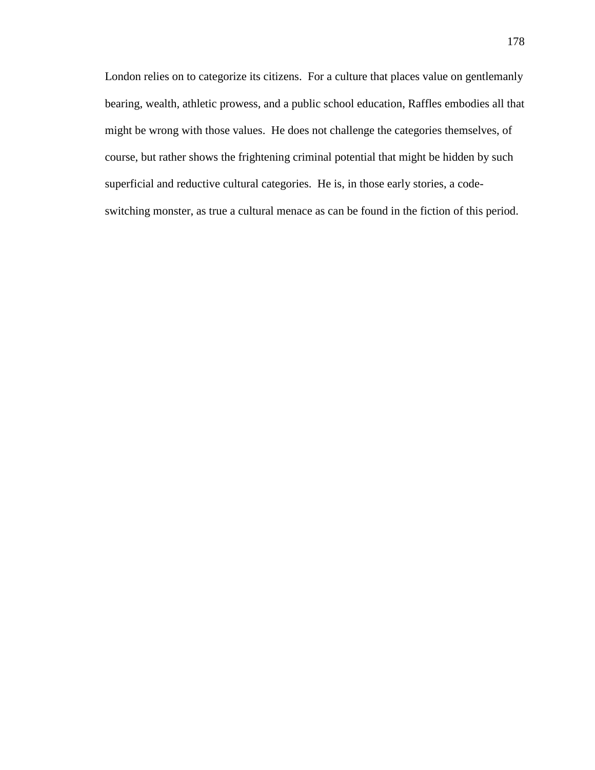London relies on to categorize its citizens. For a culture that places value on gentlemanly bearing, wealth, athletic prowess, and a public school education, Raffles embodies all that might be wrong with those values. He does not challenge the categories themselves, of course, but rather shows the frightening criminal potential that might be hidden by such superficial and reductive cultural categories. He is, in those early stories, a codeswitching monster, as true a cultural menace as can be found in the fiction of this period.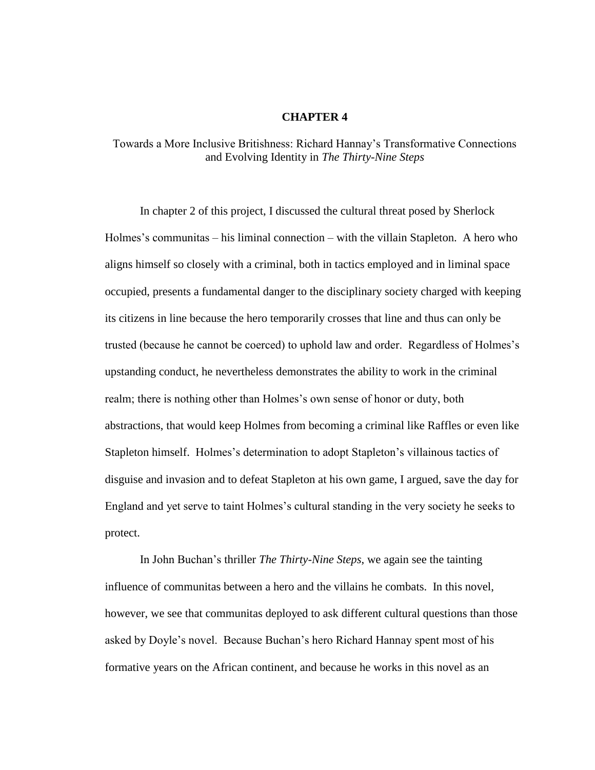## **CHAPTER 4**

## Towards a More Inclusive Britishness: Richard Hannay's Transformative Connections and Evolving Identity in *The Thirty-Nine Steps*

In chapter 2 of this project, I discussed the cultural threat posed by Sherlock Holmes's communitas – his liminal connection – with the villain Stapleton. A hero who aligns himself so closely with a criminal, both in tactics employed and in liminal space occupied, presents a fundamental danger to the disciplinary society charged with keeping its citizens in line because the hero temporarily crosses that line and thus can only be trusted (because he cannot be coerced) to uphold law and order. Regardless of Holmes's upstanding conduct, he nevertheless demonstrates the ability to work in the criminal realm; there is nothing other than Holmes's own sense of honor or duty, both abstractions, that would keep Holmes from becoming a criminal like Raffles or even like Stapleton himself. Holmes's determination to adopt Stapleton's villainous tactics of disguise and invasion and to defeat Stapleton at his own game, I argued, save the day for England and yet serve to taint Holmes's cultural standing in the very society he seeks to protect.

In John Buchan's thriller *The Thirty-Nine Steps*, we again see the tainting influence of communitas between a hero and the villains he combats. In this novel, however, we see that communitas deployed to ask different cultural questions than those asked by Doyle's novel. Because Buchan's hero Richard Hannay spent most of his formative years on the African continent, and because he works in this novel as an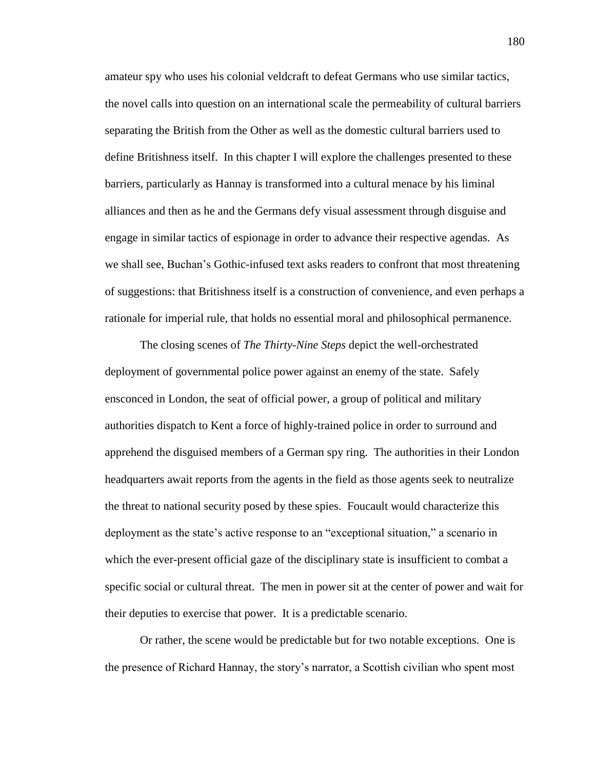amateur spy who uses his colonial veldcraft to defeat Germans who use similar tactics, the novel calls into question on an international scale the permeability of cultural barriers separating the British from the Other as well as the domestic cultural barriers used to define Britishness itself. In this chapter I will explore the challenges presented to these barriers, particularly as Hannay is transformed into a cultural menace by his liminal alliances and then as he and the Germans defy visual assessment through disguise and engage in similar tactics of espionage in order to advance their respective agendas. As we shall see, Buchan's Gothic-infused text asks readers to confront that most threatening of suggestions: that Britishness itself is a construction of convenience, and even perhaps a rationale for imperial rule, that holds no essential moral and philosophical permanence.

The closing scenes of *The Thirty-Nine Steps* depict the well-orchestrated deployment of governmental police power against an enemy of the state. Safely ensconced in London, the seat of official power, a group of political and military authorities dispatch to Kent a force of highly-trained police in order to surround and apprehend the disguised members of a German spy ring. The authorities in their London headquarters await reports from the agents in the field as those agents seek to neutralize the threat to national security posed by these spies. Foucault would characterize this deployment as the state's active response to an "exceptional situation," a scenario in which the ever-present official gaze of the disciplinary state is insufficient to combat a specific social or cultural threat. The men in power sit at the center of power and wait for their deputies to exercise that power. It is a predictable scenario.

Or rather, the scene would be predictable but for two notable exceptions. One is the presence of Richard Hannay, the story's narrator, a Scottish civilian who spent most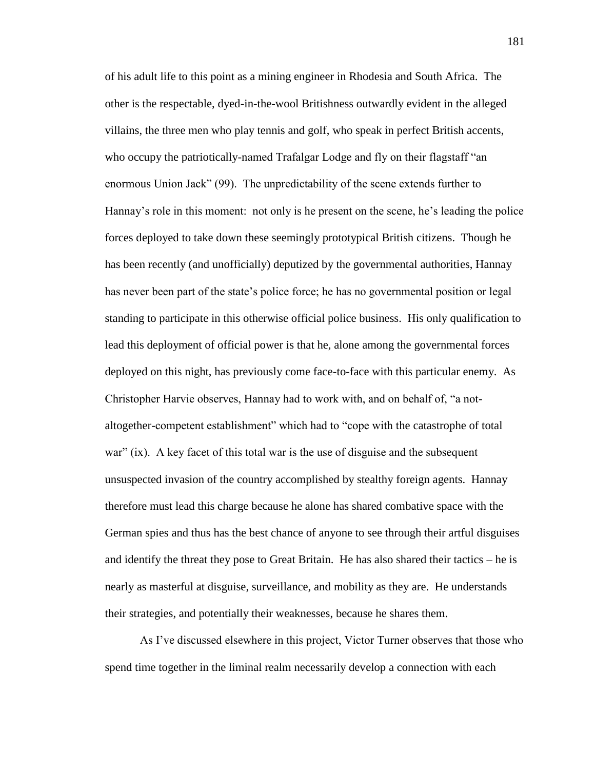of his adult life to this point as a mining engineer in Rhodesia and South Africa. The other is the respectable, dyed-in-the-wool Britishness outwardly evident in the alleged villains, the three men who play tennis and golf, who speak in perfect British accents, who occupy the patriotically-named Trafalgar Lodge and fly on their flagstaff "an enormous Union Jack" (99). The unpredictability of the scene extends further to Hannay's role in this moment: not only is he present on the scene, he's leading the police forces deployed to take down these seemingly prototypical British citizens. Though he has been recently (and unofficially) deputized by the governmental authorities, Hannay has never been part of the state's police force; he has no governmental position or legal standing to participate in this otherwise official police business. His only qualification to lead this deployment of official power is that he, alone among the governmental forces deployed on this night, has previously come face-to-face with this particular enemy. As Christopher Harvie observes, Hannay had to work with, and on behalf of, "a notaltogether-competent establishment" which had to "cope with the catastrophe of total war" (ix). A key facet of this total war is the use of disguise and the subsequent unsuspected invasion of the country accomplished by stealthy foreign agents. Hannay therefore must lead this charge because he alone has shared combative space with the German spies and thus has the best chance of anyone to see through their artful disguises and identify the threat they pose to Great Britain. He has also shared their tactics – he is nearly as masterful at disguise, surveillance, and mobility as they are. He understands their strategies, and potentially their weaknesses, because he shares them.

As I've discussed elsewhere in this project, Victor Turner observes that those who spend time together in the liminal realm necessarily develop a connection with each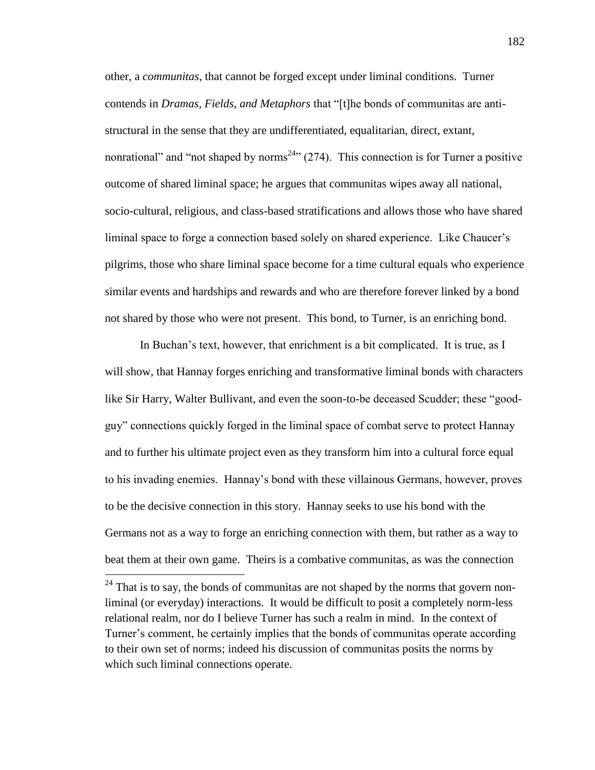other, a *communitas*, that cannot be forged except under liminal conditions. Turner contends in *Dramas, Fields, and Metaphors* that "[t]he bonds of communitas are antistructural in the sense that they are undifferentiated, equalitarian, direct, extant, nonrational" and "not shaped by norms<sup>24</sup>" (274). This connection is for Turner a positive outcome of shared liminal space; he argues that communitas wipes away all national, socio-cultural, religious, and class-based stratifications and allows those who have shared liminal space to forge a connection based solely on shared experience. Like Chaucer's pilgrims, those who share liminal space become for a time cultural equals who experience similar events and hardships and rewards and who are therefore forever linked by a bond not shared by those who were not present. This bond, to Turner, is an enriching bond.

In Buchan's text, however, that enrichment is a bit complicated. It is true, as I will show, that Hannay forges enriching and transformative liminal bonds with characters like Sir Harry, Walter Bullivant, and even the soon-to-be deceased Scudder; these "goodguy" connections quickly forged in the liminal space of combat serve to protect Hannay and to further his ultimate project even as they transform him into a cultural force equal to his invading enemies. Hannay's bond with these villainous Germans, however, proves to be the decisive connection in this story. Hannay seeks to use his bond with the Germans not as a way to forge an enriching connection with them, but rather as a way to beat them at their own game. Theirs is a combative communitas, as was the connection

 $24$  That is to say, the bonds of communitas are not shaped by the norms that govern nonliminal (or everyday) interactions. It would be difficult to posit a completely norm-less relational realm, nor do I believe Turner has such a realm in mind. In the context of Turner's comment, he certainly implies that the bonds of communitas operate according to their own set of norms; indeed his discussion of communitas posits the norms by which such liminal connections operate.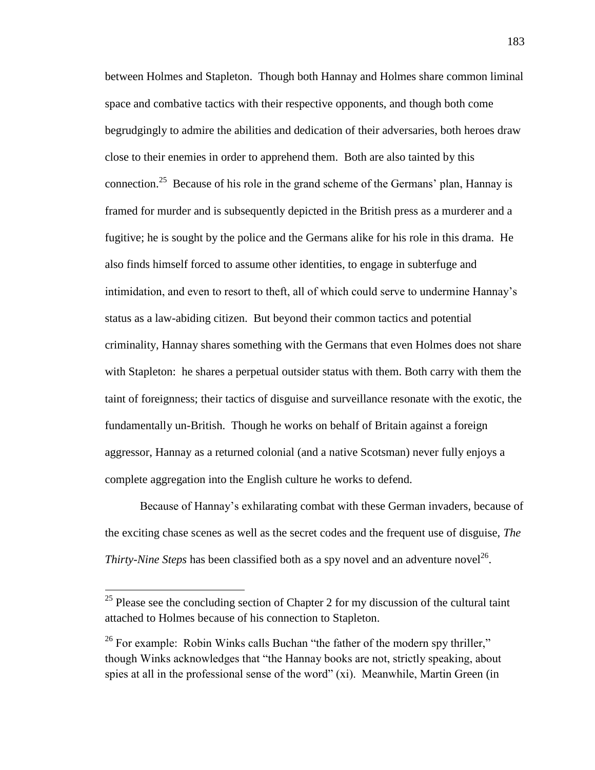between Holmes and Stapleton. Though both Hannay and Holmes share common liminal space and combative tactics with their respective opponents, and though both come begrudgingly to admire the abilities and dedication of their adversaries, both heroes draw close to their enemies in order to apprehend them. Both are also tainted by this connection.<sup>25</sup> Because of his role in the grand scheme of the Germans' plan, Hannay is framed for murder and is subsequently depicted in the British press as a murderer and a fugitive; he is sought by the police and the Germans alike for his role in this drama. He also finds himself forced to assume other identities, to engage in subterfuge and intimidation, and even to resort to theft, all of which could serve to undermine Hannay's status as a law-abiding citizen. But beyond their common tactics and potential criminality, Hannay shares something with the Germans that even Holmes does not share with Stapleton: he shares a perpetual outsider status with them. Both carry with them the taint of foreignness; their tactics of disguise and surveillance resonate with the exotic, the fundamentally un-British. Though he works on behalf of Britain against a foreign aggressor, Hannay as a returned colonial (and a native Scotsman) never fully enjoys a complete aggregation into the English culture he works to defend.

Because of Hannay's exhilarating combat with these German invaders, because of the exciting chase scenes as well as the secret codes and the frequent use of disguise, *The Thirty-Nine Steps* has been classified both as a spy novel and an adventure novel<sup>26</sup>.

 $25$  Please see the concluding section of Chapter 2 for my discussion of the cultural taint attached to Holmes because of his connection to Stapleton.

<sup>&</sup>lt;sup>26</sup> For example: Robin Winks calls Buchan "the father of the modern spy thriller," though Winks acknowledges that "the Hannay books are not, strictly speaking, about spies at all in the professional sense of the word" (xi). Meanwhile, Martin Green (in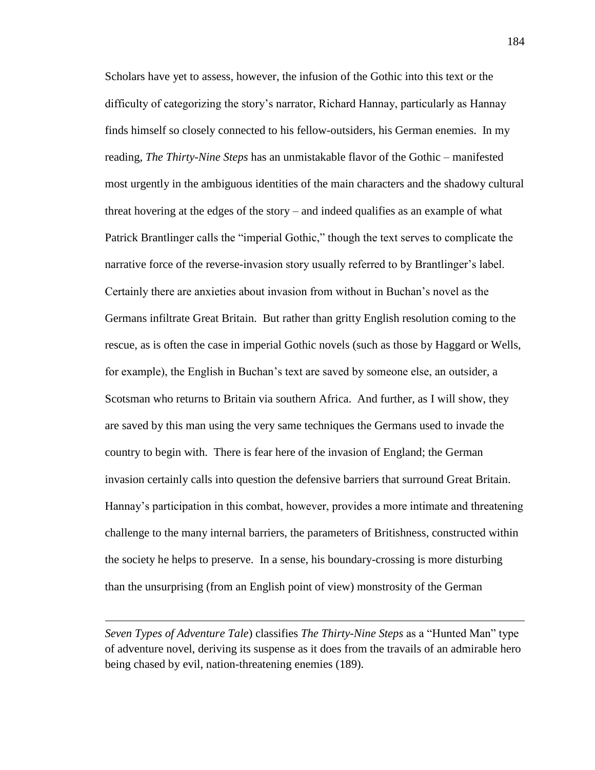Scholars have yet to assess, however, the infusion of the Gothic into this text or the difficulty of categorizing the story's narrator, Richard Hannay, particularly as Hannay finds himself so closely connected to his fellow-outsiders, his German enemies. In my reading, *The Thirty-Nine Steps* has an unmistakable flavor of the Gothic – manifested most urgently in the ambiguous identities of the main characters and the shadowy cultural threat hovering at the edges of the story – and indeed qualifies as an example of what Patrick Brantlinger calls the "imperial Gothic," though the text serves to complicate the narrative force of the reverse-invasion story usually referred to by Brantlinger's label. Certainly there are anxieties about invasion from without in Buchan's novel as the Germans infiltrate Great Britain. But rather than gritty English resolution coming to the rescue, as is often the case in imperial Gothic novels (such as those by Haggard or Wells, for example), the English in Buchan's text are saved by someone else, an outsider, a Scotsman who returns to Britain via southern Africa. And further, as I will show, they are saved by this man using the very same techniques the Germans used to invade the country to begin with. There is fear here of the invasion of England; the German invasion certainly calls into question the defensive barriers that surround Great Britain. Hannay's participation in this combat, however, provides a more intimate and threatening challenge to the many internal barriers, the parameters of Britishness, constructed within the society he helps to preserve. In a sense, his boundary-crossing is more disturbing than the unsurprising (from an English point of view) monstrosity of the German

*Seven Types of Adventure Tale*) classifies *The Thirty-Nine Steps* as a "Hunted Man" type of adventure novel, deriving its suspense as it does from the travails of an admirable hero being chased by evil, nation-threatening enemies (189).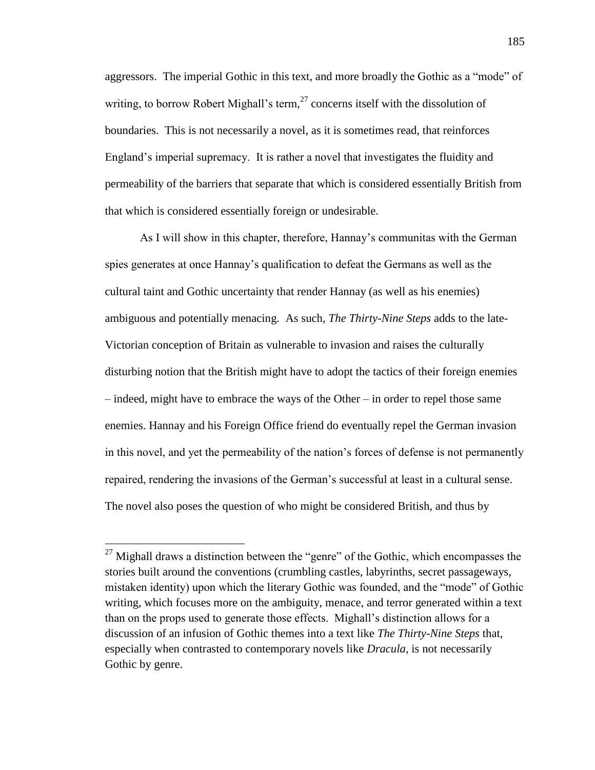aggressors. The imperial Gothic in this text, and more broadly the Gothic as a "mode" of writing, to borrow Robert Mighall's term, $^{27}$  concerns itself with the dissolution of boundaries. This is not necessarily a novel, as it is sometimes read, that reinforces England's imperial supremacy. It is rather a novel that investigates the fluidity and permeability of the barriers that separate that which is considered essentially British from that which is considered essentially foreign or undesirable.

As I will show in this chapter, therefore, Hannay's communitas with the German spies generates at once Hannay's qualification to defeat the Germans as well as the cultural taint and Gothic uncertainty that render Hannay (as well as his enemies) ambiguous and potentially menacing. As such, *The Thirty-Nine Steps* adds to the late-Victorian conception of Britain as vulnerable to invasion and raises the culturally disturbing notion that the British might have to adopt the tactics of their foreign enemies – indeed, might have to embrace the ways of the Other – in order to repel those same enemies. Hannay and his Foreign Office friend do eventually repel the German invasion in this novel, and yet the permeability of the nation's forces of defense is not permanently repaired, rendering the invasions of the German's successful at least in a cultural sense. The novel also poses the question of who might be considered British, and thus by

 $27$  Mighall draws a distinction between the "genre" of the Gothic, which encompasses the stories built around the conventions (crumbling castles, labyrinths, secret passageways, mistaken identity) upon which the literary Gothic was founded, and the "mode" of Gothic writing, which focuses more on the ambiguity, menace, and terror generated within a text than on the props used to generate those effects. Mighall's distinction allows for a discussion of an infusion of Gothic themes into a text like *The Thirty-Nine Steps* that, especially when contrasted to contemporary novels like *Dracula*, is not necessarily Gothic by genre.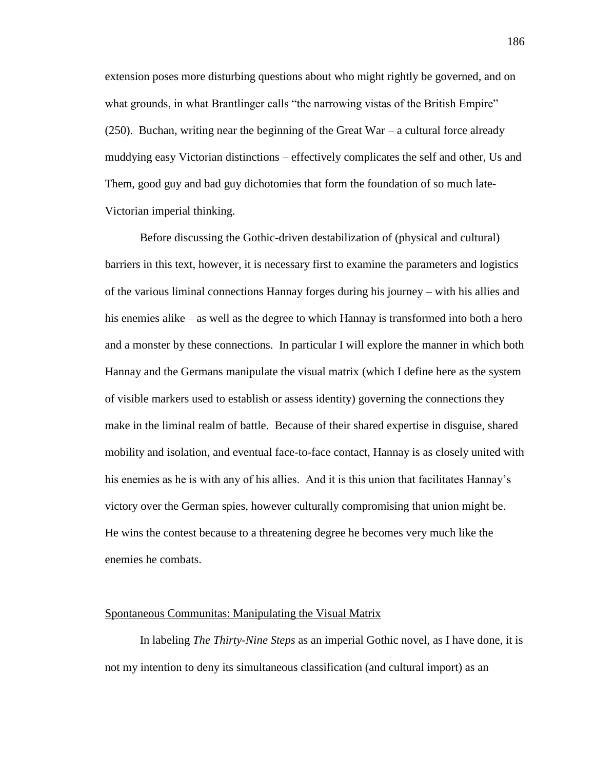extension poses more disturbing questions about who might rightly be governed, and on what grounds, in what Brantlinger calls "the narrowing vistas of the British Empire"  $(250)$ . Buchan, writing near the beginning of the Great War – a cultural force already muddying easy Victorian distinctions – effectively complicates the self and other, Us and Them, good guy and bad guy dichotomies that form the foundation of so much late-Victorian imperial thinking.

Before discussing the Gothic-driven destabilization of (physical and cultural) barriers in this text, however, it is necessary first to examine the parameters and logistics of the various liminal connections Hannay forges during his journey – with his allies and his enemies alike – as well as the degree to which Hannay is transformed into both a hero and a monster by these connections. In particular I will explore the manner in which both Hannay and the Germans manipulate the visual matrix (which I define here as the system of visible markers used to establish or assess identity) governing the connections they make in the liminal realm of battle. Because of their shared expertise in disguise, shared mobility and isolation, and eventual face-to-face contact, Hannay is as closely united with his enemies as he is with any of his allies. And it is this union that facilitates Hannay's victory over the German spies, however culturally compromising that union might be. He wins the contest because to a threatening degree he becomes very much like the enemies he combats.

## Spontaneous Communitas: Manipulating the Visual Matrix

In labeling *The Thirty-Nine Steps* as an imperial Gothic novel, as I have done, it is not my intention to deny its simultaneous classification (and cultural import) as an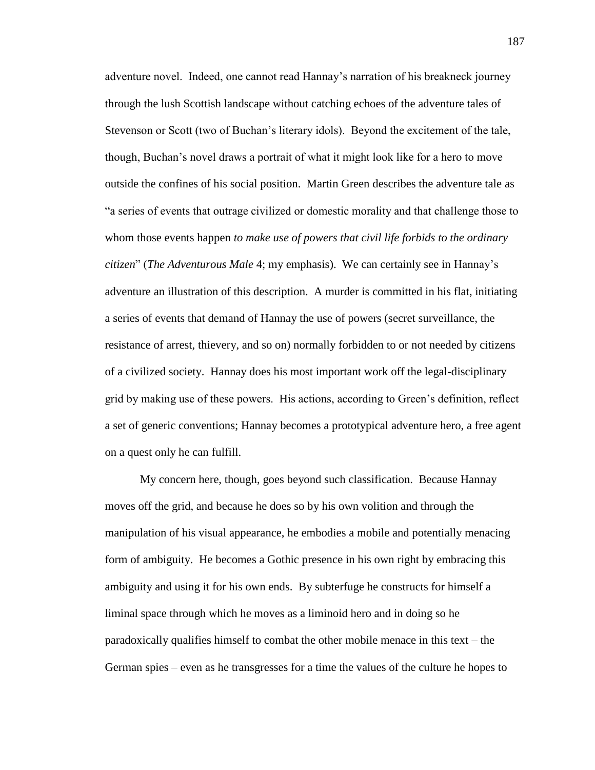adventure novel. Indeed, one cannot read Hannay's narration of his breakneck journey through the lush Scottish landscape without catching echoes of the adventure tales of Stevenson or Scott (two of Buchan's literary idols). Beyond the excitement of the tale, though, Buchan's novel draws a portrait of what it might look like for a hero to move outside the confines of his social position. Martin Green describes the adventure tale as "a series of events that outrage civilized or domestic morality and that challenge those to whom those events happen *to make use of powers that civil life forbids to the ordinary citizen*" (*The Adventurous Male* 4; my emphasis). We can certainly see in Hannay's adventure an illustration of this description. A murder is committed in his flat, initiating a series of events that demand of Hannay the use of powers (secret surveillance, the resistance of arrest, thievery, and so on) normally forbidden to or not needed by citizens of a civilized society. Hannay does his most important work off the legal-disciplinary grid by making use of these powers. His actions, according to Green's definition, reflect a set of generic conventions; Hannay becomes a prototypical adventure hero, a free agent on a quest only he can fulfill.

My concern here, though, goes beyond such classification. Because Hannay moves off the grid, and because he does so by his own volition and through the manipulation of his visual appearance, he embodies a mobile and potentially menacing form of ambiguity. He becomes a Gothic presence in his own right by embracing this ambiguity and using it for his own ends. By subterfuge he constructs for himself a liminal space through which he moves as a liminoid hero and in doing so he paradoxically qualifies himself to combat the other mobile menace in this text – the German spies – even as he transgresses for a time the values of the culture he hopes to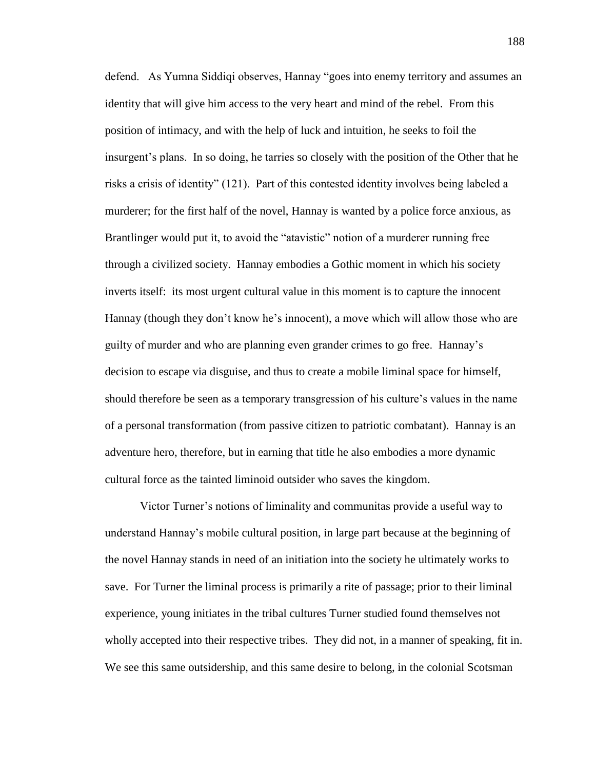defend. As Yumna Siddiqi observes, Hannay "goes into enemy territory and assumes an identity that will give him access to the very heart and mind of the rebel. From this position of intimacy, and with the help of luck and intuition, he seeks to foil the insurgent's plans. In so doing, he tarries so closely with the position of the Other that he risks a crisis of identity" (121). Part of this contested identity involves being labeled a murderer; for the first half of the novel, Hannay is wanted by a police force anxious, as Brantlinger would put it, to avoid the "atavistic" notion of a murderer running free through a civilized society. Hannay embodies a Gothic moment in which his society inverts itself: its most urgent cultural value in this moment is to capture the innocent Hannay (though they don't know he's innocent), a move which will allow those who are guilty of murder and who are planning even grander crimes to go free. Hannay's decision to escape via disguise, and thus to create a mobile liminal space for himself, should therefore be seen as a temporary transgression of his culture's values in the name of a personal transformation (from passive citizen to patriotic combatant). Hannay is an adventure hero, therefore, but in earning that title he also embodies a more dynamic cultural force as the tainted liminoid outsider who saves the kingdom.

Victor Turner's notions of liminality and communitas provide a useful way to understand Hannay's mobile cultural position, in large part because at the beginning of the novel Hannay stands in need of an initiation into the society he ultimately works to save. For Turner the liminal process is primarily a rite of passage; prior to their liminal experience, young initiates in the tribal cultures Turner studied found themselves not wholly accepted into their respective tribes. They did not, in a manner of speaking, fit in. We see this same outsidership, and this same desire to belong, in the colonial Scotsman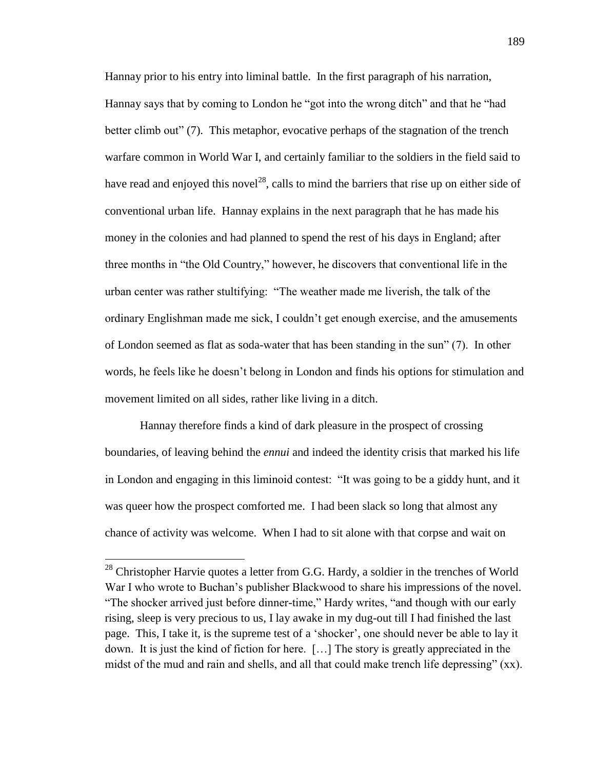Hannay prior to his entry into liminal battle. In the first paragraph of his narration, Hannay says that by coming to London he "got into the wrong ditch" and that he "had better climb out" (7). This metaphor, evocative perhaps of the stagnation of the trench warfare common in World War I, and certainly familiar to the soldiers in the field said to have read and enjoyed this novel<sup>28</sup>, calls to mind the barriers that rise up on either side of conventional urban life. Hannay explains in the next paragraph that he has made his money in the colonies and had planned to spend the rest of his days in England; after three months in "the Old Country," however, he discovers that conventional life in the urban center was rather stultifying: "The weather made me liverish, the talk of the ordinary Englishman made me sick, I couldn't get enough exercise, and the amusements of London seemed as flat as soda-water that has been standing in the sun" (7). In other words, he feels like he doesn't belong in London and finds his options for stimulation and movement limited on all sides, rather like living in a ditch.

Hannay therefore finds a kind of dark pleasure in the prospect of crossing boundaries, of leaving behind the *ennui* and indeed the identity crisis that marked his life in London and engaging in this liminoid contest: "It was going to be a giddy hunt, and it was queer how the prospect comforted me. I had been slack so long that almost any chance of activity was welcome. When I had to sit alone with that corpse and wait on

 $28$  Christopher Harvie quotes a letter from G.G. Hardy, a soldier in the trenches of World War I who wrote to Buchan's publisher Blackwood to share his impressions of the novel. "The shocker arrived just before dinner-time," Hardy writes, "and though with our early rising, sleep is very precious to us, I lay awake in my dug-out till I had finished the last page. This, I take it, is the supreme test of a 'shocker', one should never be able to lay it down. It is just the kind of fiction for here. […] The story is greatly appreciated in the midst of the mud and rain and shells, and all that could make trench life depressing" (xx).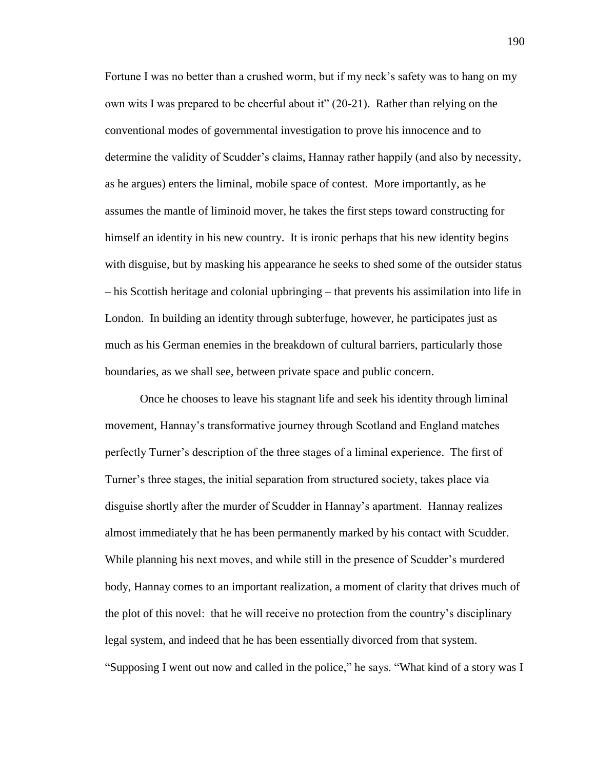Fortune I was no better than a crushed worm, but if my neck's safety was to hang on my own wits I was prepared to be cheerful about it" (20-21). Rather than relying on the conventional modes of governmental investigation to prove his innocence and to determine the validity of Scudder's claims, Hannay rather happily (and also by necessity, as he argues) enters the liminal, mobile space of contest. More importantly, as he assumes the mantle of liminoid mover, he takes the first steps toward constructing for himself an identity in his new country. It is ironic perhaps that his new identity begins with disguise, but by masking his appearance he seeks to shed some of the outsider status – his Scottish heritage and colonial upbringing – that prevents his assimilation into life in London. In building an identity through subterfuge, however, he participates just as much as his German enemies in the breakdown of cultural barriers, particularly those boundaries, as we shall see, between private space and public concern.

Once he chooses to leave his stagnant life and seek his identity through liminal movement, Hannay's transformative journey through Scotland and England matches perfectly Turner's description of the three stages of a liminal experience. The first of Turner's three stages, the initial separation from structured society, takes place via disguise shortly after the murder of Scudder in Hannay's apartment. Hannay realizes almost immediately that he has been permanently marked by his contact with Scudder. While planning his next moves, and while still in the presence of Scudder's murdered body, Hannay comes to an important realization, a moment of clarity that drives much of the plot of this novel: that he will receive no protection from the country's disciplinary legal system, and indeed that he has been essentially divorced from that system. "Supposing I went out now and called in the police," he says. "What kind of a story was I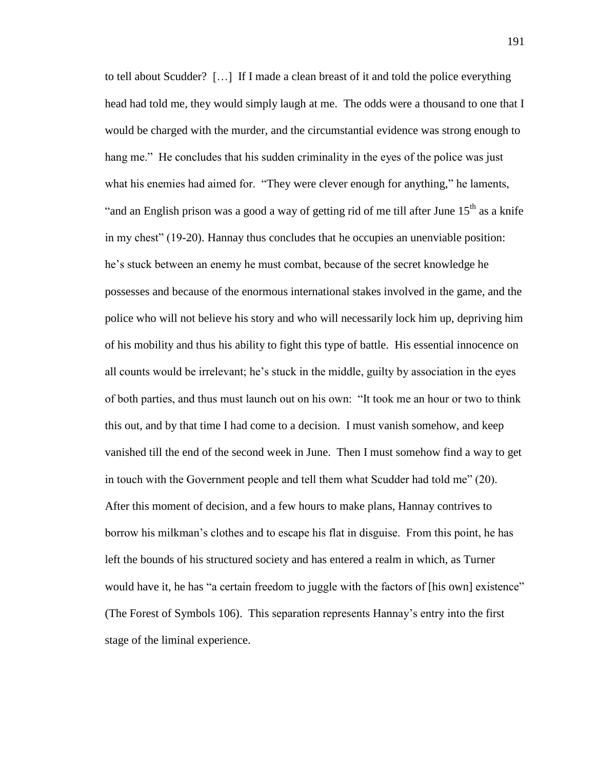to tell about Scudder? […] If I made a clean breast of it and told the police everything head had told me, they would simply laugh at me. The odds were a thousand to one that I would be charged with the murder, and the circumstantial evidence was strong enough to hang me." He concludes that his sudden criminality in the eyes of the police was just what his enemies had aimed for. "They were clever enough for anything," he laments, "and an English prison was a good a way of getting rid of me till after June  $15<sup>th</sup>$  as a knife in my chest" (19-20). Hannay thus concludes that he occupies an unenviable position: he's stuck between an enemy he must combat, because of the secret knowledge he possesses and because of the enormous international stakes involved in the game, and the police who will not believe his story and who will necessarily lock him up, depriving him of his mobility and thus his ability to fight this type of battle. His essential innocence on all counts would be irrelevant; he's stuck in the middle, guilty by association in the eyes of both parties, and thus must launch out on his own: "It took me an hour or two to think this out, and by that time I had come to a decision. I must vanish somehow, and keep vanished till the end of the second week in June. Then I must somehow find a way to get in touch with the Government people and tell them what Scudder had told me" (20). After this moment of decision, and a few hours to make plans, Hannay contrives to borrow his milkman's clothes and to escape his flat in disguise. From this point, he has left the bounds of his structured society and has entered a realm in which, as Turner would have it, he has "a certain freedom to juggle with the factors of [his own] existence" (The Forest of Symbols 106). This separation represents Hannay's entry into the first stage of the liminal experience.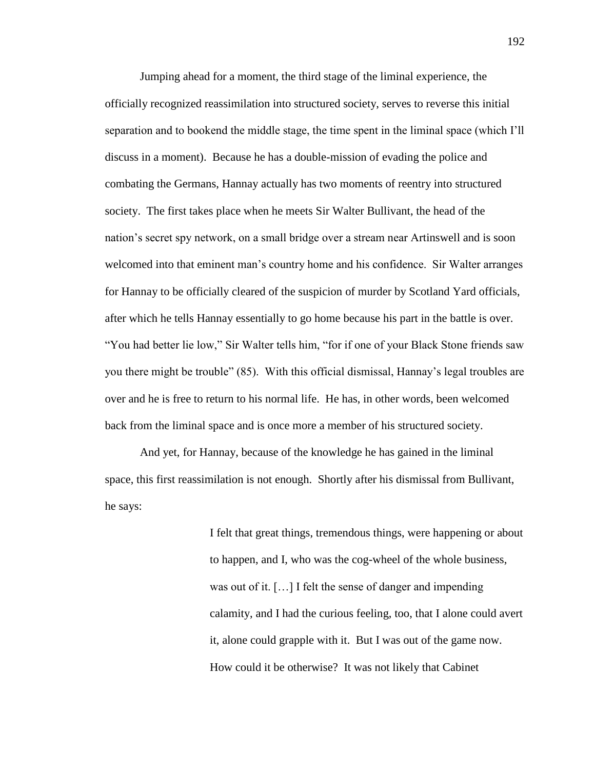Jumping ahead for a moment, the third stage of the liminal experience, the officially recognized reassimilation into structured society, serves to reverse this initial separation and to bookend the middle stage, the time spent in the liminal space (which I'll discuss in a moment). Because he has a double-mission of evading the police and combating the Germans, Hannay actually has two moments of reentry into structured society. The first takes place when he meets Sir Walter Bullivant, the head of the nation's secret spy network, on a small bridge over a stream near Artinswell and is soon welcomed into that eminent man's country home and his confidence. Sir Walter arranges for Hannay to be officially cleared of the suspicion of murder by Scotland Yard officials, after which he tells Hannay essentially to go home because his part in the battle is over. "You had better lie low," Sir Walter tells him, "for if one of your Black Stone friends saw you there might be trouble" (85). With this official dismissal, Hannay's legal troubles are over and he is free to return to his normal life. He has, in other words, been welcomed back from the liminal space and is once more a member of his structured society.

And yet, for Hannay, because of the knowledge he has gained in the liminal space, this first reassimilation is not enough. Shortly after his dismissal from Bullivant, he says:

> I felt that great things, tremendous things, were happening or about to happen, and I, who was the cog-wheel of the whole business, was out of it. […] I felt the sense of danger and impending calamity, and I had the curious feeling, too, that I alone could avert it, alone could grapple with it. But I was out of the game now. How could it be otherwise? It was not likely that Cabinet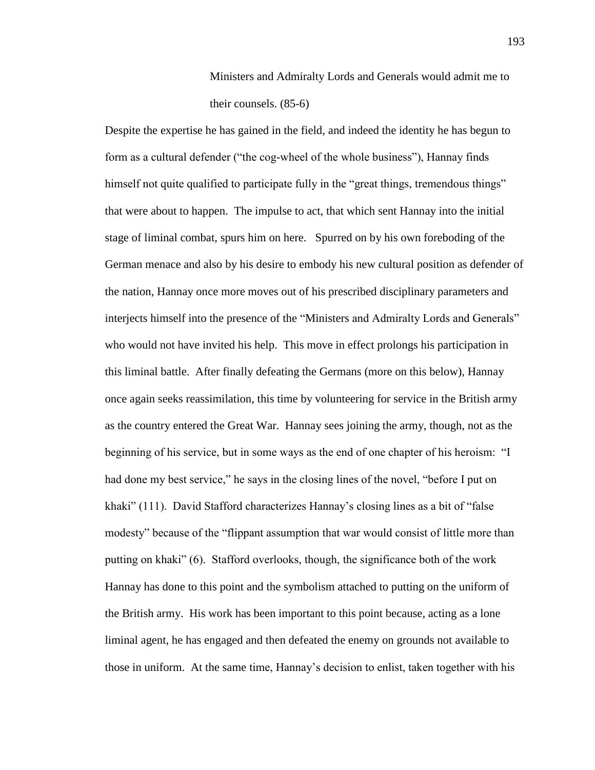Ministers and Admiralty Lords and Generals would admit me to their counsels. (85-6)

Despite the expertise he has gained in the field, and indeed the identity he has begun to form as a cultural defender ("the cog-wheel of the whole business"), Hannay finds himself not quite qualified to participate fully in the "great things, tremendous things" that were about to happen. The impulse to act, that which sent Hannay into the initial stage of liminal combat, spurs him on here. Spurred on by his own foreboding of the German menace and also by his desire to embody his new cultural position as defender of the nation, Hannay once more moves out of his prescribed disciplinary parameters and interjects himself into the presence of the "Ministers and Admiralty Lords and Generals" who would not have invited his help. This move in effect prolongs his participation in this liminal battle. After finally defeating the Germans (more on this below), Hannay once again seeks reassimilation, this time by volunteering for service in the British army as the country entered the Great War. Hannay sees joining the army, though, not as the beginning of his service, but in some ways as the end of one chapter of his heroism: "I had done my best service," he says in the closing lines of the novel, "before I put on khaki" (111). David Stafford characterizes Hannay's closing lines as a bit of "false modesty" because of the "flippant assumption that war would consist of little more than putting on khaki" (6). Stafford overlooks, though, the significance both of the work Hannay has done to this point and the symbolism attached to putting on the uniform of the British army. His work has been important to this point because, acting as a lone liminal agent, he has engaged and then defeated the enemy on grounds not available to those in uniform. At the same time, Hannay's decision to enlist, taken together with his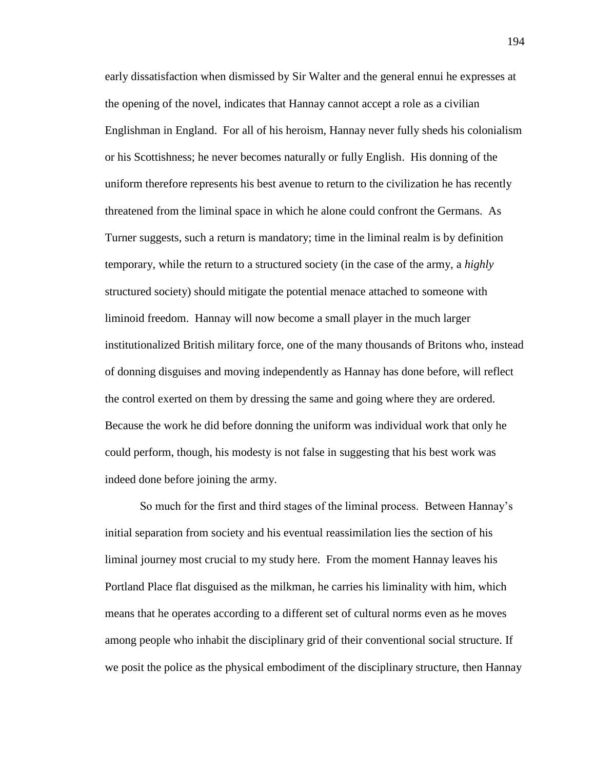early dissatisfaction when dismissed by Sir Walter and the general ennui he expresses at the opening of the novel, indicates that Hannay cannot accept a role as a civilian Englishman in England. For all of his heroism, Hannay never fully sheds his colonialism or his Scottishness; he never becomes naturally or fully English. His donning of the uniform therefore represents his best avenue to return to the civilization he has recently threatened from the liminal space in which he alone could confront the Germans. As Turner suggests, such a return is mandatory; time in the liminal realm is by definition temporary, while the return to a structured society (in the case of the army, a *highly* structured society) should mitigate the potential menace attached to someone with liminoid freedom. Hannay will now become a small player in the much larger institutionalized British military force, one of the many thousands of Britons who, instead of donning disguises and moving independently as Hannay has done before, will reflect the control exerted on them by dressing the same and going where they are ordered. Because the work he did before donning the uniform was individual work that only he could perform, though, his modesty is not false in suggesting that his best work was indeed done before joining the army.

So much for the first and third stages of the liminal process. Between Hannay's initial separation from society and his eventual reassimilation lies the section of his liminal journey most crucial to my study here. From the moment Hannay leaves his Portland Place flat disguised as the milkman, he carries his liminality with him, which means that he operates according to a different set of cultural norms even as he moves among people who inhabit the disciplinary grid of their conventional social structure. If we posit the police as the physical embodiment of the disciplinary structure, then Hannay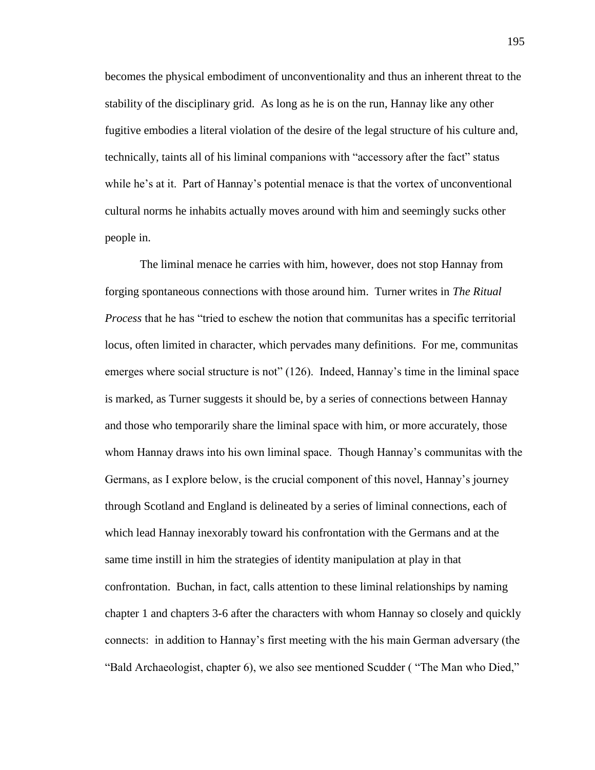becomes the physical embodiment of unconventionality and thus an inherent threat to the stability of the disciplinary grid. As long as he is on the run, Hannay like any other fugitive embodies a literal violation of the desire of the legal structure of his culture and, technically, taints all of his liminal companions with "accessory after the fact" status while he's at it. Part of Hannay's potential menace is that the vortex of unconventional cultural norms he inhabits actually moves around with him and seemingly sucks other people in.

The liminal menace he carries with him, however, does not stop Hannay from forging spontaneous connections with those around him. Turner writes in *The Ritual Process* that he has "tried to eschew the notion that communitas has a specific territorial locus, often limited in character, which pervades many definitions. For me, communitas emerges where social structure is not" (126). Indeed, Hannay's time in the liminal space is marked, as Turner suggests it should be, by a series of connections between Hannay and those who temporarily share the liminal space with him, or more accurately, those whom Hannay draws into his own liminal space. Though Hannay's communitas with the Germans, as I explore below, is the crucial component of this novel, Hannay's journey through Scotland and England is delineated by a series of liminal connections, each of which lead Hannay inexorably toward his confrontation with the Germans and at the same time instill in him the strategies of identity manipulation at play in that confrontation. Buchan, in fact, calls attention to these liminal relationships by naming chapter 1 and chapters 3-6 after the characters with whom Hannay so closely and quickly connects: in addition to Hannay's first meeting with the his main German adversary (the "Bald Archaeologist, chapter 6), we also see mentioned Scudder ( "The Man who Died,"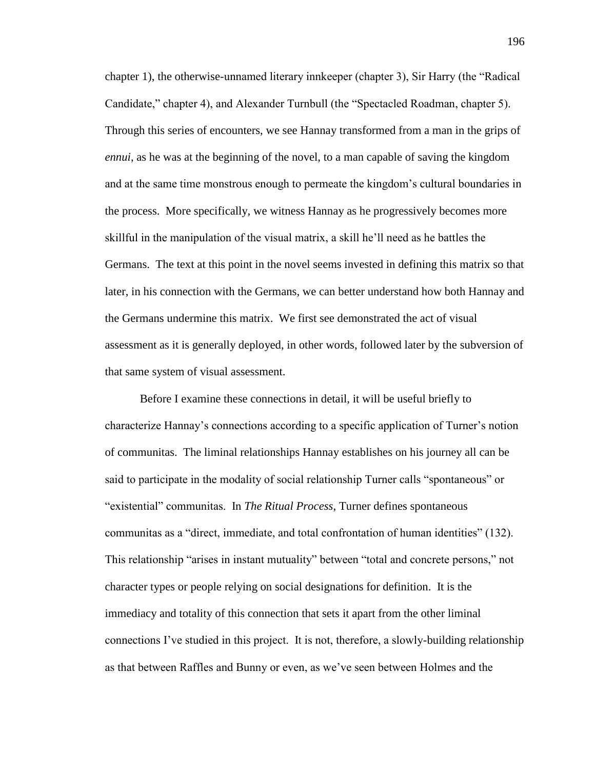chapter 1), the otherwise-unnamed literary innkeeper (chapter 3), Sir Harry (the "Radical Candidate," chapter 4), and Alexander Turnbull (the "Spectacled Roadman, chapter 5). Through this series of encounters, we see Hannay transformed from a man in the grips of *ennui*, as he was at the beginning of the novel, to a man capable of saving the kingdom and at the same time monstrous enough to permeate the kingdom's cultural boundaries in the process. More specifically, we witness Hannay as he progressively becomes more skillful in the manipulation of the visual matrix, a skill he'll need as he battles the Germans. The text at this point in the novel seems invested in defining this matrix so that later, in his connection with the Germans, we can better understand how both Hannay and the Germans undermine this matrix. We first see demonstrated the act of visual assessment as it is generally deployed, in other words, followed later by the subversion of that same system of visual assessment.

Before I examine these connections in detail, it will be useful briefly to characterize Hannay's connections according to a specific application of Turner's notion of communitas. The liminal relationships Hannay establishes on his journey all can be said to participate in the modality of social relationship Turner calls "spontaneous" or "existential" communitas. In *The Ritual Process*, Turner defines spontaneous communitas as a "direct, immediate, and total confrontation of human identities" (132). This relationship "arises in instant mutuality" between "total and concrete persons," not character types or people relying on social designations for definition. It is the immediacy and totality of this connection that sets it apart from the other liminal connections I've studied in this project. It is not, therefore, a slowly-building relationship as that between Raffles and Bunny or even, as we've seen between Holmes and the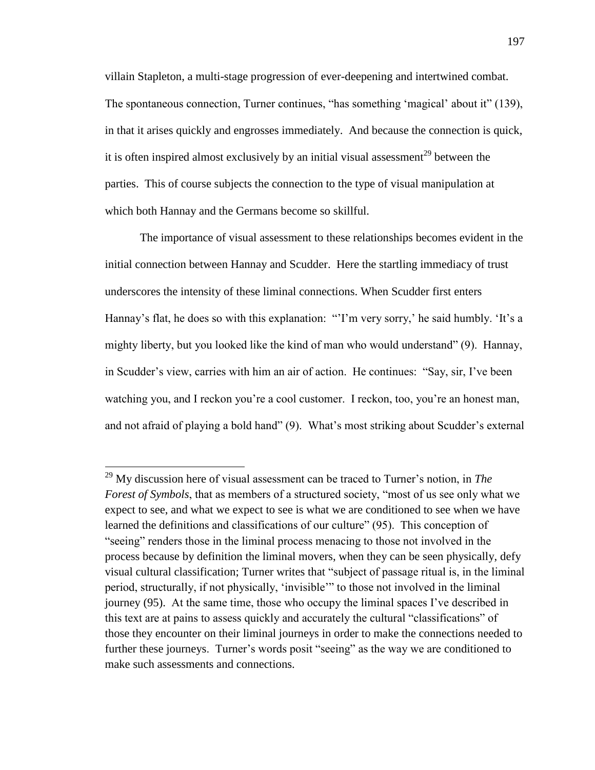villain Stapleton, a multi-stage progression of ever-deepening and intertwined combat. The spontaneous connection, Turner continues, "has something 'magical' about it" (139), in that it arises quickly and engrosses immediately. And because the connection is quick, it is often inspired almost exclusively by an initial visual assessment<sup>29</sup> between the parties. This of course subjects the connection to the type of visual manipulation at which both Hannay and the Germans become so skillful.

The importance of visual assessment to these relationships becomes evident in the initial connection between Hannay and Scudder. Here the startling immediacy of trust underscores the intensity of these liminal connections. When Scudder first enters Hannay's flat, he does so with this explanation: "'I'm very sorry,' he said humbly. 'It's a mighty liberty, but you looked like the kind of man who would understand" (9). Hannay, in Scudder's view, carries with him an air of action. He continues: "Say, sir, I've been watching you, and I reckon you're a cool customer. I reckon, too, you're an honest man, and not afraid of playing a bold hand" (9). What's most striking about Scudder's external

<sup>29</sup> My discussion here of visual assessment can be traced to Turner's notion, in *The Forest of Symbols*, that as members of a structured society, "most of us see only what we expect to see, and what we expect to see is what we are conditioned to see when we have learned the definitions and classifications of our culture" (95). This conception of "seeing" renders those in the liminal process menacing to those not involved in the process because by definition the liminal movers, when they can be seen physically, defy visual cultural classification; Turner writes that "subject of passage ritual is, in the liminal period, structurally, if not physically, 'invisible'" to those not involved in the liminal journey (95). At the same time, those who occupy the liminal spaces I've described in this text are at pains to assess quickly and accurately the cultural "classifications" of those they encounter on their liminal journeys in order to make the connections needed to further these journeys. Turner's words posit "seeing" as the way we are conditioned to make such assessments and connections.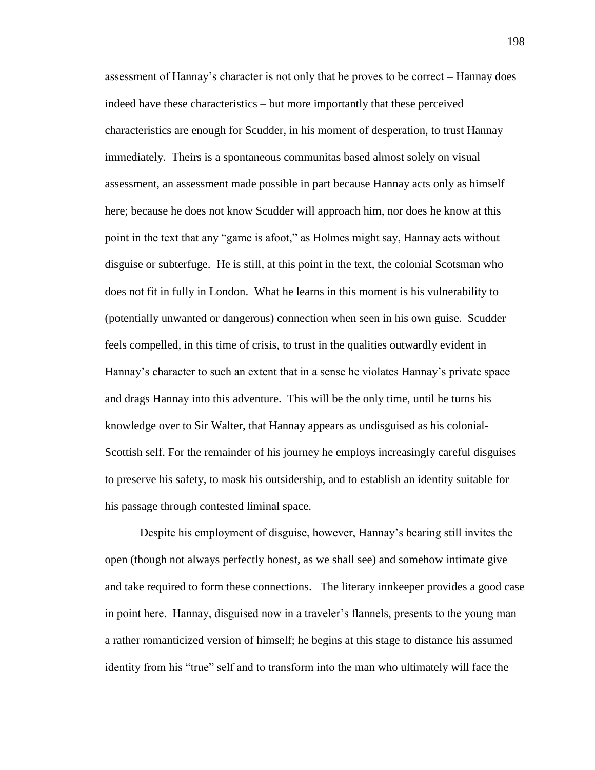assessment of Hannay's character is not only that he proves to be correct – Hannay does indeed have these characteristics – but more importantly that these perceived characteristics are enough for Scudder, in his moment of desperation, to trust Hannay immediately. Theirs is a spontaneous communitas based almost solely on visual assessment, an assessment made possible in part because Hannay acts only as himself here; because he does not know Scudder will approach him, nor does he know at this point in the text that any "game is afoot," as Holmes might say, Hannay acts without disguise or subterfuge. He is still, at this point in the text, the colonial Scotsman who does not fit in fully in London. What he learns in this moment is his vulnerability to (potentially unwanted or dangerous) connection when seen in his own guise. Scudder feels compelled, in this time of crisis, to trust in the qualities outwardly evident in Hannay's character to such an extent that in a sense he violates Hannay's private space and drags Hannay into this adventure. This will be the only time, until he turns his knowledge over to Sir Walter, that Hannay appears as undisguised as his colonial-Scottish self. For the remainder of his journey he employs increasingly careful disguises to preserve his safety, to mask his outsidership, and to establish an identity suitable for his passage through contested liminal space.

Despite his employment of disguise, however, Hannay's bearing still invites the open (though not always perfectly honest, as we shall see) and somehow intimate give and take required to form these connections. The literary innkeeper provides a good case in point here. Hannay, disguised now in a traveler's flannels, presents to the young man a rather romanticized version of himself; he begins at this stage to distance his assumed identity from his "true" self and to transform into the man who ultimately will face the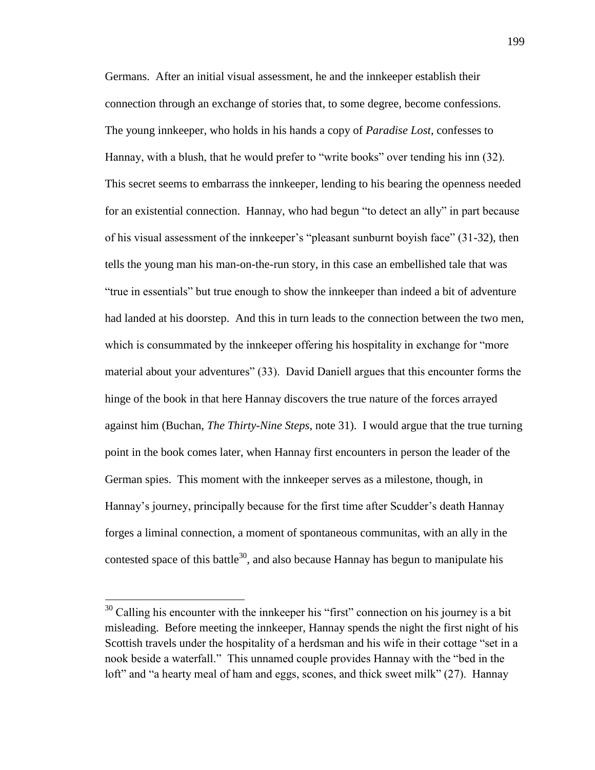Germans. After an initial visual assessment, he and the innkeeper establish their connection through an exchange of stories that, to some degree, become confessions. The young innkeeper, who holds in his hands a copy of *Paradise Lost*, confesses to Hannay, with a blush, that he would prefer to "write books" over tending his inn (32). This secret seems to embarrass the innkeeper, lending to his bearing the openness needed for an existential connection. Hannay, who had begun "to detect an ally" in part because of his visual assessment of the innkeeper's "pleasant sunburnt boyish face" (31-32), then tells the young man his man-on-the-run story, in this case an embellished tale that was "true in essentials" but true enough to show the innkeeper than indeed a bit of adventure had landed at his doorstep. And this in turn leads to the connection between the two men, which is consummated by the innkeeper offering his hospitality in exchange for "more material about your adventures" (33). David Daniell argues that this encounter forms the hinge of the book in that here Hannay discovers the true nature of the forces arrayed against him (Buchan, *The Thirty-Nine Steps*, note 31). I would argue that the true turning point in the book comes later, when Hannay first encounters in person the leader of the German spies. This moment with the innkeeper serves as a milestone, though, in Hannay's journey, principally because for the first time after Scudder's death Hannay forges a liminal connection, a moment of spontaneous communitas, with an ally in the contested space of this battle<sup>30</sup>, and also because Hannay has begun to manipulate his

 $30$  Calling his encounter with the innkeeper his "first" connection on his journey is a bit misleading. Before meeting the innkeeper, Hannay spends the night the first night of his Scottish travels under the hospitality of a herdsman and his wife in their cottage "set in a nook beside a waterfall." This unnamed couple provides Hannay with the "bed in the loft" and "a hearty meal of ham and eggs, scones, and thick sweet milk" (27). Hannay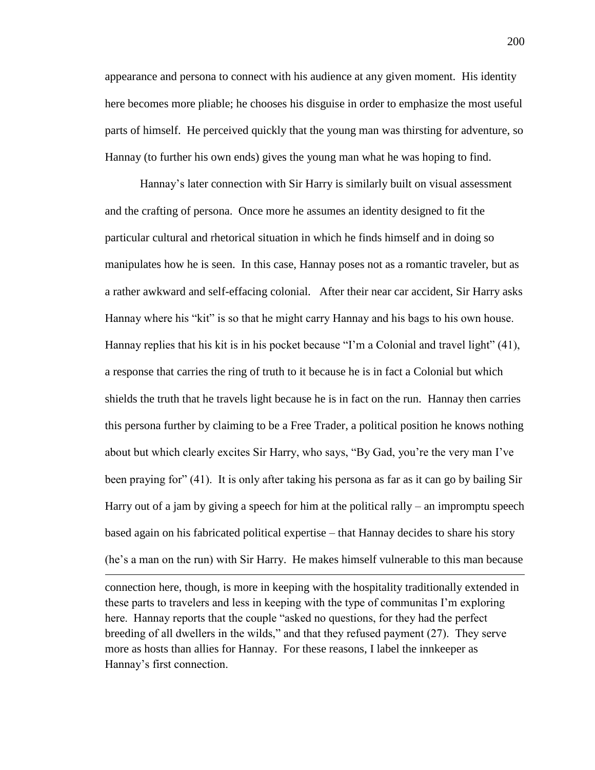appearance and persona to connect with his audience at any given moment. His identity here becomes more pliable; he chooses his disguise in order to emphasize the most useful parts of himself. He perceived quickly that the young man was thirsting for adventure, so Hannay (to further his own ends) gives the young man what he was hoping to find.

Hannay's later connection with Sir Harry is similarly built on visual assessment and the crafting of persona. Once more he assumes an identity designed to fit the particular cultural and rhetorical situation in which he finds himself and in doing so manipulates how he is seen. In this case, Hannay poses not as a romantic traveler, but as a rather awkward and self-effacing colonial. After their near car accident, Sir Harry asks Hannay where his "kit" is so that he might carry Hannay and his bags to his own house. Hannay replies that his kit is in his pocket because "I'm a Colonial and travel light" (41), a response that carries the ring of truth to it because he is in fact a Colonial but which shields the truth that he travels light because he is in fact on the run. Hannay then carries this persona further by claiming to be a Free Trader, a political position he knows nothing about but which clearly excites Sir Harry, who says, "By Gad, you're the very man I've been praying for" (41). It is only after taking his persona as far as it can go by bailing Sir Harry out of a jam by giving a speech for him at the political rally – an impromptu speech based again on his fabricated political expertise – that Hannay decides to share his story (he's a man on the run) with Sir Harry. He makes himself vulnerable to this man because

connection here, though, is more in keeping with the hospitality traditionally extended in these parts to travelers and less in keeping with the type of communitas I'm exploring here. Hannay reports that the couple "asked no questions, for they had the perfect breeding of all dwellers in the wilds," and that they refused payment (27). They serve more as hosts than allies for Hannay. For these reasons, I label the innkeeper as Hannay's first connection.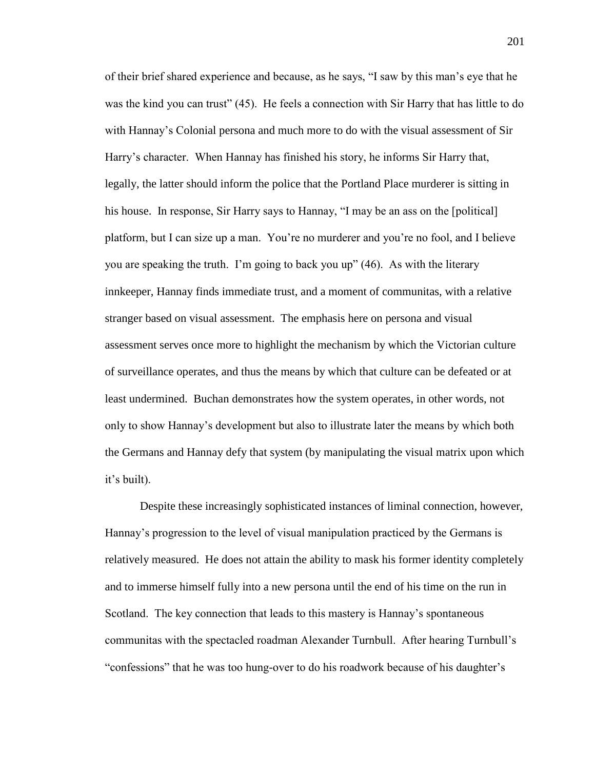of their brief shared experience and because, as he says, "I saw by this man's eye that he was the kind you can trust" (45). He feels a connection with Sir Harry that has little to do with Hannay's Colonial persona and much more to do with the visual assessment of Sir Harry's character. When Hannay has finished his story, he informs Sir Harry that, legally, the latter should inform the police that the Portland Place murderer is sitting in his house. In response, Sir Harry says to Hannay, "I may be an ass on the [political] platform, but I can size up a man. You're no murderer and you're no fool, and I believe you are speaking the truth. I'm going to back you up" (46). As with the literary innkeeper, Hannay finds immediate trust, and a moment of communitas, with a relative stranger based on visual assessment. The emphasis here on persona and visual assessment serves once more to highlight the mechanism by which the Victorian culture of surveillance operates, and thus the means by which that culture can be defeated or at least undermined. Buchan demonstrates how the system operates, in other words, not only to show Hannay's development but also to illustrate later the means by which both the Germans and Hannay defy that system (by manipulating the visual matrix upon which it's built).

Despite these increasingly sophisticated instances of liminal connection, however, Hannay's progression to the level of visual manipulation practiced by the Germans is relatively measured. He does not attain the ability to mask his former identity completely and to immerse himself fully into a new persona until the end of his time on the run in Scotland. The key connection that leads to this mastery is Hannay's spontaneous communitas with the spectacled roadman Alexander Turnbull. After hearing Turnbull's "confessions" that he was too hung-over to do his roadwork because of his daughter's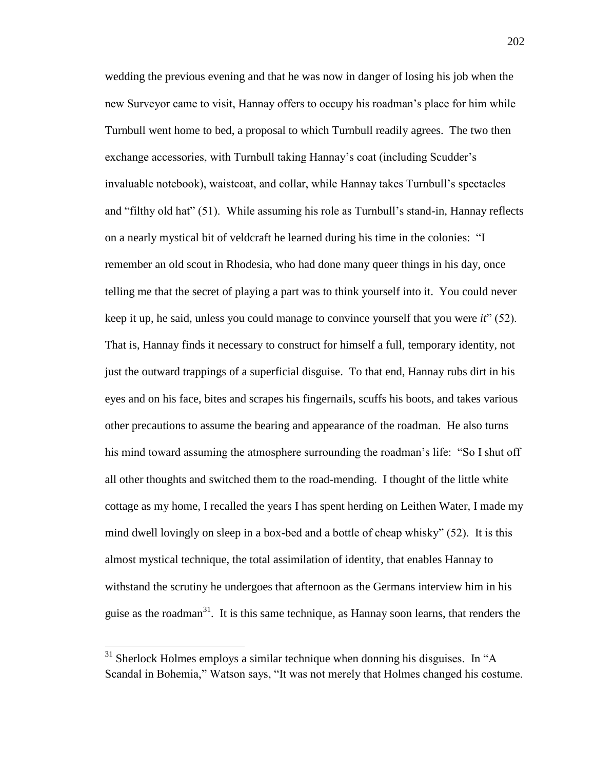wedding the previous evening and that he was now in danger of losing his job when the new Surveyor came to visit, Hannay offers to occupy his roadman's place for him while Turnbull went home to bed, a proposal to which Turnbull readily agrees. The two then exchange accessories, with Turnbull taking Hannay's coat (including Scudder's invaluable notebook), waistcoat, and collar, while Hannay takes Turnbull's spectacles and "filthy old hat" (51). While assuming his role as Turnbull's stand-in, Hannay reflects on a nearly mystical bit of veldcraft he learned during his time in the colonies: "I remember an old scout in Rhodesia, who had done many queer things in his day, once telling me that the secret of playing a part was to think yourself into it. You could never keep it up, he said, unless you could manage to convince yourself that you were *it*" (52). That is, Hannay finds it necessary to construct for himself a full, temporary identity, not just the outward trappings of a superficial disguise. To that end, Hannay rubs dirt in his eyes and on his face, bites and scrapes his fingernails, scuffs his boots, and takes various other precautions to assume the bearing and appearance of the roadman. He also turns his mind toward assuming the atmosphere surrounding the roadman's life: "So I shut off all other thoughts and switched them to the road-mending. I thought of the little white cottage as my home, I recalled the years I has spent herding on Leithen Water, I made my mind dwell lovingly on sleep in a box-bed and a bottle of cheap whisky" (52). It is this almost mystical technique, the total assimilation of identity, that enables Hannay to withstand the scrutiny he undergoes that afternoon as the Germans interview him in his guise as the roadman $31$ . It is this same technique, as Hannay soon learns, that renders the

 $31$  Sherlock Holmes employs a similar technique when donning his disguises. In "A Scandal in Bohemia," Watson says, "It was not merely that Holmes changed his costume.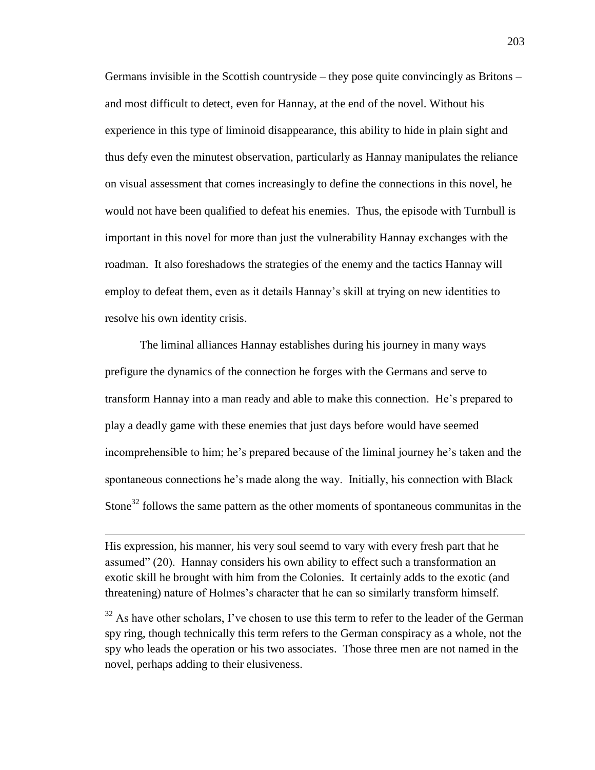Germans invisible in the Scottish countryside – they pose quite convincingly as Britons – and most difficult to detect, even for Hannay, at the end of the novel. Without his experience in this type of liminoid disappearance, this ability to hide in plain sight and thus defy even the minutest observation, particularly as Hannay manipulates the reliance on visual assessment that comes increasingly to define the connections in this novel, he would not have been qualified to defeat his enemies. Thus, the episode with Turnbull is important in this novel for more than just the vulnerability Hannay exchanges with the roadman. It also foreshadows the strategies of the enemy and the tactics Hannay will employ to defeat them, even as it details Hannay's skill at trying on new identities to resolve his own identity crisis.

The liminal alliances Hannay establishes during his journey in many ways prefigure the dynamics of the connection he forges with the Germans and serve to transform Hannay into a man ready and able to make this connection. He's prepared to play a deadly game with these enemies that just days before would have seemed incomprehensible to him; he's prepared because of the liminal journey he's taken and the spontaneous connections he's made along the way. Initially, his connection with Black Stone<sup>32</sup> follows the same pattern as the other moments of spontaneous communitas in the

His expression, his manner, his very soul seemd to vary with every fresh part that he assumed" (20). Hannay considers his own ability to effect such a transformation an exotic skill he brought with him from the Colonies. It certainly adds to the exotic (and threatening) nature of Holmes's character that he can so similarly transform himself.

 $\overline{a}$ 

 $32$  As have other scholars, I've chosen to use this term to refer to the leader of the German spy ring, though technically this term refers to the German conspiracy as a whole, not the spy who leads the operation or his two associates. Those three men are not named in the novel, perhaps adding to their elusiveness.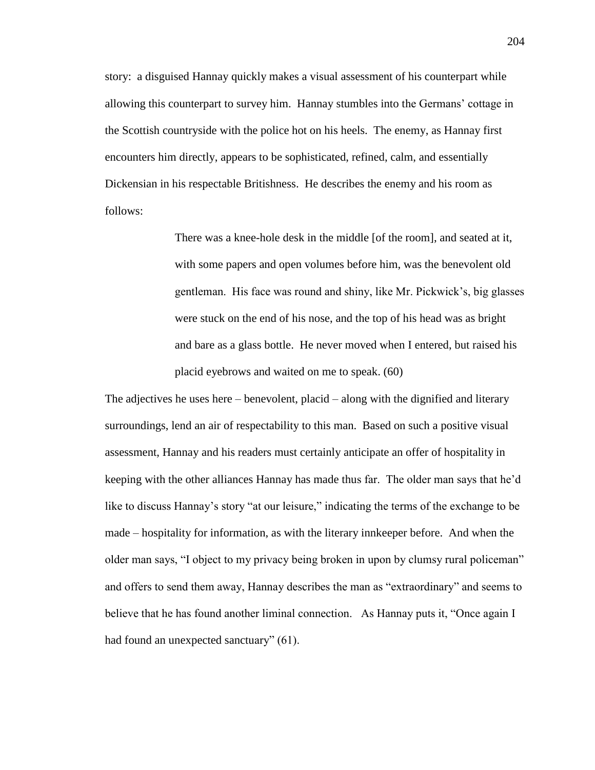story: a disguised Hannay quickly makes a visual assessment of his counterpart while allowing this counterpart to survey him. Hannay stumbles into the Germans' cottage in the Scottish countryside with the police hot on his heels. The enemy, as Hannay first encounters him directly, appears to be sophisticated, refined, calm, and essentially Dickensian in his respectable Britishness. He describes the enemy and his room as follows:

> There was a knee-hole desk in the middle [of the room], and seated at it, with some papers and open volumes before him, was the benevolent old gentleman. His face was round and shiny, like Mr. Pickwick's, big glasses were stuck on the end of his nose, and the top of his head was as bright and bare as a glass bottle. He never moved when I entered, but raised his placid eyebrows and waited on me to speak. (60)

The adjectives he uses here – benevolent, placid – along with the dignified and literary surroundings, lend an air of respectability to this man. Based on such a positive visual assessment, Hannay and his readers must certainly anticipate an offer of hospitality in keeping with the other alliances Hannay has made thus far. The older man says that he'd like to discuss Hannay's story "at our leisure," indicating the terms of the exchange to be made – hospitality for information, as with the literary innkeeper before. And when the older man says, "I object to my privacy being broken in upon by clumsy rural policeman" and offers to send them away, Hannay describes the man as "extraordinary" and seems to believe that he has found another liminal connection. As Hannay puts it, "Once again I had found an unexpected sanctuary" (61).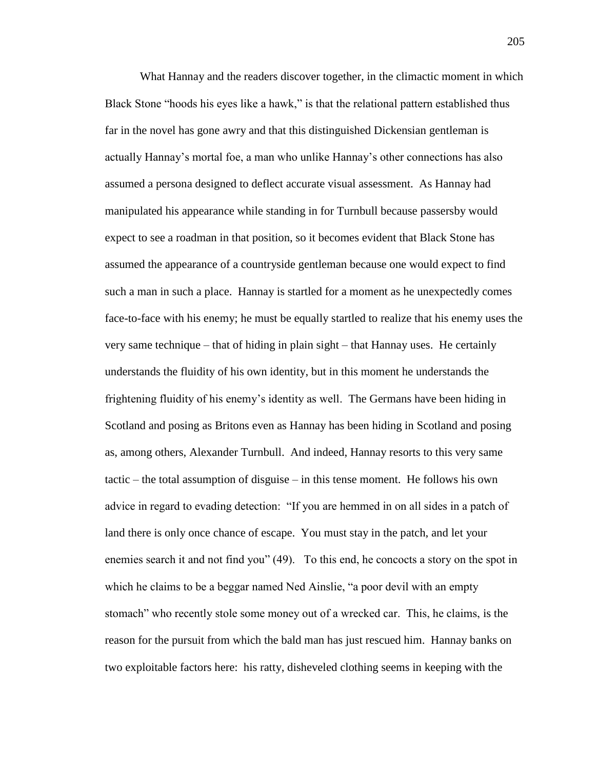What Hannay and the readers discover together, in the climactic moment in which Black Stone "hoods his eyes like a hawk," is that the relational pattern established thus far in the novel has gone awry and that this distinguished Dickensian gentleman is actually Hannay's mortal foe, a man who unlike Hannay's other connections has also assumed a persona designed to deflect accurate visual assessment. As Hannay had manipulated his appearance while standing in for Turnbull because passersby would expect to see a roadman in that position, so it becomes evident that Black Stone has assumed the appearance of a countryside gentleman because one would expect to find such a man in such a place. Hannay is startled for a moment as he unexpectedly comes face-to-face with his enemy; he must be equally startled to realize that his enemy uses the very same technique – that of hiding in plain sight – that Hannay uses. He certainly understands the fluidity of his own identity, but in this moment he understands the frightening fluidity of his enemy's identity as well. The Germans have been hiding in Scotland and posing as Britons even as Hannay has been hiding in Scotland and posing as, among others, Alexander Turnbull. And indeed, Hannay resorts to this very same tactic – the total assumption of disguise – in this tense moment. He follows his own advice in regard to evading detection: "If you are hemmed in on all sides in a patch of land there is only once chance of escape. You must stay in the patch, and let your enemies search it and not find you" (49). To this end, he concocts a story on the spot in which he claims to be a beggar named Ned Ainslie, "a poor devil with an empty stomach" who recently stole some money out of a wrecked car. This, he claims, is the reason for the pursuit from which the bald man has just rescued him. Hannay banks on two exploitable factors here: his ratty, disheveled clothing seems in keeping with the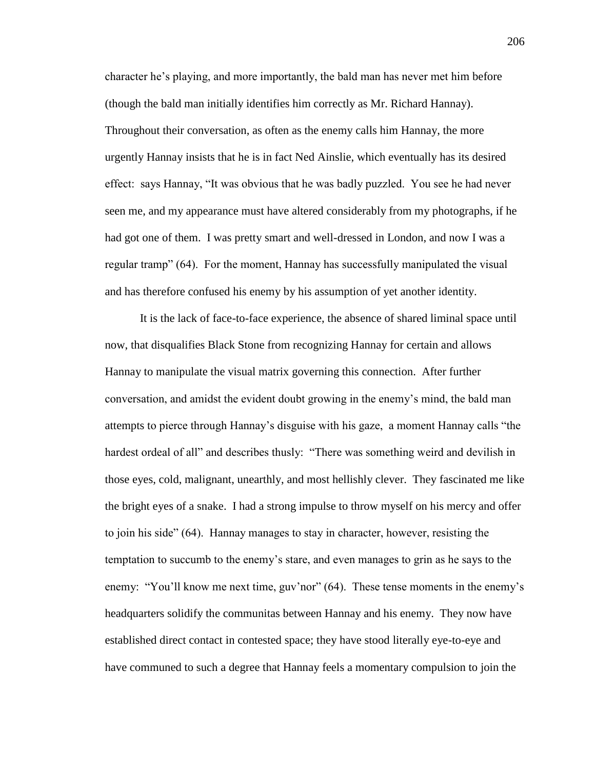character he's playing, and more importantly, the bald man has never met him before (though the bald man initially identifies him correctly as Mr. Richard Hannay). Throughout their conversation, as often as the enemy calls him Hannay, the more urgently Hannay insists that he is in fact Ned Ainslie, which eventually has its desired effect: says Hannay, "It was obvious that he was badly puzzled. You see he had never seen me, and my appearance must have altered considerably from my photographs, if he had got one of them. I was pretty smart and well-dressed in London, and now I was a regular tramp" (64). For the moment, Hannay has successfully manipulated the visual and has therefore confused his enemy by his assumption of yet another identity.

It is the lack of face-to-face experience, the absence of shared liminal space until now, that disqualifies Black Stone from recognizing Hannay for certain and allows Hannay to manipulate the visual matrix governing this connection. After further conversation, and amidst the evident doubt growing in the enemy's mind, the bald man attempts to pierce through Hannay's disguise with his gaze, a moment Hannay calls "the hardest ordeal of all" and describes thusly: "There was something weird and devilish in those eyes, cold, malignant, unearthly, and most hellishly clever. They fascinated me like the bright eyes of a snake. I had a strong impulse to throw myself on his mercy and offer to join his side" (64). Hannay manages to stay in character, however, resisting the temptation to succumb to the enemy's stare, and even manages to grin as he says to the enemy: "You'll know me next time, guv'nor" (64). These tense moments in the enemy's headquarters solidify the communitas between Hannay and his enemy. They now have established direct contact in contested space; they have stood literally eye-to-eye and have communed to such a degree that Hannay feels a momentary compulsion to join the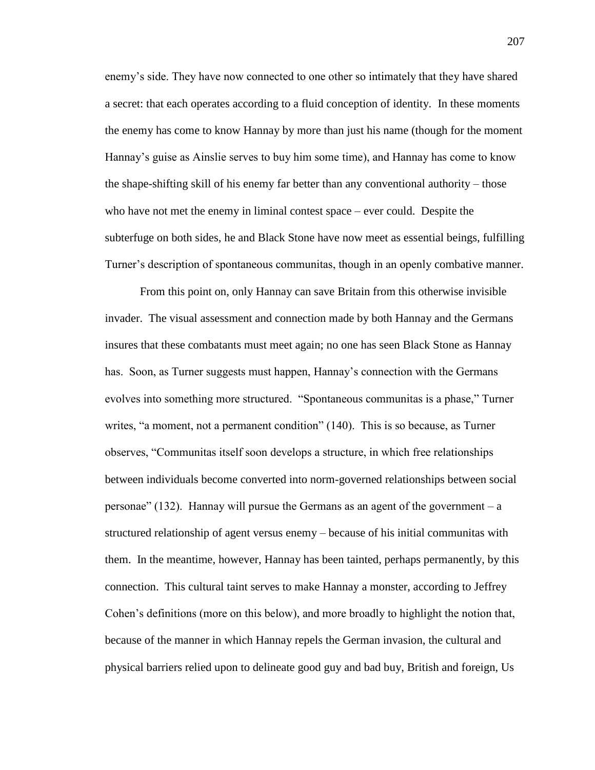enemy's side. They have now connected to one other so intimately that they have shared a secret: that each operates according to a fluid conception of identity. In these moments the enemy has come to know Hannay by more than just his name (though for the moment Hannay's guise as Ainslie serves to buy him some time), and Hannay has come to know the shape-shifting skill of his enemy far better than any conventional authority – those who have not met the enemy in liminal contest space – ever could. Despite the subterfuge on both sides, he and Black Stone have now meet as essential beings, fulfilling Turner's description of spontaneous communitas, though in an openly combative manner.

From this point on, only Hannay can save Britain from this otherwise invisible invader. The visual assessment and connection made by both Hannay and the Germans insures that these combatants must meet again; no one has seen Black Stone as Hannay has. Soon, as Turner suggests must happen, Hannay's connection with the Germans evolves into something more structured. "Spontaneous communitas is a phase," Turner writes, "a moment, not a permanent condition" (140). This is so because, as Turner observes, "Communitas itself soon develops a structure, in which free relationships between individuals become converted into norm-governed relationships between social personae"  $(132)$ . Hannay will pursue the Germans as an agent of the government – a structured relationship of agent versus enemy – because of his initial communitas with them. In the meantime, however, Hannay has been tainted, perhaps permanently, by this connection. This cultural taint serves to make Hannay a monster, according to Jeffrey Cohen's definitions (more on this below), and more broadly to highlight the notion that, because of the manner in which Hannay repels the German invasion, the cultural and physical barriers relied upon to delineate good guy and bad buy, British and foreign, Us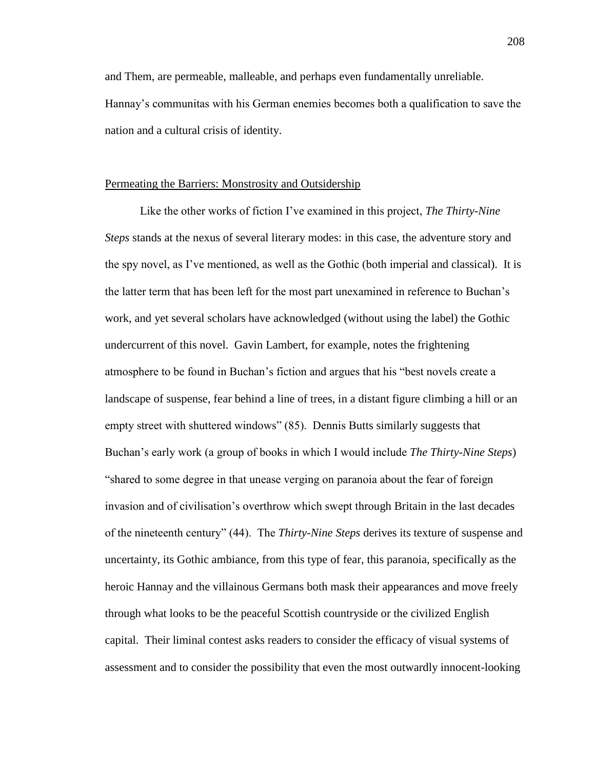and Them, are permeable, malleable, and perhaps even fundamentally unreliable. Hannay's communitas with his German enemies becomes both a qualification to save the nation and a cultural crisis of identity.

## Permeating the Barriers: Monstrosity and Outsidership

Like the other works of fiction I've examined in this project, *The Thirty-Nine Steps* stands at the nexus of several literary modes: in this case, the adventure story and the spy novel, as I've mentioned, as well as the Gothic (both imperial and classical). It is the latter term that has been left for the most part unexamined in reference to Buchan's work, and yet several scholars have acknowledged (without using the label) the Gothic undercurrent of this novel. Gavin Lambert, for example, notes the frightening atmosphere to be found in Buchan's fiction and argues that his "best novels create a landscape of suspense, fear behind a line of trees, in a distant figure climbing a hill or an empty street with shuttered windows" (85). Dennis Butts similarly suggests that Buchan's early work (a group of books in which I would include *The Thirty-Nine Steps*) "shared to some degree in that unease verging on paranoia about the fear of foreign invasion and of civilisation's overthrow which swept through Britain in the last decades of the nineteenth century" (44). The *Thirty-Nine Steps* derives its texture of suspense and uncertainty, its Gothic ambiance, from this type of fear, this paranoia, specifically as the heroic Hannay and the villainous Germans both mask their appearances and move freely through what looks to be the peaceful Scottish countryside or the civilized English capital. Their liminal contest asks readers to consider the efficacy of visual systems of assessment and to consider the possibility that even the most outwardly innocent-looking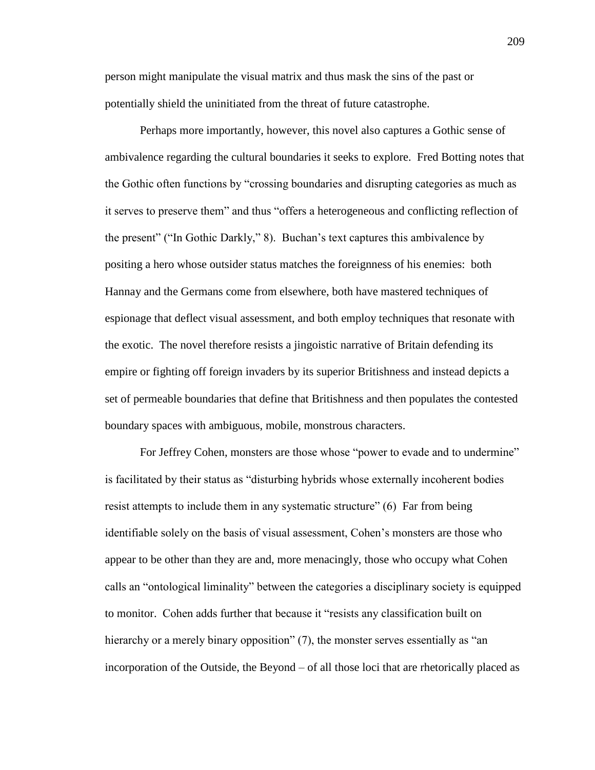person might manipulate the visual matrix and thus mask the sins of the past or potentially shield the uninitiated from the threat of future catastrophe.

Perhaps more importantly, however, this novel also captures a Gothic sense of ambivalence regarding the cultural boundaries it seeks to explore. Fred Botting notes that the Gothic often functions by "crossing boundaries and disrupting categories as much as it serves to preserve them" and thus "offers a heterogeneous and conflicting reflection of the present" ("In Gothic Darkly," 8). Buchan's text captures this ambivalence by positing a hero whose outsider status matches the foreignness of his enemies: both Hannay and the Germans come from elsewhere, both have mastered techniques of espionage that deflect visual assessment, and both employ techniques that resonate with the exotic. The novel therefore resists a jingoistic narrative of Britain defending its empire or fighting off foreign invaders by its superior Britishness and instead depicts a set of permeable boundaries that define that Britishness and then populates the contested boundary spaces with ambiguous, mobile, monstrous characters.

For Jeffrey Cohen, monsters are those whose "power to evade and to undermine" is facilitated by their status as "disturbing hybrids whose externally incoherent bodies resist attempts to include them in any systematic structure" (6) Far from being identifiable solely on the basis of visual assessment, Cohen's monsters are those who appear to be other than they are and, more menacingly, those who occupy what Cohen calls an "ontological liminality" between the categories a disciplinary society is equipped to monitor. Cohen adds further that because it "resists any classification built on hierarchy or a merely binary opposition" (7), the monster serves essentially as "an incorporation of the Outside, the Beyond – of all those loci that are rhetorically placed as

209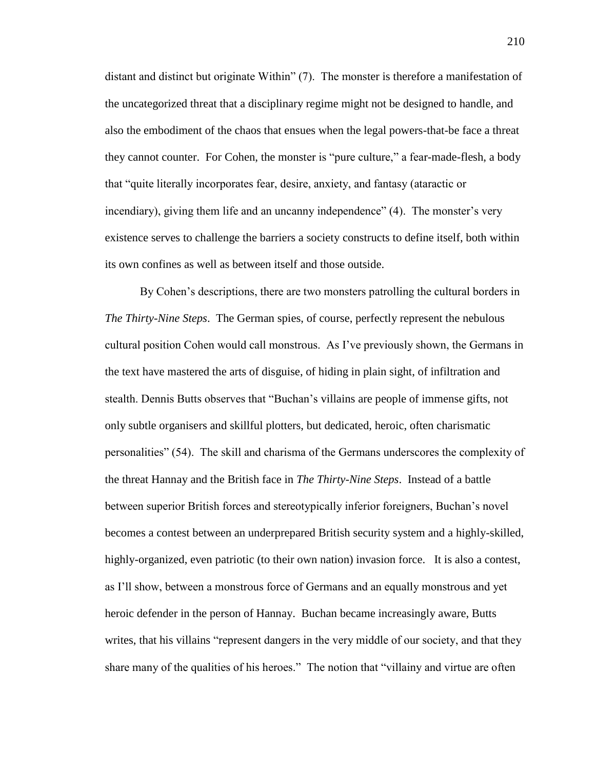distant and distinct but originate Within" (7). The monster is therefore a manifestation of the uncategorized threat that a disciplinary regime might not be designed to handle, and also the embodiment of the chaos that ensues when the legal powers-that-be face a threat they cannot counter. For Cohen, the monster is "pure culture," a fear-made-flesh, a body that "quite literally incorporates fear, desire, anxiety, and fantasy (ataractic or incendiary), giving them life and an uncanny independence" (4). The monster's very existence serves to challenge the barriers a society constructs to define itself, both within its own confines as well as between itself and those outside.

By Cohen's descriptions, there are two monsters patrolling the cultural borders in *The Thirty-Nine Steps*. The German spies, of course, perfectly represent the nebulous cultural position Cohen would call monstrous. As I've previously shown, the Germans in the text have mastered the arts of disguise, of hiding in plain sight, of infiltration and stealth. Dennis Butts observes that "Buchan's villains are people of immense gifts, not only subtle organisers and skillful plotters, but dedicated, heroic, often charismatic personalities" (54). The skill and charisma of the Germans underscores the complexity of the threat Hannay and the British face in *The Thirty-Nine Steps*. Instead of a battle between superior British forces and stereotypically inferior foreigners, Buchan's novel becomes a contest between an underprepared British security system and a highly-skilled, highly-organized, even patriotic (to their own nation) invasion force. It is also a contest, as I'll show, between a monstrous force of Germans and an equally monstrous and yet heroic defender in the person of Hannay. Buchan became increasingly aware, Butts writes, that his villains "represent dangers in the very middle of our society, and that they share many of the qualities of his heroes." The notion that "villainy and virtue are often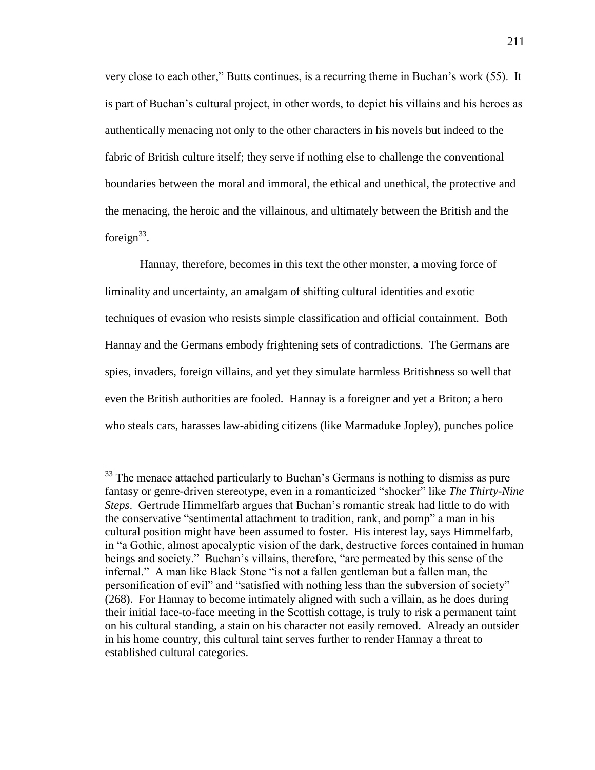very close to each other," Butts continues, is a recurring theme in Buchan's work (55). It is part of Buchan's cultural project, in other words, to depict his villains and his heroes as authentically menacing not only to the other characters in his novels but indeed to the fabric of British culture itself; they serve if nothing else to challenge the conventional boundaries between the moral and immoral, the ethical and unethical, the protective and the menacing, the heroic and the villainous, and ultimately between the British and the foreign $33$ .

Hannay, therefore, becomes in this text the other monster, a moving force of liminality and uncertainty, an amalgam of shifting cultural identities and exotic techniques of evasion who resists simple classification and official containment. Both Hannay and the Germans embody frightening sets of contradictions. The Germans are spies, invaders, foreign villains, and yet they simulate harmless Britishness so well that even the British authorities are fooled. Hannay is a foreigner and yet a Briton; a hero who steals cars, harasses law-abiding citizens (like Marmaduke Jopley), punches police

 $33$  The menace attached particularly to Buchan's Germans is nothing to dismiss as pure fantasy or genre-driven stereotype, even in a romanticized "shocker" like *The Thirty-Nine Steps*. Gertrude Himmelfarb argues that Buchan's romantic streak had little to do with the conservative "sentimental attachment to tradition, rank, and pomp" a man in his cultural position might have been assumed to foster. His interest lay, says Himmelfarb, in "a Gothic, almost apocalyptic vision of the dark, destructive forces contained in human beings and society." Buchan's villains, therefore, "are permeated by this sense of the infernal." A man like Black Stone "is not a fallen gentleman but a fallen man, the personification of evil" and "satisfied with nothing less than the subversion of society" (268). For Hannay to become intimately aligned with such a villain, as he does during their initial face-to-face meeting in the Scottish cottage, is truly to risk a permanent taint on his cultural standing, a stain on his character not easily removed. Already an outsider in his home country, this cultural taint serves further to render Hannay a threat to established cultural categories.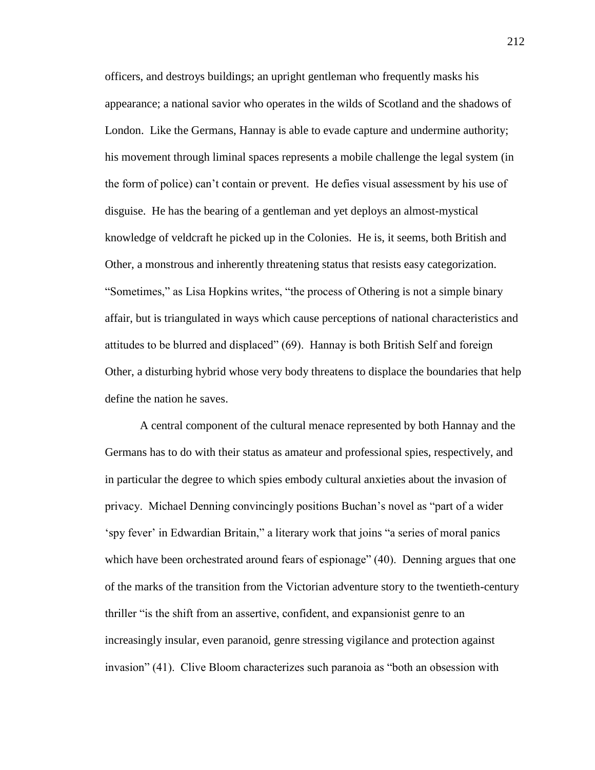officers, and destroys buildings; an upright gentleman who frequently masks his appearance; a national savior who operates in the wilds of Scotland and the shadows of London. Like the Germans, Hannay is able to evade capture and undermine authority; his movement through liminal spaces represents a mobile challenge the legal system (in the form of police) can't contain or prevent. He defies visual assessment by his use of disguise. He has the bearing of a gentleman and yet deploys an almost-mystical knowledge of veldcraft he picked up in the Colonies. He is, it seems, both British and Other, a monstrous and inherently threatening status that resists easy categorization. "Sometimes," as Lisa Hopkins writes, "the process of Othering is not a simple binary affair, but is triangulated in ways which cause perceptions of national characteristics and attitudes to be blurred and displaced" (69). Hannay is both British Self and foreign Other, a disturbing hybrid whose very body threatens to displace the boundaries that help define the nation he saves.

A central component of the cultural menace represented by both Hannay and the Germans has to do with their status as amateur and professional spies, respectively, and in particular the degree to which spies embody cultural anxieties about the invasion of privacy. Michael Denning convincingly positions Buchan's novel as "part of a wider 'spy fever' in Edwardian Britain," a literary work that joins "a series of moral panics which have been orchestrated around fears of espionage" (40). Denning argues that one of the marks of the transition from the Victorian adventure story to the twentieth-century thriller "is the shift from an assertive, confident, and expansionist genre to an increasingly insular, even paranoid, genre stressing vigilance and protection against invasion" (41). Clive Bloom characterizes such paranoia as "both an obsession with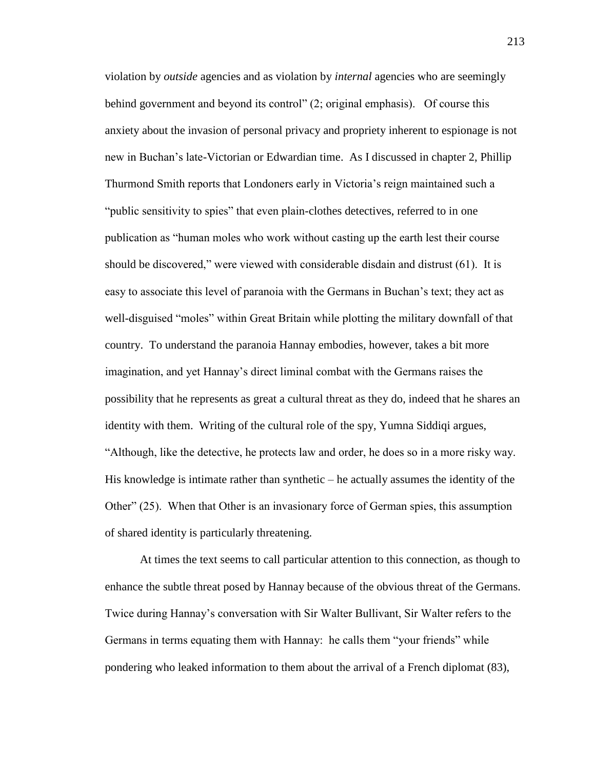violation by *outside* agencies and as violation by *internal* agencies who are seemingly behind government and beyond its control" (2; original emphasis). Of course this anxiety about the invasion of personal privacy and propriety inherent to espionage is not new in Buchan's late-Victorian or Edwardian time. As I discussed in chapter 2, Phillip Thurmond Smith reports that Londoners early in Victoria's reign maintained such a "public sensitivity to spies" that even plain-clothes detectives, referred to in one publication as "human moles who work without casting up the earth lest their course should be discovered," were viewed with considerable disdain and distrust (61). It is easy to associate this level of paranoia with the Germans in Buchan's text; they act as well-disguised "moles" within Great Britain while plotting the military downfall of that country. To understand the paranoia Hannay embodies, however, takes a bit more imagination, and yet Hannay's direct liminal combat with the Germans raises the possibility that he represents as great a cultural threat as they do, indeed that he shares an identity with them. Writing of the cultural role of the spy, Yumna Siddiqi argues, "Although, like the detective, he protects law and order, he does so in a more risky way. His knowledge is intimate rather than synthetic  $-$  he actually assumes the identity of the Other" (25). When that Other is an invasionary force of German spies, this assumption of shared identity is particularly threatening.

At times the text seems to call particular attention to this connection, as though to enhance the subtle threat posed by Hannay because of the obvious threat of the Germans. Twice during Hannay's conversation with Sir Walter Bullivant, Sir Walter refers to the Germans in terms equating them with Hannay: he calls them "your friends" while pondering who leaked information to them about the arrival of a French diplomat (83),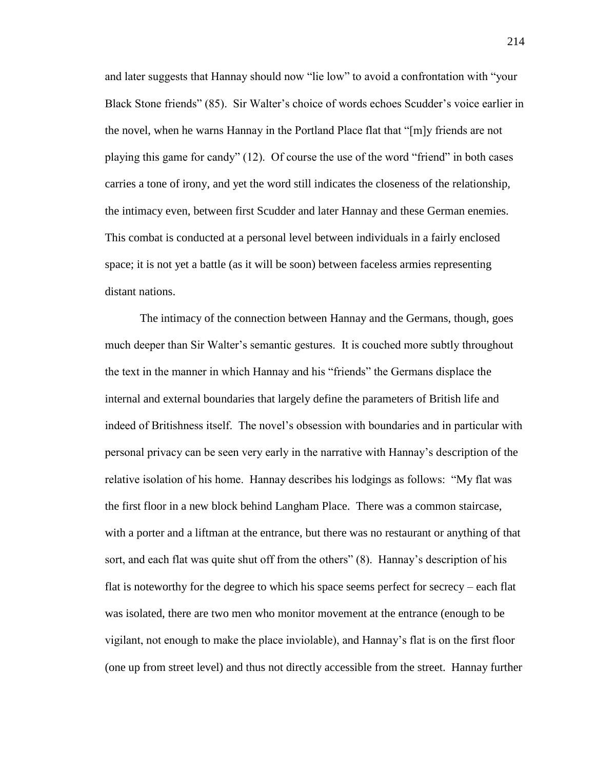and later suggests that Hannay should now "lie low" to avoid a confrontation with "your Black Stone friends" (85). Sir Walter's choice of words echoes Scudder's voice earlier in the novel, when he warns Hannay in the Portland Place flat that "[m]y friends are not playing this game for candy" (12). Of course the use of the word "friend" in both cases carries a tone of irony, and yet the word still indicates the closeness of the relationship, the intimacy even, between first Scudder and later Hannay and these German enemies. This combat is conducted at a personal level between individuals in a fairly enclosed space; it is not yet a battle (as it will be soon) between faceless armies representing distant nations.

The intimacy of the connection between Hannay and the Germans, though, goes much deeper than Sir Walter's semantic gestures. It is couched more subtly throughout the text in the manner in which Hannay and his "friends" the Germans displace the internal and external boundaries that largely define the parameters of British life and indeed of Britishness itself. The novel's obsession with boundaries and in particular with personal privacy can be seen very early in the narrative with Hannay's description of the relative isolation of his home. Hannay describes his lodgings as follows: "My flat was the first floor in a new block behind Langham Place. There was a common staircase, with a porter and a liftman at the entrance, but there was no restaurant or anything of that sort, and each flat was quite shut off from the others" (8). Hannay's description of his flat is noteworthy for the degree to which his space seems perfect for secrecy – each flat was isolated, there are two men who monitor movement at the entrance (enough to be vigilant, not enough to make the place inviolable), and Hannay's flat is on the first floor (one up from street level) and thus not directly accessible from the street. Hannay further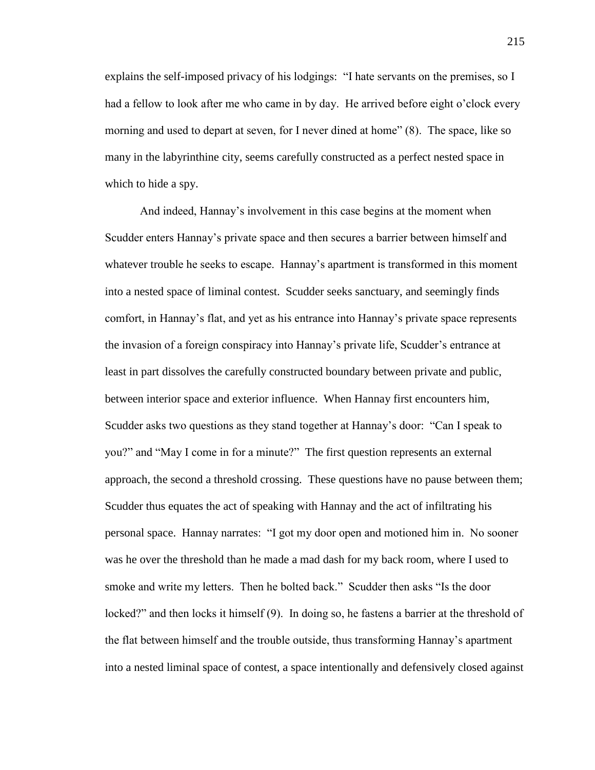explains the self-imposed privacy of his lodgings: "I hate servants on the premises, so I had a fellow to look after me who came in by day. He arrived before eight o'clock every morning and used to depart at seven, for I never dined at home" (8). The space, like so many in the labyrinthine city, seems carefully constructed as a perfect nested space in which to hide a spy.

And indeed, Hannay's involvement in this case begins at the moment when Scudder enters Hannay's private space and then secures a barrier between himself and whatever trouble he seeks to escape. Hannay's apartment is transformed in this moment into a nested space of liminal contest. Scudder seeks sanctuary, and seemingly finds comfort, in Hannay's flat, and yet as his entrance into Hannay's private space represents the invasion of a foreign conspiracy into Hannay's private life, Scudder's entrance at least in part dissolves the carefully constructed boundary between private and public, between interior space and exterior influence. When Hannay first encounters him, Scudder asks two questions as they stand together at Hannay's door: "Can I speak to you?" and "May I come in for a minute?" The first question represents an external approach, the second a threshold crossing. These questions have no pause between them; Scudder thus equates the act of speaking with Hannay and the act of infiltrating his personal space. Hannay narrates: "I got my door open and motioned him in. No sooner was he over the threshold than he made a mad dash for my back room, where I used to smoke and write my letters. Then he bolted back." Scudder then asks "Is the door locked?" and then locks it himself (9). In doing so, he fastens a barrier at the threshold of the flat between himself and the trouble outside, thus transforming Hannay's apartment into a nested liminal space of contest, a space intentionally and defensively closed against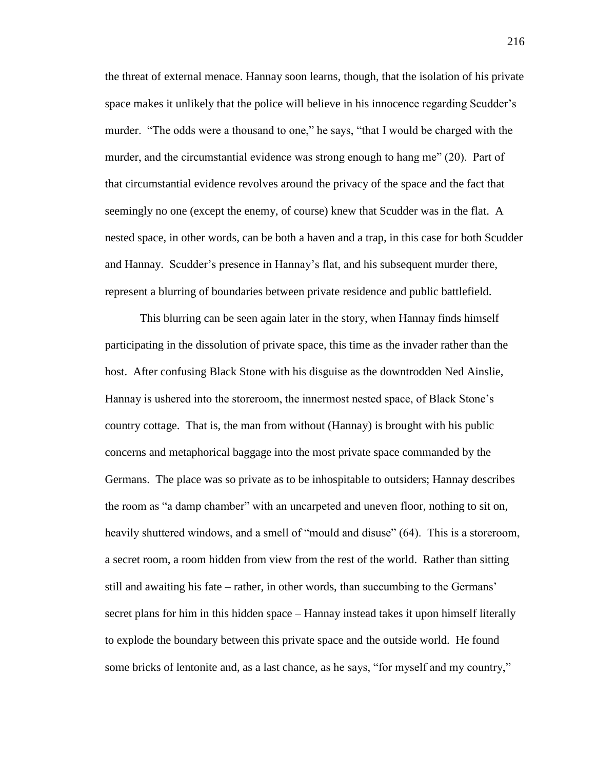the threat of external menace. Hannay soon learns, though, that the isolation of his private space makes it unlikely that the police will believe in his innocence regarding Scudder's murder. "The odds were a thousand to one," he says, "that I would be charged with the murder, and the circumstantial evidence was strong enough to hang me" (20). Part of that circumstantial evidence revolves around the privacy of the space and the fact that seemingly no one (except the enemy, of course) knew that Scudder was in the flat. A nested space, in other words, can be both a haven and a trap, in this case for both Scudder and Hannay. Scudder's presence in Hannay's flat, and his subsequent murder there, represent a blurring of boundaries between private residence and public battlefield.

This blurring can be seen again later in the story, when Hannay finds himself participating in the dissolution of private space, this time as the invader rather than the host. After confusing Black Stone with his disguise as the downtrodden Ned Ainslie, Hannay is ushered into the storeroom, the innermost nested space, of Black Stone's country cottage. That is, the man from without (Hannay) is brought with his public concerns and metaphorical baggage into the most private space commanded by the Germans. The place was so private as to be inhospitable to outsiders; Hannay describes the room as "a damp chamber" with an uncarpeted and uneven floor, nothing to sit on, heavily shuttered windows, and a smell of "mould and disuse" (64). This is a storeroom, a secret room, a room hidden from view from the rest of the world. Rather than sitting still and awaiting his fate – rather, in other words, than succumbing to the Germans' secret plans for him in this hidden space – Hannay instead takes it upon himself literally to explode the boundary between this private space and the outside world. He found some bricks of lentonite and, as a last chance, as he says, "for myself and my country,"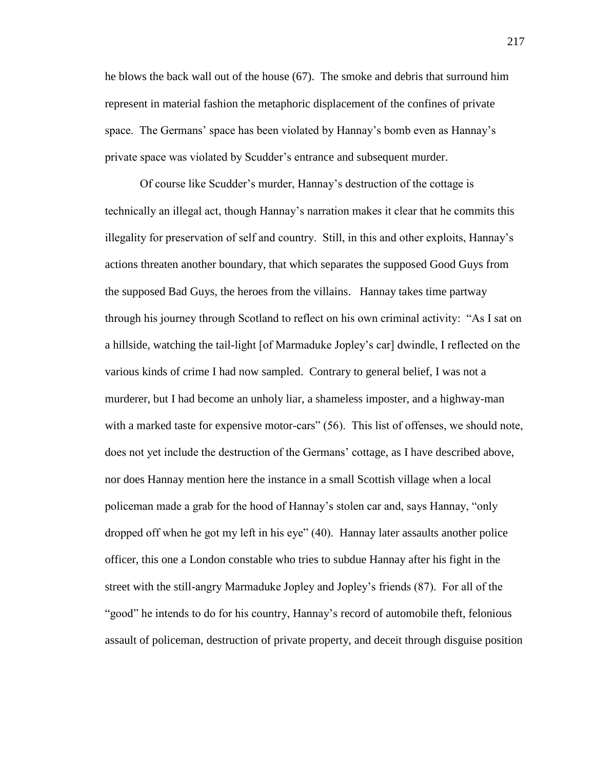he blows the back wall out of the house (67). The smoke and debris that surround him represent in material fashion the metaphoric displacement of the confines of private space. The Germans' space has been violated by Hannay's bomb even as Hannay's private space was violated by Scudder's entrance and subsequent murder.

Of course like Scudder's murder, Hannay's destruction of the cottage is technically an illegal act, though Hannay's narration makes it clear that he commits this illegality for preservation of self and country. Still, in this and other exploits, Hannay's actions threaten another boundary, that which separates the supposed Good Guys from the supposed Bad Guys, the heroes from the villains. Hannay takes time partway through his journey through Scotland to reflect on his own criminal activity: "As I sat on a hillside, watching the tail-light [of Marmaduke Jopley's car] dwindle, I reflected on the various kinds of crime I had now sampled. Contrary to general belief, I was not a murderer, but I had become an unholy liar, a shameless imposter, and a highway-man with a marked taste for expensive motor-cars" (56). This list of offenses, we should note, does not yet include the destruction of the Germans' cottage, as I have described above, nor does Hannay mention here the instance in a small Scottish village when a local policeman made a grab for the hood of Hannay's stolen car and, says Hannay, "only dropped off when he got my left in his eye" (40). Hannay later assaults another police officer, this one a London constable who tries to subdue Hannay after his fight in the street with the still-angry Marmaduke Jopley and Jopley's friends (87). For all of the "good" he intends to do for his country, Hannay's record of automobile theft, felonious assault of policeman, destruction of private property, and deceit through disguise position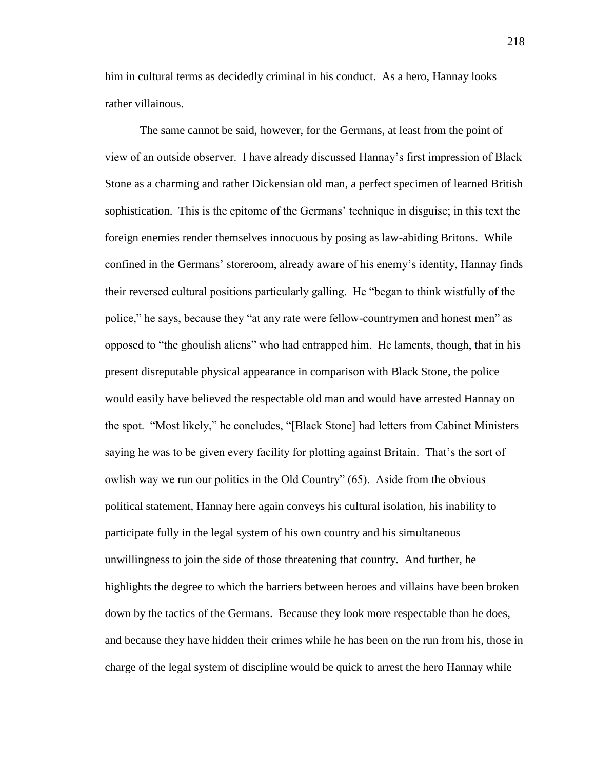him in cultural terms as decidedly criminal in his conduct. As a hero, Hannay looks rather villainous.

The same cannot be said, however, for the Germans, at least from the point of view of an outside observer. I have already discussed Hannay's first impression of Black Stone as a charming and rather Dickensian old man, a perfect specimen of learned British sophistication. This is the epitome of the Germans' technique in disguise; in this text the foreign enemies render themselves innocuous by posing as law-abiding Britons. While confined in the Germans' storeroom, already aware of his enemy's identity, Hannay finds their reversed cultural positions particularly galling. He "began to think wistfully of the police," he says, because they "at any rate were fellow-countrymen and honest men" as opposed to "the ghoulish aliens" who had entrapped him. He laments, though, that in his present disreputable physical appearance in comparison with Black Stone, the police would easily have believed the respectable old man and would have arrested Hannay on the spot. "Most likely," he concludes, "[Black Stone] had letters from Cabinet Ministers saying he was to be given every facility for plotting against Britain. That's the sort of owlish way we run our politics in the Old Country" (65). Aside from the obvious political statement, Hannay here again conveys his cultural isolation, his inability to participate fully in the legal system of his own country and his simultaneous unwillingness to join the side of those threatening that country. And further, he highlights the degree to which the barriers between heroes and villains have been broken down by the tactics of the Germans. Because they look more respectable than he does, and because they have hidden their crimes while he has been on the run from his, those in charge of the legal system of discipline would be quick to arrest the hero Hannay while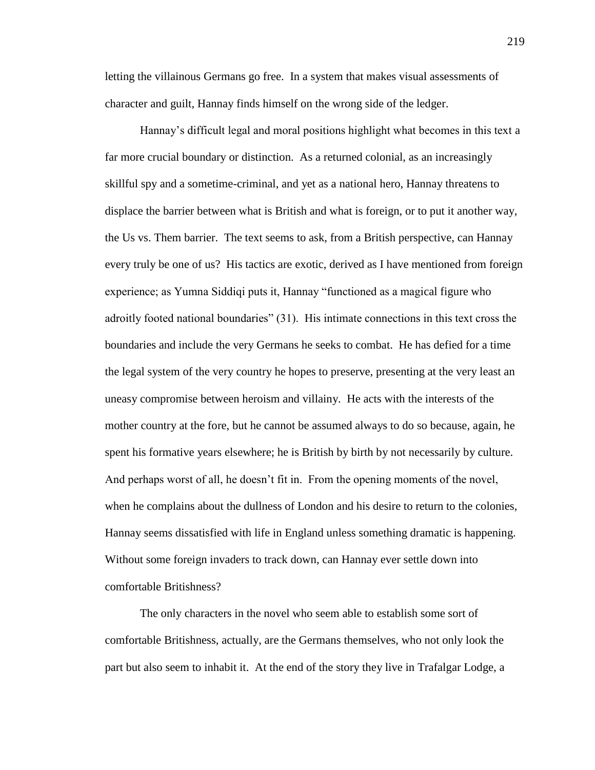letting the villainous Germans go free. In a system that makes visual assessments of character and guilt, Hannay finds himself on the wrong side of the ledger.

Hannay's difficult legal and moral positions highlight what becomes in this text a far more crucial boundary or distinction. As a returned colonial, as an increasingly skillful spy and a sometime-criminal, and yet as a national hero, Hannay threatens to displace the barrier between what is British and what is foreign, or to put it another way, the Us vs. Them barrier. The text seems to ask, from a British perspective, can Hannay every truly be one of us? His tactics are exotic, derived as I have mentioned from foreign experience; as Yumna Siddiqi puts it, Hannay "functioned as a magical figure who adroitly footed national boundaries" (31). His intimate connections in this text cross the boundaries and include the very Germans he seeks to combat. He has defied for a time the legal system of the very country he hopes to preserve, presenting at the very least an uneasy compromise between heroism and villainy. He acts with the interests of the mother country at the fore, but he cannot be assumed always to do so because, again, he spent his formative years elsewhere; he is British by birth by not necessarily by culture. And perhaps worst of all, he doesn't fit in. From the opening moments of the novel, when he complains about the dullness of London and his desire to return to the colonies, Hannay seems dissatisfied with life in England unless something dramatic is happening. Without some foreign invaders to track down, can Hannay ever settle down into comfortable Britishness?

The only characters in the novel who seem able to establish some sort of comfortable Britishness, actually, are the Germans themselves, who not only look the part but also seem to inhabit it. At the end of the story they live in Trafalgar Lodge, a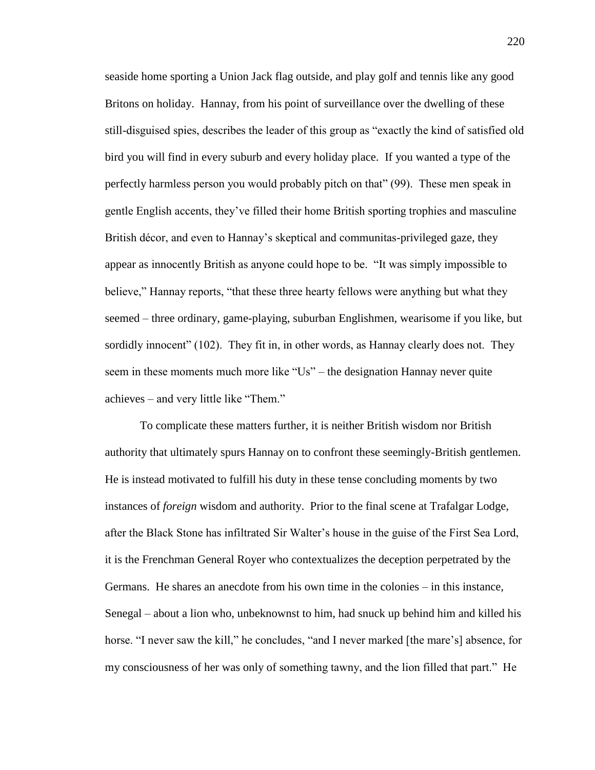seaside home sporting a Union Jack flag outside, and play golf and tennis like any good Britons on holiday. Hannay, from his point of surveillance over the dwelling of these still-disguised spies, describes the leader of this group as "exactly the kind of satisfied old bird you will find in every suburb and every holiday place. If you wanted a type of the perfectly harmless person you would probably pitch on that" (99). These men speak in gentle English accents, they've filled their home British sporting trophies and masculine British décor, and even to Hannay's skeptical and communitas-privileged gaze, they appear as innocently British as anyone could hope to be. "It was simply impossible to believe," Hannay reports, "that these three hearty fellows were anything but what they seemed – three ordinary, game-playing, suburban Englishmen, wearisome if you like, but sordidly innocent" (102). They fit in, in other words, as Hannay clearly does not. They seem in these moments much more like "Us" – the designation Hannay never quite achieves – and very little like "Them."

To complicate these matters further, it is neither British wisdom nor British authority that ultimately spurs Hannay on to confront these seemingly-British gentlemen. He is instead motivated to fulfill his duty in these tense concluding moments by two instances of *foreign* wisdom and authority. Prior to the final scene at Trafalgar Lodge, after the Black Stone has infiltrated Sir Walter's house in the guise of the First Sea Lord, it is the Frenchman General Royer who contextualizes the deception perpetrated by the Germans. He shares an anecdote from his own time in the colonies – in this instance, Senegal – about a lion who, unbeknownst to him, had snuck up behind him and killed his horse. "I never saw the kill," he concludes, "and I never marked [the mare's] absence, for my consciousness of her was only of something tawny, and the lion filled that part." He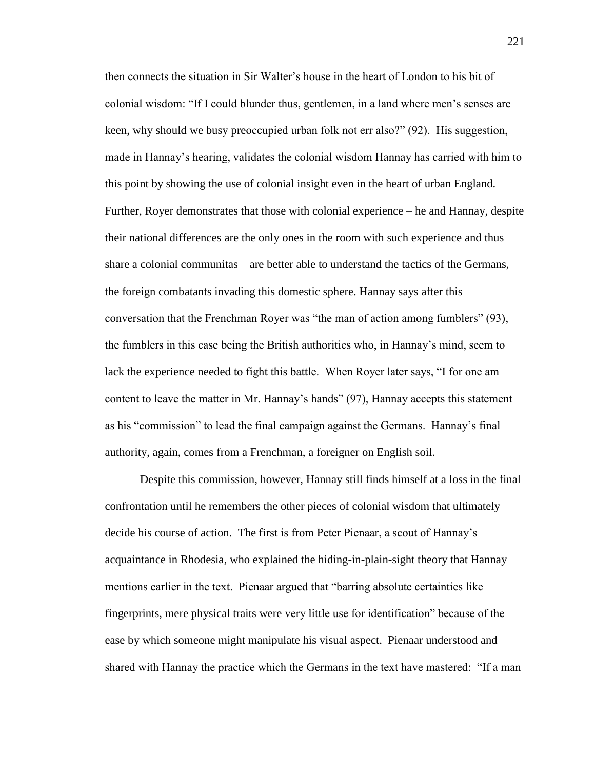then connects the situation in Sir Walter's house in the heart of London to his bit of colonial wisdom: "If I could blunder thus, gentlemen, in a land where men's senses are keen, why should we busy preoccupied urban folk not err also?" (92). His suggestion, made in Hannay's hearing, validates the colonial wisdom Hannay has carried with him to this point by showing the use of colonial insight even in the heart of urban England. Further, Royer demonstrates that those with colonial experience – he and Hannay, despite their national differences are the only ones in the room with such experience and thus share a colonial communitas – are better able to understand the tactics of the Germans, the foreign combatants invading this domestic sphere. Hannay says after this conversation that the Frenchman Royer was "the man of action among fumblers" (93), the fumblers in this case being the British authorities who, in Hannay's mind, seem to lack the experience needed to fight this battle. When Royer later says, "I for one am content to leave the matter in Mr. Hannay's hands" (97), Hannay accepts this statement as his "commission" to lead the final campaign against the Germans. Hannay's final authority, again, comes from a Frenchman, a foreigner on English soil.

Despite this commission, however, Hannay still finds himself at a loss in the final confrontation until he remembers the other pieces of colonial wisdom that ultimately decide his course of action. The first is from Peter Pienaar, a scout of Hannay's acquaintance in Rhodesia, who explained the hiding-in-plain-sight theory that Hannay mentions earlier in the text. Pienaar argued that "barring absolute certainties like fingerprints, mere physical traits were very little use for identification" because of the ease by which someone might manipulate his visual aspect. Pienaar understood and shared with Hannay the practice which the Germans in the text have mastered: "If a man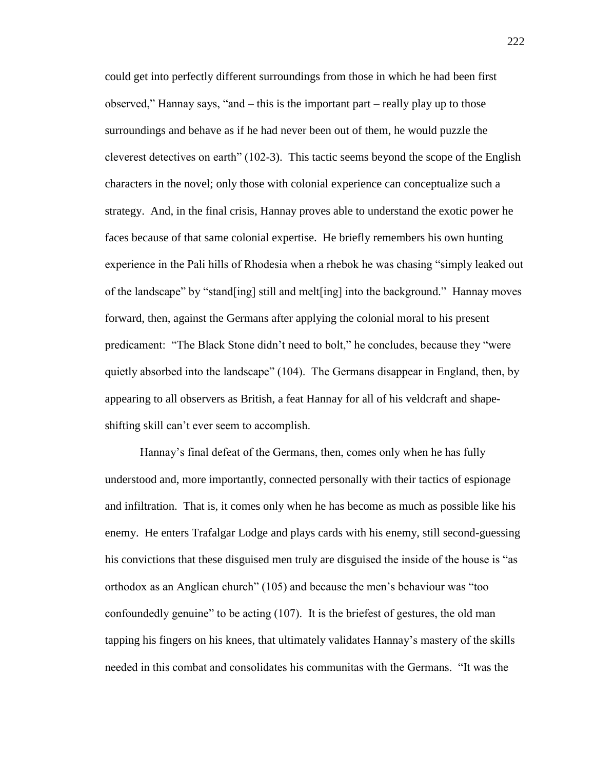could get into perfectly different surroundings from those in which he had been first observed," Hannay says, "and – this is the important part – really play up to those surroundings and behave as if he had never been out of them, he would puzzle the cleverest detectives on earth" (102-3). This tactic seems beyond the scope of the English characters in the novel; only those with colonial experience can conceptualize such a strategy. And, in the final crisis, Hannay proves able to understand the exotic power he faces because of that same colonial expertise. He briefly remembers his own hunting experience in the Pali hills of Rhodesia when a rhebok he was chasing "simply leaked out of the landscape" by "stand[ing] still and melt[ing] into the background." Hannay moves forward, then, against the Germans after applying the colonial moral to his present predicament: "The Black Stone didn't need to bolt," he concludes, because they "were quietly absorbed into the landscape" (104). The Germans disappear in England, then, by appearing to all observers as British, a feat Hannay for all of his veldcraft and shapeshifting skill can't ever seem to accomplish.

Hannay's final defeat of the Germans, then, comes only when he has fully understood and, more importantly, connected personally with their tactics of espionage and infiltration. That is, it comes only when he has become as much as possible like his enemy. He enters Trafalgar Lodge and plays cards with his enemy, still second-guessing his convictions that these disguised men truly are disguised the inside of the house is "as orthodox as an Anglican church" (105) and because the men's behaviour was "too confoundedly genuine" to be acting (107). It is the briefest of gestures, the old man tapping his fingers on his knees, that ultimately validates Hannay's mastery of the skills needed in this combat and consolidates his communitas with the Germans. "It was the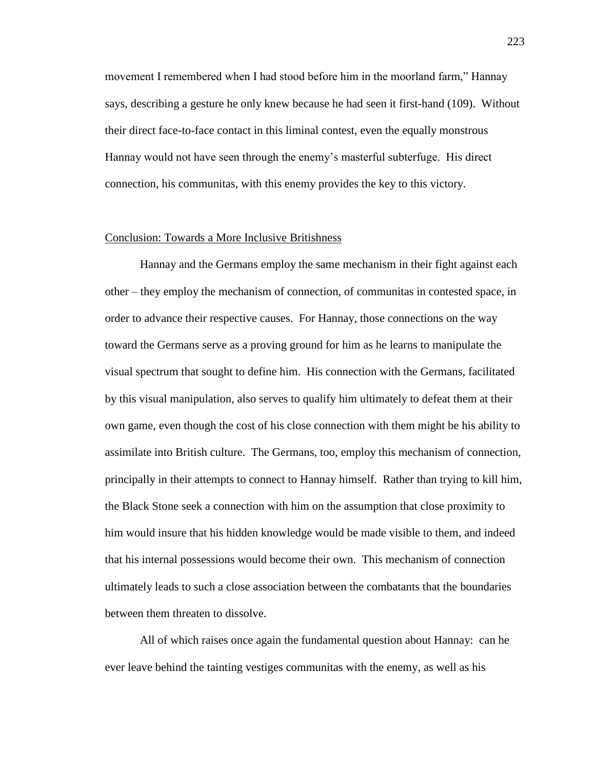movement I remembered when I had stood before him in the moorland farm," Hannay says, describing a gesture he only knew because he had seen it first-hand (109). Without their direct face-to-face contact in this liminal contest, even the equally monstrous Hannay would not have seen through the enemy's masterful subterfuge. His direct connection, his communitas, with this enemy provides the key to this victory.

## Conclusion: Towards a More Inclusive Britishness

Hannay and the Germans employ the same mechanism in their fight against each other – they employ the mechanism of connection, of communitas in contested space, in order to advance their respective causes. For Hannay, those connections on the way toward the Germans serve as a proving ground for him as he learns to manipulate the visual spectrum that sought to define him. His connection with the Germans, facilitated by this visual manipulation, also serves to qualify him ultimately to defeat them at their own game, even though the cost of his close connection with them might be his ability to assimilate into British culture. The Germans, too, employ this mechanism of connection, principally in their attempts to connect to Hannay himself. Rather than trying to kill him, the Black Stone seek a connection with him on the assumption that close proximity to him would insure that his hidden knowledge would be made visible to them, and indeed that his internal possessions would become their own. This mechanism of connection ultimately leads to such a close association between the combatants that the boundaries between them threaten to dissolve.

All of which raises once again the fundamental question about Hannay: can he ever leave behind the tainting vestiges communitas with the enemy, as well as his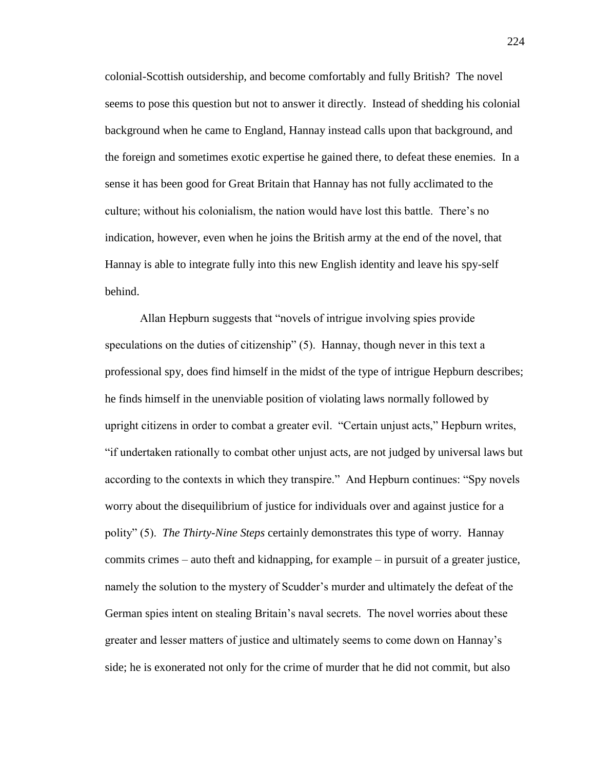colonial-Scottish outsidership, and become comfortably and fully British? The novel seems to pose this question but not to answer it directly. Instead of shedding his colonial background when he came to England, Hannay instead calls upon that background, and the foreign and sometimes exotic expertise he gained there, to defeat these enemies. In a sense it has been good for Great Britain that Hannay has not fully acclimated to the culture; without his colonialism, the nation would have lost this battle. There's no indication, however, even when he joins the British army at the end of the novel, that Hannay is able to integrate fully into this new English identity and leave his spy-self behind.

Allan Hepburn suggests that "novels of intrigue involving spies provide speculations on the duties of citizenship" (5). Hannay, though never in this text a professional spy, does find himself in the midst of the type of intrigue Hepburn describes; he finds himself in the unenviable position of violating laws normally followed by upright citizens in order to combat a greater evil. "Certain unjust acts," Hepburn writes, "if undertaken rationally to combat other unjust acts, are not judged by universal laws but according to the contexts in which they transpire." And Hepburn continues: "Spy novels worry about the disequilibrium of justice for individuals over and against justice for a polity" (5). *The Thirty-Nine Steps* certainly demonstrates this type of worry. Hannay commits crimes – auto theft and kidnapping, for example – in pursuit of a greater justice, namely the solution to the mystery of Scudder's murder and ultimately the defeat of the German spies intent on stealing Britain's naval secrets. The novel worries about these greater and lesser matters of justice and ultimately seems to come down on Hannay's side; he is exonerated not only for the crime of murder that he did not commit, but also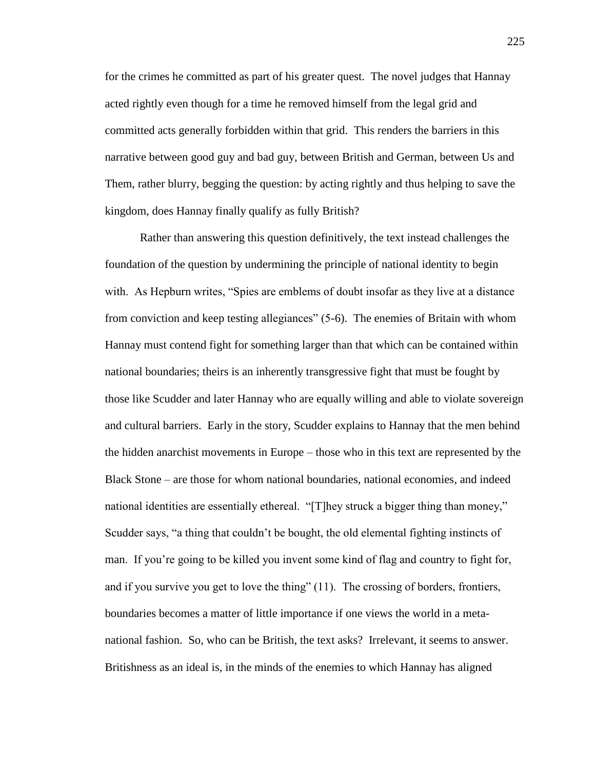for the crimes he committed as part of his greater quest. The novel judges that Hannay acted rightly even though for a time he removed himself from the legal grid and committed acts generally forbidden within that grid. This renders the barriers in this narrative between good guy and bad guy, between British and German, between Us and Them, rather blurry, begging the question: by acting rightly and thus helping to save the kingdom, does Hannay finally qualify as fully British?

Rather than answering this question definitively, the text instead challenges the foundation of the question by undermining the principle of national identity to begin with. As Hepburn writes, "Spies are emblems of doubt insofar as they live at a distance from conviction and keep testing allegiances" (5-6). The enemies of Britain with whom Hannay must contend fight for something larger than that which can be contained within national boundaries; theirs is an inherently transgressive fight that must be fought by those like Scudder and later Hannay who are equally willing and able to violate sovereign and cultural barriers. Early in the story, Scudder explains to Hannay that the men behind the hidden anarchist movements in Europe – those who in this text are represented by the Black Stone – are those for whom national boundaries, national economies, and indeed national identities are essentially ethereal. "[T]hey struck a bigger thing than money," Scudder says, "a thing that couldn't be bought, the old elemental fighting instincts of man. If you're going to be killed you invent some kind of flag and country to fight for, and if you survive you get to love the thing" (11). The crossing of borders, frontiers, boundaries becomes a matter of little importance if one views the world in a metanational fashion. So, who can be British, the text asks? Irrelevant, it seems to answer. Britishness as an ideal is, in the minds of the enemies to which Hannay has aligned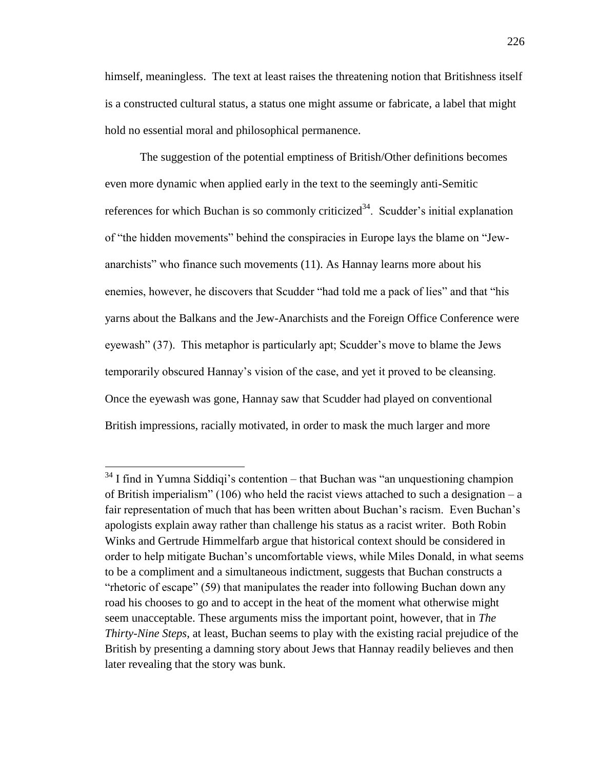himself, meaningless. The text at least raises the threatening notion that Britishness itself is a constructed cultural status, a status one might assume or fabricate, a label that might hold no essential moral and philosophical permanence.

The suggestion of the potential emptiness of British/Other definitions becomes even more dynamic when applied early in the text to the seemingly anti-Semitic references for which Buchan is so commonly criticized<sup>34</sup>. Scudder's initial explanation of "the hidden movements" behind the conspiracies in Europe lays the blame on "Jewanarchists" who finance such movements (11). As Hannay learns more about his enemies, however, he discovers that Scudder "had told me a pack of lies" and that "his yarns about the Balkans and the Jew-Anarchists and the Foreign Office Conference were eyewash" (37). This metaphor is particularly apt; Scudder's move to blame the Jews temporarily obscured Hannay's vision of the case, and yet it proved to be cleansing. Once the eyewash was gone, Hannay saw that Scudder had played on conventional British impressions, racially motivated, in order to mask the much larger and more

 $\overline{a}$ 

 $34$  I find in Yumna Siddiqi's contention – that Buchan was "an unquestioning champion of British imperialism" (106) who held the racist views attached to such a designation – a fair representation of much that has been written about Buchan's racism. Even Buchan's apologists explain away rather than challenge his status as a racist writer. Both Robin Winks and Gertrude Himmelfarb argue that historical context should be considered in order to help mitigate Buchan's uncomfortable views, while Miles Donald, in what seems to be a compliment and a simultaneous indictment, suggests that Buchan constructs a "rhetoric of escape" (59) that manipulates the reader into following Buchan down any road his chooses to go and to accept in the heat of the moment what otherwise might seem unacceptable. These arguments miss the important point, however, that in *The Thirty-Nine Steps*, at least, Buchan seems to play with the existing racial prejudice of the British by presenting a damning story about Jews that Hannay readily believes and then later revealing that the story was bunk.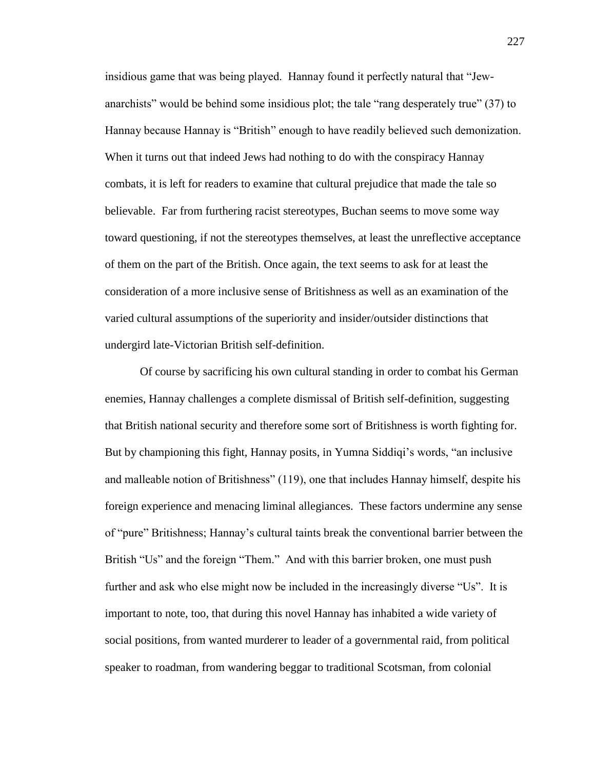insidious game that was being played. Hannay found it perfectly natural that "Jewanarchists" would be behind some insidious plot; the tale "rang desperately true" (37) to Hannay because Hannay is "British" enough to have readily believed such demonization. When it turns out that indeed Jews had nothing to do with the conspiracy Hannay combats, it is left for readers to examine that cultural prejudice that made the tale so believable. Far from furthering racist stereotypes, Buchan seems to move some way toward questioning, if not the stereotypes themselves, at least the unreflective acceptance of them on the part of the British. Once again, the text seems to ask for at least the consideration of a more inclusive sense of Britishness as well as an examination of the varied cultural assumptions of the superiority and insider/outsider distinctions that undergird late-Victorian British self-definition.

Of course by sacrificing his own cultural standing in order to combat his German enemies, Hannay challenges a complete dismissal of British self-definition, suggesting that British national security and therefore some sort of Britishness is worth fighting for. But by championing this fight, Hannay posits, in Yumna Siddiqi's words, "an inclusive and malleable notion of Britishness" (119), one that includes Hannay himself, despite his foreign experience and menacing liminal allegiances. These factors undermine any sense of "pure" Britishness; Hannay's cultural taints break the conventional barrier between the British "Us" and the foreign "Them." And with this barrier broken, one must push further and ask who else might now be included in the increasingly diverse "Us". It is important to note, too, that during this novel Hannay has inhabited a wide variety of social positions, from wanted murderer to leader of a governmental raid, from political speaker to roadman, from wandering beggar to traditional Scotsman, from colonial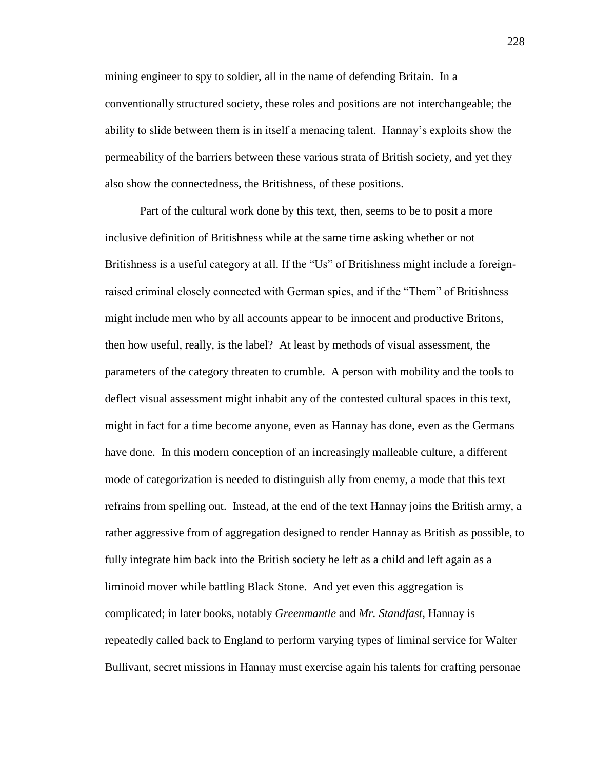mining engineer to spy to soldier, all in the name of defending Britain. In a conventionally structured society, these roles and positions are not interchangeable; the ability to slide between them is in itself a menacing talent. Hannay's exploits show the permeability of the barriers between these various strata of British society, and yet they also show the connectedness, the Britishness, of these positions.

Part of the cultural work done by this text, then, seems to be to posit a more inclusive definition of Britishness while at the same time asking whether or not Britishness is a useful category at all. If the "Us" of Britishness might include a foreignraised criminal closely connected with German spies, and if the "Them" of Britishness might include men who by all accounts appear to be innocent and productive Britons, then how useful, really, is the label? At least by methods of visual assessment, the parameters of the category threaten to crumble. A person with mobility and the tools to deflect visual assessment might inhabit any of the contested cultural spaces in this text, might in fact for a time become anyone, even as Hannay has done, even as the Germans have done. In this modern conception of an increasingly malleable culture, a different mode of categorization is needed to distinguish ally from enemy, a mode that this text refrains from spelling out. Instead, at the end of the text Hannay joins the British army, a rather aggressive from of aggregation designed to render Hannay as British as possible, to fully integrate him back into the British society he left as a child and left again as a liminoid mover while battling Black Stone. And yet even this aggregation is complicated; in later books, notably *Greenmantle* and *Mr. Standfast*, Hannay is repeatedly called back to England to perform varying types of liminal service for Walter Bullivant, secret missions in Hannay must exercise again his talents for crafting personae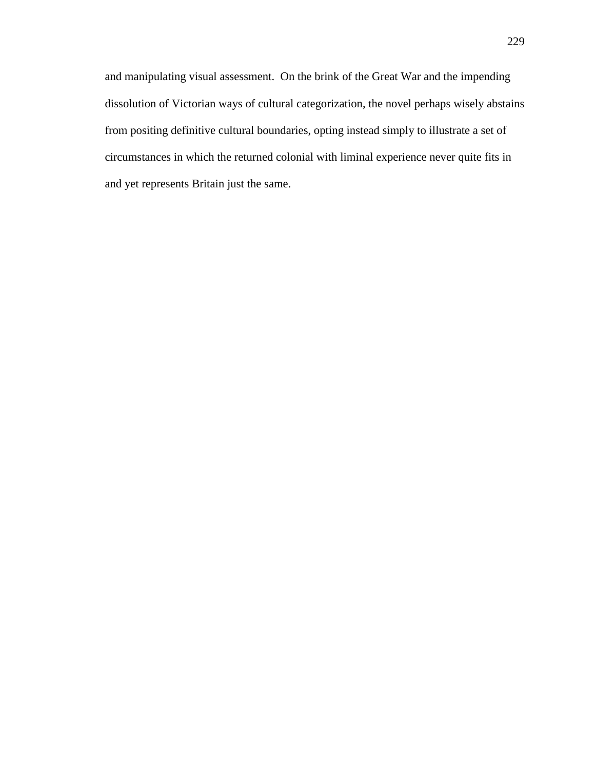and manipulating visual assessment. On the brink of the Great War and the impending dissolution of Victorian ways of cultural categorization, the novel perhaps wisely abstains from positing definitive cultural boundaries, opting instead simply to illustrate a set of circumstances in which the returned colonial with liminal experience never quite fits in and yet represents Britain just the same.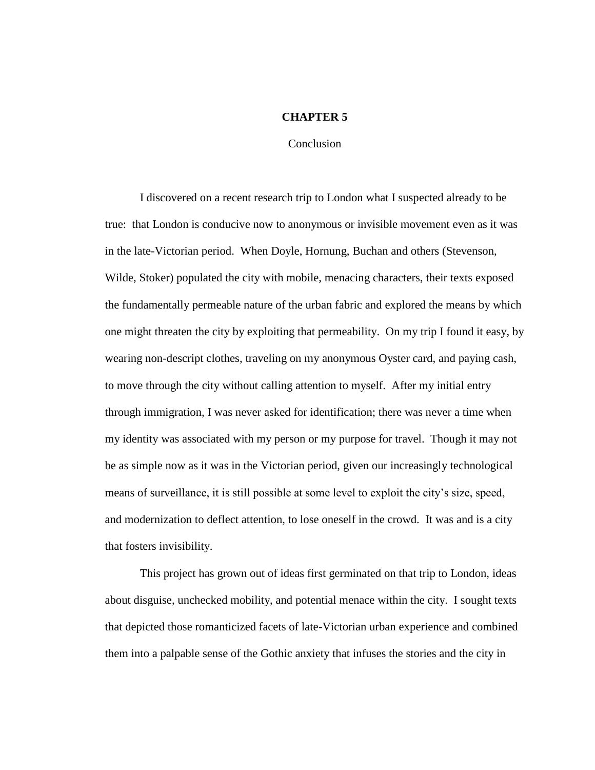## **CHAPTER 5**

Conclusion

I discovered on a recent research trip to London what I suspected already to be true: that London is conducive now to anonymous or invisible movement even as it was in the late-Victorian period. When Doyle, Hornung, Buchan and others (Stevenson, Wilde, Stoker) populated the city with mobile, menacing characters, their texts exposed the fundamentally permeable nature of the urban fabric and explored the means by which one might threaten the city by exploiting that permeability. On my trip I found it easy, by wearing non-descript clothes, traveling on my anonymous Oyster card, and paying cash, to move through the city without calling attention to myself. After my initial entry through immigration, I was never asked for identification; there was never a time when my identity was associated with my person or my purpose for travel. Though it may not be as simple now as it was in the Victorian period, given our increasingly technological means of surveillance, it is still possible at some level to exploit the city's size, speed, and modernization to deflect attention, to lose oneself in the crowd. It was and is a city that fosters invisibility.

This project has grown out of ideas first germinated on that trip to London, ideas about disguise, unchecked mobility, and potential menace within the city. I sought texts that depicted those romanticized facets of late-Victorian urban experience and combined them into a palpable sense of the Gothic anxiety that infuses the stories and the city in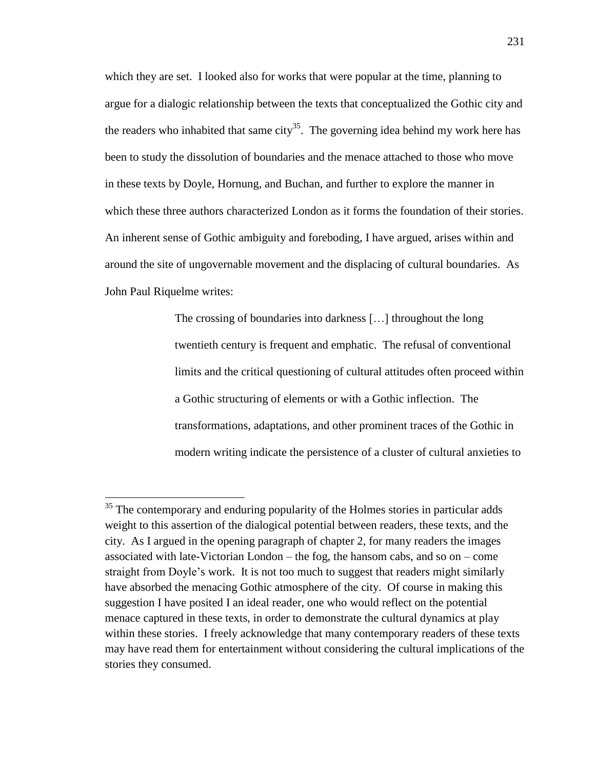which they are set. I looked also for works that were popular at the time, planning to argue for a dialogic relationship between the texts that conceptualized the Gothic city and the readers who inhabited that same city<sup>35</sup>. The governing idea behind my work here has been to study the dissolution of boundaries and the menace attached to those who move in these texts by Doyle, Hornung, and Buchan, and further to explore the manner in which these three authors characterized London as it forms the foundation of their stories. An inherent sense of Gothic ambiguity and foreboding, I have argued, arises within and around the site of ungovernable movement and the displacing of cultural boundaries. As John Paul Riquelme writes:

> The crossing of boundaries into darkness […] throughout the long twentieth century is frequent and emphatic. The refusal of conventional limits and the critical questioning of cultural attitudes often proceed within a Gothic structuring of elements or with a Gothic inflection. The transformations, adaptations, and other prominent traces of the Gothic in modern writing indicate the persistence of a cluster of cultural anxieties to

 $\overline{a}$ 

 $35$  The contemporary and enduring popularity of the Holmes stories in particular adds weight to this assertion of the dialogical potential between readers, these texts, and the city. As I argued in the opening paragraph of chapter 2, for many readers the images associated with late-Victorian London – the fog, the hansom cabs, and so on – come straight from Doyle's work. It is not too much to suggest that readers might similarly have absorbed the menacing Gothic atmosphere of the city. Of course in making this suggestion I have posited I an ideal reader, one who would reflect on the potential menace captured in these texts, in order to demonstrate the cultural dynamics at play within these stories. I freely acknowledge that many contemporary readers of these texts may have read them for entertainment without considering the cultural implications of the stories they consumed.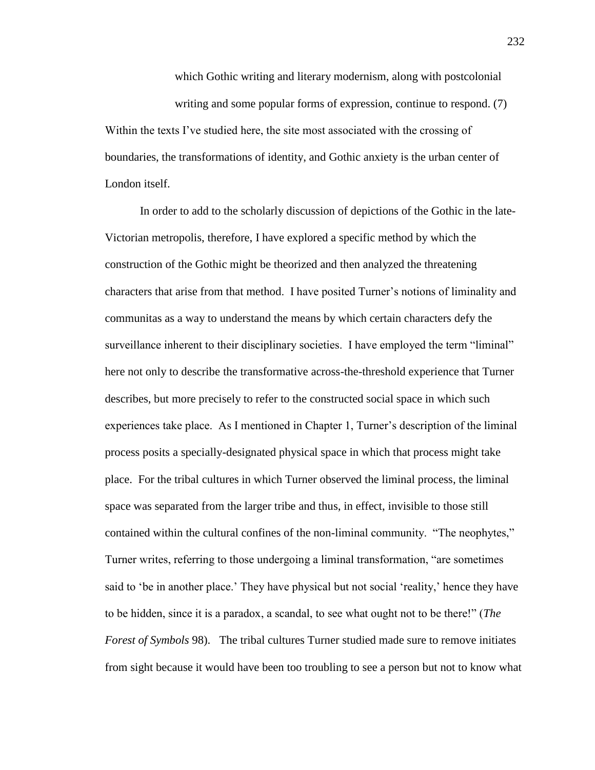which Gothic writing and literary modernism, along with postcolonial writing and some popular forms of expression, continue to respond. (7) Within the texts I've studied here, the site most associated with the crossing of boundaries, the transformations of identity, and Gothic anxiety is the urban center of London itself.

In order to add to the scholarly discussion of depictions of the Gothic in the late-Victorian metropolis, therefore, I have explored a specific method by which the construction of the Gothic might be theorized and then analyzed the threatening characters that arise from that method. I have posited Turner's notions of liminality and communitas as a way to understand the means by which certain characters defy the surveillance inherent to their disciplinary societies. I have employed the term "liminal" here not only to describe the transformative across-the-threshold experience that Turner describes, but more precisely to refer to the constructed social space in which such experiences take place. As I mentioned in Chapter 1, Turner's description of the liminal process posits a specially-designated physical space in which that process might take place. For the tribal cultures in which Turner observed the liminal process, the liminal space was separated from the larger tribe and thus, in effect, invisible to those still contained within the cultural confines of the non-liminal community. "The neophytes," Turner writes, referring to those undergoing a liminal transformation, "are sometimes said to 'be in another place.' They have physical but not social 'reality,' hence they have to be hidden, since it is a paradox, a scandal, to see what ought not to be there!" (*The Forest of Symbols* 98). The tribal cultures Turner studied made sure to remove initiates from sight because it would have been too troubling to see a person but not to know what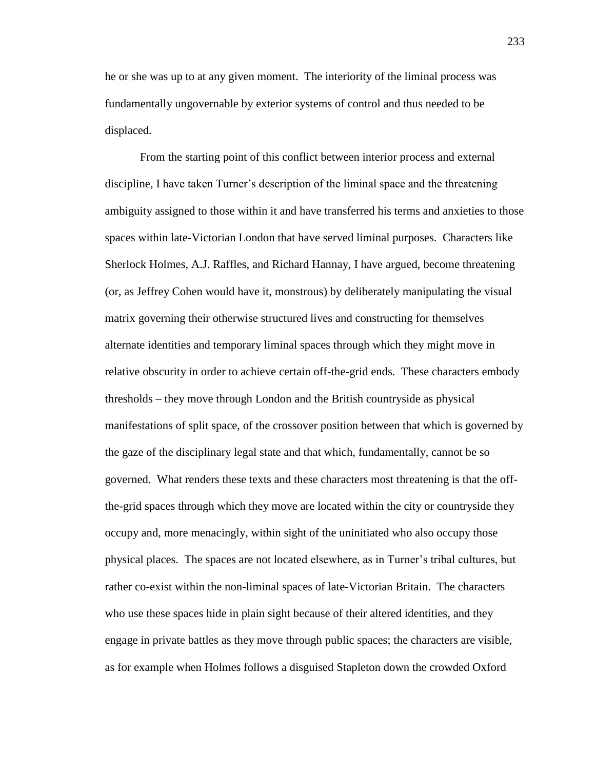he or she was up to at any given moment. The interiority of the liminal process was fundamentally ungovernable by exterior systems of control and thus needed to be displaced.

From the starting point of this conflict between interior process and external discipline, I have taken Turner's description of the liminal space and the threatening ambiguity assigned to those within it and have transferred his terms and anxieties to those spaces within late-Victorian London that have served liminal purposes. Characters like Sherlock Holmes, A.J. Raffles, and Richard Hannay, I have argued, become threatening (or, as Jeffrey Cohen would have it, monstrous) by deliberately manipulating the visual matrix governing their otherwise structured lives and constructing for themselves alternate identities and temporary liminal spaces through which they might move in relative obscurity in order to achieve certain off-the-grid ends. These characters embody thresholds – they move through London and the British countryside as physical manifestations of split space, of the crossover position between that which is governed by the gaze of the disciplinary legal state and that which, fundamentally, cannot be so governed. What renders these texts and these characters most threatening is that the offthe-grid spaces through which they move are located within the city or countryside they occupy and, more menacingly, within sight of the uninitiated who also occupy those physical places. The spaces are not located elsewhere, as in Turner's tribal cultures, but rather co-exist within the non-liminal spaces of late-Victorian Britain. The characters who use these spaces hide in plain sight because of their altered identities, and they engage in private battles as they move through public spaces; the characters are visible, as for example when Holmes follows a disguised Stapleton down the crowded Oxford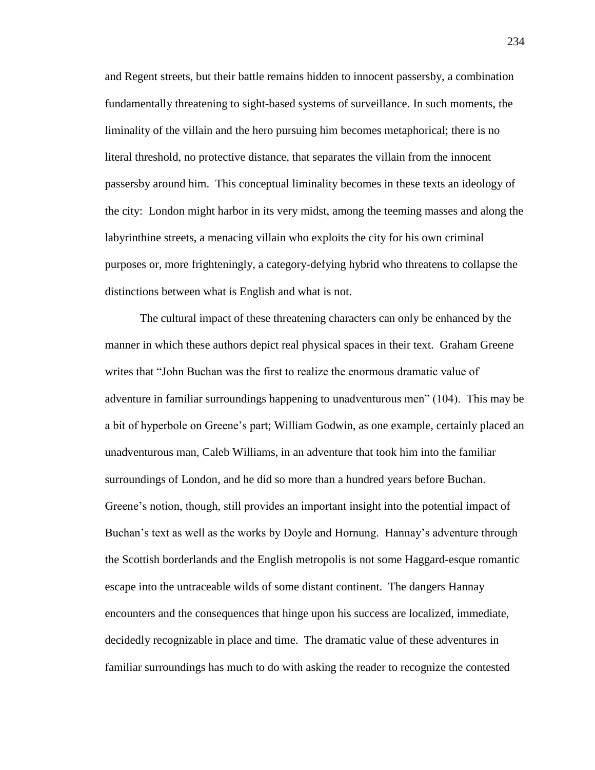and Regent streets, but their battle remains hidden to innocent passersby, a combination fundamentally threatening to sight-based systems of surveillance. In such moments, the liminality of the villain and the hero pursuing him becomes metaphorical; there is no literal threshold, no protective distance, that separates the villain from the innocent passersby around him. This conceptual liminality becomes in these texts an ideology of the city: London might harbor in its very midst, among the teeming masses and along the labyrinthine streets, a menacing villain who exploits the city for his own criminal purposes or, more frighteningly, a category-defying hybrid who threatens to collapse the distinctions between what is English and what is not.

The cultural impact of these threatening characters can only be enhanced by the manner in which these authors depict real physical spaces in their text. Graham Greene writes that "John Buchan was the first to realize the enormous dramatic value of adventure in familiar surroundings happening to unadventurous men" (104). This may be a bit of hyperbole on Greene's part; William Godwin, as one example, certainly placed an unadventurous man, Caleb Williams, in an adventure that took him into the familiar surroundings of London, and he did so more than a hundred years before Buchan. Greene's notion, though, still provides an important insight into the potential impact of Buchan's text as well as the works by Doyle and Hornung. Hannay's adventure through the Scottish borderlands and the English metropolis is not some Haggard-esque romantic escape into the untraceable wilds of some distant continent. The dangers Hannay encounters and the consequences that hinge upon his success are localized, immediate, decidedly recognizable in place and time. The dramatic value of these adventures in familiar surroundings has much to do with asking the reader to recognize the contested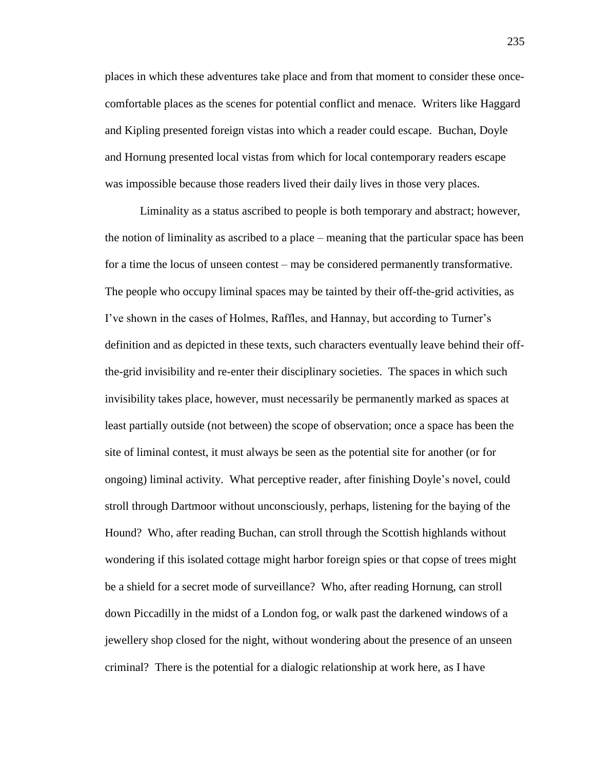places in which these adventures take place and from that moment to consider these oncecomfortable places as the scenes for potential conflict and menace. Writers like Haggard and Kipling presented foreign vistas into which a reader could escape. Buchan, Doyle and Hornung presented local vistas from which for local contemporary readers escape was impossible because those readers lived their daily lives in those very places.

Liminality as a status ascribed to people is both temporary and abstract; however, the notion of liminality as ascribed to a place – meaning that the particular space has been for a time the locus of unseen contest – may be considered permanently transformative. The people who occupy liminal spaces may be tainted by their off-the-grid activities, as I've shown in the cases of Holmes, Raffles, and Hannay, but according to Turner's definition and as depicted in these texts, such characters eventually leave behind their offthe-grid invisibility and re-enter their disciplinary societies. The spaces in which such invisibility takes place, however, must necessarily be permanently marked as spaces at least partially outside (not between) the scope of observation; once a space has been the site of liminal contest, it must always be seen as the potential site for another (or for ongoing) liminal activity. What perceptive reader, after finishing Doyle's novel, could stroll through Dartmoor without unconsciously, perhaps, listening for the baying of the Hound? Who, after reading Buchan, can stroll through the Scottish highlands without wondering if this isolated cottage might harbor foreign spies or that copse of trees might be a shield for a secret mode of surveillance? Who, after reading Hornung, can stroll down Piccadilly in the midst of a London fog, or walk past the darkened windows of a jewellery shop closed for the night, without wondering about the presence of an unseen criminal? There is the potential for a dialogic relationship at work here, as I have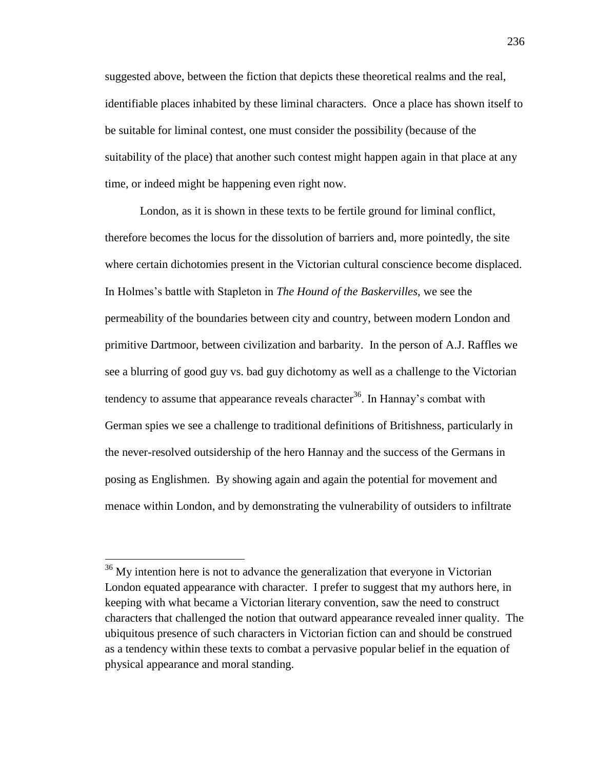suggested above, between the fiction that depicts these theoretical realms and the real, identifiable places inhabited by these liminal characters. Once a place has shown itself to be suitable for liminal contest, one must consider the possibility (because of the suitability of the place) that another such contest might happen again in that place at any time, or indeed might be happening even right now.

London, as it is shown in these texts to be fertile ground for liminal conflict, therefore becomes the locus for the dissolution of barriers and, more pointedly, the site where certain dichotomies present in the Victorian cultural conscience become displaced. In Holmes's battle with Stapleton in *The Hound of the Baskervilles*, we see the permeability of the boundaries between city and country, between modern London and primitive Dartmoor, between civilization and barbarity. In the person of A.J. Raffles we see a blurring of good guy vs. bad guy dichotomy as well as a challenge to the Victorian tendency to assume that appearance reveals character<sup>36</sup>. In Hannay's combat with German spies we see a challenge to traditional definitions of Britishness, particularly in the never-resolved outsidership of the hero Hannay and the success of the Germans in posing as Englishmen. By showing again and again the potential for movement and menace within London, and by demonstrating the vulnerability of outsiders to infiltrate

 $\overline{a}$ 

<sup>&</sup>lt;sup>36</sup> My intention here is not to advance the generalization that everyone in Victorian London equated appearance with character. I prefer to suggest that my authors here, in keeping with what became a Victorian literary convention, saw the need to construct characters that challenged the notion that outward appearance revealed inner quality. The ubiquitous presence of such characters in Victorian fiction can and should be construed as a tendency within these texts to combat a pervasive popular belief in the equation of physical appearance and moral standing.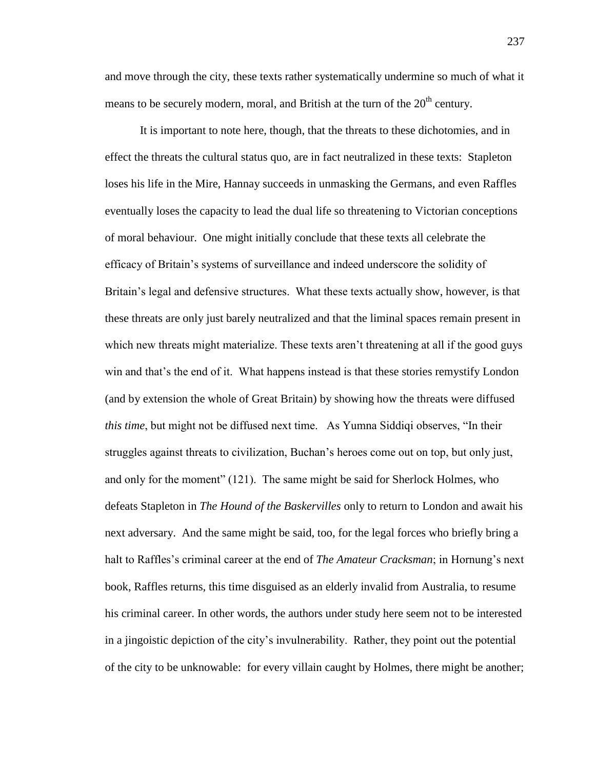and move through the city, these texts rather systematically undermine so much of what it means to be securely modern, moral, and British at the turn of the  $20<sup>th</sup>$  century.

It is important to note here, though, that the threats to these dichotomies, and in effect the threats the cultural status quo, are in fact neutralized in these texts: Stapleton loses his life in the Mire, Hannay succeeds in unmasking the Germans, and even Raffles eventually loses the capacity to lead the dual life so threatening to Victorian conceptions of moral behaviour. One might initially conclude that these texts all celebrate the efficacy of Britain's systems of surveillance and indeed underscore the solidity of Britain's legal and defensive structures. What these texts actually show, however, is that these threats are only just barely neutralized and that the liminal spaces remain present in which new threats might materialize. These texts aren't threatening at all if the good guys win and that's the end of it. What happens instead is that these stories remystify London (and by extension the whole of Great Britain) by showing how the threats were diffused *this time*, but might not be diffused next time. As Yumna Siddiqi observes, "In their struggles against threats to civilization, Buchan's heroes come out on top, but only just, and only for the moment" (121). The same might be said for Sherlock Holmes, who defeats Stapleton in *The Hound of the Baskervilles* only to return to London and await his next adversary. And the same might be said, too, for the legal forces who briefly bring a halt to Raffles's criminal career at the end of *The Amateur Cracksman*; in Hornung's next book, Raffles returns, this time disguised as an elderly invalid from Australia, to resume his criminal career. In other words, the authors under study here seem not to be interested in a jingoistic depiction of the city's invulnerability. Rather, they point out the potential of the city to be unknowable: for every villain caught by Holmes, there might be another;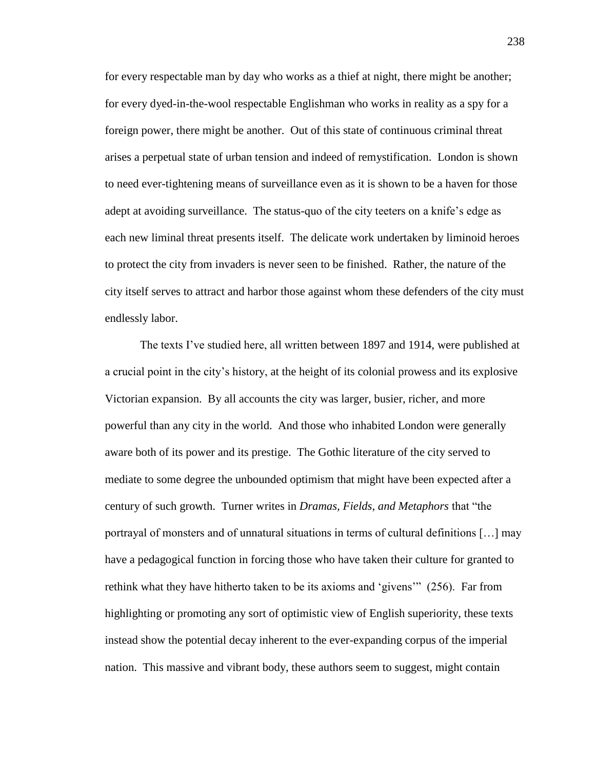for every respectable man by day who works as a thief at night, there might be another; for every dyed-in-the-wool respectable Englishman who works in reality as a spy for a foreign power, there might be another. Out of this state of continuous criminal threat arises a perpetual state of urban tension and indeed of remystification. London is shown to need ever-tightening means of surveillance even as it is shown to be a haven for those adept at avoiding surveillance. The status-quo of the city teeters on a knife's edge as each new liminal threat presents itself. The delicate work undertaken by liminoid heroes to protect the city from invaders is never seen to be finished. Rather, the nature of the city itself serves to attract and harbor those against whom these defenders of the city must endlessly labor.

The texts I've studied here, all written between 1897 and 1914, were published at a crucial point in the city's history, at the height of its colonial prowess and its explosive Victorian expansion. By all accounts the city was larger, busier, richer, and more powerful than any city in the world. And those who inhabited London were generally aware both of its power and its prestige. The Gothic literature of the city served to mediate to some degree the unbounded optimism that might have been expected after a century of such growth. Turner writes in *Dramas, Fields, and Metaphors* that "the portrayal of monsters and of unnatural situations in terms of cultural definitions […] may have a pedagogical function in forcing those who have taken their culture for granted to rethink what they have hitherto taken to be its axioms and 'givens'" (256). Far from highlighting or promoting any sort of optimistic view of English superiority, these texts instead show the potential decay inherent to the ever-expanding corpus of the imperial nation. This massive and vibrant body, these authors seem to suggest, might contain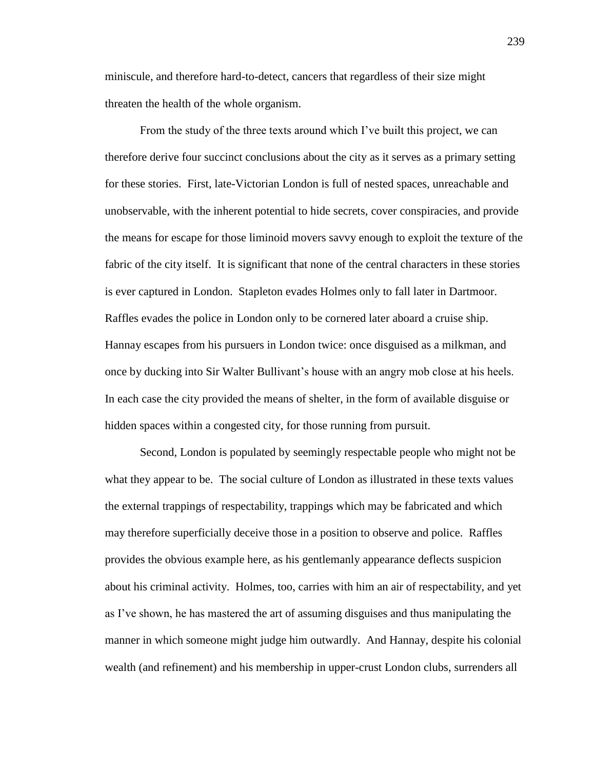miniscule, and therefore hard-to-detect, cancers that regardless of their size might threaten the health of the whole organism.

From the study of the three texts around which I've built this project, we can therefore derive four succinct conclusions about the city as it serves as a primary setting for these stories. First, late-Victorian London is full of nested spaces, unreachable and unobservable, with the inherent potential to hide secrets, cover conspiracies, and provide the means for escape for those liminoid movers savvy enough to exploit the texture of the fabric of the city itself. It is significant that none of the central characters in these stories is ever captured in London. Stapleton evades Holmes only to fall later in Dartmoor. Raffles evades the police in London only to be cornered later aboard a cruise ship. Hannay escapes from his pursuers in London twice: once disguised as a milkman, and once by ducking into Sir Walter Bullivant's house with an angry mob close at his heels. In each case the city provided the means of shelter, in the form of available disguise or hidden spaces within a congested city, for those running from pursuit.

Second, London is populated by seemingly respectable people who might not be what they appear to be. The social culture of London as illustrated in these texts values the external trappings of respectability, trappings which may be fabricated and which may therefore superficially deceive those in a position to observe and police. Raffles provides the obvious example here, as his gentlemanly appearance deflects suspicion about his criminal activity. Holmes, too, carries with him an air of respectability, and yet as I've shown, he has mastered the art of assuming disguises and thus manipulating the manner in which someone might judge him outwardly. And Hannay, despite his colonial wealth (and refinement) and his membership in upper-crust London clubs, surrenders all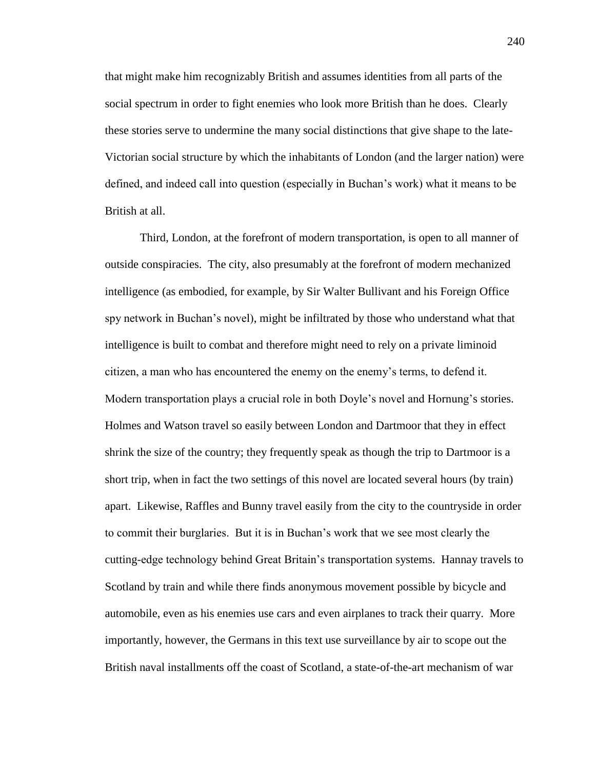that might make him recognizably British and assumes identities from all parts of the social spectrum in order to fight enemies who look more British than he does. Clearly these stories serve to undermine the many social distinctions that give shape to the late-Victorian social structure by which the inhabitants of London (and the larger nation) were defined, and indeed call into question (especially in Buchan's work) what it means to be British at all.

Third, London, at the forefront of modern transportation, is open to all manner of outside conspiracies. The city, also presumably at the forefront of modern mechanized intelligence (as embodied, for example, by Sir Walter Bullivant and his Foreign Office spy network in Buchan's novel), might be infiltrated by those who understand what that intelligence is built to combat and therefore might need to rely on a private liminoid citizen, a man who has encountered the enemy on the enemy's terms, to defend it. Modern transportation plays a crucial role in both Doyle's novel and Hornung's stories. Holmes and Watson travel so easily between London and Dartmoor that they in effect shrink the size of the country; they frequently speak as though the trip to Dartmoor is a short trip, when in fact the two settings of this novel are located several hours (by train) apart. Likewise, Raffles and Bunny travel easily from the city to the countryside in order to commit their burglaries. But it is in Buchan's work that we see most clearly the cutting-edge technology behind Great Britain's transportation systems. Hannay travels to Scotland by train and while there finds anonymous movement possible by bicycle and automobile, even as his enemies use cars and even airplanes to track their quarry. More importantly, however, the Germans in this text use surveillance by air to scope out the British naval installments off the coast of Scotland, a state-of-the-art mechanism of war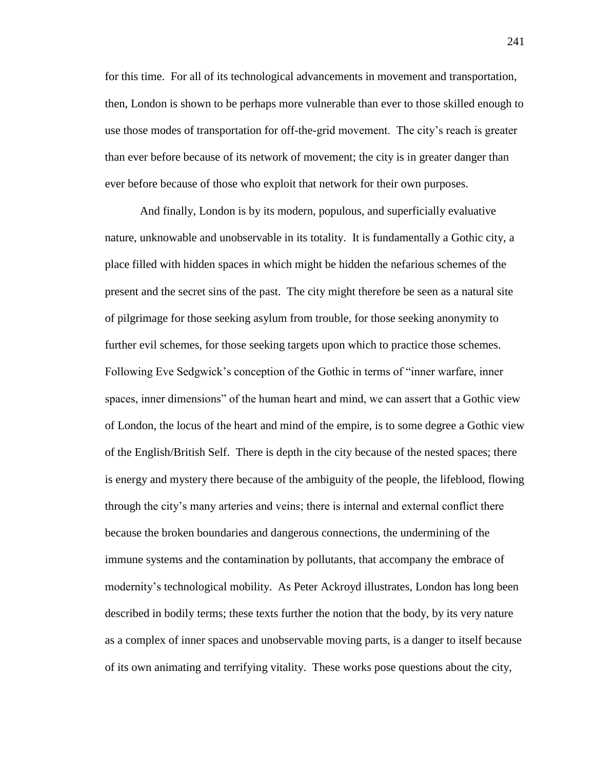for this time. For all of its technological advancements in movement and transportation, then, London is shown to be perhaps more vulnerable than ever to those skilled enough to use those modes of transportation for off-the-grid movement. The city's reach is greater than ever before because of its network of movement; the city is in greater danger than ever before because of those who exploit that network for their own purposes.

And finally, London is by its modern, populous, and superficially evaluative nature, unknowable and unobservable in its totality. It is fundamentally a Gothic city, a place filled with hidden spaces in which might be hidden the nefarious schemes of the present and the secret sins of the past. The city might therefore be seen as a natural site of pilgrimage for those seeking asylum from trouble, for those seeking anonymity to further evil schemes, for those seeking targets upon which to practice those schemes. Following Eve Sedgwick's conception of the Gothic in terms of "inner warfare, inner spaces, inner dimensions" of the human heart and mind, we can assert that a Gothic view of London, the locus of the heart and mind of the empire, is to some degree a Gothic view of the English/British Self. There is depth in the city because of the nested spaces; there is energy and mystery there because of the ambiguity of the people, the lifeblood, flowing through the city's many arteries and veins; there is internal and external conflict there because the broken boundaries and dangerous connections, the undermining of the immune systems and the contamination by pollutants, that accompany the embrace of modernity's technological mobility. As Peter Ackroyd illustrates, London has long been described in bodily terms; these texts further the notion that the body, by its very nature as a complex of inner spaces and unobservable moving parts, is a danger to itself because of its own animating and terrifying vitality. These works pose questions about the city,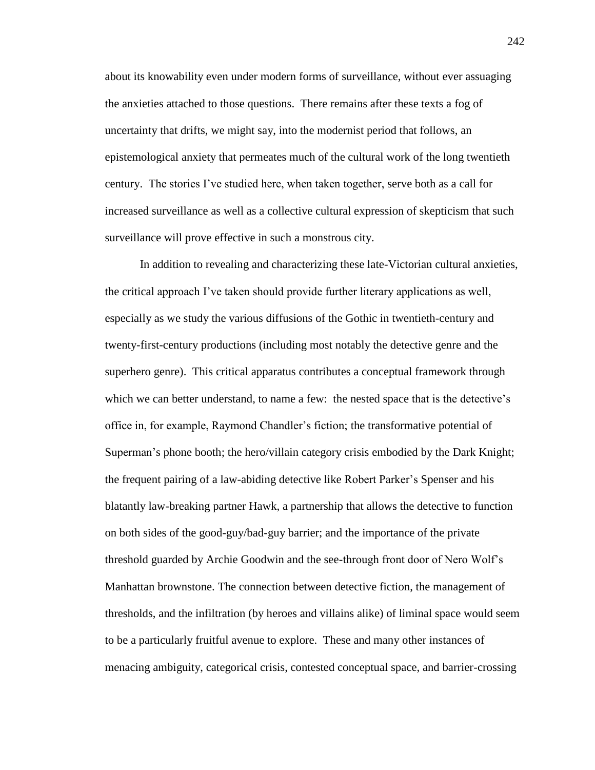about its knowability even under modern forms of surveillance, without ever assuaging the anxieties attached to those questions. There remains after these texts a fog of uncertainty that drifts, we might say, into the modernist period that follows, an epistemological anxiety that permeates much of the cultural work of the long twentieth century. The stories I've studied here, when taken together, serve both as a call for increased surveillance as well as a collective cultural expression of skepticism that such surveillance will prove effective in such a monstrous city.

In addition to revealing and characterizing these late-Victorian cultural anxieties, the critical approach I've taken should provide further literary applications as well, especially as we study the various diffusions of the Gothic in twentieth-century and twenty-first-century productions (including most notably the detective genre and the superhero genre). This critical apparatus contributes a conceptual framework through which we can better understand, to name a few: the nested space that is the detective's office in, for example, Raymond Chandler's fiction; the transformative potential of Superman's phone booth; the hero/villain category crisis embodied by the Dark Knight; the frequent pairing of a law-abiding detective like Robert Parker's Spenser and his blatantly law-breaking partner Hawk, a partnership that allows the detective to function on both sides of the good-guy/bad-guy barrier; and the importance of the private threshold guarded by Archie Goodwin and the see-through front door of Nero Wolf's Manhattan brownstone. The connection between detective fiction, the management of thresholds, and the infiltration (by heroes and villains alike) of liminal space would seem to be a particularly fruitful avenue to explore. These and many other instances of menacing ambiguity, categorical crisis, contested conceptual space, and barrier-crossing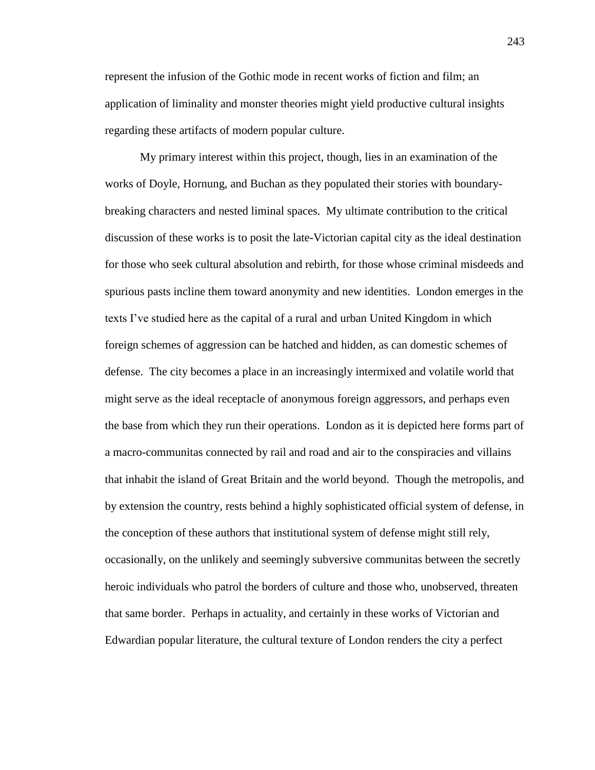represent the infusion of the Gothic mode in recent works of fiction and film; an application of liminality and monster theories might yield productive cultural insights regarding these artifacts of modern popular culture.

My primary interest within this project, though, lies in an examination of the works of Doyle, Hornung, and Buchan as they populated their stories with boundarybreaking characters and nested liminal spaces. My ultimate contribution to the critical discussion of these works is to posit the late-Victorian capital city as the ideal destination for those who seek cultural absolution and rebirth, for those whose criminal misdeeds and spurious pasts incline them toward anonymity and new identities. London emerges in the texts I've studied here as the capital of a rural and urban United Kingdom in which foreign schemes of aggression can be hatched and hidden, as can domestic schemes of defense. The city becomes a place in an increasingly intermixed and volatile world that might serve as the ideal receptacle of anonymous foreign aggressors, and perhaps even the base from which they run their operations. London as it is depicted here forms part of a macro-communitas connected by rail and road and air to the conspiracies and villains that inhabit the island of Great Britain and the world beyond. Though the metropolis, and by extension the country, rests behind a highly sophisticated official system of defense, in the conception of these authors that institutional system of defense might still rely, occasionally, on the unlikely and seemingly subversive communitas between the secretly heroic individuals who patrol the borders of culture and those who, unobserved, threaten that same border. Perhaps in actuality, and certainly in these works of Victorian and Edwardian popular literature, the cultural texture of London renders the city a perfect

243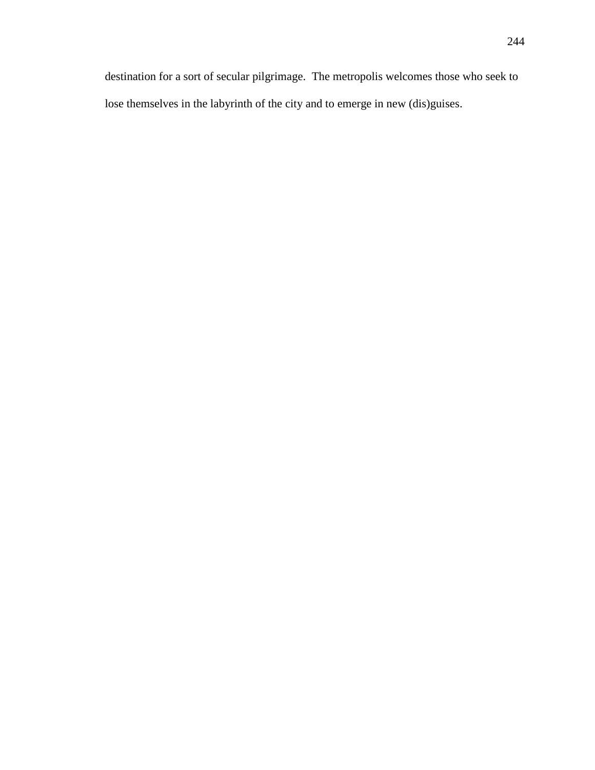destination for a sort of secular pilgrimage. The metropolis welcomes those who seek to lose themselves in the labyrinth of the city and to emerge in new (dis)guises.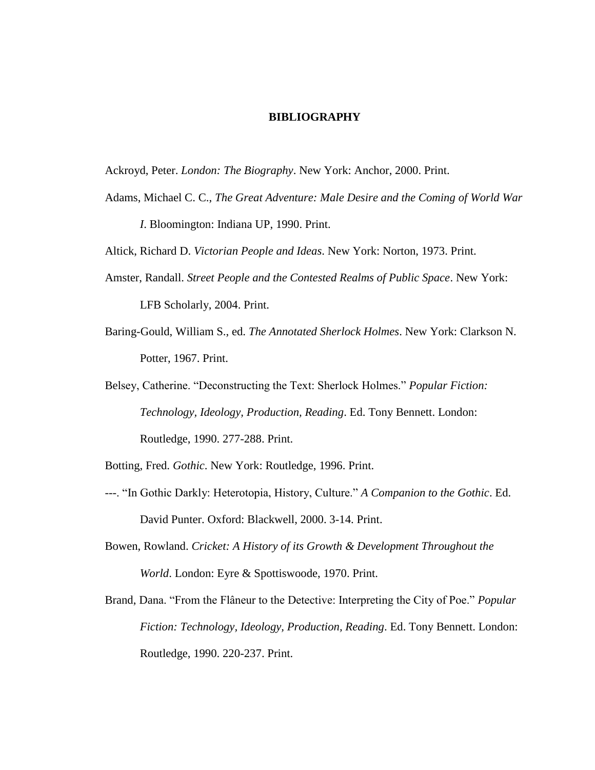## **BIBLIOGRAPHY**

Ackroyd, Peter. *London: The Biography*. New York: Anchor, 2000. Print.

- Adams, Michael C. C., *The Great Adventure: Male Desire and the Coming of World War I*. Bloomington: Indiana UP, 1990. Print.
- Altick, Richard D. *Victorian People and Ideas*. New York: Norton, 1973. Print.
- Amster, Randall. *Street People and the Contested Realms of Public Space*. New York: LFB Scholarly, 2004. Print.
- Baring-Gould, William S., ed. *The Annotated Sherlock Holmes*. New York: Clarkson N. Potter, 1967. Print.
- Belsey, Catherine. "Deconstructing the Text: Sherlock Holmes." *Popular Fiction: Technology, Ideology, Production, Reading*. Ed. Tony Bennett. London: Routledge, 1990. 277-288. Print.
- Botting, Fred. *Gothic*. New York: Routledge, 1996. Print.
- ---. "In Gothic Darkly: Heterotopia, History, Culture." *A Companion to the Gothic*. Ed. David Punter. Oxford: Blackwell, 2000. 3-14. Print.
- Bowen, Rowland. *Cricket: A History of its Growth & Development Throughout the World*. London: Eyre & Spottiswoode, 1970. Print.

Brand, Dana. "From the Flâneur to the Detective: Interpreting the City of Poe." *Popular Fiction: Technology, Ideology, Production, Reading*. Ed. Tony Bennett. London: Routledge, 1990. 220-237. Print.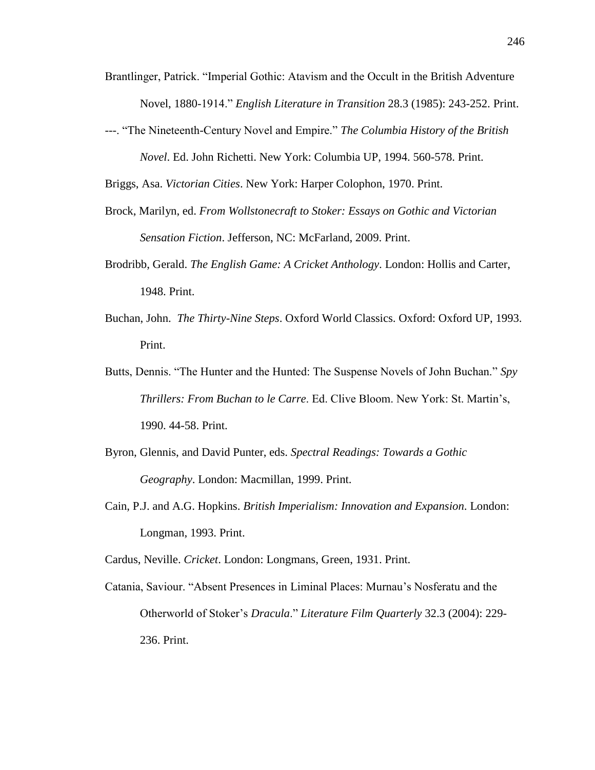- Brantlinger, Patrick. "Imperial Gothic: Atavism and the Occult in the British Adventure Novel, 1880-1914." *English Literature in Transition* 28.3 (1985): 243-252. Print.
- ---. "The Nineteenth-Century Novel and Empire." *The Columbia History of the British Novel*. Ed. John Richetti. New York: Columbia UP, 1994. 560-578. Print.

Briggs, Asa. *Victorian Cities*. New York: Harper Colophon, 1970. Print.

- Brock, Marilyn, ed. *From Wollstonecraft to Stoker: Essays on Gothic and Victorian Sensation Fiction*. Jefferson, NC: McFarland, 2009. Print.
- Brodribb, Gerald. *The English Game: A Cricket Anthology*. London: Hollis and Carter, 1948. Print.
- Buchan, John. *The Thirty-Nine Steps*. Oxford World Classics. Oxford: Oxford UP, 1993. Print.
- Butts, Dennis. "The Hunter and the Hunted: The Suspense Novels of John Buchan." *Spy Thrillers: From Buchan to le Carre*. Ed. Clive Bloom. New York: St. Martin's, 1990. 44-58. Print.
- Byron, Glennis, and David Punter, eds. *Spectral Readings: Towards a Gothic Geography*. London: Macmillan, 1999. Print.
- Cain, P.J. and A.G. Hopkins. *British Imperialism: Innovation and Expansion*. London: Longman, 1993. Print.

Cardus, Neville. *Cricket*. London: Longmans, Green, 1931. Print.

Catania, Saviour. "Absent Presences in Liminal Places: Murnau's Nosferatu and the Otherworld of Stoker's *Dracula*." *Literature Film Quarterly* 32.3 (2004): 229- 236. Print.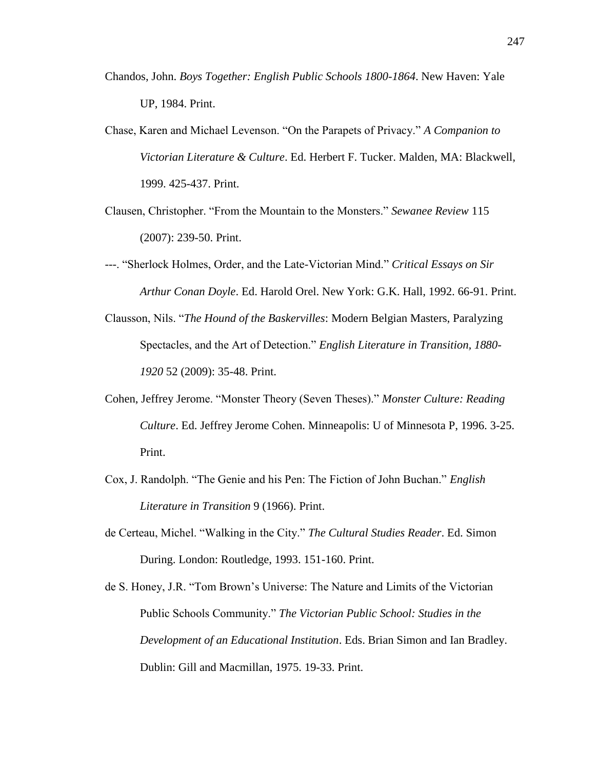- Chandos, John. *Boys Together: English Public Schools 1800-1864*. New Haven: Yale UP, 1984. Print.
- Chase, Karen and Michael Levenson. "On the Parapets of Privacy." *A Companion to Victorian Literature & Culture*. Ed. Herbert F. Tucker. Malden, MA: Blackwell, 1999. 425-437. Print.
- Clausen, Christopher. "From the Mountain to the Monsters." *Sewanee Review* 115 (2007): 239-50. Print.
- ---. "Sherlock Holmes, Order, and the Late-Victorian Mind." *Critical Essays on Sir Arthur Conan Doyle*. Ed. Harold Orel. New York: G.K. Hall, 1992. 66-91. Print.
- Clausson, Nils. "*The Hound of the Baskervilles*: Modern Belgian Masters, Paralyzing Spectacles, and the Art of Detection." *English Literature in Transition, 1880- 1920* 52 (2009): 35-48. Print.
- Cohen, Jeffrey Jerome. "Monster Theory (Seven Theses)." *Monster Culture: Reading Culture*. Ed. Jeffrey Jerome Cohen. Minneapolis: U of Minnesota P, 1996. 3-25. Print.
- Cox, J. Randolph. "The Genie and his Pen: The Fiction of John Buchan." *English Literature in Transition* 9 (1966). Print.
- de Certeau, Michel. "Walking in the City." *The Cultural Studies Reader*. Ed. Simon During. London: Routledge, 1993. 151-160. Print.
- de S. Honey, J.R. "Tom Brown's Universe: The Nature and Limits of the Victorian Public Schools Community." *The Victorian Public School: Studies in the Development of an Educational Institution*. Eds. Brian Simon and Ian Bradley. Dublin: Gill and Macmillan, 1975. 19-33. Print.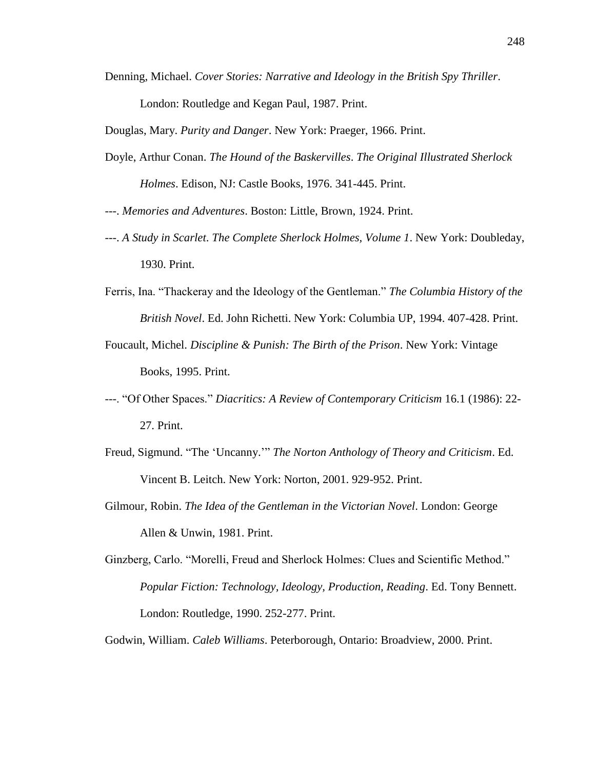Denning, Michael. *Cover Stories: Narrative and Ideology in the British Spy Thriller*.

London: Routledge and Kegan Paul, 1987. Print.

Douglas, Mary. *Purity and Danger*. New York: Praeger, 1966. Print.

Doyle, Arthur Conan. *The Hound of the Baskervilles*. *The Original Illustrated Sherlock Holmes*. Edison, NJ: Castle Books, 1976. 341-445. Print.

---. *Memories and Adventures*. Boston: Little, Brown, 1924. Print.

- ---. *A Study in Scarlet*. *The Complete Sherlock Holmes, Volume 1*. New York: Doubleday, 1930. Print.
- Ferris, Ina. "Thackeray and the Ideology of the Gentleman." *The Columbia History of the British Novel*. Ed. John Richetti. New York: Columbia UP, 1994. 407-428. Print.
- Foucault, Michel. *Discipline & Punish: The Birth of the Prison*. New York: Vintage Books, 1995. Print.
- ---. "Of Other Spaces." *Diacritics: A Review of Contemporary Criticism* 16.1 (1986): 22- 27. Print.
- Freud, Sigmund. "The 'Uncanny.'" *The Norton Anthology of Theory and Criticism*. Ed. Vincent B. Leitch. New York: Norton, 2001. 929-952. Print.
- Gilmour, Robin. *The Idea of the Gentleman in the Victorian Novel*. London: George Allen & Unwin, 1981. Print.
- Ginzberg, Carlo. "Morelli, Freud and Sherlock Holmes: Clues and Scientific Method." *Popular Fiction: Technology, Ideology, Production, Reading*. Ed. Tony Bennett. London: Routledge, 1990. 252-277. Print.

Godwin, William. *Caleb Williams*. Peterborough, Ontario: Broadview, 2000. Print.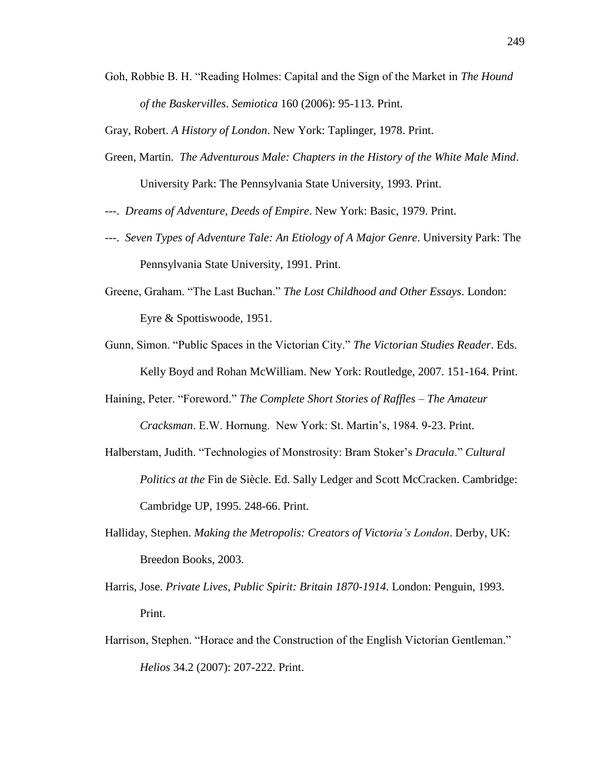Goh, Robbie B. H. "Reading Holmes: Capital and the Sign of the Market in *The Hound of the Baskervilles*. *Semiotica* 160 (2006): 95-113. Print.

Gray, Robert. *A History of London*. New York: Taplinger, 1978. Print.

- Green, Martin. *The Adventurous Male: Chapters in the History of the White Male Mind*. University Park: The Pennsylvania State University, 1993. Print.
- ---. *Dreams of Adventure, Deeds of Empire*. New York: Basic, 1979. Print.
- ---. *Seven Types of Adventure Tale: An Etiology of A Major Genre*. University Park: The Pennsylvania State University, 1991. Print.
- Greene, Graham. "The Last Buchan." *The Lost Childhood and Other Essays*. London: Eyre & Spottiswoode, 1951.
- Gunn, Simon. "Public Spaces in the Victorian City." *The Victorian Studies Reader*. Eds. Kelly Boyd and Rohan McWilliam. New York: Routledge, 2007. 151-164. Print.
- Haining, Peter. "Foreword." *The Complete Short Stories of Raffles – The Amateur Cracksman*. E.W. Hornung. New York: St. Martin's, 1984. 9-23. Print.
- Halberstam, Judith. "Technologies of Monstrosity: Bram Stoker's *Dracula*." *Cultural Politics at the* Fin de Siècle. Ed. Sally Ledger and Scott McCracken. Cambridge: Cambridge UP, 1995. 248-66. Print.
- Halliday, Stephen. *Making the Metropolis: Creators of Victoria's London*. Derby, UK: Breedon Books, 2003.
- Harris, Jose. *Private Lives, Public Spirit: Britain 1870-1914*. London: Penguin, 1993. Print.
- Harrison, Stephen. "Horace and the Construction of the English Victorian Gentleman." *Helios* 34.2 (2007): 207-222. Print.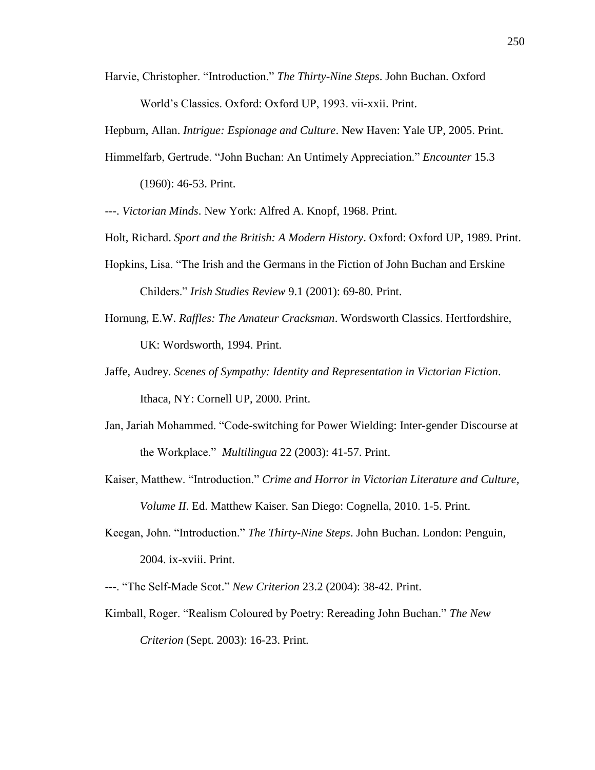Harvie, Christopher. "Introduction." *The Thirty-Nine Steps*. John Buchan. Oxford World's Classics. Oxford: Oxford UP, 1993. vii-xxii. Print.

Hepburn, Allan. *Intrigue: Espionage and Culture*. New Haven: Yale UP, 2005. Print.

Himmelfarb, Gertrude. "John Buchan: An Untimely Appreciation." *Encounter* 15.3

(1960): 46-53. Print.

---. *Victorian Minds*. New York: Alfred A. Knopf, 1968. Print.

Holt, Richard. *Sport and the British: A Modern History*. Oxford: Oxford UP, 1989. Print.

- Hopkins, Lisa. "The Irish and the Germans in the Fiction of John Buchan and Erskine Childers." *Irish Studies Review* 9.1 (2001): 69-80. Print.
- Hornung, E.W. *Raffles: The Amateur Cracksman*. Wordsworth Classics. Hertfordshire, UK: Wordsworth, 1994. Print.
- Jaffe, Audrey. *Scenes of Sympathy: Identity and Representation in Victorian Fiction*. Ithaca, NY: Cornell UP, 2000. Print.
- Jan, Jariah Mohammed. "Code-switching for Power Wielding: Inter-gender Discourse at the Workplace." *Multilingua* 22 (2003): 41-57. Print.
- Kaiser, Matthew. "Introduction." *Crime and Horror in Victorian Literature and Culture, Volume II*. Ed. Matthew Kaiser. San Diego: Cognella, 2010. 1-5. Print.
- Keegan, John. "Introduction." *The Thirty-Nine Steps*. John Buchan. London: Penguin, 2004. ix-xviii. Print.
- ---. "The Self-Made Scot." *New Criterion* 23.2 (2004): 38-42. Print.
- Kimball, Roger. "Realism Coloured by Poetry: Rereading John Buchan." *The New Criterion* (Sept. 2003): 16-23. Print.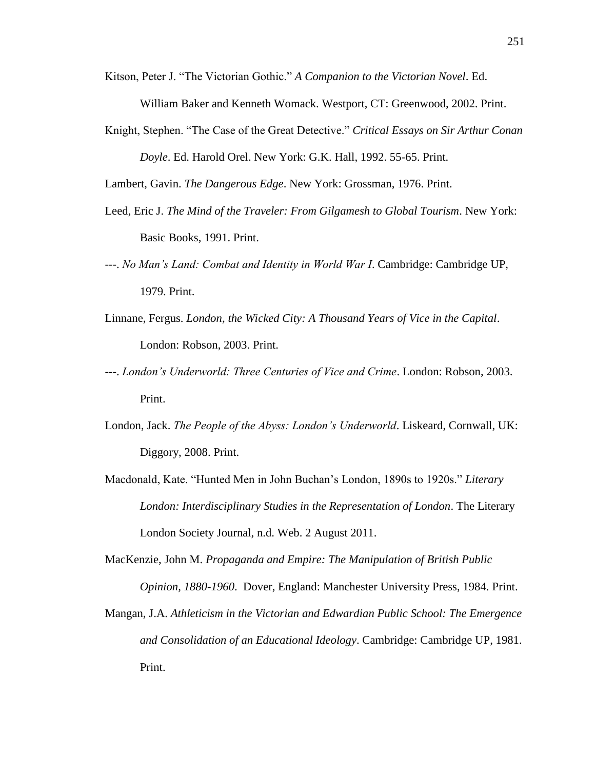Kitson, Peter J. "The Victorian Gothic." *A Companion to the Victorian Novel*. Ed.

William Baker and Kenneth Womack. Westport, CT: Greenwood, 2002. Print.

Knight, Stephen. "The Case of the Great Detective." *Critical Essays on Sir Arthur Conan* 

*Doyle*. Ed. Harold Orel. New York: G.K. Hall, 1992. 55-65. Print.

Lambert, Gavin. *The Dangerous Edge*. New York: Grossman, 1976. Print.

- Leed, Eric J. *The Mind of the Traveler: From Gilgamesh to Global Tourism*. New York: Basic Books, 1991. Print.
- ---. *No Man's Land: Combat and Identity in World War I*. Cambridge: Cambridge UP, 1979. Print.
- Linnane, Fergus. *London, the Wicked City: A Thousand Years of Vice in the Capital*. London: Robson, 2003. Print.
- ---. *London's Underworld: Three Centuries of Vice and Crime*. London: Robson, 2003. Print.
- London, Jack. *The People of the Abyss: London's Underworld*. Liskeard, Cornwall, UK: Diggory, 2008. Print.
- Macdonald, Kate. "Hunted Men in John Buchan's London, 1890s to 1920s." *Literary London: Interdisciplinary Studies in the Representation of London*. The Literary London Society Journal, n.d. Web. 2 August 2011.
- MacKenzie, John M. *Propaganda and Empire: The Manipulation of British Public Opinion, 1880-1960*. Dover, England: Manchester University Press, 1984. Print.
- Mangan, J.A. *Athleticism in the Victorian and Edwardian Public School: The Emergence and Consolidation of an Educational Ideology*. Cambridge: Cambridge UP, 1981. Print.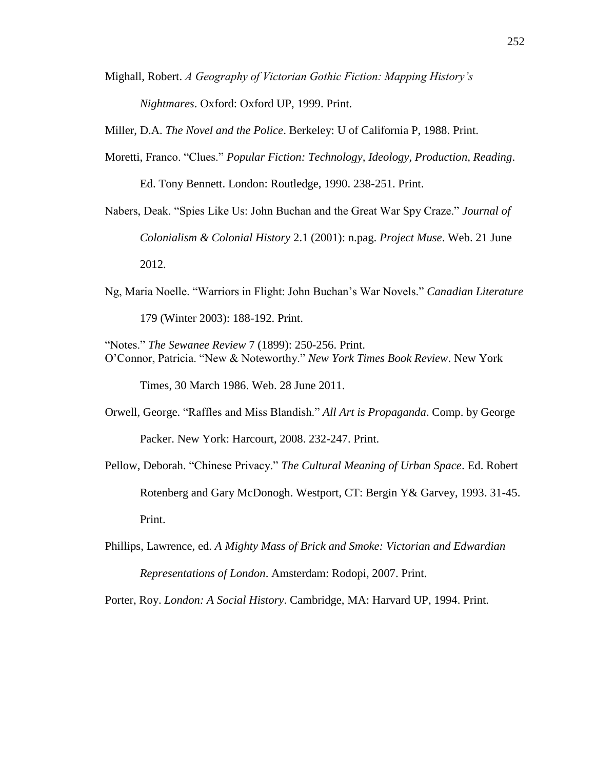Mighall, Robert. *A Geography of Victorian Gothic Fiction: Mapping History's Nightmares*. Oxford: Oxford UP, 1999. Print.

Miller, D.A. *The Novel and the Police*. Berkeley: U of California P, 1988. Print.

- Moretti, Franco. "Clues." *Popular Fiction: Technology, Ideology, Production, Reading*. Ed. Tony Bennett. London: Routledge, 1990. 238-251. Print.
- Nabers, Deak. "Spies Like Us: John Buchan and the Great War Spy Craze." *Journal of Colonialism & Colonial History* 2.1 (2001): n.pag. *Project Muse*. Web. 21 June 2012.
- Ng, Maria Noelle. "Warriors in Flight: John Buchan's War Novels." *Canadian Literature* 179 (Winter 2003): 188-192. Print.
- "Notes." *The Sewanee Review* 7 (1899): 250-256. Print. O'Connor, Patricia. "New & Noteworthy." *New York Times Book Review*. New York

Times, 30 March 1986. Web. 28 June 2011.

- Orwell, George. "Raffles and Miss Blandish." *All Art is Propaganda*. Comp. by George Packer. New York: Harcourt, 2008. 232-247. Print.
- Pellow, Deborah. "Chinese Privacy." *The Cultural Meaning of Urban Space*. Ed. Robert Rotenberg and Gary McDonogh. Westport, CT: Bergin Y& Garvey, 1993. 31-45. Print.
- Phillips, Lawrence, ed. *A Mighty Mass of Brick and Smoke: Victorian and Edwardian Representations of London*. Amsterdam: Rodopi, 2007. Print.

Porter, Roy. *London: A Social History*. Cambridge, MA: Harvard UP, 1994. Print.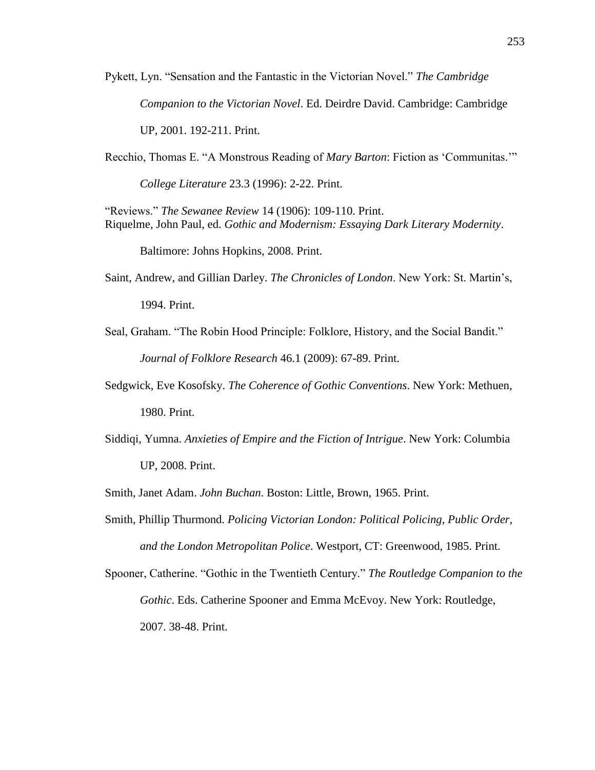Pykett, Lyn. "Sensation and the Fantastic in the Victorian Novel." *The Cambridge Companion to the Victorian Novel*. Ed. Deirdre David. Cambridge: Cambridge UP, 2001. 192-211. Print.

Recchio, Thomas E. "A Monstrous Reading of *Mary Barton*: Fiction as 'Communitas.'"

*College Literature* 23.3 (1996): 2-22. Print.

"Reviews." *The Sewanee Review* 14 (1906): 109-110. Print. Riquelme, John Paul, ed. *Gothic and Modernism: Essaying Dark Literary Modernity*.

Baltimore: Johns Hopkins, 2008. Print.

Saint, Andrew, and Gillian Darley. *The Chronicles of London*. New York: St. Martin's, 1994. Print.

- Seal, Graham. "The Robin Hood Principle: Folklore, History, and the Social Bandit." *Journal of Folklore Research* 46.1 (2009): 67-89. Print.
- Sedgwick, Eve Kosofsky. *The Coherence of Gothic Conventions*. New York: Methuen, 1980. Print.
- Siddiqi, Yumna. *Anxieties of Empire and the Fiction of Intrigue*. New York: Columbia UP, 2008. Print.

Smith, Janet Adam. *John Buchan*. Boston: Little, Brown, 1965. Print.

Smith, Phillip Thurmond. *Policing Victorian London: Political Policing, Public Order, and the London Metropolitan Police*. Westport, CT: Greenwood, 1985. Print.

Spooner, Catherine. "Gothic in the Twentieth Century." *The Routledge Companion to the Gothic*. Eds. Catherine Spooner and Emma McEvoy. New York: Routledge, 2007. 38-48. Print.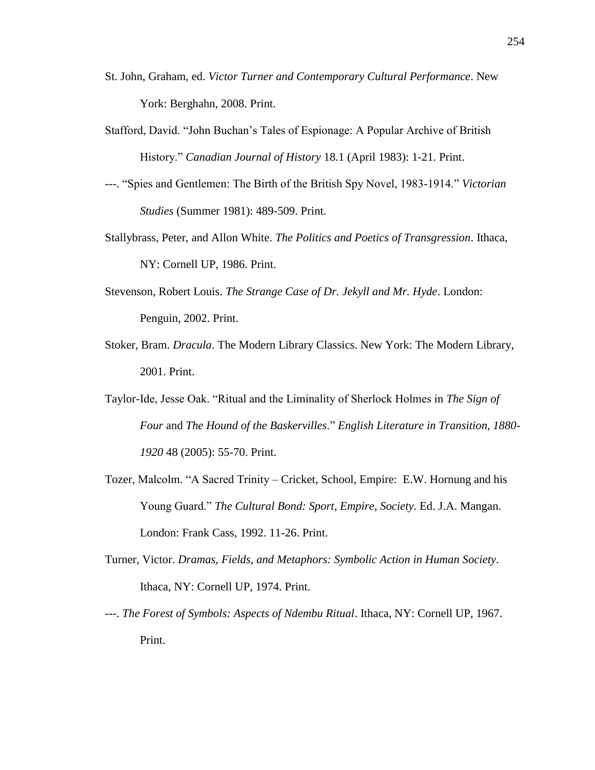- St. John, Graham, ed. *Victor Turner and Contemporary Cultural Performance*. New York: Berghahn, 2008. Print.
- Stafford, David. "John Buchan's Tales of Espionage: A Popular Archive of British History." *Canadian Journal of History* 18.1 (April 1983): 1-21. Print.
- ---. "Spies and Gentlemen: The Birth of the British Spy Novel, 1983-1914." *Victorian Studies* (Summer 1981): 489-509. Print.
- Stallybrass, Peter, and Allon White. *The Politics and Poetics of Transgression*. Ithaca, NY: Cornell UP, 1986. Print.
- Stevenson, Robert Louis. *The Strange Case of Dr. Jekyll and Mr. Hyde*. London: Penguin, 2002. Print.
- Stoker, Bram. *Dracula*. The Modern Library Classics. New York: The Modern Library, 2001. Print.
- Taylor-Ide, Jesse Oak. "Ritual and the Liminality of Sherlock Holmes in *The Sign of Four* and *The Hound of the Baskervilles*." *English Literature in Transition, 1880- 1920* 48 (2005): 55-70. Print.
- Tozer, Malcolm. "A Sacred Trinity Cricket, School, Empire: E.W. Hornung and his Young Guard." *The Cultural Bond: Sport, Empire, Society*. Ed. J.A. Mangan. London: Frank Cass, 1992. 11-26. Print.
- Turner, Victor. *Dramas, Fields, and Metaphors: Symbolic Action in Human Society*. Ithaca, NY: Cornell UP, 1974. Print.
- ---. *The Forest of Symbols: Aspects of Ndembu Ritual*. Ithaca, NY: Cornell UP, 1967. Print.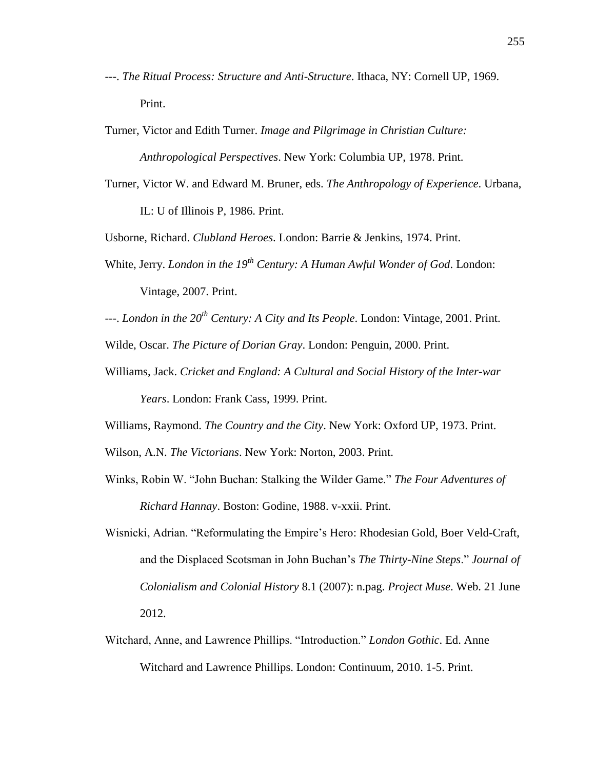- ---. *The Ritual Process: Structure and Anti-Structure*. Ithaca, NY: Cornell UP, 1969. Print.
- Turner, Victor and Edith Turner. *Image and Pilgrimage in Christian Culture: Anthropological Perspectives*. New York: Columbia UP, 1978. Print.
- Turner, Victor W. and Edward M. Bruner, eds. *The Anthropology of Experience*. Urbana, IL: U of Illinois P, 1986. Print.

Usborne, Richard. *Clubland Heroes*. London: Barrie & Jenkins, 1974. Print.

- White, Jerry. *London in the 19th Century: A Human Awful Wonder of God*. London: Vintage, 2007. Print.
- ---. *London in the 20th Century: A City and Its People*. London: Vintage, 2001. Print.
- Wilde, Oscar. *The Picture of Dorian Gray*. London: Penguin, 2000. Print.
- Williams, Jack. *Cricket and England: A Cultural and Social History of the Inter-war Years*. London: Frank Cass, 1999. Print.

Williams, Raymond. *The Country and the City*. New York: Oxford UP, 1973. Print.

Wilson, A.N. *The Victorians*. New York: Norton, 2003. Print.

- Winks, Robin W. "John Buchan: Stalking the Wilder Game." *The Four Adventures of Richard Hannay*. Boston: Godine, 1988. v-xxii. Print.
- Wisnicki, Adrian. "Reformulating the Empire's Hero: Rhodesian Gold, Boer Veld-Craft, and the Displaced Scotsman in John Buchan's *The Thirty-Nine Steps*." *Journal of Colonialism and Colonial History* 8.1 (2007): n.pag. *Project Muse*. Web. 21 June 2012.
- Witchard, Anne, and Lawrence Phillips. "Introduction." *London Gothic*. Ed. Anne Witchard and Lawrence Phillips. London: Continuum, 2010. 1-5. Print.